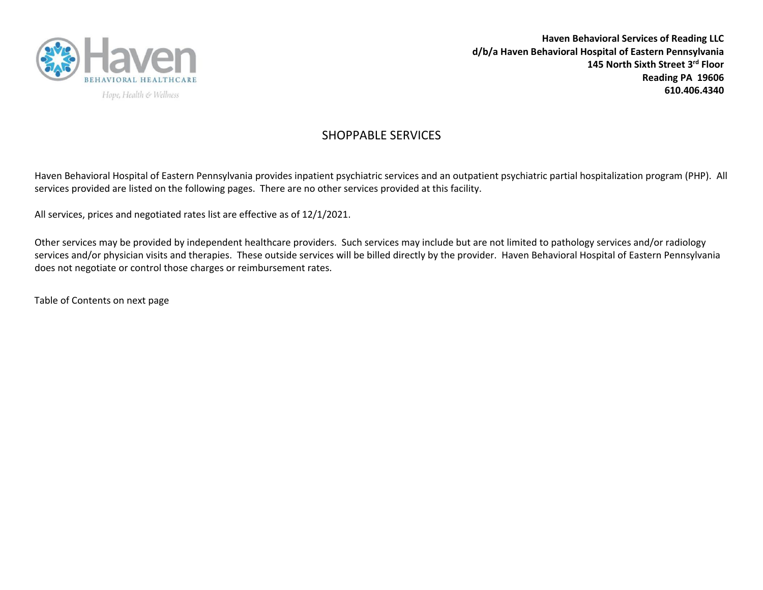

**Haven Behavioral Services of Reading LLC d/b/a Haven Behavioral Hospital of Eastern Pennsylvania 145 North Sixth Street 3rd Floor Reading PA 19606 610.406.4340**

#### SHOPPABLE SERVICES

Haven Behavioral Hospital of Eastern Pennsylvania provides inpatient psychiatric services and an outpatient psychiatric partial hospitalization program (PHP). All services provided are listed on the following pages. There are no other services provided at this facility.

All services, prices and negotiated rates list are effective as of 12/1/2021.

Other services may be provided by independent healthcare providers. Such services may include but are not limited to pathology services and/or radiology services and/or physician visits and therapies. These outside services will be billed directly by the provider. Haven Behavioral Hospital of Eastern Pennsylvania does not negotiate or control those charges or reimbursement rates.

Table of Contents on next page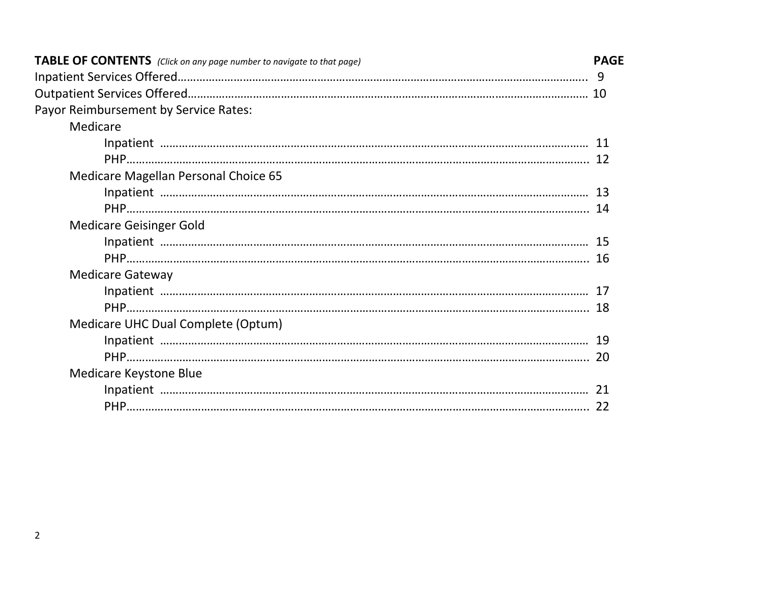<span id="page-1-0"></span>

| <b>TABLE OF CONTENTS</b> (Click on any page number to navigate to that page) | <b>PAGE</b> |
|------------------------------------------------------------------------------|-------------|
|                                                                              |             |
|                                                                              |             |
| Payor Reimbursement by Service Rates:                                        |             |
| Medicare                                                                     |             |
|                                                                              |             |
|                                                                              |             |
| Medicare Magellan Personal Choice 65                                         |             |
|                                                                              |             |
|                                                                              |             |
| <b>Medicare Geisinger Gold</b>                                               |             |
|                                                                              |             |
|                                                                              |             |
| <b>Medicare Gateway</b>                                                      |             |
|                                                                              |             |
|                                                                              |             |
| Medicare UHC Dual Complete (Optum)                                           |             |
|                                                                              |             |
|                                                                              |             |
| Medicare Keystone Blue                                                       |             |
|                                                                              |             |
|                                                                              |             |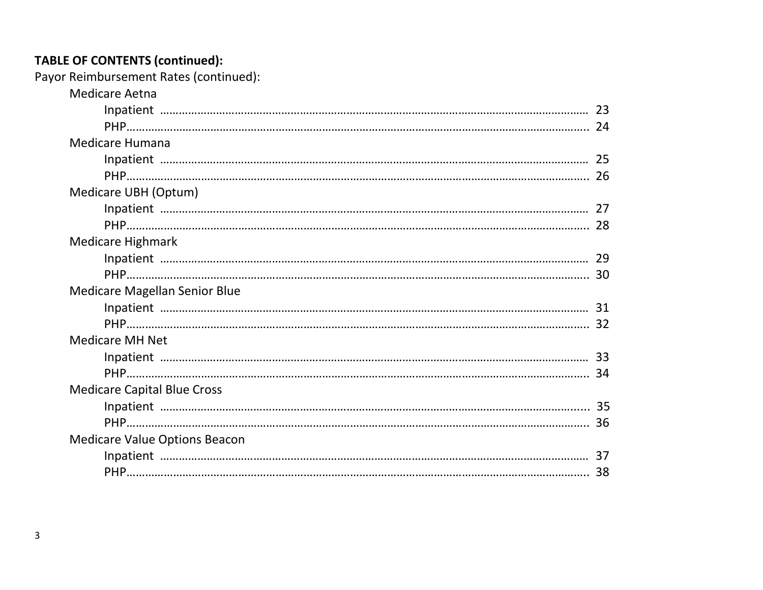# TABLE OF CONTENTS (continued):<br>Payor Reimbursement Rates (continued):

| iyor Kennbursenlerit Kates (continueu). |  |
|-----------------------------------------|--|
| <b>Medicare Aetna</b>                   |  |
|                                         |  |
|                                         |  |
| Medicare Humana                         |  |
|                                         |  |
|                                         |  |
| Medicare UBH (Optum)                    |  |
|                                         |  |
|                                         |  |
| <b>Medicare Highmark</b>                |  |
|                                         |  |
|                                         |  |
| <b>Medicare Magellan Senior Blue</b>    |  |
|                                         |  |
|                                         |  |
| <b>Medicare MH Net</b>                  |  |
|                                         |  |
|                                         |  |
| <b>Medicare Capital Blue Cross</b>      |  |
|                                         |  |
|                                         |  |
| <b>Medicare Value Options Beacon</b>    |  |
|                                         |  |
|                                         |  |
|                                         |  |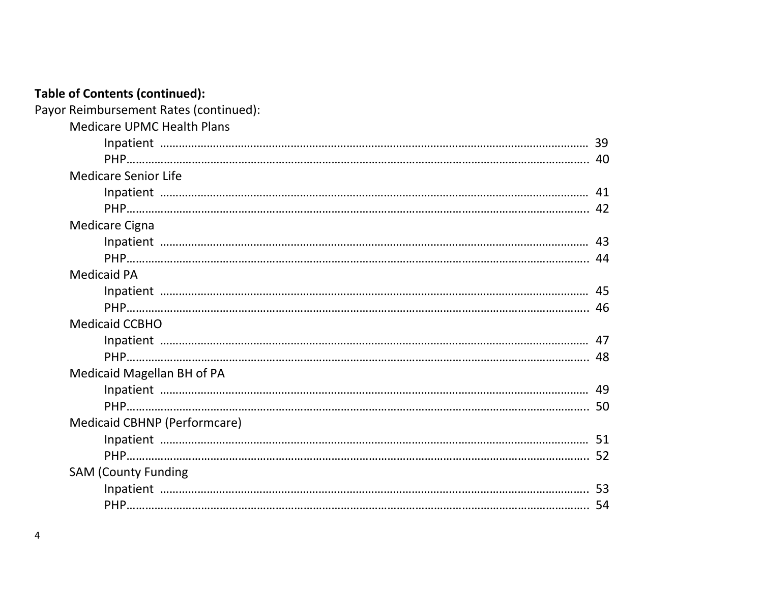| Payor Reimbursement Rates (continued): |  |
|----------------------------------------|--|
| <b>Medicare UPMC Health Plans</b>      |  |
|                                        |  |
|                                        |  |
| <b>Medicare Senior Life</b>            |  |
|                                        |  |
|                                        |  |
| <b>Medicare Cigna</b>                  |  |
|                                        |  |
|                                        |  |
| <b>Medicaid PA</b>                     |  |
|                                        |  |
|                                        |  |
| <b>Medicaid CCBHO</b>                  |  |
|                                        |  |
|                                        |  |
| Medicaid Magellan BH of PA             |  |
|                                        |  |
|                                        |  |
| Medicaid CBHNP (Performcare)           |  |
|                                        |  |
|                                        |  |
| <b>SAM (County Funding</b>             |  |
|                                        |  |
|                                        |  |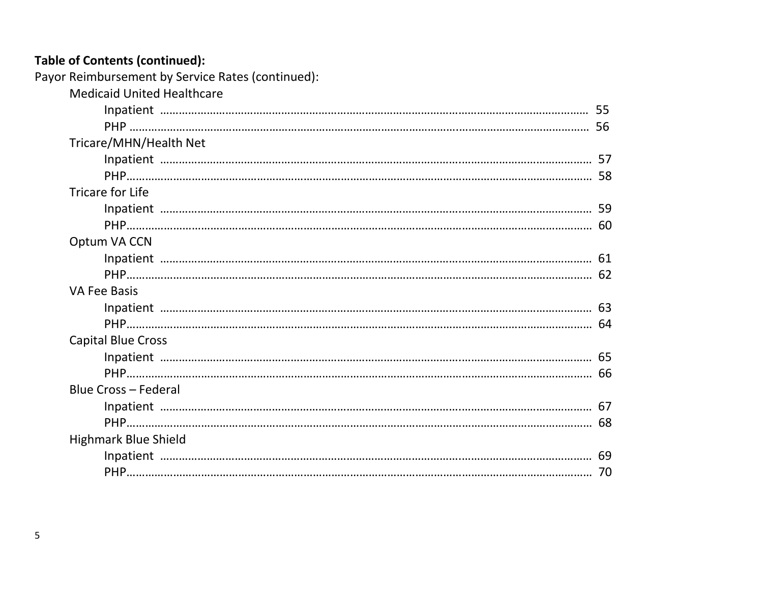| Table of Contents (continued):                    |  |
|---------------------------------------------------|--|
| Payor Reimbursement by Service Rates (continued): |  |
| <b>Medicaid United Healthcare</b>                 |  |
|                                                   |  |
|                                                   |  |
| Tricare/MHN/Health Net                            |  |
|                                                   |  |
|                                                   |  |
| <b>Tricare for Life</b>                           |  |
|                                                   |  |
|                                                   |  |
| Optum VA CCN                                      |  |
|                                                   |  |
|                                                   |  |
| <b>VA Fee Basis</b>                               |  |
|                                                   |  |
|                                                   |  |
| <b>Capital Blue Cross</b>                         |  |
|                                                   |  |
|                                                   |  |
| <b>Blue Cross - Federal</b>                       |  |
|                                                   |  |
|                                                   |  |
| <b>Highmark Blue Shield</b>                       |  |
|                                                   |  |
|                                                   |  |
|                                                   |  |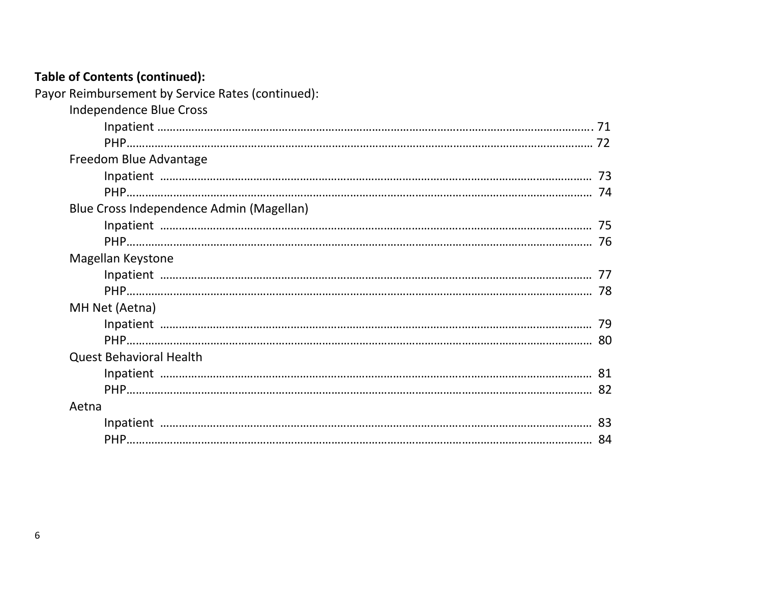| Payor Reimbursement by Service Rates (continued): |  |
|---------------------------------------------------|--|
| <b>Independence Blue Cross</b>                    |  |
|                                                   |  |
|                                                   |  |
| Freedom Blue Advantage                            |  |
|                                                   |  |
|                                                   |  |
| Blue Cross Independence Admin (Magellan)          |  |
|                                                   |  |
|                                                   |  |
| <b>Magellan Keystone</b>                          |  |
|                                                   |  |
|                                                   |  |
| MH Net (Aetna)                                    |  |
|                                                   |  |
|                                                   |  |
| <b>Quest Behavioral Health</b>                    |  |
|                                                   |  |
|                                                   |  |
| Aetna                                             |  |
|                                                   |  |
|                                                   |  |
|                                                   |  |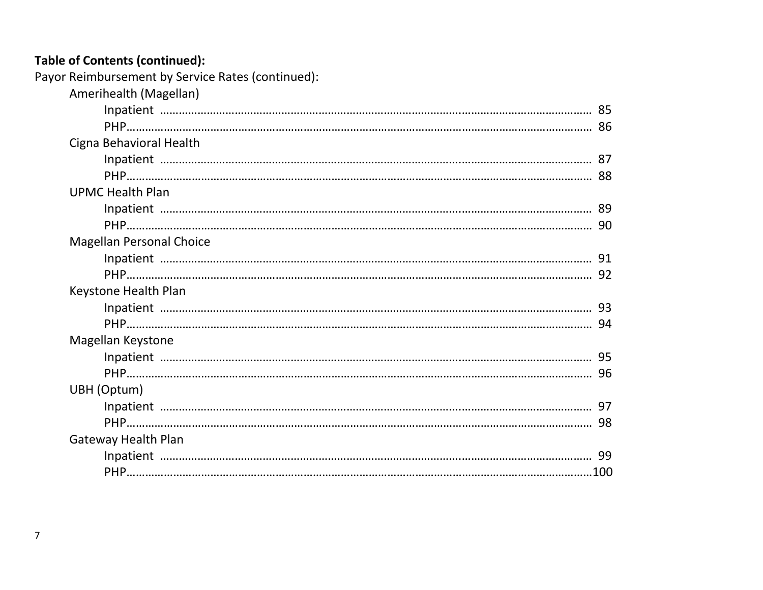| Payor Reimbursement by Service Rates (continued): |  |
|---------------------------------------------------|--|
| Amerihealth (Magellan)                            |  |
|                                                   |  |
|                                                   |  |
| Cigna Behavioral Health                           |  |
|                                                   |  |
|                                                   |  |
| <b>UPMC Health Plan</b>                           |  |
|                                                   |  |
|                                                   |  |
| <b>Magellan Personal Choice</b>                   |  |
|                                                   |  |
|                                                   |  |
| Keystone Health Plan                              |  |
|                                                   |  |
|                                                   |  |
| Magellan Keystone                                 |  |
|                                                   |  |
|                                                   |  |
| UBH (Optum)                                       |  |
|                                                   |  |
|                                                   |  |
| Gateway Health Plan                               |  |
|                                                   |  |
|                                                   |  |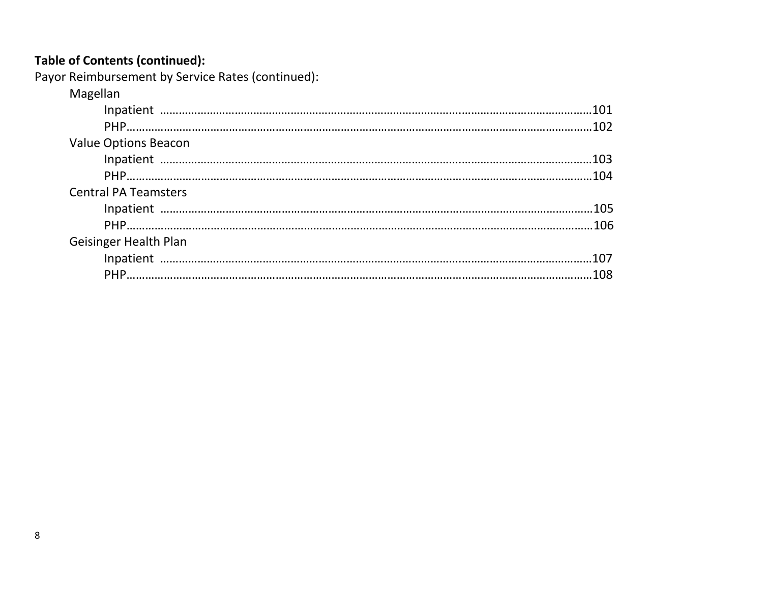| ble of Contents (continued):                    |  |
|-------------------------------------------------|--|
| yor Reimbursement by Service Rates (continued): |  |
| Magellan                                        |  |
|                                                 |  |
|                                                 |  |
| <b>Value Options Beacon</b>                     |  |
|                                                 |  |
|                                                 |  |
| <b>Central PA Teamsters</b>                     |  |
|                                                 |  |
|                                                 |  |
| <b>Geisinger Health Plan</b>                    |  |
|                                                 |  |
|                                                 |  |
|                                                 |  |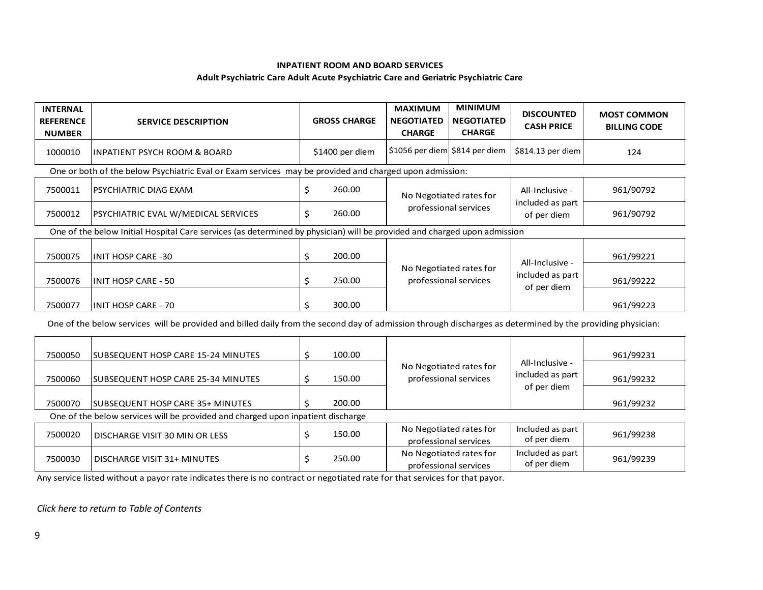#### **INPATIENT ROOM AND BOARD SERVICES**

#### **Adult Psychiatric Care Adult Acute Psychiatric Care and Geriatric Psychiatric Care**

<span id="page-8-0"></span>

| <b>INTERNAL</b><br><b>REFERENCE</b><br><b>NUMBER</b> | <b>SERVICE DESCRIPTION</b>                                                                                               | <b>GROSS CHARGE</b> |        |                                                  |  | <b>MAXIMUM</b><br><b>NEGOTIATED</b><br><b>CHARGE</b> | <b>MINIMUM</b><br><b>NEGOTIATED</b><br><b>CHARGE</b> | <b>DISCOUNTED</b><br><b>CASH PRICE</b> | <b>MOST COMMON</b><br><b>BILLING CODE</b> |
|------------------------------------------------------|--------------------------------------------------------------------------------------------------------------------------|---------------------|--------|--------------------------------------------------|--|------------------------------------------------------|------------------------------------------------------|----------------------------------------|-------------------------------------------|
| 1000010                                              | INPATIENT PSYCH ROOM & BOARD                                                                                             | \$1400 per diem     |        |                                                  |  | $$1056$ per diem $$814$ per diem                     |                                                      | $$814.13$ per diem                     | 124                                       |
|                                                      | One or both of the below Psychiatric Eval or Exam services may be provided and charged upon admission:                   |                     |        |                                                  |  |                                                      |                                                      |                                        |                                           |
| 7500011                                              | PSYCHIATRIC DIAG EXAM                                                                                                    |                     | 260.00 | No Negotiated rates for<br>professional services |  | All-Inclusive -                                      | 961/90792                                            |                                        |                                           |
| 7500012                                              | PSYCHIATRIC EVAL W/MEDICAL SERVICES                                                                                      |                     | 260.00 |                                                  |  | included as part<br>of per diem                      | 961/90792                                            |                                        |                                           |
|                                                      | One of the below Initial Hospital Care services (as determined by physician) will be provided and charged upon admission |                     |        |                                                  |  |                                                      |                                                      |                                        |                                           |
| 7500075                                              | INIT HOSP CARE -30                                                                                                       |                     | 200.00 | No Negotiated rates for<br>professional services |  | All-Inclusive -                                      | 961/99221                                            |                                        |                                           |
| 7500076                                              | <b>INIT HOSP CARE - 50</b>                                                                                               |                     | 250.00 |                                                  |  |                                                      |                                                      | included as part<br>of per diem        | 961/99222                                 |
| 7500077                                              | IINIT HOSP CARE - 70                                                                                                     |                     | 300.00 |                                                  |  |                                                      | 961/99223                                            |                                        |                                           |

One of the below services will be provided and billed daily from the second day of admission through discharges as determined by the providing physician:

| 7500050 | SUBSEQUENT HOSP CARE 15-24 MINUTES                                              | 100.00 |                                                  |                                     | 961/99231 |
|---------|---------------------------------------------------------------------------------|--------|--------------------------------------------------|-------------------------------------|-----------|
| 7500060 | SUBSEQUENT HOSP CARE 25-34 MINUTES                                              | 150.00 | No Negotiated rates for<br>professional services | All-Inclusive -<br>included as part | 961/99232 |
| 7500070 | <b>SUBSEQUENT HOSP CARE 35+ MINUTES</b>                                         | 200.00 |                                                  | of per diem                         |           |
|         | One of the below services will be provided and charged upon inpatient discharge |        |                                                  |                                     | 961/99232 |
|         |                                                                                 |        |                                                  |                                     |           |
| 7500020 | DISCHARGE VISIT 30 MIN OR LESS                                                  | 150.00 | No Negotiated rates for                          | Included as part                    | 961/99238 |
|         |                                                                                 |        | professional services                            | of per diem                         |           |
| 7500030 |                                                                                 | 250.00 | No Negotiated rates for                          | Included as part                    |           |
|         | DISCHARGE VISIT 31+ MINUTES                                                     |        | professional services                            | of per diem                         | 961/99239 |

Any service listed without a payor rate indicates there is no contract or negotiated rate for that services for that payor.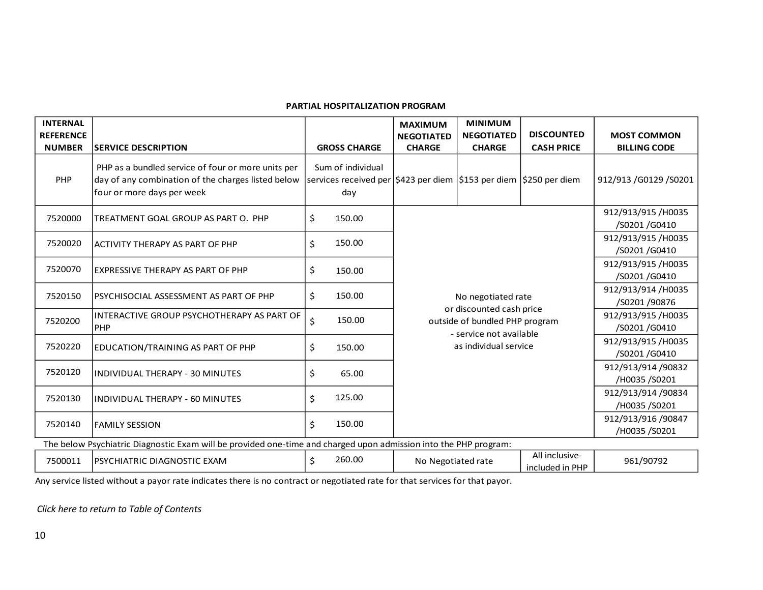#### **PARTIAL HOSPITALIZATION PROGRAM**

<span id="page-9-0"></span>

| <b>INTERNAL</b><br><b>REFERENCE</b> |                                                                                                                                        |                                                                                                |                     | <b>MAXIMUM</b><br><b>NEGOTIATED</b>                                                                         | <b>MINIMUM</b><br><b>NEGOTIATED</b> | <b>DISCOUNTED</b>                   | <b>MOST COMMON</b>                  |  |                         |
|-------------------------------------|----------------------------------------------------------------------------------------------------------------------------------------|------------------------------------------------------------------------------------------------|---------------------|-------------------------------------------------------------------------------------------------------------|-------------------------------------|-------------------------------------|-------------------------------------|--|-------------------------|
| <b>NUMBER</b>                       | <b>SERVICE DESCRIPTION</b>                                                                                                             |                                                                                                | <b>GROSS CHARGE</b> | <b>CHARGE</b>                                                                                               | <b>CHARGE</b>                       | <b>CASH PRICE</b>                   | <b>BILLING CODE</b>                 |  |                         |
| PHP                                 | PHP as a bundled service of four or more units per<br>day of any combination of the charges listed below<br>four or more days per week | Sum of individual<br>services received per \$423 per diem \$153 per diem \$250 per diem<br>day |                     |                                                                                                             |                                     |                                     |                                     |  | 912/913 / G0129 / S0201 |
| 7520000                             | TREATMENT GOAL GROUP AS PART O. PHP                                                                                                    | \$                                                                                             | 150.00              |                                                                                                             |                                     |                                     | 912/913/915/H0035<br>/S0201/G0410   |  |                         |
| 7520020                             | <b>ACTIVITY THERAPY AS PART OF PHP</b>                                                                                                 | \$                                                                                             | 150.00              |                                                                                                             |                                     |                                     | 912/913/915/H0035<br>/S0201 /G0410  |  |                         |
| 7520070                             | <b>EXPRESSIVE THERAPY AS PART OF PHP</b>                                                                                               | \$                                                                                             | 150.00              | No negotiated rate<br>or discounted cash price<br>outside of bundled PHP program<br>- service not available |                                     |                                     | 912/913/915/H0035<br>/S0201/G0410   |  |                         |
| 7520150                             | PSYCHISOCIAL ASSESSMENT AS PART OF PHP                                                                                                 | \$                                                                                             | 150.00              |                                                                                                             |                                     |                                     | 912/913/914 /H0035<br>/S0201 /90876 |  |                         |
| 7520200                             | INTERACTIVE GROUP PSYCHOTHERAPY AS PART OF<br>PHP                                                                                      | \$                                                                                             | 150.00              |                                                                                                             |                                     |                                     | 912/913/915/H0035<br>/S0201 /G0410  |  |                         |
| 7520220                             | EDUCATION/TRAINING AS PART OF PHP                                                                                                      | \$                                                                                             | 150.00              |                                                                                                             | as individual service               |                                     | 912/913/915/H0035<br>/S0201/G0410   |  |                         |
| 7520120                             | INDIVIDUAL THERAPY - 30 MINUTES                                                                                                        | \$                                                                                             | 65.00               |                                                                                                             |                                     | 912/913/914 /90832<br>/H0035 /S0201 |                                     |  |                         |
| 7520130                             | INDIVIDUAL THERAPY - 60 MINUTES                                                                                                        | \$                                                                                             | 125.00              |                                                                                                             |                                     |                                     | 912/913/914 /90834<br>/H0035 /S0201 |  |                         |
| 7520140                             | <b>FAMILY SESSION</b>                                                                                                                  | \$                                                                                             | 150.00              |                                                                                                             |                                     |                                     | 912/913/916 /90847<br>/H0035 /S0201 |  |                         |
|                                     | The below Psychiatric Diagnostic Exam will be provided one-time and charged upon admission into the PHP program:                       |                                                                                                |                     |                                                                                                             |                                     |                                     |                                     |  |                         |
| 7500011                             | PSYCHIATRIC DIAGNOSTIC EXAM                                                                                                            | \$                                                                                             | 260.00              | No Negotiated rate                                                                                          |                                     | All inclusive-<br>included in PHP   | 961/90792                           |  |                         |

Any service listed without a payor rate indicates there is no contract or negotiated rate for that services for that payor.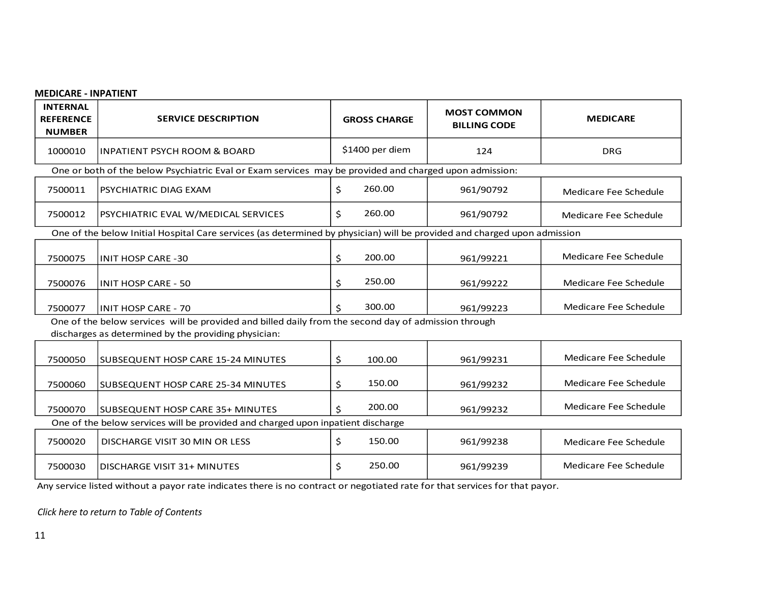#### <span id="page-10-0"></span>**MEDICARE - INPATIENT**

| <b>INTERNAL</b><br><b>REFERENCE</b><br><b>NUMBER</b> | <b>SERVICE DESCRIPTION</b>                                                                                                                                   | <b>GROSS CHARGE</b> | <b>MOST COMMON</b><br><b>BILLING CODE</b> | <b>MEDICARE</b>       |
|------------------------------------------------------|--------------------------------------------------------------------------------------------------------------------------------------------------------------|---------------------|-------------------------------------------|-----------------------|
| 1000010                                              | <b>INPATIENT PSYCH ROOM &amp; BOARD</b>                                                                                                                      | \$1400 per diem     | 124                                       | <b>DRG</b>            |
|                                                      | One or both of the below Psychiatric Eval or Exam services may be provided and charged upon admission:                                                       |                     |                                           |                       |
| 7500011                                              | PSYCHIATRIC DIAG EXAM                                                                                                                                        | 260.00<br>\$        | 961/90792                                 | Medicare Fee Schedule |
| 7500012                                              | PSYCHIATRIC EVAL W/MEDICAL SERVICES                                                                                                                          | \$<br>260.00        | 961/90792<br>Medicare Fee Schedule        |                       |
|                                                      | One of the below Initial Hospital Care services (as determined by physician) will be provided and charged upon admission                                     |                     |                                           |                       |
| 7500075                                              | <b>INIT HOSP CARE -30</b>                                                                                                                                    | 200.00<br>\$        | 961/99221                                 | Medicare Fee Schedule |
| 7500076                                              | <b>INIT HOSP CARE - 50</b>                                                                                                                                   | 250.00<br>\$        | 961/99222                                 | Medicare Fee Schedule |
| 7500077                                              | <b>INIT HOSP CARE - 70</b>                                                                                                                                   | 300.00<br>Ś         | 961/99223                                 | Medicare Fee Schedule |
|                                                      | One of the below services will be provided and billed daily from the second day of admission through<br>discharges as determined by the providing physician: |                     |                                           |                       |
| 7500050                                              | SUBSEQUENT HOSP CARE 15-24 MINUTES                                                                                                                           | \$<br>100.00        | 961/99231                                 | Medicare Fee Schedule |
| 7500060                                              | SUBSEQUENT HOSP CARE 25-34 MINUTES                                                                                                                           | 150.00<br>\$        | 961/99232                                 | Medicare Fee Schedule |
| 7500070                                              | <b>SUBSEQUENT HOSP CARE 35+ MINUTES</b>                                                                                                                      | 200.00<br>$\zeta$   | 961/99232                                 | Medicare Fee Schedule |
|                                                      | One of the below services will be provided and charged upon inpatient discharge                                                                              |                     |                                           |                       |
| 7500020                                              | DISCHARGE VISIT 30 MIN OR LESS                                                                                                                               | \$<br>150.00        | 961/99238                                 | Medicare Fee Schedule |
| 7500030                                              | DISCHARGE VISIT 31+ MINUTES                                                                                                                                  | 250.00<br>\$        | 961/99239                                 | Medicare Fee Schedule |

Any service listed without a payor rate indicates there is no contract or negotiated rate for that services for that payor.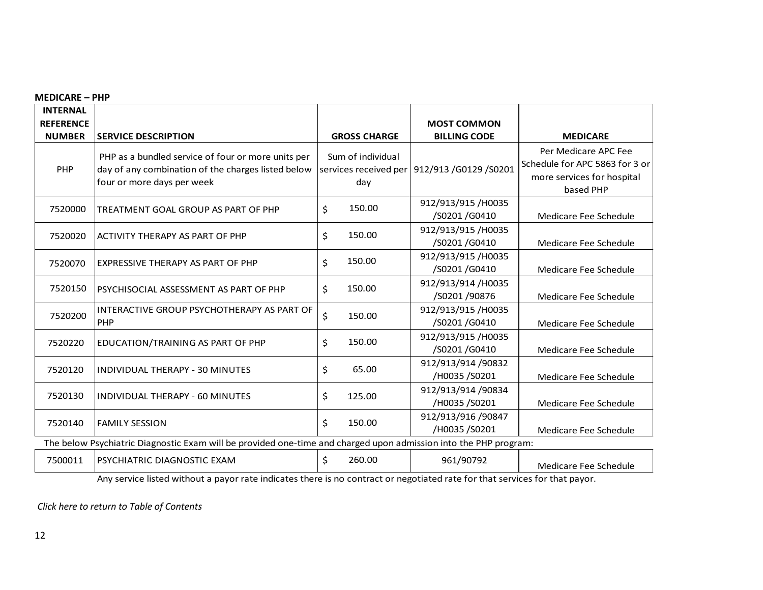<span id="page-11-0"></span>

| <b>MEDICARE - PHP</b> |                                                                                                                  |                       |                       |                                |
|-----------------------|------------------------------------------------------------------------------------------------------------------|-----------------------|-----------------------|--------------------------------|
| <b>INTERNAL</b>       |                                                                                                                  |                       |                       |                                |
| <b>REFERENCE</b>      |                                                                                                                  |                       | <b>MOST COMMON</b>    |                                |
| <b>NUMBER</b>         | <b>SERVICE DESCRIPTION</b>                                                                                       | <b>GROSS CHARGE</b>   | <b>BILLING CODE</b>   | <b>MEDICARE</b>                |
|                       | PHP as a bundled service of four or more units per                                                               | Sum of individual     |                       | Per Medicare APC Fee           |
| PHP                   | day of any combination of the charges listed below                                                               | services received per | 912/913 /G0129 /S0201 | Schedule for APC 5863 for 3 or |
|                       | four or more days per week                                                                                       | day                   |                       | more services for hospital     |
|                       |                                                                                                                  |                       |                       | based PHP                      |
| 7520000               | TREATMENT GOAL GROUP AS PART OF PHP                                                                              | 150.00<br>\$          | 912/913/915/H0035     |                                |
|                       |                                                                                                                  |                       | /S0201 /G0410         | Medicare Fee Schedule          |
| 7520020               | ACTIVITY THERAPY AS PART OF PHP                                                                                  | \$<br>150.00          | 912/913/915/H0035     |                                |
|                       |                                                                                                                  |                       | /S0201 /G0410         | Medicare Fee Schedule          |
|                       |                                                                                                                  | 150.00                | 912/913/915/H0035     |                                |
| 7520070               | EXPRESSIVE THERAPY AS PART OF PHP                                                                                | \$                    | /S0201 /G0410         | Medicare Fee Schedule          |
| 7520150               | PSYCHISOCIAL ASSESSMENT AS PART OF PHP                                                                           | 150.00<br>\$          | 912/913/914 /H0035    |                                |
|                       |                                                                                                                  |                       | /S0201 /90876         | Medicare Fee Schedule          |
|                       | INTERACTIVE GROUP PSYCHOTHERAPY AS PART OF                                                                       | \$<br>150.00          | 912/913/915/H0035     |                                |
| 7520200               | PHP                                                                                                              |                       | /S0201 /G0410         | Medicare Fee Schedule          |
|                       |                                                                                                                  |                       | 912/913/915/H0035     |                                |
| 7520220               | EDUCATION/TRAINING AS PART OF PHP                                                                                | \$<br>150.00          | /S0201 /G0410         | Medicare Fee Schedule          |
|                       |                                                                                                                  |                       | 912/913/914 /90832    |                                |
| 7520120               | INDIVIDUAL THERAPY - 30 MINUTES                                                                                  | \$<br>65.00           | /H0035 /S0201         | Medicare Fee Schedule          |
| 7520130               |                                                                                                                  |                       | 912/913/914 /90834    |                                |
|                       | INDIVIDUAL THERAPY - 60 MINUTES                                                                                  | \$<br>125.00          | /H0035 /S0201         | Medicare Fee Schedule          |
|                       |                                                                                                                  | \$<br>150.00          | 912/913/916 /90847    |                                |
| 7520140               | <b>FAMILY SESSION</b>                                                                                            |                       | /H0035 /S0201         | Medicare Fee Schedule          |
|                       | The below Psychiatric Diagnostic Exam will be provided one-time and charged upon admission into the PHP program: |                       |                       |                                |
| 7500011               | PSYCHIATRIC DIAGNOSTIC EXAM                                                                                      | 260.00<br>\$          | 961/90792             | Medicare Fee Schedule          |

Any service listed without a payor rate indicates there is no contract or negotiated rate for that services for that payor.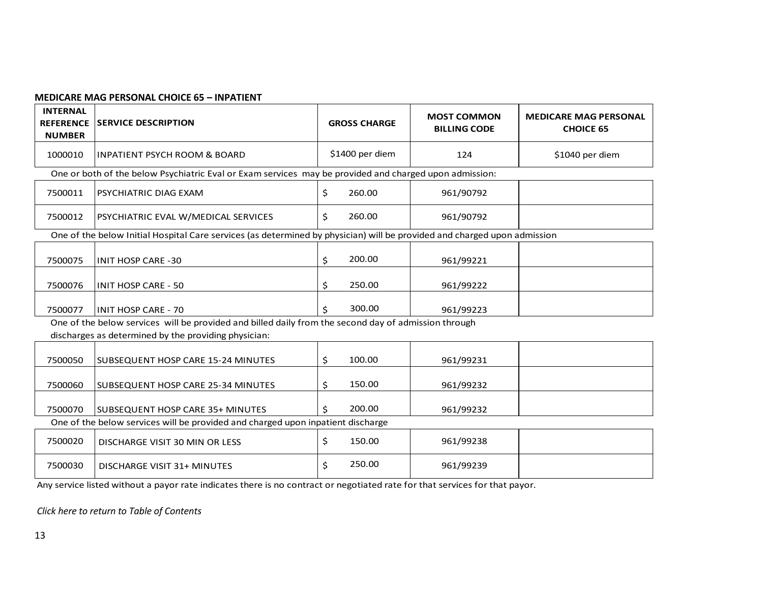#### <span id="page-12-0"></span>**MEDICARE MAG PERSONAL CHOICE 65 – INPATIENT**

| <b>INTERNAL</b><br><b>REFERENCE</b><br><b>NUMBER</b>                                                                     | <b>SERVICE DESCRIPTION</b>                                                                                                                                   |    | <b>GROSS CHARGE</b> | <b>MOST COMMON</b><br><b>BILLING CODE</b> | <b>MEDICARE MAG PERSONAL</b><br><b>CHOICE 65</b> |
|--------------------------------------------------------------------------------------------------------------------------|--------------------------------------------------------------------------------------------------------------------------------------------------------------|----|---------------------|-------------------------------------------|--------------------------------------------------|
| 1000010                                                                                                                  | <b>INPATIENT PSYCH ROOM &amp; BOARD</b>                                                                                                                      |    | \$1400 per diem     | 124                                       | \$1040 per diem                                  |
|                                                                                                                          | One or both of the below Psychiatric Eval or Exam services may be provided and charged upon admission:                                                       |    |                     |                                           |                                                  |
| 7500011                                                                                                                  | PSYCHIATRIC DIAG EXAM                                                                                                                                        | \$ | 260.00              | 961/90792                                 |                                                  |
| 7500012                                                                                                                  | PSYCHIATRIC EVAL W/MEDICAL SERVICES                                                                                                                          | Ś. | 260.00              | 961/90792                                 |                                                  |
| One of the below Initial Hospital Care services (as determined by physician) will be provided and charged upon admission |                                                                                                                                                              |    |                     |                                           |                                                  |
| 7500075                                                                                                                  | <b>INIT HOSP CARE -30</b>                                                                                                                                    | \$ | 200.00              | 961/99221                                 |                                                  |
| 7500076                                                                                                                  | <b>INIT HOSP CARE - 50</b>                                                                                                                                   | \$ | 250.00              | 961/99222                                 |                                                  |
| 7500077                                                                                                                  | <b>INIT HOSP CARE - 70</b>                                                                                                                                   | Ś  | 300.00              | 961/99223                                 |                                                  |
|                                                                                                                          | One of the below services will be provided and billed daily from the second day of admission through<br>discharges as determined by the providing physician: |    |                     |                                           |                                                  |
| 7500050                                                                                                                  | SUBSEQUENT HOSP CARE 15-24 MINUTES                                                                                                                           | \$ | 100.00              | 961/99231                                 |                                                  |
| 7500060                                                                                                                  | SUBSEQUENT HOSP CARE 25-34 MINUTES                                                                                                                           | \$ | 150.00              | 961/99232                                 |                                                  |
| 7500070                                                                                                                  | SUBSEQUENT HOSP CARE 35+ MINUTES                                                                                                                             | Ś. | 200.00              | 961/99232                                 |                                                  |
|                                                                                                                          | One of the below services will be provided and charged upon inpatient discharge                                                                              |    |                     |                                           |                                                  |
| 7500020                                                                                                                  | DISCHARGE VISIT 30 MIN OR LESS                                                                                                                               | \$ | 150.00              | 961/99238                                 |                                                  |
| 7500030                                                                                                                  | DISCHARGE VISIT 31+ MINUTES                                                                                                                                  | Ś  | 250.00              | 961/99239                                 |                                                  |

Any service listed without a payor rate indicates there is no contract or negotiated rate for that services for that payor.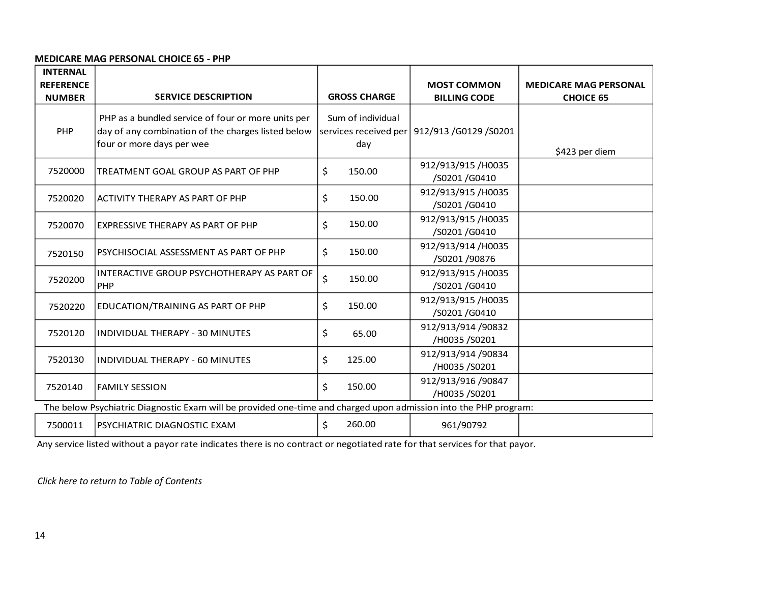#### <span id="page-13-0"></span>**MEDICARE MAG PERSONAL CHOICE 65 - PHP**

| <b>INTERNAL</b><br><b>REFERENCE</b> |                                                                                                                                       |                                                   | <b>MOST COMMON</b>                  | <b>MEDICARE MAG PERSONAL</b> |
|-------------------------------------|---------------------------------------------------------------------------------------------------------------------------------------|---------------------------------------------------|-------------------------------------|------------------------------|
| <b>NUMBER</b>                       | <b>SERVICE DESCRIPTION</b>                                                                                                            | <b>GROSS CHARGE</b>                               | <b>BILLING CODE</b>                 | <b>CHOICE 65</b>             |
| PHP                                 | PHP as a bundled service of four or more units per<br>day of any combination of the charges listed below<br>four or more days per wee | Sum of individual<br>services received per<br>day | 912/913 / 60129 / 50201             | \$423 per diem               |
| 7520000                             | TREATMENT GOAL GROUP AS PART OF PHP                                                                                                   | \$<br>150.00                                      | 912/913/915/H0035<br>/S0201 /G0410  |                              |
| 7520020                             | <b>ACTIVITY THERAPY AS PART OF PHP</b>                                                                                                | \$<br>150.00                                      | 912/913/915/H0035<br>/S0201 /G0410  |                              |
| 7520070                             | EXPRESSIVE THERAPY AS PART OF PHP                                                                                                     | 150.00<br>\$                                      | 912/913/915/H0035<br>/S0201 /G0410  |                              |
| 7520150                             | PSYCHISOCIAL ASSESSMENT AS PART OF PHP                                                                                                | \$<br>150.00                                      | 912/913/914 /H0035<br>/S0201 /90876 |                              |
| 7520200                             | INTERACTIVE GROUP PSYCHOTHERAPY AS PART OF<br>PHP                                                                                     | \$<br>150.00                                      | 912/913/915/H0035<br>/S0201 /G0410  |                              |
| 7520220                             | EDUCATION/TRAINING AS PART OF PHP                                                                                                     | \$<br>150.00                                      | 912/913/915/H0035<br>/S0201 /G0410  |                              |
| 7520120                             | INDIVIDUAL THERAPY - 30 MINUTES                                                                                                       | \$<br>65.00                                       | 912/913/914 /90832<br>/H0035 /S0201 |                              |
| 7520130                             | INDIVIDUAL THERAPY - 60 MINUTES                                                                                                       | \$<br>125.00                                      | 912/913/914 /90834<br>/H0035 /S0201 |                              |
| 7520140                             | <b>FAMILY SESSION</b>                                                                                                                 | \$<br>150.00                                      | 912/913/916 /90847<br>/H0035 /S0201 |                              |
|                                     | The below Psychiatric Diagnostic Exam will be provided one-time and charged upon admission into the PHP program:                      |                                                   |                                     |                              |
| 7500011                             | PSYCHIATRIC DIAGNOSTIC EXAM                                                                                                           | 260.00<br>Ś.                                      | 961/90792                           |                              |

Any service listed without a payor rate indicates there is no contract or negotiated rate for that services for that payor.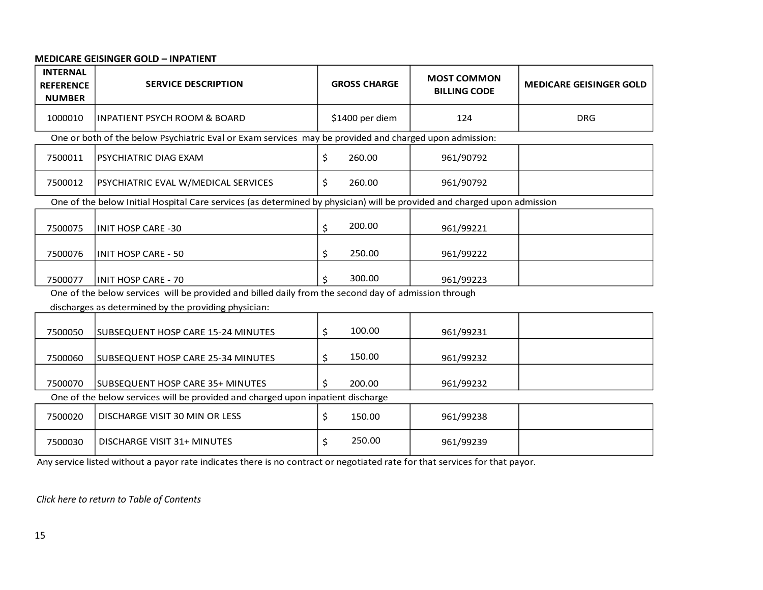#### <span id="page-14-0"></span>**MEDICARE GEISINGER GOLD – INPATIENT**

| <b>INTERNAL</b><br><b>REFERENCE</b><br><b>NUMBER</b> | <b>SERVICE DESCRIPTION</b>                                                                                               | <b>GROSS CHARGE</b> | <b>MOST COMMON</b><br><b>BILLING CODE</b> | <b>MEDICARE GEISINGER GOLD</b> |
|------------------------------------------------------|--------------------------------------------------------------------------------------------------------------------------|---------------------|-------------------------------------------|--------------------------------|
| 1000010                                              | <b>INPATIENT PSYCH ROOM &amp; BOARD</b>                                                                                  | \$1400 per diem     | 124                                       | <b>DRG</b>                     |
|                                                      | One or both of the below Psychiatric Eval or Exam services may be provided and charged upon admission:                   |                     |                                           |                                |
| 7500011                                              | PSYCHIATRIC DIAG EXAM                                                                                                    | \$<br>260.00        | 961/90792                                 |                                |
| 7500012                                              | PSYCHIATRIC EVAL W/MEDICAL SERVICES                                                                                      | \$<br>260.00        | 961/90792                                 |                                |
|                                                      | One of the below Initial Hospital Care services (as determined by physician) will be provided and charged upon admission |                     |                                           |                                |
| 7500075                                              | <b>INIT HOSP CARE -30</b>                                                                                                | 200.00<br>\$        | 961/99221                                 |                                |
| 7500076                                              | <b>INIT HOSP CARE - 50</b>                                                                                               | \$<br>250.00        | 961/99222                                 |                                |
| 7500077                                              | <b>INIT HOSP CARE - 70</b>                                                                                               | 300.00<br>Ś         | 961/99223                                 |                                |
|                                                      | One of the below services will be provided and billed daily from the second day of admission through                     |                     |                                           |                                |
|                                                      | discharges as determined by the providing physician:                                                                     |                     |                                           |                                |
| 7500050                                              | SUBSEQUENT HOSP CARE 15-24 MINUTES                                                                                       | 100.00<br>\$        | 961/99231                                 |                                |
| 7500060                                              | SUBSEQUENT HOSP CARE 25-34 MINUTES                                                                                       | 150.00<br>\$        | 961/99232                                 |                                |
| 7500070                                              | <b>SUBSEQUENT HOSP CARE 35+ MINUTES</b>                                                                                  | Ś.<br>200.00        | 961/99232                                 |                                |
|                                                      | One of the below services will be provided and charged upon inpatient discharge                                          |                     |                                           |                                |
| 7500020                                              | DISCHARGE VISIT 30 MIN OR LESS                                                                                           | \$<br>150.00        | 961/99238                                 |                                |
| 7500030                                              | DISCHARGE VISIT 31+ MINUTES                                                                                              | 250.00<br>\$        | 961/99239                                 |                                |

Any service listed without a payor rate indicates there is no contract or negotiated rate for that services for that payor.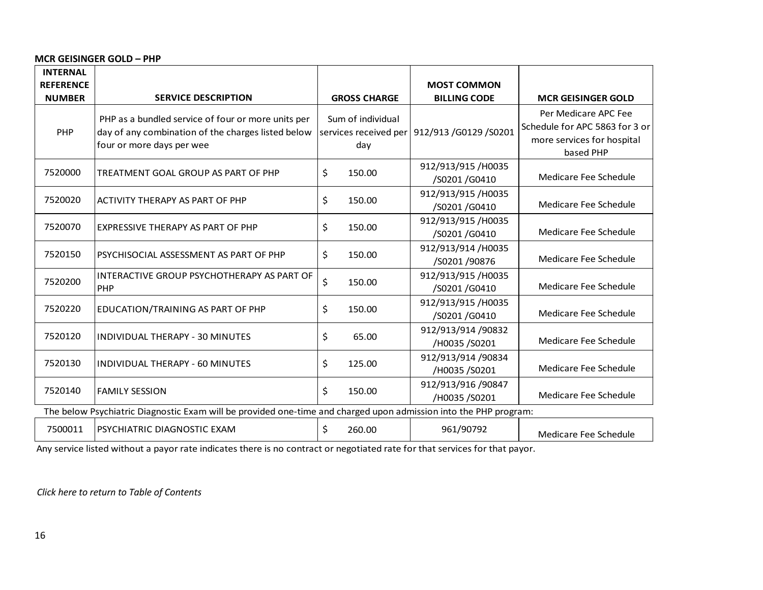#### <span id="page-15-0"></span>**MCR GEISINGER GOLD – PHP**

| <b>INTERNAL</b><br><b>REFERENCE</b> |                                                                                                                                       |                                                   | <b>MOST COMMON</b>                  |                                                                                                   |
|-------------------------------------|---------------------------------------------------------------------------------------------------------------------------------------|---------------------------------------------------|-------------------------------------|---------------------------------------------------------------------------------------------------|
| <b>NUMBER</b>                       | <b>SERVICE DESCRIPTION</b>                                                                                                            | <b>GROSS CHARGE</b>                               | <b>BILLING CODE</b>                 | <b>MCR GEISINGER GOLD</b>                                                                         |
| PHP                                 | PHP as a bundled service of four or more units per<br>day of any combination of the charges listed below<br>four or more days per wee | Sum of individual<br>services received per<br>day | 912/913 / G0129 / S0201             | Per Medicare APC Fee<br>Schedule for APC 5863 for 3 or<br>more services for hospital<br>based PHP |
| 7520000                             | TREATMENT GOAL GROUP AS PART OF PHP                                                                                                   | \$<br>150.00                                      | 912/913/915/H0035<br>/S0201 /G0410  | Medicare Fee Schedule                                                                             |
| 7520020                             | <b>ACTIVITY THERAPY AS PART OF PHP</b>                                                                                                | \$<br>150.00                                      | 912/913/915/H0035<br>/S0201 /G0410  | Medicare Fee Schedule                                                                             |
| 7520070                             | EXPRESSIVE THERAPY AS PART OF PHP                                                                                                     | \$<br>150.00                                      | 912/913/915/H0035<br>/S0201 /G0410  | Medicare Fee Schedule                                                                             |
| 7520150                             | PSYCHISOCIAL ASSESSMENT AS PART OF PHP                                                                                                | \$<br>150.00                                      | 912/913/914 /H0035<br>/S0201 /90876 | Medicare Fee Schedule                                                                             |
| 7520200                             | INTERACTIVE GROUP PSYCHOTHERAPY AS PART OF<br><b>PHP</b>                                                                              | \$<br>150.00                                      | 912/913/915/H0035<br>/S0201 /G0410  | Medicare Fee Schedule                                                                             |
| 7520220                             | EDUCATION/TRAINING AS PART OF PHP                                                                                                     | \$<br>150.00                                      | 912/913/915/H0035<br>/S0201 /G0410  | Medicare Fee Schedule                                                                             |
| 7520120                             | INDIVIDUAL THERAPY - 30 MINUTES                                                                                                       | \$<br>65.00                                       | 912/913/914 /90832<br>/H0035 /S0201 | Medicare Fee Schedule                                                                             |
| 7520130                             | INDIVIDUAL THERAPY - 60 MINUTES                                                                                                       | \$<br>125.00                                      | 912/913/914 /90834<br>/H0035 /S0201 | Medicare Fee Schedule                                                                             |
| 7520140                             | <b>FAMILY SESSION</b>                                                                                                                 | \$<br>150.00                                      | 912/913/916 /90847<br>/H0035 /S0201 | Medicare Fee Schedule                                                                             |
|                                     | The below Psychiatric Diagnostic Exam will be provided one-time and charged upon admission into the PHP program:                      |                                                   |                                     |                                                                                                   |
| 7500011                             | PSYCHIATRIC DIAGNOSTIC EXAM                                                                                                           | \$<br>260.00                                      | 961/90792                           | Medicare Fee Schedule                                                                             |

Any service listed without a payor rate indicates there is no contract or negotiated rate for that services for that payor.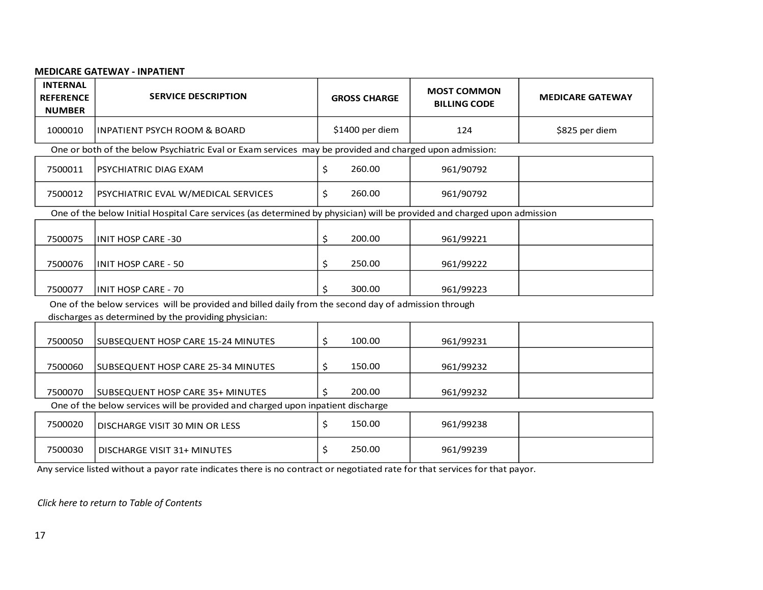#### <span id="page-16-0"></span>**MEDICARE GATEWAY - INPATIENT**

| <b>INTERNAL</b><br><b>REFERENCE</b><br><b>NUMBER</b> | <b>SERVICE DESCRIPTION</b>                                                                                                                                   | <b>GROSS CHARGE</b> | <b>MOST COMMON</b><br><b>BILLING CODE</b> | <b>MEDICARE GATEWAY</b> |
|------------------------------------------------------|--------------------------------------------------------------------------------------------------------------------------------------------------------------|---------------------|-------------------------------------------|-------------------------|
| 1000010                                              | <b>INPATIENT PSYCH ROOM &amp; BOARD</b>                                                                                                                      | \$1400 per diem     | 124                                       | \$825 per diem          |
|                                                      | One or both of the below Psychiatric Eval or Exam services may be provided and charged upon admission:                                                       |                     |                                           |                         |
| 7500011                                              | PSYCHIATRIC DIAG EXAM                                                                                                                                        | 260.00<br>\$        | 961/90792                                 |                         |
| 7500012                                              | PSYCHIATRIC EVAL W/MEDICAL SERVICES                                                                                                                          | \$<br>260.00        | 961/90792                                 |                         |
|                                                      | One of the below Initial Hospital Care services (as determined by physician) will be provided and charged upon admission                                     |                     |                                           |                         |
| 7500075                                              | <b>INIT HOSP CARE -30</b>                                                                                                                                    | 200.00<br>\$        | 961/99221                                 |                         |
| 7500076                                              | <b>INIT HOSP CARE - 50</b>                                                                                                                                   | \$<br>250.00        | 961/99222                                 |                         |
| 7500077                                              | <b>INIT HOSP CARE - 70</b>                                                                                                                                   | 300.00<br>Ś         | 961/99223                                 |                         |
|                                                      | One of the below services will be provided and billed daily from the second day of admission through<br>discharges as determined by the providing physician: |                     |                                           |                         |
| 7500050                                              | SUBSEQUENT HOSP CARE 15-24 MINUTES                                                                                                                           | 100.00<br>\$        | 961/99231                                 |                         |
| 7500060                                              | SUBSEQUENT HOSP CARE 25-34 MINUTES                                                                                                                           | \$<br>150.00        | 961/99232                                 |                         |
| 7500070                                              | <b>SUBSEQUENT HOSP CARE 35+ MINUTES</b>                                                                                                                      | 200.00              | 961/99232                                 |                         |
|                                                      | One of the below services will be provided and charged upon inpatient discharge                                                                              |                     |                                           |                         |
| 7500020                                              | DISCHARGE VISIT 30 MIN OR LESS                                                                                                                               | \$<br>150.00        | 961/99238                                 |                         |
| 7500030                                              | DISCHARGE VISIT 31+ MINUTES                                                                                                                                  | 250.00<br>\$        | 961/99239                                 |                         |

Any service listed without a payor rate indicates there is no contract or negotiated rate for that services for that payor.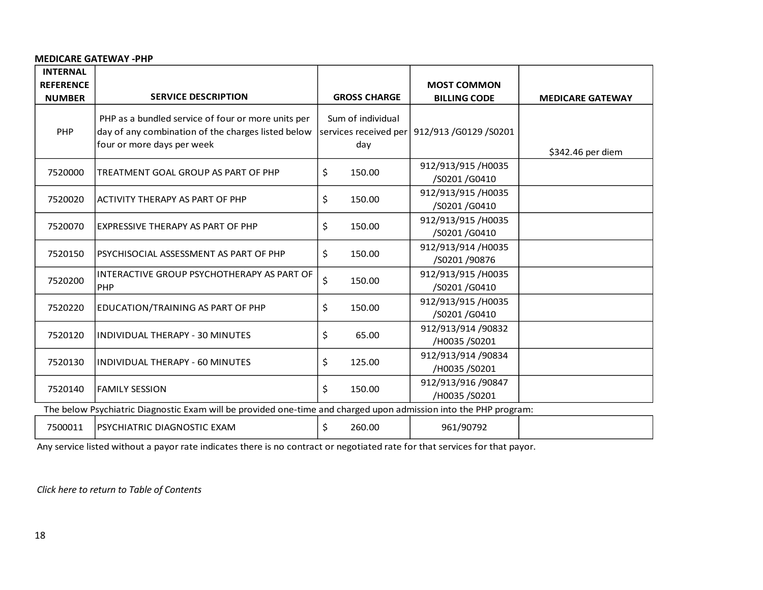#### <span id="page-17-0"></span>**MEDICARE GATEWAY -PHP**

| <b>INTERNAL</b>                   |                                                                                                                                        |                                                   |                                           |                         |
|-----------------------------------|----------------------------------------------------------------------------------------------------------------------------------------|---------------------------------------------------|-------------------------------------------|-------------------------|
| <b>REFERENCE</b><br><b>NUMBER</b> | <b>SERVICE DESCRIPTION</b>                                                                                                             | <b>GROSS CHARGE</b>                               | <b>MOST COMMON</b><br><b>BILLING CODE</b> | <b>MEDICARE GATEWAY</b> |
| PHP                               | PHP as a bundled service of four or more units per<br>day of any combination of the charges listed below<br>four or more days per week | Sum of individual<br>services received per<br>day | 912/913 /G0129 /S0201                     | \$342.46 per diem       |
| 7520000                           | TREATMENT GOAL GROUP AS PART OF PHP                                                                                                    | \$<br>150.00                                      | 912/913/915/H0035<br>/S0201 /G0410        |                         |
| 7520020                           | IACTIVITY THERAPY AS PART OF PHP                                                                                                       | \$<br>150.00                                      | 912/913/915 /H0035<br>/S0201 /G0410       |                         |
| 7520070                           | EXPRESSIVE THERAPY AS PART OF PHP                                                                                                      | \$<br>150.00                                      | 912/913/915/H0035<br>/S0201 /G0410        |                         |
| 7520150                           | PSYCHISOCIAL ASSESSMENT AS PART OF PHP                                                                                                 | \$<br>150.00                                      | 912/913/914/H0035<br>/S0201 /90876        |                         |
| 7520200                           | INTERACTIVE GROUP PSYCHOTHERAPY AS PART OF<br>PHP                                                                                      | \$<br>150.00                                      | 912/913/915/H0035<br>/S0201 /G0410        |                         |
| 7520220                           | <b>EDUCATION/TRAINING AS PART OF PHP</b>                                                                                               | \$<br>150.00                                      | 912/913/915/H0035<br>/S0201 /G0410        |                         |
| 7520120                           | INDIVIDUAL THERAPY - 30 MINUTES                                                                                                        | \$<br>65.00                                       | 912/913/914 /90832<br>/H0035 /S0201       |                         |
| 7520130                           | IINDIVIDUAL THERAPY - 60 MINUTES                                                                                                       | \$<br>125.00                                      | 912/913/914 /90834<br>/H0035 /S0201       |                         |
| 7520140                           | FAMILY SESSION                                                                                                                         | \$<br>150.00                                      | 912/913/916 /90847<br>/H0035 /S0201       |                         |
|                                   | The below Psychiatric Diagnostic Exam will be provided one-time and charged upon admission into the PHP program:                       |                                                   |                                           |                         |
| 7500011                           | IPSYCHIATRIC DIAGNOSTIC EXAM                                                                                                           | \$<br>260.00                                      | 961/90792                                 |                         |

Any service listed without a payor rate indicates there is no contract or negotiated rate for that services for that payor.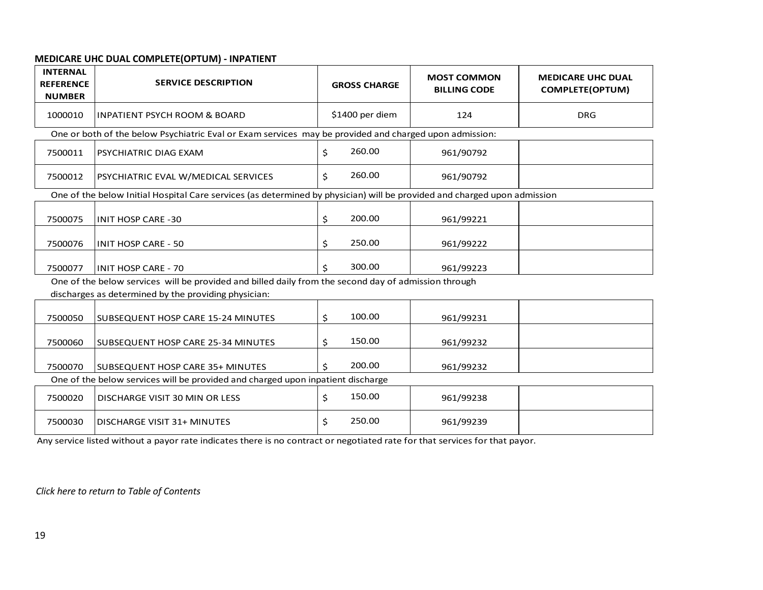#### <span id="page-18-0"></span>**MEDICARE UHC DUAL COMPLETE(OPTUM) - INPATIENT**

| <b>INTERNAL</b><br><b>REFERENCE</b><br><b>NUMBER</b>                                                                     | <b>SERVICE DESCRIPTION</b>                                                                                                                                   | <b>GROSS CHARGE</b> | <b>MOST COMMON</b><br><b>BILLING CODE</b> | <b>MEDICARE UHC DUAL</b><br><b>COMPLETE(OPTUM)</b> |
|--------------------------------------------------------------------------------------------------------------------------|--------------------------------------------------------------------------------------------------------------------------------------------------------------|---------------------|-------------------------------------------|----------------------------------------------------|
| 1000010                                                                                                                  | <b>INPATIENT PSYCH ROOM &amp; BOARD</b>                                                                                                                      | \$1400 per diem     | 124                                       | <b>DRG</b>                                         |
|                                                                                                                          | One or both of the below Psychiatric Eval or Exam services may be provided and charged upon admission:                                                       |                     |                                           |                                                    |
| 7500011                                                                                                                  | PSYCHIATRIC DIAG EXAM                                                                                                                                        | 260.00<br>\$        | 961/90792                                 |                                                    |
| 7500012                                                                                                                  | PSYCHIATRIC EVAL W/MEDICAL SERVICES                                                                                                                          | 260.00<br>Ś.        | 961/90792                                 |                                                    |
| One of the below Initial Hospital Care services (as determined by physician) will be provided and charged upon admission |                                                                                                                                                              |                     |                                           |                                                    |
| 7500075                                                                                                                  | <b>INIT HOSP CARE -30</b>                                                                                                                                    | 200.00<br>\$        | 961/99221                                 |                                                    |
| 7500076                                                                                                                  | <b>INIT HOSP CARE - 50</b>                                                                                                                                   | 250.00<br>\$        | 961/99222                                 |                                                    |
| 7500077                                                                                                                  | <b>INIT HOSP CARE - 70</b>                                                                                                                                   | 300.00<br>Ś.        | 961/99223                                 |                                                    |
|                                                                                                                          | One of the below services will be provided and billed daily from the second day of admission through<br>discharges as determined by the providing physician: |                     |                                           |                                                    |
| 7500050                                                                                                                  | SUBSEQUENT HOSP CARE 15-24 MINUTES                                                                                                                           | 100.00<br>\$        | 961/99231                                 |                                                    |
| 7500060                                                                                                                  | SUBSEQUENT HOSP CARE 25-34 MINUTES                                                                                                                           | 150.00<br>\$        | 961/99232                                 |                                                    |
| 7500070                                                                                                                  | SUBSEQUENT HOSP CARE 35+ MINUTES                                                                                                                             | 200.00<br>Ś.        | 961/99232                                 |                                                    |
|                                                                                                                          | One of the below services will be provided and charged upon inpatient discharge                                                                              |                     |                                           |                                                    |
| 7500020                                                                                                                  | <b>DISCHARGE VISIT 30 MIN OR LESS</b>                                                                                                                        | 150.00<br>\$        | 961/99238                                 |                                                    |
| 7500030                                                                                                                  | DISCHARGE VISIT 31+ MINUTES                                                                                                                                  | 250.00<br>Ś.        | 961/99239                                 |                                                    |

Any service listed without a payor rate indicates there is no contract or negotiated rate for that services for that payor.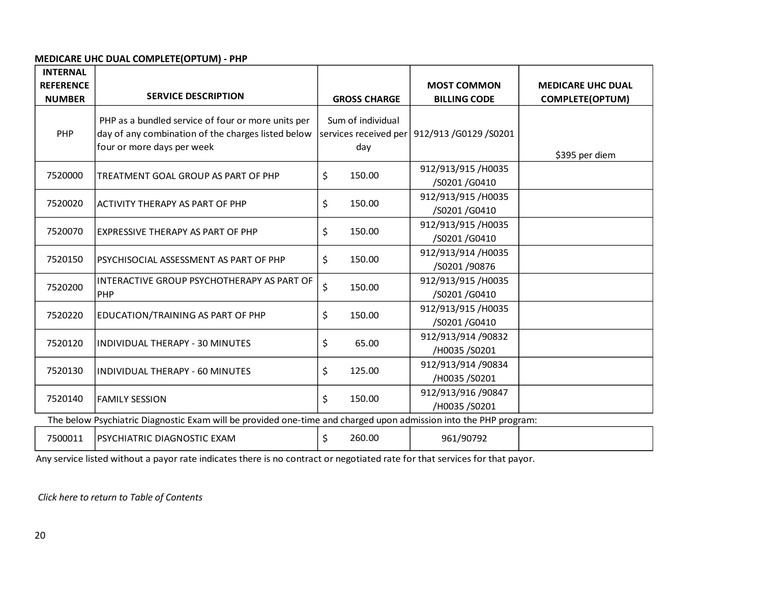<span id="page-19-0"></span>**MEDICARE UHC DUAL COMPLETE(OPTUM) - PHP**

| <b>INTERNAL</b>                   |                                                                                                                                        |                          |                                               |                                                    |
|-----------------------------------|----------------------------------------------------------------------------------------------------------------------------------------|--------------------------|-----------------------------------------------|----------------------------------------------------|
| <b>REFERENCE</b><br><b>NUMBER</b> | <b>SERVICE DESCRIPTION</b>                                                                                                             | <b>GROSS CHARGE</b>      | <b>MOST COMMON</b><br><b>BILLING CODE</b>     | <b>MEDICARE UHC DUAL</b><br><b>COMPLETE(OPTUM)</b> |
| PHP                               | PHP as a bundled service of four or more units per<br>day of any combination of the charges listed below<br>four or more days per week | Sum of individual<br>day | services received per 912/913 / G0129 / S0201 | \$395 per diem                                     |
| 7520000                           | TREATMENT GOAL GROUP AS PART OF PHP                                                                                                    | \$<br>150.00             | 912/913/915/H0035<br>/S0201 /G0410            |                                                    |
| 7520020                           | ACTIVITY THERAPY AS PART OF PHP                                                                                                        | \$<br>150.00             | 912/913/915/H0035<br>/S0201 /G0410            |                                                    |
| 7520070                           | EXPRESSIVE THERAPY AS PART OF PHP                                                                                                      | \$<br>150.00             | 912/913/915/H0035<br>/S0201 /G0410            |                                                    |
| 7520150                           | PSYCHISOCIAL ASSESSMENT AS PART OF PHP                                                                                                 | \$<br>150.00             | 912/913/914 /H0035<br>/S0201 /90876           |                                                    |
| 7520200                           | INTERACTIVE GROUP PSYCHOTHERAPY AS PART OF<br>PHP                                                                                      | \$<br>150.00             | 912/913/915/H0035<br>/S0201 /G0410            |                                                    |
| 7520220                           | <b>EDUCATION/TRAINING AS PART OF PHP</b>                                                                                               | \$<br>150.00             | 912/913/915/H0035<br>/S0201 /G0410            |                                                    |
| 7520120                           | INDIVIDUAL THERAPY - 30 MINUTES                                                                                                        | \$<br>65.00              | 912/913/914 /90832<br>/H0035 /S0201           |                                                    |
| 7520130                           | INDIVIDUAL THERAPY - 60 MINUTES                                                                                                        | \$<br>125.00             | 912/913/914 /90834<br>/H0035 /S0201           |                                                    |
| 7520140                           | <b>FAMILY SESSION</b>                                                                                                                  | \$<br>150.00             | 912/913/916 /90847<br>/H0035 /S0201           |                                                    |
|                                   | The below Psychiatric Diagnostic Exam will be provided one-time and charged upon admission into the PHP program:                       |                          |                                               |                                                    |
| 7500011                           | PSYCHIATRIC DIAGNOSTIC EXAM                                                                                                            | \$<br>260.00             | 961/90792                                     |                                                    |

Any service listed without a payor rate indicates there is no contract or negotiated rate for that services for that payor.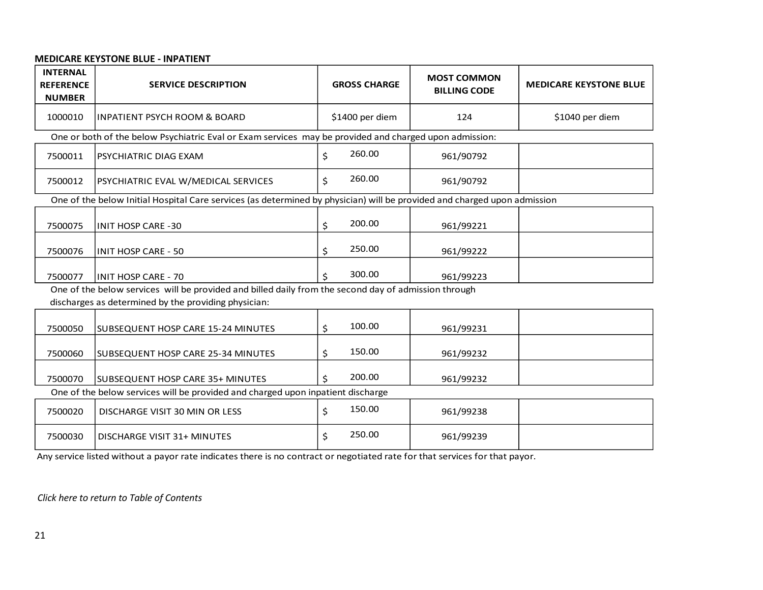#### <span id="page-20-0"></span>**MEDICARE KEYSTONE BLUE - INPATIENT**

| <b>INTERNAL</b><br><b>REFERENCE</b><br><b>NUMBER</b> | <b>SERVICE DESCRIPTION</b>                                                                                                                                   | <b>GROSS CHARGE</b> | <b>MOST COMMON</b><br><b>BILLING CODE</b> | <b>MEDICARE KEYSTONE BLUE</b> |
|------------------------------------------------------|--------------------------------------------------------------------------------------------------------------------------------------------------------------|---------------------|-------------------------------------------|-------------------------------|
| 1000010                                              | <b>INPATIENT PSYCH ROOM &amp; BOARD</b>                                                                                                                      | \$1400 per diem     | 124                                       | \$1040 per diem               |
|                                                      | One or both of the below Psychiatric Eval or Exam services may be provided and charged upon admission:                                                       |                     |                                           |                               |
| 7500011                                              | PSYCHIATRIC DIAG EXAM                                                                                                                                        | 260.00<br>\$        | 961/90792                                 |                               |
| 7500012                                              | PSYCHIATRIC EVAL W/MEDICAL SERVICES                                                                                                                          | 260.00<br>Ś.        | 961/90792                                 |                               |
|                                                      | One of the below Initial Hospital Care services (as determined by physician) will be provided and charged upon admission                                     |                     |                                           |                               |
| 7500075                                              | <b>INIT HOSP CARE -30</b>                                                                                                                                    | 200.00<br>\$        | 961/99221                                 |                               |
| 7500076                                              | <b>INIT HOSP CARE - 50</b>                                                                                                                                   | 250.00<br>\$        | 961/99222                                 |                               |
| 7500077                                              | <b>INIT HOSP CARE - 70</b>                                                                                                                                   | 300.00<br>Ś.        | 961/99223                                 |                               |
|                                                      | One of the below services will be provided and billed daily from the second day of admission through<br>discharges as determined by the providing physician: |                     |                                           |                               |
| 7500050                                              | SUBSEQUENT HOSP CARE 15-24 MINUTES                                                                                                                           | 100.00<br>\$        | 961/99231                                 |                               |
| 7500060                                              | SUBSEQUENT HOSP CARE 25-34 MINUTES                                                                                                                           | 150.00<br>\$        | 961/99232                                 |                               |
| 7500070                                              | SUBSEQUENT HOSP CARE 35+ MINUTES                                                                                                                             | 200.00              | 961/99232                                 |                               |
|                                                      | One of the below services will be provided and charged upon inpatient discharge                                                                              |                     |                                           |                               |
| 7500020                                              | DISCHARGE VISIT 30 MIN OR LESS                                                                                                                               | 150.00<br>\$        | 961/99238                                 |                               |
| 7500030                                              | DISCHARGE VISIT 31+ MINUTES                                                                                                                                  | 250.00<br>Ś         | 961/99239                                 |                               |

Any service listed without a payor rate indicates there is no contract or negotiated rate for that services for that payor.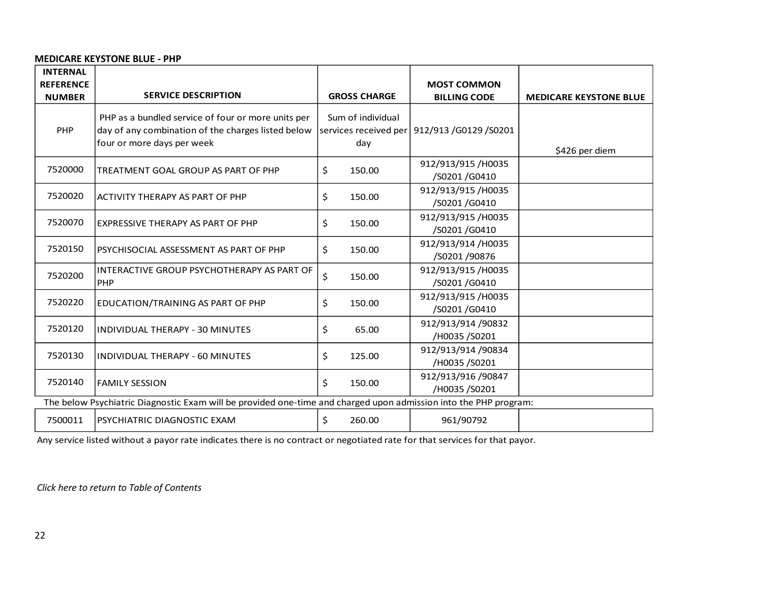#### <span id="page-21-0"></span>**MEDICARE KEYSTONE BLUE - PHP**

| <b>INTERNAL</b>                   |                                                                                                                  |                     |                                                 |                               |
|-----------------------------------|------------------------------------------------------------------------------------------------------------------|---------------------|-------------------------------------------------|-------------------------------|
| <b>REFERENCE</b><br><b>NUMBER</b> | <b>SERVICE DESCRIPTION</b>                                                                                       | <b>GROSS CHARGE</b> | <b>MOST COMMON</b><br><b>BILLING CODE</b>       | <b>MEDICARE KEYSTONE BLUE</b> |
|                                   |                                                                                                                  |                     |                                                 |                               |
| PHP                               | PHP as a bundled service of four or more units per<br>day of any combination of the charges listed below         | Sum of individual   | services received per   912/913 / G0129 / S0201 |                               |
|                                   | four or more days per week                                                                                       | day                 |                                                 |                               |
|                                   |                                                                                                                  |                     |                                                 | \$426 per diem                |
| 7520000                           | TREATMENT GOAL GROUP AS PART OF PHP                                                                              | \$<br>150.00        | 912/913/915/H0035                               |                               |
|                                   |                                                                                                                  |                     | /S0201 /G0410                                   |                               |
| 7520020                           | <b>ACTIVITY THERAPY AS PART OF PHP</b>                                                                           | \$<br>150.00        | 912/913/915/H0035                               |                               |
|                                   |                                                                                                                  |                     | /S0201 /G0410                                   |                               |
| 7520070                           | <b>EXPRESSIVE THERAPY AS PART OF PHP</b>                                                                         | \$<br>150.00        | 912/913/915/H0035                               |                               |
|                                   |                                                                                                                  |                     | /S0201 /G0410                                   |                               |
| 7520150                           | PSYCHISOCIAL ASSESSMENT AS PART OF PHP                                                                           | \$<br>150.00        | 912/913/914/H0035                               |                               |
|                                   |                                                                                                                  |                     | /S0201 /90876                                   |                               |
| 7520200                           | INTERACTIVE GROUP PSYCHOTHERAPY AS PART OF                                                                       | \$<br>150.00        | 912/913/915/H0035                               |                               |
|                                   | PHP                                                                                                              |                     | /S0201 /G0410                                   |                               |
| 7520220                           | <b>EDUCATION/TRAINING AS PART OF PHP</b>                                                                         | \$<br>150.00        | 912/913/915/H0035                               |                               |
|                                   |                                                                                                                  |                     | /S0201 /G0410                                   |                               |
| 7520120                           | INDIVIDUAL THERAPY - 30 MINUTES                                                                                  | \$<br>65.00         | 912/913/914 /90832                              |                               |
|                                   |                                                                                                                  |                     | /H0035 /S0201                                   |                               |
| 7520130                           | INDIVIDUAL THERAPY - 60 MINUTES                                                                                  | \$<br>125.00        | 912/913/914 /90834                              |                               |
|                                   |                                                                                                                  |                     | /H0035 /S0201                                   |                               |
| 7520140                           | <b>FAMILY SESSION</b>                                                                                            | \$<br>150.00        | 912/913/916 /90847                              |                               |
|                                   |                                                                                                                  |                     | /H0035 /S0201                                   |                               |
|                                   | The below Psychiatric Diagnostic Exam will be provided one-time and charged upon admission into the PHP program: |                     |                                                 |                               |
| 7500011                           | PSYCHIATRIC DIAGNOSTIC EXAM                                                                                      | \$<br>260.00        | 961/90792                                       |                               |

Any service listed without a payor rate indicates there is no contract or negotiated rate for that services for that payor.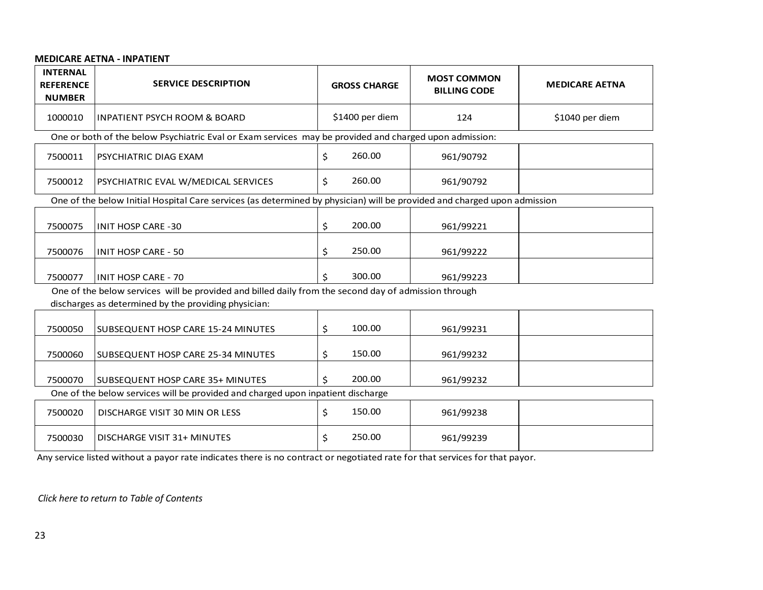#### <span id="page-22-0"></span>**MEDICARE AETNA - INPATIENT**

| <b>INTERNAL</b><br><b>REFERENCE</b><br><b>NUMBER</b> | <b>SERVICE DESCRIPTION</b>                                                                                                                                   | <b>GROSS CHARGE</b> | <b>MOST COMMON</b><br><b>BILLING CODE</b> | <b>MEDICARE AETNA</b> |
|------------------------------------------------------|--------------------------------------------------------------------------------------------------------------------------------------------------------------|---------------------|-------------------------------------------|-----------------------|
| 1000010                                              | <b>INPATIENT PSYCH ROOM &amp; BOARD</b>                                                                                                                      | \$1400 per diem     | 124                                       | \$1040 per diem       |
|                                                      | One or both of the below Psychiatric Eval or Exam services may be provided and charged upon admission:                                                       |                     |                                           |                       |
| 7500011                                              | <b>PSYCHIATRIC DIAG EXAM</b>                                                                                                                                 | 260.00<br>\$        | 961/90792                                 |                       |
| 7500012                                              | <b>PSYCHIATRIC EVAL W/MEDICAL SERVICES</b>                                                                                                                   | \$<br>260.00        | 961/90792                                 |                       |
|                                                      | One of the below Initial Hospital Care services (as determined by physician) will be provided and charged upon admission                                     |                     |                                           |                       |
| 7500075                                              | <b>INIT HOSP CARE -30</b>                                                                                                                                    | 200.00<br>\$        | 961/99221                                 |                       |
| 7500076                                              | <b>INIT HOSP CARE - 50</b>                                                                                                                                   | 250.00<br>\$        | 961/99222                                 |                       |
| 7500077                                              | <b>INIT HOSP CARE - 70</b>                                                                                                                                   | 300.00<br>S         | 961/99223                                 |                       |
|                                                      | One of the below services will be provided and billed daily from the second day of admission through<br>discharges as determined by the providing physician: |                     |                                           |                       |
| 7500050                                              | SUBSEQUENT HOSP CARE 15-24 MINUTES                                                                                                                           | 100.00<br>\$        | 961/99231                                 |                       |
| 7500060                                              | SUBSEQUENT HOSP CARE 25-34 MINUTES                                                                                                                           | 150.00<br>\$        | 961/99232                                 |                       |
| 7500070                                              | <b>SUBSEQUENT HOSP CARE 35+ MINUTES</b>                                                                                                                      | 200.00<br>Ŝ.        | 961/99232                                 |                       |
|                                                      | One of the below services will be provided and charged upon inpatient discharge                                                                              |                     |                                           |                       |
| 7500020                                              | DISCHARGE VISIT 30 MIN OR LESS                                                                                                                               | 150.00<br>\$        | 961/99238                                 |                       |
| 7500030                                              | DISCHARGE VISIT 31+ MINUTES                                                                                                                                  | 250.00<br>Ś.        | 961/99239                                 |                       |

Any service listed without a payor rate indicates there is no contract or negotiated rate for that services for that payor.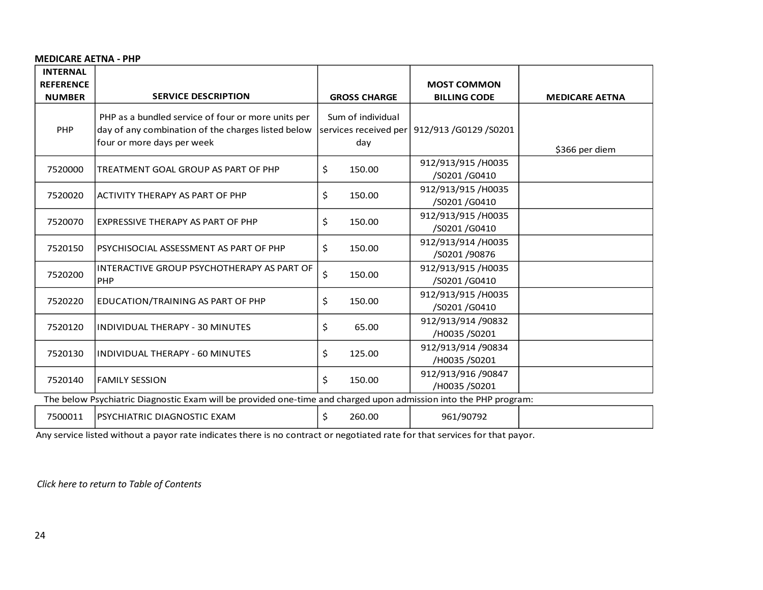#### <span id="page-23-0"></span>**MEDICARE AETNA - PHP**

| <b>INTERNAL</b><br><b>REFERENCE</b> |                                                                                                                                        |                                                   |                                           |                       |
|-------------------------------------|----------------------------------------------------------------------------------------------------------------------------------------|---------------------------------------------------|-------------------------------------------|-----------------------|
| <b>NUMBER</b>                       | <b>SERVICE DESCRIPTION</b>                                                                                                             | <b>GROSS CHARGE</b>                               | <b>MOST COMMON</b><br><b>BILLING CODE</b> | <b>MEDICARE AETNA</b> |
| PHP                                 | PHP as a bundled service of four or more units per<br>day of any combination of the charges listed below<br>four or more days per week | Sum of individual<br>services received per<br>day | 912/913 / G0129 / S0201                   | \$366 per diem        |
| 7520000                             | TREATMENT GOAL GROUP AS PART OF PHP                                                                                                    | \$<br>150.00                                      | 912/913/915/H0035<br>/S0201 /G0410        |                       |
| 7520020                             | <b>ACTIVITY THERAPY AS PART OF PHP</b>                                                                                                 | \$<br>150.00                                      | 912/913/915/H0035<br>/S0201 /G0410        |                       |
| 7520070                             | <b>EXPRESSIVE THERAPY AS PART OF PHP</b>                                                                                               | \$<br>150.00                                      | 912/913/915/H0035<br>/S0201 /G0410        |                       |
| 7520150                             | PSYCHISOCIAL ASSESSMENT AS PART OF PHP                                                                                                 | \$<br>150.00                                      | 912/913/914 /H0035<br>/S0201 /90876       |                       |
| 7520200                             | INTERACTIVE GROUP PSYCHOTHERAPY AS PART OF<br>PHP                                                                                      | $\zeta$<br>150.00                                 | 912/913/915/H0035<br>/S0201 /G0410        |                       |
| 7520220                             | <b>EDUCATION/TRAINING AS PART OF PHP</b>                                                                                               | \$<br>150.00                                      | 912/913/915/H0035<br>/S0201 /G0410        |                       |
| 7520120                             | INDIVIDUAL THERAPY - 30 MINUTES                                                                                                        | \$<br>65.00                                       | 912/913/914 /90832<br>/H0035 /S0201       |                       |
| 7520130                             | INDIVIDUAL THERAPY - 60 MINUTES                                                                                                        | \$<br>125.00                                      | 912/913/914 /90834<br>/H0035 /S0201       |                       |
| 7520140                             | <b>FAMILY SESSION</b>                                                                                                                  | \$<br>150.00                                      | 912/913/916 /90847<br>/H0035 /S0201       |                       |
|                                     | The below Psychiatric Diagnostic Exam will be provided one-time and charged upon admission into the PHP program:                       |                                                   |                                           |                       |
| 7500011                             | PSYCHIATRIC DIAGNOSTIC EXAM                                                                                                            | \$<br>260.00                                      | 961/90792                                 |                       |

Any service listed without a payor rate indicates there is no contract or negotiated rate for that services for that payor.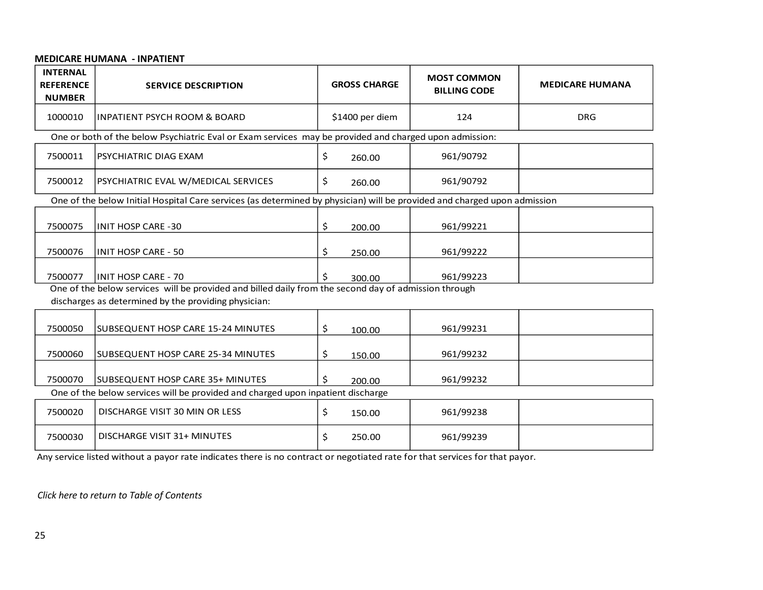#### <span id="page-24-0"></span>**MEDICARE HUMANA - INPATIENT**

| <b>INTERNAL</b><br><b>REFERENCE</b><br><b>NUMBER</b>                                                                     | <b>SERVICE DESCRIPTION</b>                                                                           | <b>GROSS CHARGE</b> | <b>MOST COMMON</b><br><b>BILLING CODE</b> | <b>MEDICARE HUMANA</b> |  |  |  |
|--------------------------------------------------------------------------------------------------------------------------|------------------------------------------------------------------------------------------------------|---------------------|-------------------------------------------|------------------------|--|--|--|
| 1000010                                                                                                                  | <b>INPATIENT PSYCH ROOM &amp; BOARD</b>                                                              | \$1400 per diem     | 124                                       | <b>DRG</b>             |  |  |  |
| One or both of the below Psychiatric Eval or Exam services may be provided and charged upon admission:                   |                                                                                                      |                     |                                           |                        |  |  |  |
| 7500011                                                                                                                  | PSYCHIATRIC DIAG EXAM                                                                                | \$<br>260.00        | 961/90792                                 |                        |  |  |  |
| 7500012                                                                                                                  | PSYCHIATRIC EVAL W/MEDICAL SERVICES                                                                  | \$<br>260.00        | 961/90792                                 |                        |  |  |  |
| One of the below Initial Hospital Care services (as determined by physician) will be provided and charged upon admission |                                                                                                      |                     |                                           |                        |  |  |  |
| 7500075                                                                                                                  | <b>INIT HOSP CARE -30</b>                                                                            | \$<br>200.00        | 961/99221                                 |                        |  |  |  |
| 7500076                                                                                                                  | <b>INIT HOSP CARE - 50</b>                                                                           | \$<br>250.00        | 961/99222                                 |                        |  |  |  |
| 7500077                                                                                                                  | <b>INIT HOSP CARE - 70</b>                                                                           | S<br>300.00         | 961/99223                                 |                        |  |  |  |
|                                                                                                                          | One of the below services will be provided and billed daily from the second day of admission through |                     |                                           |                        |  |  |  |
|                                                                                                                          | discharges as determined by the providing physician:                                                 |                     |                                           |                        |  |  |  |
| 7500050                                                                                                                  | SUBSEQUENT HOSP CARE 15-24 MINUTES                                                                   | \$<br>100.00        | 961/99231                                 |                        |  |  |  |
| 7500060                                                                                                                  | SUBSEQUENT HOSP CARE 25-34 MINUTES                                                                   | \$<br>150.00        | 961/99232                                 |                        |  |  |  |
| 7500070                                                                                                                  | <b>SUBSEQUENT HOSP CARE 35+ MINUTES</b>                                                              | Ś<br>200.00         | 961/99232                                 |                        |  |  |  |
|                                                                                                                          | One of the below services will be provided and charged upon inpatient discharge                      |                     |                                           |                        |  |  |  |
| 7500020                                                                                                                  | DISCHARGE VISIT 30 MIN OR LESS                                                                       | \$<br>150.00        | 961/99238                                 |                        |  |  |  |
| 7500030                                                                                                                  | DISCHARGE VISIT 31+ MINUTES                                                                          | \$<br>250.00        | 961/99239                                 |                        |  |  |  |

Any service listed without a payor rate indicates there is no contract or negotiated rate for that services for that payor.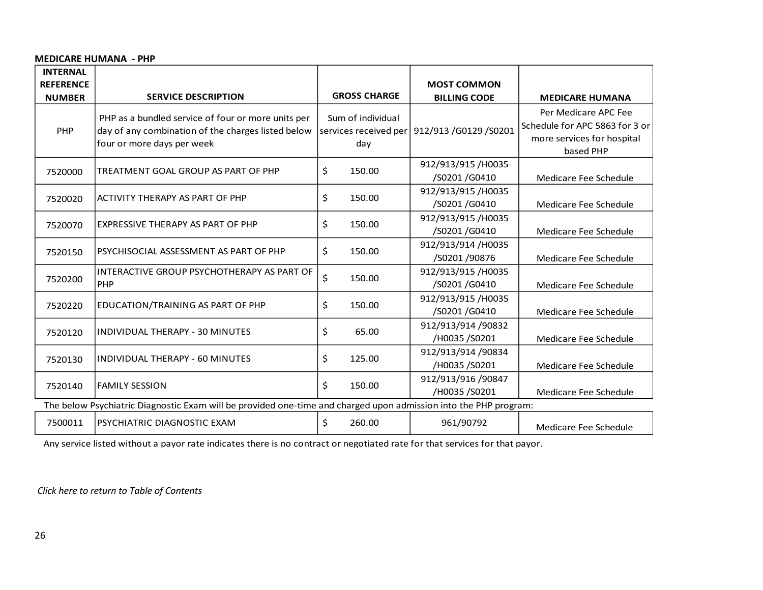#### <span id="page-25-0"></span>**MEDICARE HUMANA - PHP**

| <b>INTERNAL</b><br><b>REFERENCE</b><br><b>NUMBER</b> | <b>SERVICE DESCRIPTION</b>                                                                                                             | <b>GROSS CHARGE</b>      | <b>MOST COMMON</b><br><b>BILLING CODE</b>       | <b>MEDICARE HUMANA</b>                                                                            |
|------------------------------------------------------|----------------------------------------------------------------------------------------------------------------------------------------|--------------------------|-------------------------------------------------|---------------------------------------------------------------------------------------------------|
| PHP                                                  | PHP as a bundled service of four or more units per<br>day of any combination of the charges listed below<br>four or more days per week | Sum of individual<br>day | services received per   912/913 / G0129 / S0201 | Per Medicare APC Fee<br>Schedule for APC 5863 for 3 or<br>more services for hospital<br>based PHP |
| 7520000                                              | TREATMENT GOAL GROUP AS PART OF PHP                                                                                                    | \$<br>150.00             | 912/913/915/H0035<br>/S0201 /G0410              | Medicare Fee Schedule                                                                             |
| 7520020                                              | LACTIVITY THERAPY AS PART OF PHP                                                                                                       | \$<br>150.00             | 912/913/915/H0035<br>/S0201 /G0410              | Medicare Fee Schedule                                                                             |
| 7520070                                              | EXPRESSIVE THERAPY AS PART OF PHP                                                                                                      | \$<br>150.00             | 912/913/915/H0035<br>/S0201 /G0410              | Medicare Fee Schedule                                                                             |
| 7520150                                              | PSYCHISOCIAL ASSESSMENT AS PART OF PHP                                                                                                 | \$<br>150.00             | 912/913/914 /H0035<br>/S0201 /90876             | Medicare Fee Schedule                                                                             |
| 7520200                                              | INTERACTIVE GROUP PSYCHOTHERAPY AS PART OF<br>PHP                                                                                      | \$<br>150.00             | 912/913/915/H0035<br>/S0201 /G0410              | Medicare Fee Schedule                                                                             |
| 7520220                                              | EDUCATION/TRAINING AS PART OF PHP                                                                                                      | \$<br>150.00             | 912/913/915/H0035<br>/S0201 /G0410              | Medicare Fee Schedule                                                                             |
| 7520120                                              | INDIVIDUAL THERAPY - 30 MINUTES                                                                                                        | \$<br>65.00              | 912/913/914 /90832<br>/H0035 /S0201             | Medicare Fee Schedule                                                                             |
| 7520130                                              | INDIVIDUAL THERAPY - 60 MINUTES                                                                                                        | \$<br>125.00             | 912/913/914 /90834<br>/H0035 /S0201             | Medicare Fee Schedule                                                                             |
| 7520140                                              | <b>FAMILY SESSION</b>                                                                                                                  | \$<br>150.00             | 912/913/916 /90847<br>/H0035 /S0201             | Medicare Fee Schedule                                                                             |
|                                                      | The below Psychiatric Diagnostic Exam will be provided one-time and charged upon admission into the PHP program:                       |                          |                                                 |                                                                                                   |
| 7500011                                              | PSYCHIATRIC DIAGNOSTIC EXAM                                                                                                            | \$<br>260.00             | 961/90792                                       | Medicare Fee Schedule                                                                             |

Any service listed without a payor rate indicates there is no contract or negotiated rate for that services for that payor.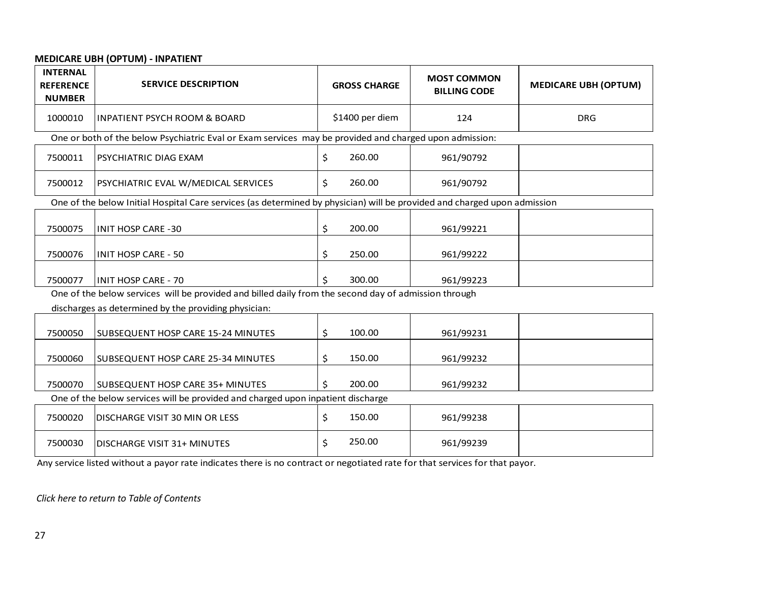#### <span id="page-26-0"></span>**MEDICARE UBH (OPTUM) - INPATIENT**

| <b>INTERNAL</b><br><b>REFERENCE</b><br><b>NUMBER</b>                                                                     | <b>SERVICE DESCRIPTION</b>                                                                           | <b>GROSS CHARGE</b> | <b>MOST COMMON</b><br><b>BILLING CODE</b> | <b>MEDICARE UBH (OPTUM)</b> |  |  |
|--------------------------------------------------------------------------------------------------------------------------|------------------------------------------------------------------------------------------------------|---------------------|-------------------------------------------|-----------------------------|--|--|
| 1000010                                                                                                                  | <b>INPATIENT PSYCH ROOM &amp; BOARD</b>                                                              | \$1400 per diem     | 124                                       | <b>DRG</b>                  |  |  |
| One or both of the below Psychiatric Eval or Exam services may be provided and charged upon admission:                   |                                                                                                      |                     |                                           |                             |  |  |
| 7500011                                                                                                                  | PSYCHIATRIC DIAG EXAM                                                                                | \$<br>260.00        | 961/90792                                 |                             |  |  |
| 7500012                                                                                                                  | PSYCHIATRIC EVAL W/MEDICAL SERVICES                                                                  | \$<br>260.00        | 961/90792                                 |                             |  |  |
| One of the below Initial Hospital Care services (as determined by physician) will be provided and charged upon admission |                                                                                                      |                     |                                           |                             |  |  |
| 7500075                                                                                                                  | <b>INIT HOSP CARE -30</b>                                                                            | \$<br>200.00        | 961/99221                                 |                             |  |  |
| 7500076                                                                                                                  | <b>INIT HOSP CARE - 50</b>                                                                           | 250.00<br>\$        | 961/99222                                 |                             |  |  |
| 7500077                                                                                                                  | <b>INIT HOSP CARE - 70</b>                                                                           | 300.00<br>Ś         | 961/99223                                 |                             |  |  |
|                                                                                                                          | One of the below services will be provided and billed daily from the second day of admission through |                     |                                           |                             |  |  |
|                                                                                                                          | discharges as determined by the providing physician:                                                 |                     |                                           |                             |  |  |
| 7500050                                                                                                                  | SUBSEQUENT HOSP CARE 15-24 MINUTES                                                                   | 100.00<br>\$        | 961/99231                                 |                             |  |  |
| 7500060                                                                                                                  | SUBSEQUENT HOSP CARE 25-34 MINUTES                                                                   | \$<br>150.00        | 961/99232                                 |                             |  |  |
| 7500070                                                                                                                  | <b>SUBSEQUENT HOSP CARE 35+ MINUTES</b>                                                              | 200.00              | 961/99232                                 |                             |  |  |
|                                                                                                                          | One of the below services will be provided and charged upon inpatient discharge                      |                     |                                           |                             |  |  |
| 7500020                                                                                                                  | <b>DISCHARGE VISIT 30 MIN OR LESS</b>                                                                | 150.00<br>\$        | 961/99238                                 |                             |  |  |
| 7500030                                                                                                                  | DISCHARGE VISIT 31+ MINUTES                                                                          | 250.00<br>Ś         | 961/99239                                 |                             |  |  |

Any service listed without a payor rate indicates there is no contract or negotiated rate for that services for that payor.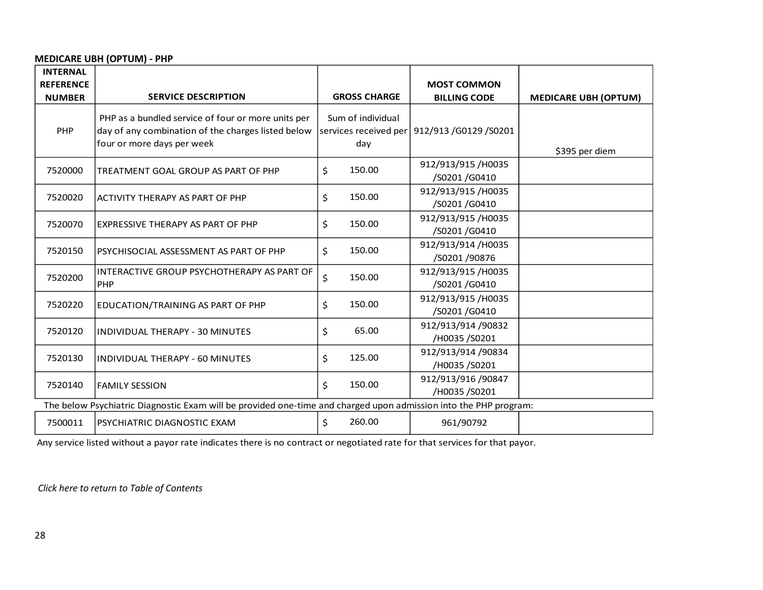#### <span id="page-27-0"></span>**MEDICARE UBH (OPTUM) - PHP**

| <b>INTERNAL</b><br><b>REFERENCE</b> |                                                                                                                                        |                          | <b>MOST COMMON</b>                              |                             |
|-------------------------------------|----------------------------------------------------------------------------------------------------------------------------------------|--------------------------|-------------------------------------------------|-----------------------------|
| <b>NUMBER</b>                       | <b>SERVICE DESCRIPTION</b>                                                                                                             | <b>GROSS CHARGE</b>      | <b>BILLING CODE</b>                             | <b>MEDICARE UBH (OPTUM)</b> |
| PHP                                 | PHP as a bundled service of four or more units per<br>day of any combination of the charges listed below<br>four or more days per week | Sum of individual<br>day | services received per   912/913 / G0129 / S0201 | \$395 per diem              |
| 7520000                             | TREATMENT GOAL GROUP AS PART OF PHP                                                                                                    | 150.00<br>Ś.             | 912/913/915/H0035<br>/S0201 /G0410              |                             |
| 7520020                             | ACTIVITY THERAPY AS PART OF PHP                                                                                                        | \$<br>150.00             | 912/913/915/H0035<br>/S0201 /G0410              |                             |
| 7520070                             | <b>EXPRESSIVE THERAPY AS PART OF PHP</b>                                                                                               | \$<br>150.00             | 912/913/915/H0035<br>/S0201 /G0410              |                             |
| 7520150                             | PSYCHISOCIAL ASSESSMENT AS PART OF PHP                                                                                                 | 150.00<br>\$             | 912/913/914 /H0035<br>/S0201 /90876             |                             |
| 7520200                             | INTERACTIVE GROUP PSYCHOTHERAPY AS PART OF<br>PHP                                                                                      | \$<br>150.00             | 912/913/915/H0035<br>/S0201 /G0410              |                             |
| 7520220                             | EDUCATION/TRAINING AS PART OF PHP                                                                                                      | \$<br>150.00             | 912/913/915/H0035<br>/S0201 /G0410              |                             |
| 7520120                             | INDIVIDUAL THERAPY - 30 MINUTES                                                                                                        | \$<br>65.00              | 912/913/914 /90832<br>/H0035 /S0201             |                             |
| 7520130                             | INDIVIDUAL THERAPY - 60 MINUTES                                                                                                        | \$<br>125.00             | 912/913/914 /90834<br>/H0035 /S0201             |                             |
| 7520140                             | <b>FAMILY SESSION</b>                                                                                                                  | 150.00<br>\$             | 912/913/916 /90847<br>/H0035 /S0201             |                             |
|                                     | The below Psychiatric Diagnostic Exam will be provided one-time and charged upon admission into the PHP program:                       |                          |                                                 |                             |
| 7500011                             | PSYCHIATRIC DIAGNOSTIC EXAM                                                                                                            | 260.00<br>\$             | 961/90792                                       |                             |

Any service listed without a payor rate indicates there is no contract or negotiated rate for that services for that payor.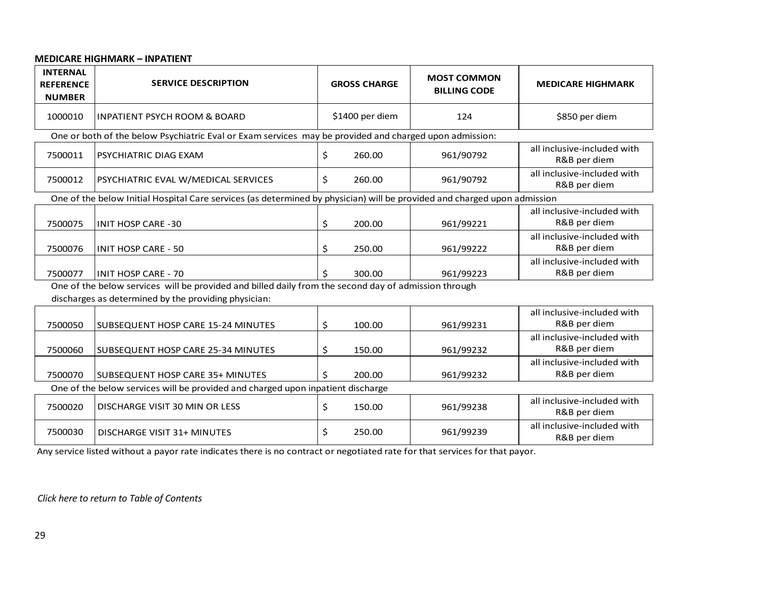#### <span id="page-28-0"></span>**MEDICARE HIGHMARK – INPATIENT**

| <b>INTERNAL</b><br><b>REFERENCE</b><br><b>NUMBER</b> | <b>SERVICE DESCRIPTION</b>                                                                                                                                   |    | <b>GROSS CHARGE</b> | <b>MOST COMMON</b><br><b>BILLING CODE</b> | <b>MEDICARE HIGHMARK</b>                    |
|------------------------------------------------------|--------------------------------------------------------------------------------------------------------------------------------------------------------------|----|---------------------|-------------------------------------------|---------------------------------------------|
| 1000010                                              | <b>INPATIENT PSYCH ROOM &amp; BOARD</b>                                                                                                                      |    | \$1400 per diem     | 124                                       | \$850 per diem                              |
|                                                      | One or both of the below Psychiatric Eval or Exam services may be provided and charged upon admission:                                                       |    |                     |                                           |                                             |
| 7500011                                              | PSYCHIATRIC DIAG EXAM                                                                                                                                        | \$ | 260.00              | 961/90792                                 | all inclusive-included with<br>R&B per diem |
| 7500012                                              | PSYCHIATRIC EVAL W/MEDICAL SERVICES                                                                                                                          | \$ | 260.00              | 961/90792                                 | all inclusive-included with<br>R&B per diem |
|                                                      | One of the below Initial Hospital Care services (as determined by physician) will be provided and charged upon admission                                     |    |                     |                                           |                                             |
| 7500075                                              | <b>INIT HOSP CARE -30</b>                                                                                                                                    | \$ | 200.00              | 961/99221                                 | all inclusive-included with<br>R&B per diem |
| 7500076                                              | <b>INIT HOSP CARE - 50</b>                                                                                                                                   | \$ | 250.00              | 961/99222                                 | all inclusive-included with<br>R&B per diem |
| 7500077                                              | INIT HOSP CARE - 70                                                                                                                                          | Ś  | 300.00              | 961/99223                                 | all inclusive-included with<br>R&B per diem |
|                                                      | One of the below services will be provided and billed daily from the second day of admission through<br>discharges as determined by the providing physician: |    |                     |                                           |                                             |
| 7500050                                              | <b>SUBSEQUENT HOSP CARE 15-24 MINUTES</b>                                                                                                                    | \$ | 100.00              | 961/99231                                 | all inclusive-included with<br>R&B per diem |
| 7500060                                              | SUBSEQUENT HOSP CARE 25-34 MINUTES                                                                                                                           | \$ | 150.00              | 961/99232                                 | all inclusive-included with<br>R&B per diem |
| 7500070                                              | SUBSEQUENT HOSP CARE 35+ MINUTES                                                                                                                             | ς. | 200.00              | 961/99232                                 | all inclusive-included with<br>R&B per diem |
|                                                      | One of the below services will be provided and charged upon inpatient discharge                                                                              |    |                     |                                           |                                             |
| 7500020                                              | DISCHARGE VISIT 30 MIN OR LESS                                                                                                                               | \$ | 150.00              | 961/99238                                 | all inclusive-included with<br>R&B per diem |
| 7500030                                              | DISCHARGE VISIT 31+ MINUTES                                                                                                                                  | \$ | 250.00              | 961/99239                                 | all inclusive-included with<br>R&B per diem |

Any service listed without a payor rate indicates there is no contract or negotiated rate for that services for that payor.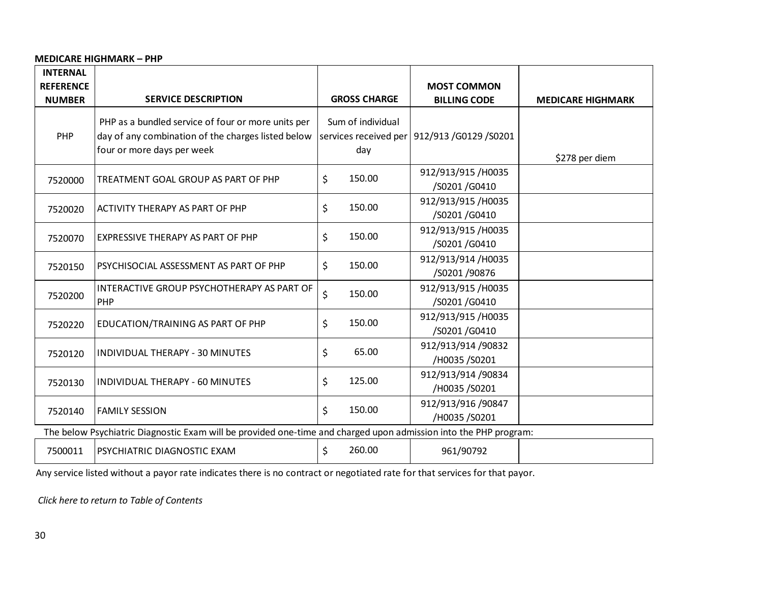#### <span id="page-29-0"></span>**MEDICARE HIGHMARK – PHP**

| <b>INTERNAL</b><br><b>REFERENCE</b> |                                                                                                                                        |                                                   | <b>MOST COMMON</b>                  |                          |
|-------------------------------------|----------------------------------------------------------------------------------------------------------------------------------------|---------------------------------------------------|-------------------------------------|--------------------------|
| <b>NUMBER</b>                       | <b>SERVICE DESCRIPTION</b>                                                                                                             | <b>GROSS CHARGE</b>                               | <b>BILLING CODE</b>                 | <b>MEDICARE HIGHMARK</b> |
| PHP                                 | PHP as a bundled service of four or more units per<br>day of any combination of the charges listed below<br>four or more days per week | Sum of individual<br>services received per<br>day | 912/913 / 60129 / 50201             | \$278 per diem           |
| 7520000                             | TREATMENT GOAL GROUP AS PART OF PHP                                                                                                    | \$<br>150.00                                      | 912/913/915 /H0035<br>/S0201 /G0410 |                          |
| 7520020                             | IACTIVITY THERAPY AS PART OF PHP                                                                                                       | \$<br>150.00                                      | 912/913/915 /H0035<br>/S0201 /G0410 |                          |
| 7520070                             | <b>EXPRESSIVE THERAPY AS PART OF PHP</b>                                                                                               | \$<br>150.00                                      | 912/913/915 /H0035<br>/S0201 /G0410 |                          |
| 7520150                             | PSYCHISOCIAL ASSESSMENT AS PART OF PHP                                                                                                 | \$<br>150.00                                      | 912/913/914 /H0035<br>/S0201 /90876 |                          |
| 7520200                             | INTERACTIVE GROUP PSYCHOTHERAPY AS PART OF<br><b>PHP</b>                                                                               | \$<br>150.00                                      | 912/913/915 /H0035<br>/S0201 /G0410 |                          |
| 7520220                             | <b>EDUCATION/TRAINING AS PART OF PHP</b>                                                                                               | \$<br>150.00                                      | 912/913/915 /H0035<br>/S0201 /G0410 |                          |
| 7520120                             | INDIVIDUAL THERAPY - 30 MINUTES                                                                                                        | \$<br>65.00                                       | 912/913/914 /90832<br>/H0035 /S0201 |                          |
| 7520130                             | INDIVIDUAL THERAPY - 60 MINUTES                                                                                                        | 125.00<br>\$                                      | 912/913/914 /90834<br>/H0035 /S0201 |                          |
| 7520140                             | <b>FAMILY SESSION</b>                                                                                                                  | Ś.<br>150.00                                      | 912/913/916 /90847<br>/H0035 /S0201 |                          |
|                                     | The below Psychiatric Diagnostic Exam will be provided one-time and charged upon admission into the PHP program:                       |                                                   |                                     |                          |
| 7500011                             | PSYCHIATRIC DIAGNOSTIC EXAM                                                                                                            | 260.00<br>\$                                      | 961/90792                           |                          |

Any service listed without a payor rate indicates there is no contract or negotiated rate for that services for that payor.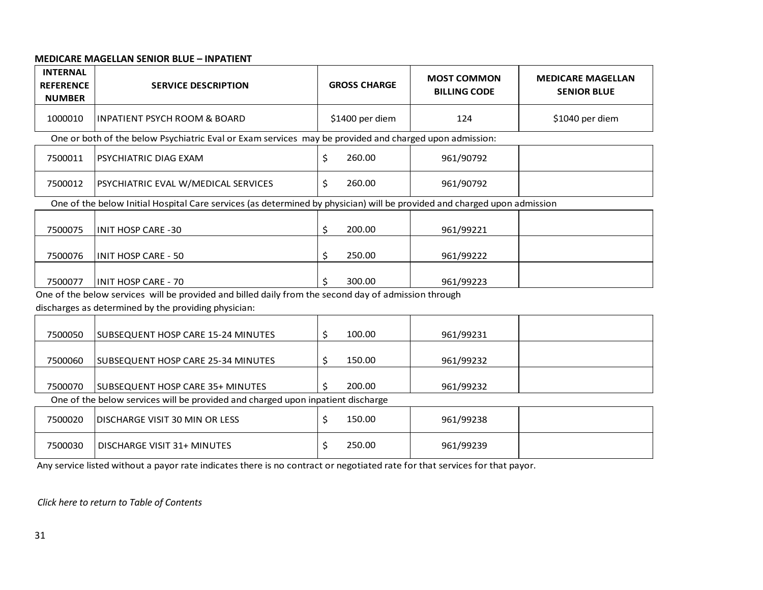#### <span id="page-30-0"></span>**MEDICARE MAGELLAN SENIOR BLUE – INPATIENT**

| <b>INTERNAL</b><br><b>REFERENCE</b><br><b>NUMBER</b>                                                                     | <b>SERVICE DESCRIPTION</b>                                                                                                                                   |    | <b>GROSS CHARGE</b> | <b>MOST COMMON</b><br><b>BILLING CODE</b> | <b>MEDICARE MAGELLAN</b><br><b>SENIOR BLUE</b> |  |
|--------------------------------------------------------------------------------------------------------------------------|--------------------------------------------------------------------------------------------------------------------------------------------------------------|----|---------------------|-------------------------------------------|------------------------------------------------|--|
| 1000010                                                                                                                  | <b>INPATIENT PSYCH ROOM &amp; BOARD</b>                                                                                                                      |    | \$1400 per diem     | 124                                       | \$1040 per diem                                |  |
|                                                                                                                          | One or both of the below Psychiatric Eval or Exam services may be provided and charged upon admission:                                                       |    |                     |                                           |                                                |  |
| 7500011                                                                                                                  | PSYCHIATRIC DIAG EXAM                                                                                                                                        | \$ | 260.00              | 961/90792                                 |                                                |  |
| 7500012                                                                                                                  | PSYCHIATRIC EVAL W/MEDICAL SERVICES                                                                                                                          | Ś. | 260.00              | 961/90792                                 |                                                |  |
| One of the below Initial Hospital Care services (as determined by physician) will be provided and charged upon admission |                                                                                                                                                              |    |                     |                                           |                                                |  |
| 7500075                                                                                                                  | <b>INIT HOSP CARE -30</b>                                                                                                                                    | \$ | 200.00              | 961/99221                                 |                                                |  |
| 7500076                                                                                                                  | <b>INIT HOSP CARE - 50</b>                                                                                                                                   | \$ | 250.00              | 961/99222                                 |                                                |  |
| 7500077                                                                                                                  | <b>INIT HOSP CARE - 70</b>                                                                                                                                   | Ś  | 300.00              | 961/99223                                 |                                                |  |
|                                                                                                                          | One of the below services will be provided and billed daily from the second day of admission through<br>discharges as determined by the providing physician: |    |                     |                                           |                                                |  |
| 7500050                                                                                                                  | SUBSEQUENT HOSP CARE 15-24 MINUTES                                                                                                                           | \$ | 100.00              | 961/99231                                 |                                                |  |
| 7500060                                                                                                                  | SUBSEQUENT HOSP CARE 25-34 MINUTES                                                                                                                           | \$ | 150.00              | 961/99232                                 |                                                |  |
| 7500070                                                                                                                  | <b>SUBSEQUENT HOSP CARE 35+ MINUTES</b>                                                                                                                      |    | 200.00              | 961/99232                                 |                                                |  |
|                                                                                                                          | One of the below services will be provided and charged upon inpatient discharge                                                                              |    |                     |                                           |                                                |  |
| 7500020                                                                                                                  | DISCHARGE VISIT 30 MIN OR LESS                                                                                                                               | \$ | 150.00              | 961/99238                                 |                                                |  |
| 7500030                                                                                                                  | DISCHARGE VISIT 31+ MINUTES                                                                                                                                  | \$ | 250.00              | 961/99239                                 |                                                |  |

Any service listed without a payor rate indicates there is no contract or negotiated rate for that services for that payor.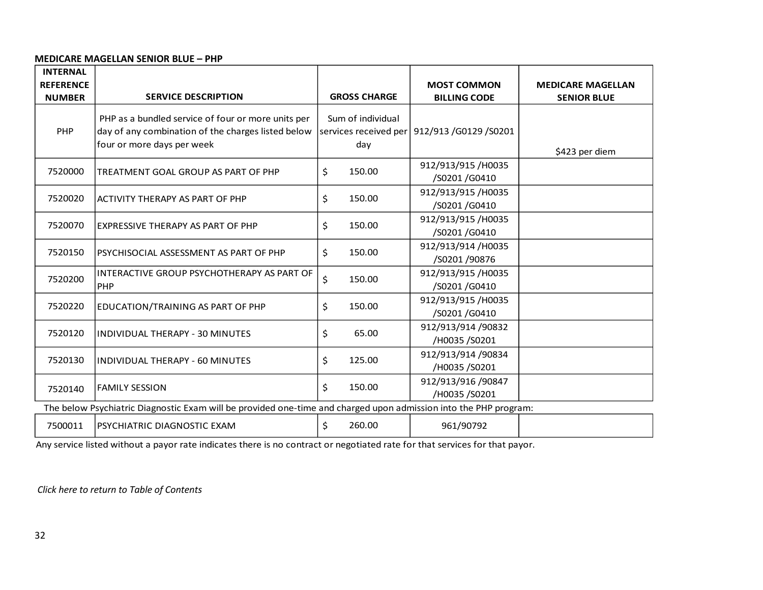#### <span id="page-31-0"></span>**MEDICARE MAGELLAN SENIOR BLUE – PHP**

| <b>INTERNAL</b><br><b>REFERENCE</b> |                                                                                                                                        |                                                   | <b>MOST COMMON</b>                  | <b>MEDICARE MAGELLAN</b> |
|-------------------------------------|----------------------------------------------------------------------------------------------------------------------------------------|---------------------------------------------------|-------------------------------------|--------------------------|
| <b>NUMBER</b>                       | <b>SERVICE DESCRIPTION</b>                                                                                                             | <b>GROSS CHARGE</b>                               | <b>BILLING CODE</b>                 | <b>SENIOR BLUE</b>       |
| PHP                                 | PHP as a bundled service of four or more units per<br>day of any combination of the charges listed below<br>four or more days per week | Sum of individual<br>services received per<br>day | 912/913 / 60129 / 50201             | \$423 per diem           |
| 7520000                             | TREATMENT GOAL GROUP AS PART OF PHP                                                                                                    | \$<br>150.00                                      | 912/913/915/H0035<br>/S0201 /G0410  |                          |
| 7520020                             | <b>ACTIVITY THERAPY AS PART OF PHP</b>                                                                                                 | \$<br>150.00                                      | 912/913/915/H0035<br>/S0201 /G0410  |                          |
| 7520070                             | <b>EXPRESSIVE THERAPY AS PART OF PHP</b>                                                                                               | \$<br>150.00                                      | 912/913/915/H0035<br>/S0201 /G0410  |                          |
| 7520150                             | PSYCHISOCIAL ASSESSMENT AS PART OF PHP                                                                                                 | \$<br>150.00                                      | 912/913/914 /H0035<br>/S0201 /90876 |                          |
| 7520200                             | INTERACTIVE GROUP PSYCHOTHERAPY AS PART OF<br>PHP                                                                                      | $\mathsf{\dot{S}}$<br>150.00                      | 912/913/915/H0035<br>/S0201 /G0410  |                          |
| 7520220                             | <b>EDUCATION/TRAINING AS PART OF PHP</b>                                                                                               | \$<br>150.00                                      | 912/913/915/H0035<br>/S0201 /G0410  |                          |
| 7520120                             | INDIVIDUAL THERAPY - 30 MINUTES                                                                                                        | \$<br>65.00                                       | 912/913/914 /90832<br>/H0035 /S0201 |                          |
| 7520130                             | INDIVIDUAL THERAPY - 60 MINUTES                                                                                                        | \$<br>125.00                                      | 912/913/914 /90834<br>/H0035 /S0201 |                          |
| 7520140                             | <b>FAMILY SESSION</b>                                                                                                                  | \$<br>150.00                                      | 912/913/916 /90847<br>/H0035 /S0201 |                          |
|                                     | The below Psychiatric Diagnostic Exam will be provided one-time and charged upon admission into the PHP program:                       |                                                   |                                     |                          |
| 7500011                             | PSYCHIATRIC DIAGNOSTIC EXAM                                                                                                            | \$<br>260.00                                      | 961/90792                           |                          |

Any service listed without a payor rate indicates there is no contract or negotiated rate for that services for that payor.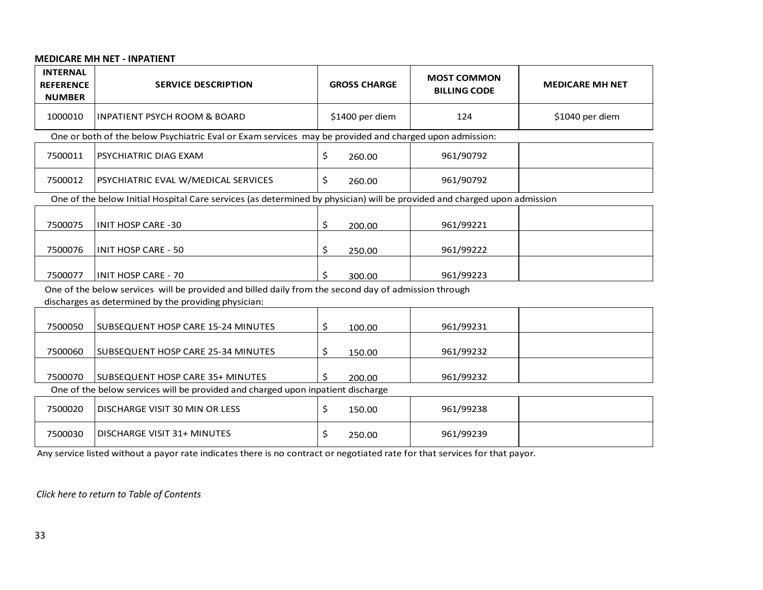#### <span id="page-32-0"></span>**MEDICARE MH NET - INPATIENT**

| <b>INTERNAL</b><br><b>REFERENCE</b><br><b>NUMBER</b>                                                                     | <b>SERVICE DESCRIPTION</b>                                                                                                                                   | <b>GROSS CHARGE</b> | <b>MOST COMMON</b><br><b>BILLING CODE</b> | <b>MEDICARE MH NET</b> |  |
|--------------------------------------------------------------------------------------------------------------------------|--------------------------------------------------------------------------------------------------------------------------------------------------------------|---------------------|-------------------------------------------|------------------------|--|
| 1000010                                                                                                                  | <b>INPATIENT PSYCH ROOM &amp; BOARD</b>                                                                                                                      | \$1400 per diem     | 124                                       | \$1040 per diem        |  |
|                                                                                                                          | One or both of the below Psychiatric Eval or Exam services may be provided and charged upon admission:                                                       |                     |                                           |                        |  |
| 7500011                                                                                                                  | PSYCHIATRIC DIAG EXAM                                                                                                                                        | \$<br>260.00        | 961/90792                                 |                        |  |
| 7500012                                                                                                                  | PSYCHIATRIC EVAL W/MEDICAL SERVICES                                                                                                                          | \$<br>260.00        | 961/90792                                 |                        |  |
| One of the below Initial Hospital Care services (as determined by physician) will be provided and charged upon admission |                                                                                                                                                              |                     |                                           |                        |  |
| 7500075                                                                                                                  | <b>INIT HOSP CARE -30</b>                                                                                                                                    | \$<br>200.00        | 961/99221                                 |                        |  |
| 7500076                                                                                                                  | <b>INIT HOSP CARE - 50</b>                                                                                                                                   | \$<br>250.00        | 961/99222                                 |                        |  |
| 7500077                                                                                                                  | <b>INIT HOSP CARE - 70</b>                                                                                                                                   | \$<br>300.00        | 961/99223                                 |                        |  |
|                                                                                                                          | One of the below services will be provided and billed daily from the second day of admission through<br>discharges as determined by the providing physician: |                     |                                           |                        |  |
| 7500050                                                                                                                  | SUBSEQUENT HOSP CARE 15-24 MINUTES                                                                                                                           | \$<br>100.00        | 961/99231                                 |                        |  |
| 7500060                                                                                                                  | SUBSEQUENT HOSP CARE 25-34 MINUTES                                                                                                                           | \$<br>150.00        | 961/99232                                 |                        |  |
| 7500070                                                                                                                  | <b>SUBSEQUENT HOSP CARE 35+ MINUTES</b>                                                                                                                      | Ś.<br>200.00        | 961/99232                                 |                        |  |
|                                                                                                                          | One of the below services will be provided and charged upon inpatient discharge                                                                              |                     |                                           |                        |  |
| 7500020                                                                                                                  | DISCHARGE VISIT 30 MIN OR LESS                                                                                                                               | \$<br>150.00        | 961/99238                                 |                        |  |
| 7500030                                                                                                                  | DISCHARGE VISIT 31+ MINUTES                                                                                                                                  | \$<br>250.00        | 961/99239                                 |                        |  |

Any service listed without a payor rate indicates there is no contract or negotiated rate for that services for that payor.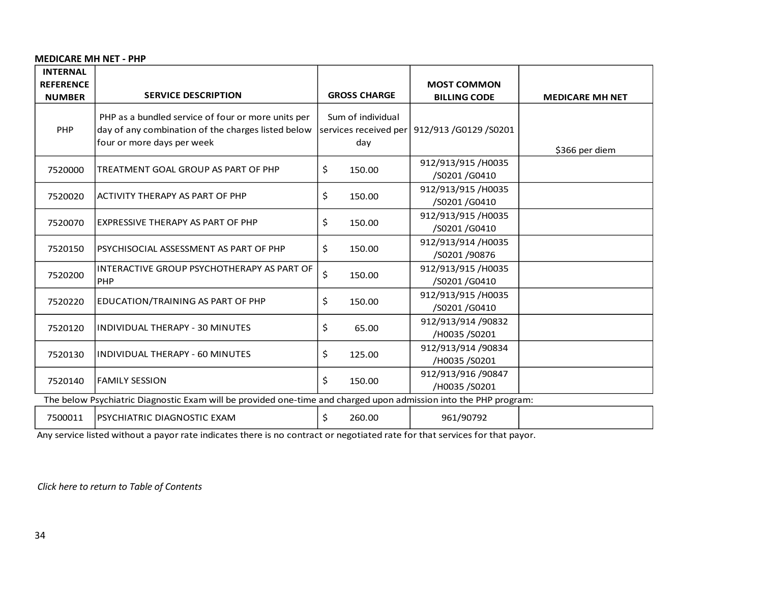#### <span id="page-33-0"></span>**MEDICARE MH NET - PHP**

| <b>INTERNAL</b><br><b>REFERENCE</b> |                                                                                                                                        |                                                   | <b>MOST COMMON</b>                  |                        |
|-------------------------------------|----------------------------------------------------------------------------------------------------------------------------------------|---------------------------------------------------|-------------------------------------|------------------------|
| <b>NUMBER</b>                       | <b>SERVICE DESCRIPTION</b>                                                                                                             | <b>GROSS CHARGE</b>                               | <b>BILLING CODE</b>                 | <b>MEDICARE MH NET</b> |
| PHP                                 | PHP as a bundled service of four or more units per<br>day of any combination of the charges listed below<br>four or more days per week | Sum of individual<br>services received per<br>day | 912/913 /G0129 /S0201               | \$366 per diem         |
| 7520000                             | TREATMENT GOAL GROUP AS PART OF PHP                                                                                                    | \$<br>150.00                                      | 912/913/915/H0035<br>/S0201 /G0410  |                        |
| 7520020                             | <b>ACTIVITY THERAPY AS PART OF PHP</b>                                                                                                 | \$<br>150.00                                      | 912/913/915/H0035<br>/S0201 /G0410  |                        |
| 7520070                             | EXPRESSIVE THERAPY AS PART OF PHP                                                                                                      | \$<br>150.00                                      | 912/913/915/H0035<br>/S0201 /G0410  |                        |
| 7520150                             | PSYCHISOCIAL ASSESSMENT AS PART OF PHP                                                                                                 | \$<br>150.00                                      | 912/913/914 /H0035<br>/S0201 /90876 |                        |
| 7520200                             | INTERACTIVE GROUP PSYCHOTHERAPY AS PART OF<br>PHP                                                                                      | \$<br>150.00                                      | 912/913/915/H0035<br>/S0201 /G0410  |                        |
| 7520220                             | <b>EDUCATION/TRAINING AS PART OF PHP</b>                                                                                               | \$<br>150.00                                      | 912/913/915/H0035<br>/S0201 /G0410  |                        |
| 7520120                             | INDIVIDUAL THERAPY - 30 MINUTES                                                                                                        | \$<br>65.00                                       | 912/913/914 /90832<br>/H0035 /S0201 |                        |
| 7520130                             | INDIVIDUAL THERAPY - 60 MINUTES                                                                                                        | \$<br>125.00                                      | 912/913/914 /90834<br>/H0035 /S0201 |                        |
| 7520140                             | <b>FAMILY SESSION</b>                                                                                                                  | \$<br>150.00                                      | 912/913/916 /90847<br>/H0035 /S0201 |                        |
|                                     | The below Psychiatric Diagnostic Exam will be provided one-time and charged upon admission into the PHP program:                       |                                                   |                                     |                        |
| 7500011                             | PSYCHIATRIC DIAGNOSTIC EXAM                                                                                                            | \$<br>260.00                                      | 961/90792                           |                        |

Any service listed without a payor rate indicates there is no contract or negotiated rate for that services for that payor.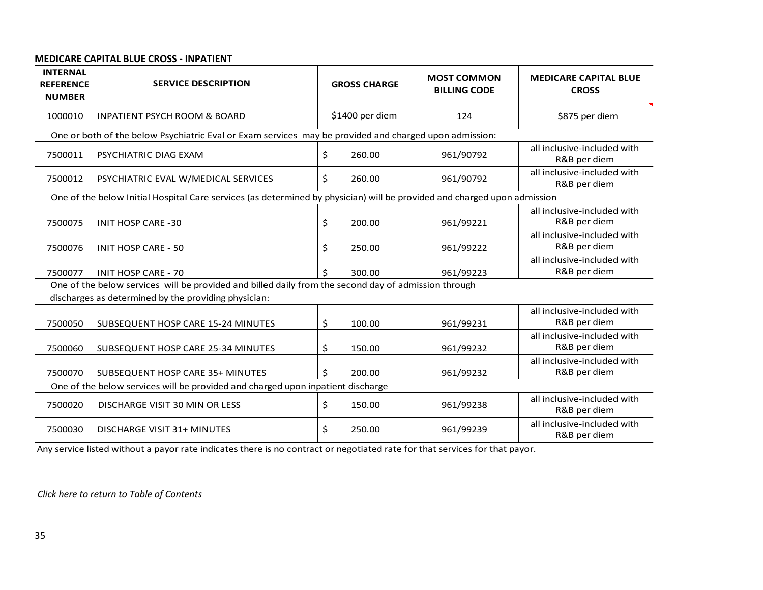#### <span id="page-34-0"></span>**MEDICARE CAPITAL BLUE CROSS - INPATIENT**

| <b>INTERNAL</b><br><b>REFERENCE</b><br><b>NUMBER</b> | <b>SERVICE DESCRIPTION</b>                                                                                                                                   | <b>GROSS CHARGE</b> | <b>MOST COMMON</b><br><b>BILLING CODE</b> | <b>MEDICARE CAPITAL BLUE</b><br><b>CROSS</b> |
|------------------------------------------------------|--------------------------------------------------------------------------------------------------------------------------------------------------------------|---------------------|-------------------------------------------|----------------------------------------------|
| 1000010                                              | <b>INPATIENT PSYCH ROOM &amp; BOARD</b>                                                                                                                      | \$1400 per diem     | 124                                       | \$875 per diem                               |
|                                                      | One or both of the below Psychiatric Eval or Exam services may be provided and charged upon admission:                                                       |                     |                                           |                                              |
| 7500011                                              | PSYCHIATRIC DIAG EXAM                                                                                                                                        | \$<br>260.00        | 961/90792                                 | all inclusive-included with<br>R&B per diem  |
| 7500012                                              | PSYCHIATRIC EVAL W/MEDICAL SERVICES                                                                                                                          | \$<br>260.00        | 961/90792                                 | all inclusive-included with<br>R&B per diem  |
|                                                      | One of the below Initial Hospital Care services (as determined by physician) will be provided and charged upon admission                                     |                     |                                           |                                              |
| 7500075                                              | <b>INIT HOSP CARE -30</b>                                                                                                                                    | \$<br>200.00        | 961/99221                                 | all inclusive-included with<br>R&B per diem  |
| 7500076                                              | <b>INIT HOSP CARE - 50</b>                                                                                                                                   | \$<br>250.00        | 961/99222                                 | all inclusive-included with<br>R&B per diem  |
| 7500077                                              | <b>INIT HOSP CARE - 70</b>                                                                                                                                   | Ś<br>300.00         | 961/99223                                 | all inclusive-included with<br>R&B per diem  |
|                                                      | One of the below services will be provided and billed daily from the second day of admission through<br>discharges as determined by the providing physician: |                     |                                           |                                              |
| 7500050                                              | SUBSEQUENT HOSP CARE 15-24 MINUTES                                                                                                                           | Ś<br>100.00         | 961/99231                                 | all inclusive-included with<br>R&B per diem  |
| 7500060                                              | SUBSEQUENT HOSP CARE 25-34 MINUTES                                                                                                                           | \$<br>150.00        | 961/99232                                 | all inclusive-included with<br>R&B per diem  |
| 7500070                                              | ISUBSEQUENT HOSP CARE 35+ MINUTES                                                                                                                            | Ś.<br>200.00        | 961/99232                                 | all inclusive-included with<br>R&B per diem  |
|                                                      | One of the below services will be provided and charged upon inpatient discharge                                                                              |                     |                                           |                                              |
| 7500020                                              | DISCHARGE VISIT 30 MIN OR LESS                                                                                                                               | \$<br>150.00        | 961/99238                                 | all inclusive-included with<br>R&B per diem  |
| 7500030                                              | DISCHARGE VISIT 31+ MINUTES                                                                                                                                  | \$<br>250.00        | 961/99239                                 | all inclusive-included with<br>R&B per diem  |

Any service listed without a payor rate indicates there is no contract or negotiated rate for that services for that payor.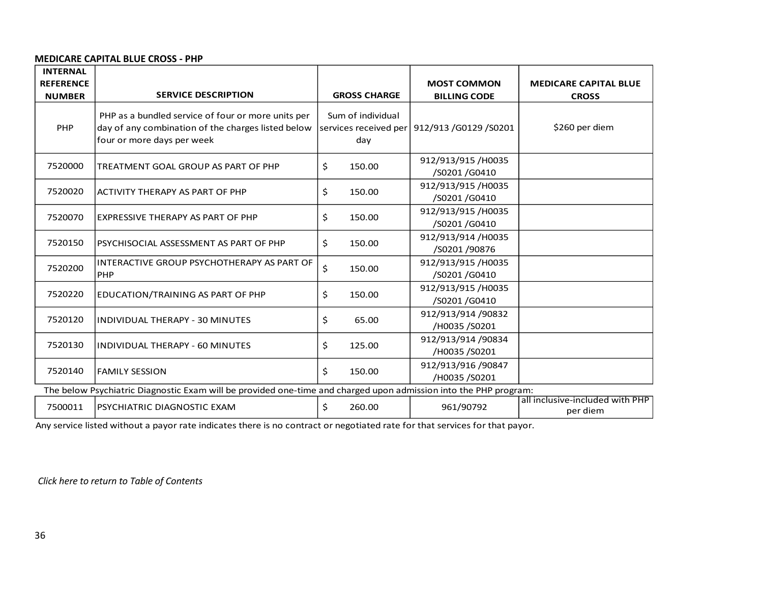#### <span id="page-35-0"></span>**MEDICARE CAPITAL BLUE CROSS - PHP**

| <b>INTERNAL</b><br><b>REFERENCE</b><br><b>NUMBER</b> | <b>SERVICE DESCRIPTION</b>                                                                                                             | <b>GROSS CHARGE</b>                               | <b>MOST COMMON</b><br><b>BILLING CODE</b> | <b>MEDICARE CAPITAL BLUE</b><br><b>CROSS</b> |
|------------------------------------------------------|----------------------------------------------------------------------------------------------------------------------------------------|---------------------------------------------------|-------------------------------------------|----------------------------------------------|
| PHP                                                  | PHP as a bundled service of four or more units per<br>day of any combination of the charges listed below<br>four or more days per week | Sum of individual<br>services received per<br>day | 912/913 /G0129 /S0201                     | \$260 per diem                               |
| 7520000                                              | TREATMENT GOAL GROUP AS PART OF PHP                                                                                                    | \$<br>150.00                                      | 912/913/915/H0035<br>/S0201 /G0410        |                                              |
| 7520020                                              | <b>ACTIVITY THERAPY AS PART OF PHP</b>                                                                                                 | \$<br>150.00                                      | 912/913/915/H0035<br>/S0201 /G0410        |                                              |
| 7520070                                              | EXPRESSIVE THERAPY AS PART OF PHP                                                                                                      | \$<br>150.00                                      | 912/913/915/H0035<br>/S0201 /G0410        |                                              |
| 7520150                                              | PSYCHISOCIAL ASSESSMENT AS PART OF PHP                                                                                                 | \$<br>150.00                                      | 912/913/914/H0035<br>/S0201 /90876        |                                              |
| 7520200                                              | INTERACTIVE GROUP PSYCHOTHERAPY AS PART OF<br><b>PHP</b>                                                                               | \$<br>150.00                                      | 912/913/915/H0035<br>/S0201 /G0410        |                                              |
| 7520220                                              | <b>EDUCATION/TRAINING AS PART OF PHP</b>                                                                                               | Ś.<br>150.00                                      | 912/913/915/H0035<br>/S0201 /G0410        |                                              |
| 7520120                                              | INDIVIDUAL THERAPY - 30 MINUTES                                                                                                        | \$<br>65.00                                       | 912/913/914 /90832<br>/H0035 /S0201       |                                              |
| 7520130                                              | INDIVIDUAL THERAPY - 60 MINUTES                                                                                                        | \$<br>125.00                                      | 912/913/914 /90834<br>/H0035 /S0201       |                                              |
| 7520140                                              | <b>FAMILY SESSION</b>                                                                                                                  | \$<br>150.00                                      | 912/913/916 /90847<br>/H0035 /S0201       |                                              |
|                                                      | The below Psychiatric Diagnostic Exam will be provided one-time and charged upon admission into the PHP program:                       |                                                   |                                           |                                              |
| 7500011                                              | PSYCHIATRIC DIAGNOSTIC EXAM                                                                                                            | \$<br>260.00                                      | 961/90792                                 | all inclusive-included with PHP<br>per diem  |

Any service listed without a payor rate indicates there is no contract or negotiated rate for that services for that payor.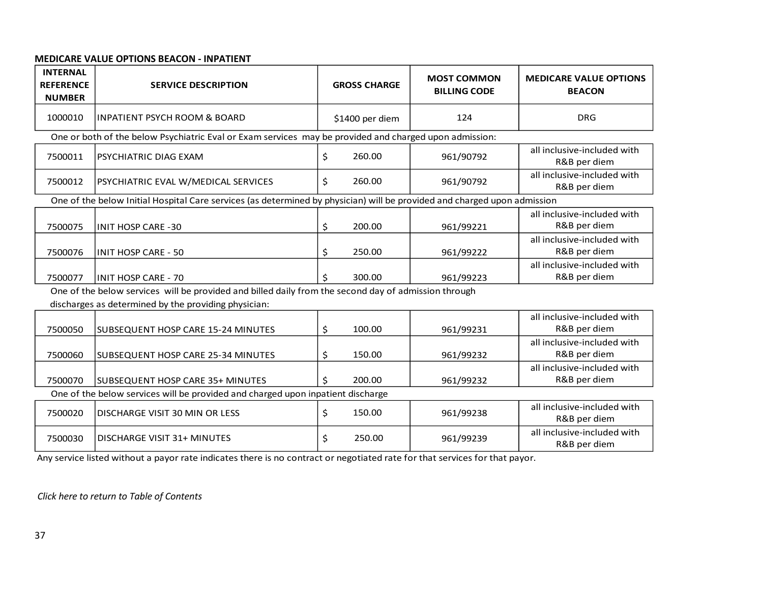# **MEDICARE VALUE OPTIONS BEACON - INPATIENT**

| <b>INTERNAL</b><br><b>REFERENCE</b><br><b>NUMBER</b>                                                                     | <b>SERVICE DESCRIPTION</b>                                                                                                                                   | <b>GROSS CHARGE</b> |                 | <b>MOST COMMON</b><br><b>BILLING CODE</b> | <b>MEDICARE VALUE OPTIONS</b><br><b>BEACON</b> |  |  |
|--------------------------------------------------------------------------------------------------------------------------|--------------------------------------------------------------------------------------------------------------------------------------------------------------|---------------------|-----------------|-------------------------------------------|------------------------------------------------|--|--|
| 1000010                                                                                                                  | <b>INPATIENT PSYCH ROOM &amp; BOARD</b>                                                                                                                      |                     | \$1400 per diem | 124                                       | <b>DRG</b>                                     |  |  |
| One or both of the below Psychiatric Eval or Exam services may be provided and charged upon admission:                   |                                                                                                                                                              |                     |                 |                                           |                                                |  |  |
| 7500011                                                                                                                  | PSYCHIATRIC DIAG EXAM                                                                                                                                        | \$                  | 260.00          | 961/90792                                 | all inclusive-included with<br>R&B per diem    |  |  |
| 7500012                                                                                                                  | PSYCHIATRIC EVAL W/MEDICAL SERVICES                                                                                                                          | \$                  | 260.00          | 961/90792                                 | all inclusive-included with<br>R&B per diem    |  |  |
| One of the below Initial Hospital Care services (as determined by physician) will be provided and charged upon admission |                                                                                                                                                              |                     |                 |                                           |                                                |  |  |
| 7500075                                                                                                                  | <b>INIT HOSP CARE -30</b>                                                                                                                                    | \$                  | 200.00          | 961/99221                                 | all inclusive-included with<br>R&B per diem    |  |  |
| 7500076                                                                                                                  | <b>INIT HOSP CARE - 50</b>                                                                                                                                   | \$                  | 250.00          | 961/99222                                 | all inclusive-included with<br>R&B per diem    |  |  |
| 7500077                                                                                                                  | <b>INIT HOSP CARE - 70</b>                                                                                                                                   | Ś                   | 300.00          | 961/99223                                 | all inclusive-included with<br>R&B per diem    |  |  |
|                                                                                                                          | One of the below services will be provided and billed daily from the second day of admission through<br>discharges as determined by the providing physician: |                     |                 |                                           |                                                |  |  |
| 7500050                                                                                                                  | SUBSEQUENT HOSP CARE 15-24 MINUTES                                                                                                                           | \$                  | 100.00          | 961/99231                                 | all inclusive-included with<br>R&B per diem    |  |  |
| 7500060                                                                                                                  | SUBSEQUENT HOSP CARE 25-34 MINUTES                                                                                                                           | \$                  | 150.00          | 961/99232                                 | all inclusive-included with<br>R&B per diem    |  |  |
| 7500070                                                                                                                  | <b>SUBSEQUENT HOSP CARE 35+ MINUTES</b>                                                                                                                      | $\mathsf{\hat{S}}$  | 200.00          | 961/99232                                 | all inclusive-included with<br>R&B per diem    |  |  |
|                                                                                                                          | One of the below services will be provided and charged upon inpatient discharge                                                                              |                     |                 |                                           |                                                |  |  |
| 7500020                                                                                                                  | <b>DISCHARGE VISIT 30 MIN OR LESS</b>                                                                                                                        | \$                  | 150.00          | 961/99238                                 | all inclusive-included with<br>R&B per diem    |  |  |
| 7500030                                                                                                                  | <b>DISCHARGE VISIT 31+ MINUTES</b>                                                                                                                           | \$                  | 250.00          | 961/99239                                 | all inclusive-included with<br>R&B per diem    |  |  |

Any service listed without a payor rate indicates there is no contract or negotiated rate for that services for that payor.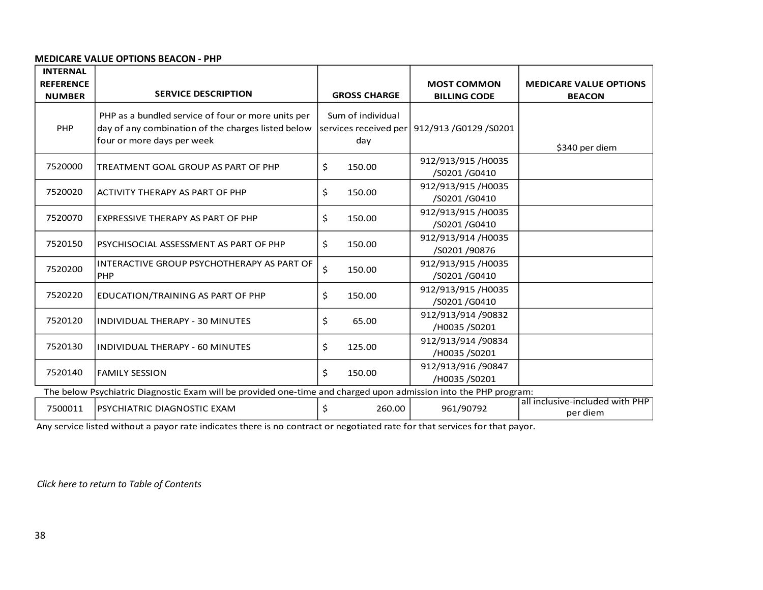## **MEDICARE VALUE OPTIONS BEACON - PHP**

| <b>INTERNAL</b><br><b>REFERENCE</b> | <b>SERVICE DESCRIPTION</b>                                                                                                             | <b>GROSS CHARGE</b>      | <b>MOST COMMON</b>                              | <b>MEDICARE VALUE OPTIONS</b>               |
|-------------------------------------|----------------------------------------------------------------------------------------------------------------------------------------|--------------------------|-------------------------------------------------|---------------------------------------------|
| <b>NUMBER</b>                       |                                                                                                                                        |                          | <b>BILLING CODE</b>                             | <b>BEACON</b>                               |
| PHP                                 | PHP as a bundled service of four or more units per<br>day of any combination of the charges listed below<br>four or more days per week | Sum of individual<br>day | services received per   912/913 / 60129 / 50201 | \$340 per diem                              |
| 7520000                             | TREATMENT GOAL GROUP AS PART OF PHP                                                                                                    | Ś.<br>150.00             | 912/913/915/H0035<br>/S0201 /G0410              |                                             |
| 7520020                             | ACTIVITY THERAPY AS PART OF PHP                                                                                                        | \$<br>150.00             | 912/913/915/H0035<br>/S0201 /G0410              |                                             |
| 7520070                             | <b>EXPRESSIVE THERAPY AS PART OF PHP</b>                                                                                               | \$<br>150.00             | 912/913/915/H0035<br>/S0201 /G0410              |                                             |
| 7520150                             | PSYCHISOCIAL ASSESSMENT AS PART OF PHP                                                                                                 | \$<br>150.00             | 912/913/914 /H0035<br>/S0201 /90876             |                                             |
| 7520200                             | INTERACTIVE GROUP PSYCHOTHERAPY AS PART OF<br>PHP                                                                                      | \$<br>150.00             | 912/913/915 /H0035<br>/S0201 /G0410             |                                             |
| 7520220                             | EDUCATION/TRAINING AS PART OF PHP                                                                                                      | \$<br>150.00             | 912/913/915/H0035<br>/S0201 /G0410              |                                             |
| 7520120                             | INDIVIDUAL THERAPY - 30 MINUTES                                                                                                        | \$<br>65.00              | 912/913/914 /90832<br>/H0035 /S0201             |                                             |
| 7520130                             | INDIVIDUAL THERAPY - 60 MINUTES                                                                                                        | \$<br>125.00             | 912/913/914 /90834<br>/H0035 /S0201             |                                             |
| 7520140                             | <b>FAMILY SESSION</b>                                                                                                                  | \$<br>150.00             | 912/913/916 /90847<br>/H0035 /S0201             |                                             |
|                                     | The below Psychiatric Diagnostic Exam will be provided one-time and charged upon admission into the PHP program:                       |                          |                                                 |                                             |
| 7500011                             | PSYCHIATRIC DIAGNOSTIC EXAM                                                                                                            | \$<br>260.00             | 961/90792                                       | all inclusive-included with PHP<br>per diem |

Any service listed without a payor rate indicates there is no contract or negotiated rate for that services for that payor.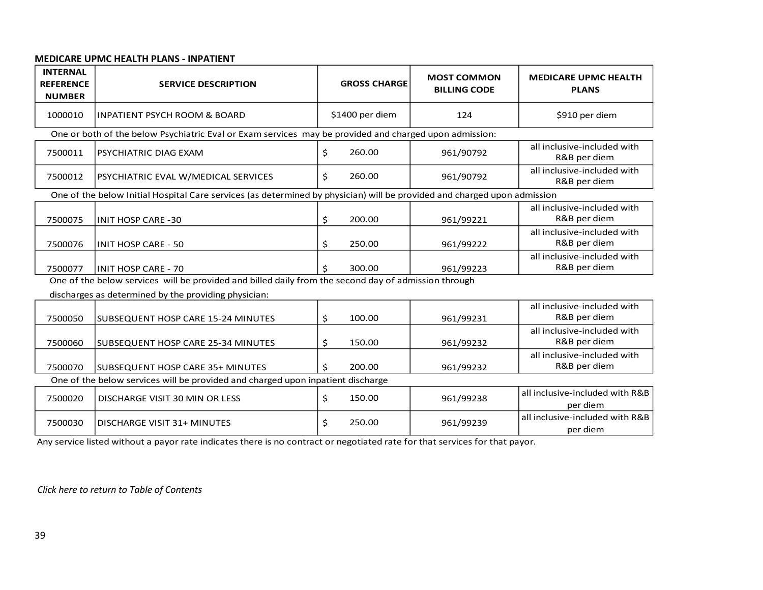# **MEDICARE UPMC HEALTH PLANS - INPATIENT**

| <b>INTERNAL</b><br><b>REFERENCE</b><br><b>NUMBER</b>                                                                     | <b>SERVICE DESCRIPTION</b>                                                                             | <b>GROSS CHARGE</b> |                 | <b>MOST COMMON</b><br><b>BILLING CODE</b> | <b>MEDICARE UPMC HEALTH</b><br><b>PLANS</b> |  |
|--------------------------------------------------------------------------------------------------------------------------|--------------------------------------------------------------------------------------------------------|---------------------|-----------------|-------------------------------------------|---------------------------------------------|--|
| 1000010                                                                                                                  | <b>INPATIENT PSYCH ROOM &amp; BOARD</b>                                                                |                     | \$1400 per diem | 124                                       | \$910 per diem                              |  |
|                                                                                                                          | One or both of the below Psychiatric Eval or Exam services may be provided and charged upon admission: |                     |                 |                                           |                                             |  |
| 7500011                                                                                                                  | PSYCHIATRIC DIAG EXAM                                                                                  | \$                  | 260.00          | 961/90792                                 | all inclusive-included with<br>R&B per diem |  |
| 7500012                                                                                                                  | PSYCHIATRIC EVAL W/MEDICAL SERVICES                                                                    | \$                  | 260.00          | 961/90792                                 | all inclusive-included with<br>R&B per diem |  |
| One of the below Initial Hospital Care services (as determined by physician) will be provided and charged upon admission |                                                                                                        |                     |                 |                                           |                                             |  |
| 7500075                                                                                                                  | <b>INIT HOSP CARE -30</b>                                                                              | \$                  | 200.00          | 961/99221                                 | all inclusive-included with<br>R&B per diem |  |
| 7500076                                                                                                                  | <b>INIT HOSP CARE - 50</b>                                                                             | \$                  | 250.00          | 961/99222                                 | all inclusive-included with<br>R&B per diem |  |
| 7500077                                                                                                                  | IINIT HOSP CARE - 70                                                                                   | Ś                   | 300.00          | 961/99223                                 | all inclusive-included with<br>R&B per diem |  |
|                                                                                                                          | One of the below services will be provided and billed daily from the second day of admission through   |                     |                 |                                           |                                             |  |
|                                                                                                                          | discharges as determined by the providing physician:                                                   |                     |                 |                                           |                                             |  |
| 7500050                                                                                                                  | SUBSEQUENT HOSP CARE 15-24 MINUTES                                                                     | \$                  | 100.00          | 961/99231                                 | all inclusive-included with<br>R&B per diem |  |
| 7500060                                                                                                                  | SUBSEQUENT HOSP CARE 25-34 MINUTES                                                                     | Ś.                  | 150.00          | 961/99232                                 | all inclusive-included with<br>R&B per diem |  |
| 7500070                                                                                                                  | SUBSEQUENT HOSP CARE 35+ MINUTES                                                                       | Ś.                  | 200.00          | 961/99232                                 | all inclusive-included with<br>R&B per diem |  |
|                                                                                                                          | One of the below services will be provided and charged upon inpatient discharge                        |                     |                 |                                           |                                             |  |
| 7500020                                                                                                                  | DISCHARGE VISIT 30 MIN OR LESS                                                                         | \$                  | 150.00          | 961/99238                                 | all inclusive-included with R&B<br>per diem |  |
| 7500030                                                                                                                  | <b>DISCHARGE VISIT 31+ MINUTES</b>                                                                     | \$                  | 250.00          | 961/99239                                 | all inclusive-included with R&B<br>per diem |  |

Any service listed without a payor rate indicates there is no contract or negotiated rate for that services for that payor.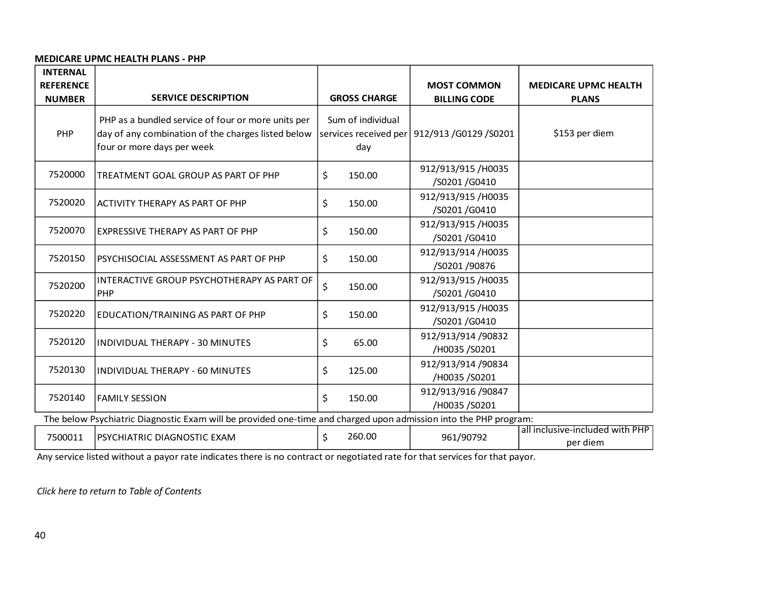### **MEDICARE UPMC HEALTH PLANS - PHP**

| <b>INTERNAL</b><br><b>REFERENCE</b><br><b>NUMBER</b> | <b>SERVICE DESCRIPTION</b>                                                                                                             | <b>GROSS CHARGE</b>      | <b>MOST COMMON</b><br><b>BILLING CODE</b>       | <b>MEDICARE UPMC HEALTH</b><br><b>PLANS</b> |
|------------------------------------------------------|----------------------------------------------------------------------------------------------------------------------------------------|--------------------------|-------------------------------------------------|---------------------------------------------|
| PHP                                                  | PHP as a bundled service of four or more units per<br>day of any combination of the charges listed below<br>four or more days per week | Sum of individual<br>day | services received per   912/913 / G0129 / S0201 | \$153 per diem                              |
| 7520000                                              | TREATMENT GOAL GROUP AS PART OF PHP                                                                                                    | \$<br>150.00             | 912/913/915/H0035<br>/S0201 /G0410              |                                             |
| 7520020                                              | LACTIVITY THERAPY AS PART OF PHP                                                                                                       | \$<br>150.00             | 912/913/915/H0035<br>/S0201 /G0410              |                                             |
| 7520070                                              | <b>EXPRESSIVE THERAPY AS PART OF PHP</b>                                                                                               | \$<br>150.00             | 912/913/915/H0035<br>/S0201 /G0410              |                                             |
| 7520150                                              | PSYCHISOCIAL ASSESSMENT AS PART OF PHP                                                                                                 | \$<br>150.00             | 912/913/914 /H0035<br>/S0201 /90876             |                                             |
| 7520200                                              | INTERACTIVE GROUP PSYCHOTHERAPY AS PART OF<br>PHP                                                                                      | \$<br>150.00             | 912/913/915/H0035<br>/S0201 /G0410              |                                             |
| 7520220                                              | EDUCATION/TRAINING AS PART OF PHP                                                                                                      | \$<br>150.00             | 912/913/915/H0035<br>/S0201 /G0410              |                                             |
| 7520120                                              | <b>INDIVIDUAL THERAPY - 30 MINUTES</b>                                                                                                 | \$<br>65.00              | 912/913/914 /90832<br>/H0035 /S0201             |                                             |
| 7520130                                              | INDIVIDUAL THERAPY - 60 MINUTES                                                                                                        | \$<br>125.00             | 912/913/914 /90834<br>/H0035 /S0201             |                                             |
| 7520140                                              | <b>FAMILY SESSION</b>                                                                                                                  | \$<br>150.00             | 912/913/916 /90847<br>/H0035 /S0201             |                                             |
|                                                      | The below Psychiatric Diagnostic Exam will be provided one-time and charged upon admission into the PHP program:                       |                          |                                                 |                                             |
| 7500011                                              | PSYCHIATRIC DIAGNOSTIC EXAM                                                                                                            | 260.00<br>\$             | 961/90792                                       | all inclusive-included with PHP<br>per diem |

Any service listed without a payor rate indicates there is no contract or negotiated rate for that services for that payor.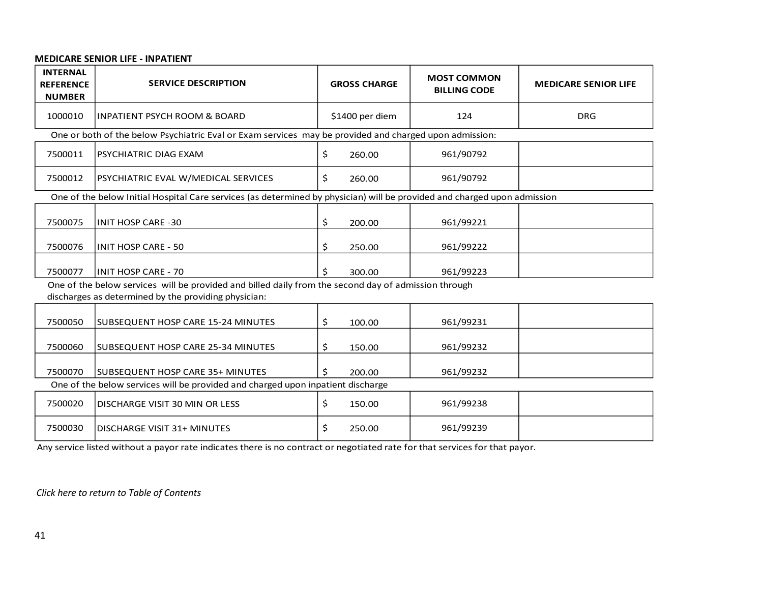## **MEDICARE SENIOR LIFE - INPATIENT**

| <b>INTERNAL</b><br><b>REFERENCE</b><br><b>NUMBER</b> | <b>SERVICE DESCRIPTION</b>                                                                                                                                   | <b>GROSS CHARGE</b> | <b>MOST COMMON</b><br><b>BILLING CODE</b> | <b>MEDICARE SENIOR LIFE</b> |
|------------------------------------------------------|--------------------------------------------------------------------------------------------------------------------------------------------------------------|---------------------|-------------------------------------------|-----------------------------|
| 1000010                                              | <b>INPATIENT PSYCH ROOM &amp; BOARD</b>                                                                                                                      | \$1400 per diem     | 124                                       | <b>DRG</b>                  |
|                                                      | One or both of the below Psychiatric Eval or Exam services may be provided and charged upon admission:                                                       |                     |                                           |                             |
| 7500011                                              | PSYCHIATRIC DIAG EXAM                                                                                                                                        | \$<br>260.00        | 961/90792                                 |                             |
| 7500012                                              | PSYCHIATRIC EVAL W/MEDICAL SERVICES                                                                                                                          | \$<br>260.00        | 961/90792                                 |                             |
|                                                      | One of the below Initial Hospital Care services (as determined by physician) will be provided and charged upon admission                                     |                     |                                           |                             |
| 7500075                                              | <b>INIT HOSP CARE -30</b>                                                                                                                                    | \$<br>200.00        | 961/99221                                 |                             |
| 7500076                                              | INIT HOSP CARE - 50                                                                                                                                          | \$<br>250.00        | 961/99222                                 |                             |
| 7500077                                              | <b>INIT HOSP CARE - 70</b>                                                                                                                                   | Ś<br>300.00         | 961/99223                                 |                             |
|                                                      | One of the below services will be provided and billed daily from the second day of admission through<br>discharges as determined by the providing physician: |                     |                                           |                             |
| 7500050                                              | <b>SUBSEQUENT HOSP CARE 15-24 MINUTES</b>                                                                                                                    | \$<br>100.00        | 961/99231                                 |                             |
| 7500060                                              | <b>SUBSEQUENT HOSP CARE 25-34 MINUTES</b>                                                                                                                    | \$<br>150.00        | 961/99232                                 |                             |
| 7500070                                              | <b>SUBSEQUENT HOSP CARE 35+ MINUTES</b>                                                                                                                      | \$<br>200.00        | 961/99232                                 |                             |
|                                                      | One of the below services will be provided and charged upon inpatient discharge                                                                              |                     |                                           |                             |
| 7500020                                              | DISCHARGE VISIT 30 MIN OR LESS                                                                                                                               | \$<br>150.00        | 961/99238                                 |                             |
| 7500030                                              | <b>DISCHARGE VISIT 31+ MINUTES</b>                                                                                                                           | \$<br>250.00        | 961/99239                                 |                             |

Any service listed without a payor rate indicates there is no contract or negotiated rate for that services for that payor.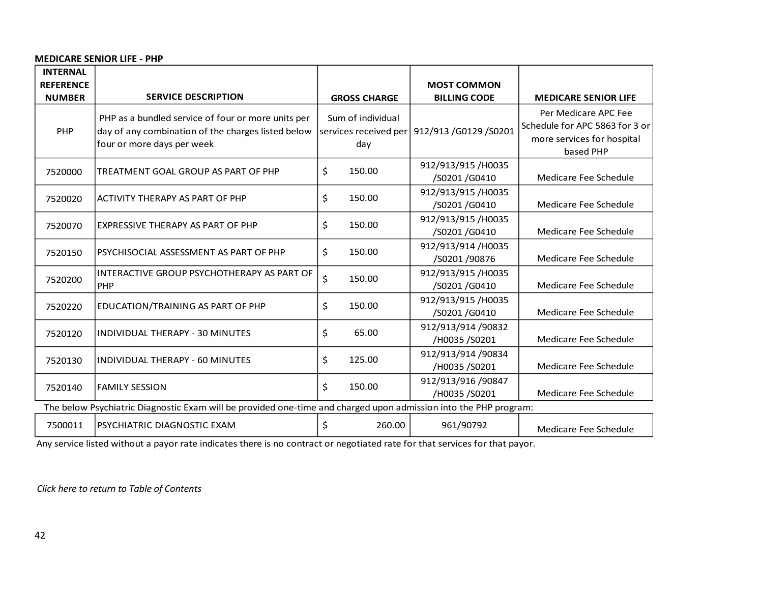### **MEDICARE SENIOR LIFE - PHP**

| <b>INTERNAL</b>                   |                                                                                                                                        |                                                   |                                           |                                                                                                   |
|-----------------------------------|----------------------------------------------------------------------------------------------------------------------------------------|---------------------------------------------------|-------------------------------------------|---------------------------------------------------------------------------------------------------|
| <b>REFERENCE</b><br><b>NUMBER</b> | <b>SERVICE DESCRIPTION</b>                                                                                                             | <b>GROSS CHARGE</b>                               | <b>MOST COMMON</b><br><b>BILLING CODE</b> | <b>MEDICARE SENIOR LIFE</b>                                                                       |
| PHP                               | PHP as a bundled service of four or more units per<br>day of any combination of the charges listed below<br>four or more days per week | Sum of individual<br>services received per<br>day | 912/913 / G0129 / S0201                   | Per Medicare APC Fee<br>Schedule for APC 5863 for 3 or<br>more services for hospital<br>based PHP |
| 7520000                           | TREATMENT GOAL GROUP AS PART OF PHP                                                                                                    | \$<br>150.00                                      | 912/913/915/H0035<br>/S0201 /G0410        | Medicare Fee Schedule                                                                             |
| 7520020                           | ACTIVITY THERAPY AS PART OF PHP                                                                                                        | \$<br>150.00                                      | 912/913/915/H0035<br>/S0201 /G0410        | Medicare Fee Schedule                                                                             |
| 7520070                           | EXPRESSIVE THERAPY AS PART OF PHP                                                                                                      | \$<br>150.00                                      | 912/913/915/H0035<br>/S0201 /G0410        | Medicare Fee Schedule                                                                             |
| 7520150                           | PSYCHISOCIAL ASSESSMENT AS PART OF PHP                                                                                                 | \$<br>150.00                                      | 912/913/914 /H0035<br>/S0201 /90876       | Medicare Fee Schedule                                                                             |
| 7520200                           | INTERACTIVE GROUP PSYCHOTHERAPY AS PART OF<br>PHP                                                                                      | \$<br>150.00                                      | 912/913/915/H0035<br>/S0201 /G0410        | Medicare Fee Schedule                                                                             |
| 7520220                           | EDUCATION/TRAINING AS PART OF PHP                                                                                                      | \$<br>150.00                                      | 912/913/915/H0035<br>/S0201 /G0410        | Medicare Fee Schedule                                                                             |
| 7520120                           | INDIVIDUAL THERAPY - 30 MINUTES                                                                                                        | 65.00<br>\$                                       | 912/913/914 /90832<br>/H0035 /S0201       | Medicare Fee Schedule                                                                             |
| 7520130                           | INDIVIDUAL THERAPY - 60 MINUTES                                                                                                        | \$<br>125.00                                      | 912/913/914 /90834<br>/H0035 /S0201       | Medicare Fee Schedule                                                                             |
| 7520140                           | <b>FAMILY SESSION</b>                                                                                                                  | \$<br>150.00                                      | 912/913/916 /90847<br>/H0035 /S0201       | Medicare Fee Schedule                                                                             |
|                                   | The below Psychiatric Diagnostic Exam will be provided one-time and charged upon admission into the PHP program:                       |                                                   |                                           |                                                                                                   |
| 7500011                           | PSYCHIATRIC DIAGNOSTIC EXAM                                                                                                            | \$<br>260.00                                      | 961/90792                                 | Medicare Fee Schedule                                                                             |

Any service listed without a payor rate indicates there is no contract or negotiated rate for that services for that payor.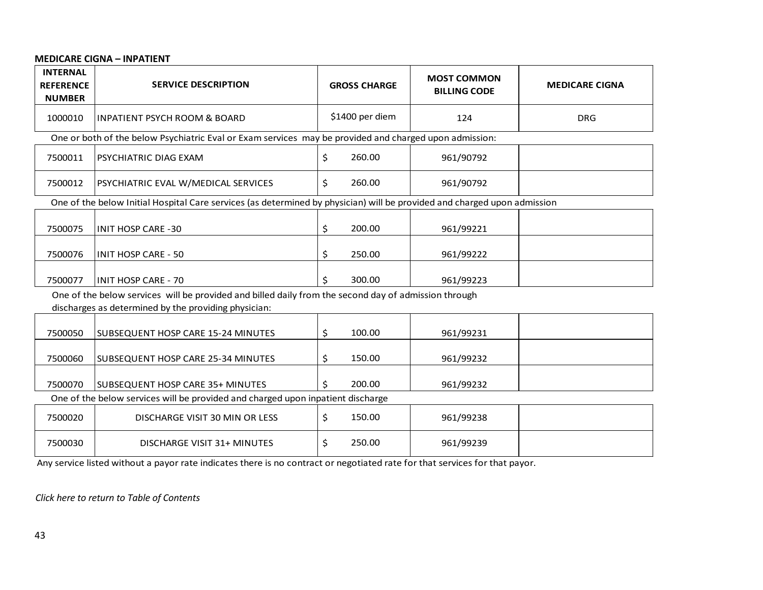# **MEDICARE CIGNA – INPATIENT**

| <b>INTERNAL</b><br><b>REFERENCE</b><br><b>NUMBER</b> | <b>SERVICE DESCRIPTION</b>                                                                                                                                   | <b>GROSS CHARGE</b> | <b>MOST COMMON</b><br><b>BILLING CODE</b> | <b>MEDICARE CIGNA</b> |
|------------------------------------------------------|--------------------------------------------------------------------------------------------------------------------------------------------------------------|---------------------|-------------------------------------------|-----------------------|
| 1000010                                              | <b>INPATIENT PSYCH ROOM &amp; BOARD</b>                                                                                                                      | \$1400 per diem     | 124                                       | <b>DRG</b>            |
|                                                      | One or both of the below Psychiatric Eval or Exam services may be provided and charged upon admission:                                                       |                     |                                           |                       |
| 7500011                                              | PSYCHIATRIC DIAG EXAM                                                                                                                                        | \$<br>260.00        | 961/90792                                 |                       |
| 7500012                                              | PSYCHIATRIC EVAL W/MEDICAL SERVICES                                                                                                                          | \$<br>260.00        | 961/90792                                 |                       |
|                                                      | One of the below Initial Hospital Care services (as determined by physician) will be provided and charged upon admission                                     |                     |                                           |                       |
| 7500075                                              | <b>INIT HOSP CARE -30</b>                                                                                                                                    | 200.00<br>\$        | 961/99221                                 |                       |
| 7500076                                              | <b>INIT HOSP CARE - 50</b>                                                                                                                                   | \$<br>250.00        | 961/99222                                 |                       |
| 7500077                                              | <b>INIT HOSP CARE - 70</b>                                                                                                                                   | Ś<br>300.00         | 961/99223                                 |                       |
|                                                      | One of the below services will be provided and billed daily from the second day of admission through<br>discharges as determined by the providing physician: |                     |                                           |                       |
| 7500050                                              | SUBSEQUENT HOSP CARE 15-24 MINUTES                                                                                                                           | \$<br>100.00        | 961/99231                                 |                       |
| 7500060                                              | SUBSEQUENT HOSP CARE 25-34 MINUTES                                                                                                                           | 150.00<br>\$        | 961/99232                                 |                       |
| 7500070                                              | <b>SUBSEQUENT HOSP CARE 35+ MINUTES</b>                                                                                                                      | 200.00              | 961/99232                                 |                       |
|                                                      | One of the below services will be provided and charged upon inpatient discharge                                                                              |                     |                                           |                       |
| 7500020                                              | DISCHARGE VISIT 30 MIN OR LESS                                                                                                                               | 150.00<br>\$        | 961/99238                                 |                       |
| 7500030                                              | <b>DISCHARGE VISIT 31+ MINUTES</b>                                                                                                                           | 250.00<br>\$        | 961/99239                                 |                       |

Any service listed without a payor rate indicates there is no contract or negotiated rate for that services for that payor.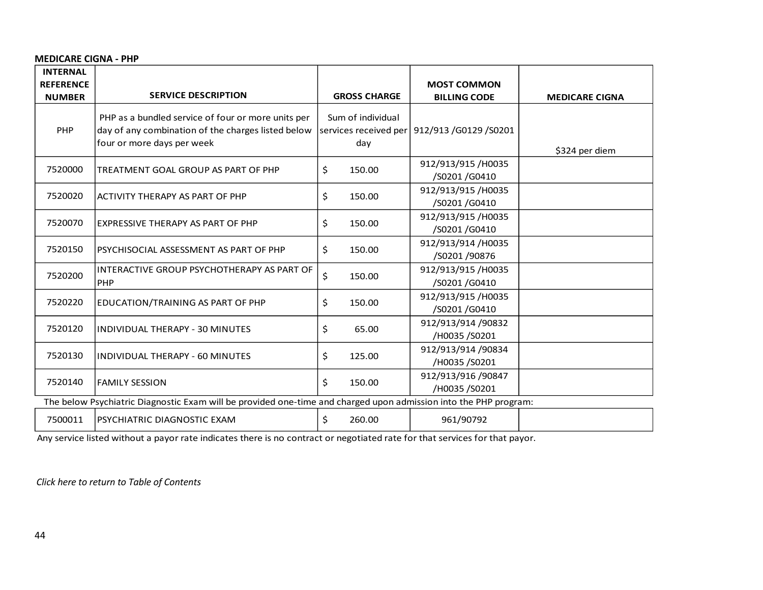## **MEDICARE CIGNA - PHP**

| <b>INTERNAL</b><br><b>REFERENCE</b><br><b>NUMBER</b> | <b>SERVICE DESCRIPTION</b>                                                                                                             | <b>GROSS CHARGE</b>      | <b>MOST COMMON</b><br><b>BILLING CODE</b>       | <b>MEDICARE CIGNA</b> |
|------------------------------------------------------|----------------------------------------------------------------------------------------------------------------------------------------|--------------------------|-------------------------------------------------|-----------------------|
| PHP                                                  | PHP as a bundled service of four or more units per<br>day of any combination of the charges listed below<br>four or more days per week | Sum of individual<br>day | services received per   912/913 / G0129 / S0201 | \$324 per diem        |
| 7520000                                              | TREATMENT GOAL GROUP AS PART OF PHP                                                                                                    | \$<br>150.00             | 912/913/915/H0035<br>/S0201 /G0410              |                       |
| 7520020                                              | ACTIVITY THERAPY AS PART OF PHP                                                                                                        | \$<br>150.00             | 912/913/915/H0035<br>/S0201 /G0410              |                       |
| 7520070                                              | <b>EXPRESSIVE THERAPY AS PART OF PHP</b>                                                                                               | \$<br>150.00             | 912/913/915/H0035<br>/S0201 /G0410              |                       |
| 7520150                                              | PSYCHISOCIAL ASSESSMENT AS PART OF PHP                                                                                                 | \$<br>150.00             | 912/913/914/H0035<br>/S0201 /90876              |                       |
| 7520200                                              | INTERACTIVE GROUP PSYCHOTHERAPY AS PART OF<br>PHP                                                                                      | \$<br>150.00             | 912/913/915/H0035<br>/S0201 /G0410              |                       |
| 7520220                                              | EDUCATION/TRAINING AS PART OF PHP                                                                                                      | \$<br>150.00             | 912/913/915/H0035<br>/S0201 /G0410              |                       |
| 7520120                                              | INDIVIDUAL THERAPY - 30 MINUTES                                                                                                        | \$<br>65.00              | 912/913/914 /90832<br>/H0035 /S0201             |                       |
| 7520130                                              | INDIVIDUAL THERAPY - 60 MINUTES                                                                                                        | \$<br>125.00             | 912/913/914 /90834<br>/H0035 /S0201             |                       |
| 7520140                                              | <b>FAMILY SESSION</b>                                                                                                                  | \$<br>150.00             | 912/913/916 /90847<br>/H0035 /S0201             |                       |
|                                                      | The below Psychiatric Diagnostic Exam will be provided one-time and charged upon admission into the PHP program:                       |                          |                                                 |                       |
| 7500011                                              | PSYCHIATRIC DIAGNOSTIC EXAM                                                                                                            | \$<br>260.00             | 961/90792                                       |                       |

Any service listed without a payor rate indicates there is no contract or negotiated rate for that services for that payor.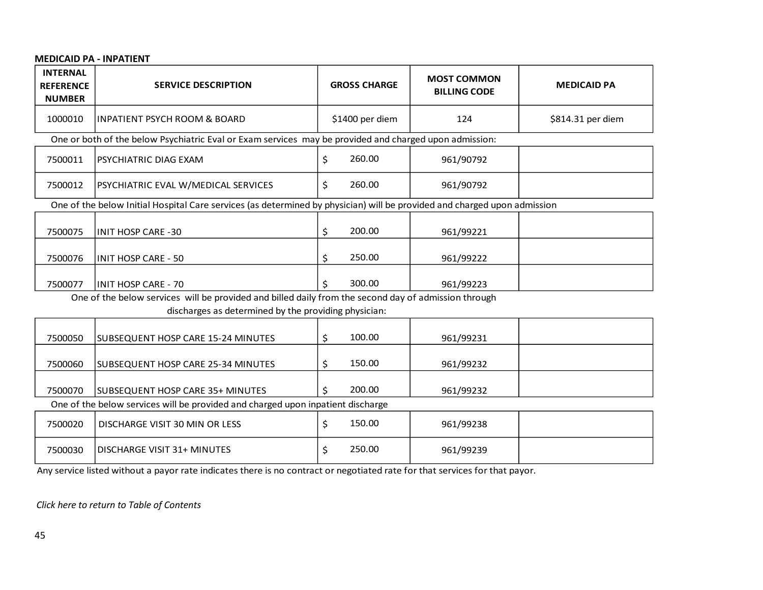# **MEDICAID PA - INPATIENT**

| <b>INTERNAL</b><br><b>REFERENCE</b><br><b>NUMBER</b>                                                                     | <b>SERVICE DESCRIPTION</b>                                                                             |    | <b>GROSS CHARGE</b> | <b>MOST COMMON</b><br><b>BILLING CODE</b> | <b>MEDICAID PA</b> |  |
|--------------------------------------------------------------------------------------------------------------------------|--------------------------------------------------------------------------------------------------------|----|---------------------|-------------------------------------------|--------------------|--|
| 1000010                                                                                                                  | <b>INPATIENT PSYCH ROOM &amp; BOARD</b>                                                                |    | \$1400 per diem     | 124                                       | \$814.31 per diem  |  |
|                                                                                                                          | One or both of the below Psychiatric Eval or Exam services may be provided and charged upon admission: |    |                     |                                           |                    |  |
| 7500011                                                                                                                  | PSYCHIATRIC DIAG EXAM                                                                                  | \$ | 260.00              | 961/90792                                 |                    |  |
| 7500012                                                                                                                  | PSYCHIATRIC EVAL W/MEDICAL SERVICES                                                                    | \$ | 260.00              | 961/90792                                 |                    |  |
| One of the below Initial Hospital Care services (as determined by physician) will be provided and charged upon admission |                                                                                                        |    |                     |                                           |                    |  |
| 7500075                                                                                                                  | <b>INIT HOSP CARE -30</b>                                                                              | \$ | 200.00              | 961/99221                                 |                    |  |
| 7500076                                                                                                                  | <b>INIT HOSP CARE - 50</b>                                                                             | \$ | 250.00              | 961/99222                                 |                    |  |
| 7500077                                                                                                                  | <b>INIT HOSP CARE - 70</b>                                                                             | Ŝ  | 300.00              | 961/99223                                 |                    |  |
|                                                                                                                          | One of the below services will be provided and billed daily from the second day of admission through   |    |                     |                                           |                    |  |
|                                                                                                                          | discharges as determined by the providing physician:                                                   |    |                     |                                           |                    |  |
| 7500050                                                                                                                  | SUBSEQUENT HOSP CARE 15-24 MINUTES                                                                     | \$ | 100.00              | 961/99231                                 |                    |  |
| 7500060                                                                                                                  | SUBSEQUENT HOSP CARE 25-34 MINUTES                                                                     | \$ | 150.00              | 961/99232                                 |                    |  |
| 7500070                                                                                                                  | <b>SUBSEQUENT HOSP CARE 35+ MINUTES</b>                                                                | Ŝ. | 200.00              | 961/99232                                 |                    |  |
|                                                                                                                          | One of the below services will be provided and charged upon inpatient discharge                        |    |                     |                                           |                    |  |
| 7500020                                                                                                                  | DISCHARGE VISIT 30 MIN OR LESS                                                                         | \$ | 150.00              | 961/99238                                 |                    |  |
| 7500030                                                                                                                  | <b>DISCHARGE VISIT 31+ MINUTES</b>                                                                     | \$ | 250.00              | 961/99239                                 |                    |  |

Any service listed without a payor rate indicates there is no contract or negotiated rate for that services for that payor.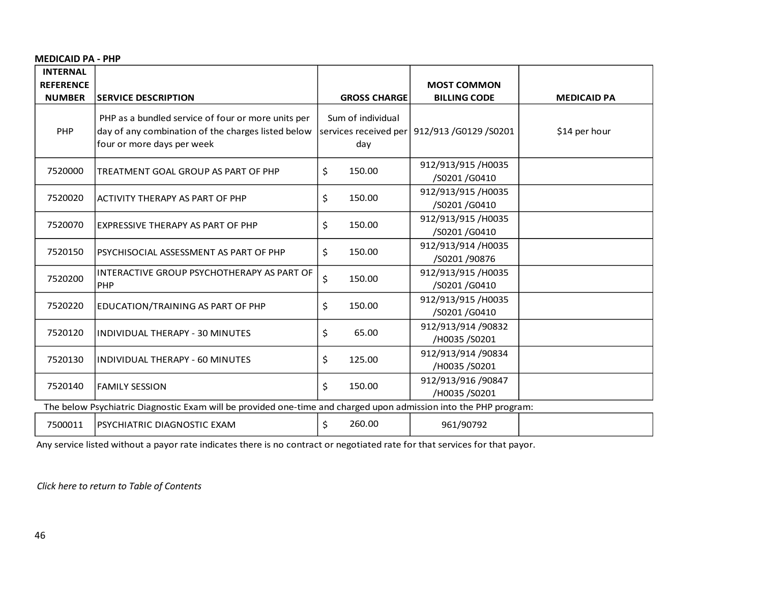**MEDICAID PA - PHP**

| <b>INTERNAL</b>                   |                                                                                                                                        |                                                   |                                           |                    |
|-----------------------------------|----------------------------------------------------------------------------------------------------------------------------------------|---------------------------------------------------|-------------------------------------------|--------------------|
| <b>REFERENCE</b><br><b>NUMBER</b> | <b>ISERVICE DESCRIPTION</b>                                                                                                            | <b>GROSS CHARGE</b>                               | <b>MOST COMMON</b><br><b>BILLING CODE</b> | <b>MEDICAID PA</b> |
| PHP                               | PHP as a bundled service of four or more units per<br>day of any combination of the charges listed below<br>four or more days per week | Sum of individual<br>services received per<br>day | 912/913 /G0129 /S0201                     | \$14 per hour      |
| 7520000                           | TREATMENT GOAL GROUP AS PART OF PHP                                                                                                    | \$<br>150.00                                      | 912/913/915/H0035<br>/S0201 /G0410        |                    |
| 7520020                           | IACTIVITY THERAPY AS PART OF PHP                                                                                                       | \$<br>150.00                                      | 912/913/915/H0035<br>/S0201 /G0410        |                    |
| 7520070                           | EXPRESSIVE THERAPY AS PART OF PHP                                                                                                      | \$<br>150.00                                      | 912/913/915/H0035<br>/S0201 /G0410        |                    |
| 7520150                           | PSYCHISOCIAL ASSESSMENT AS PART OF PHP                                                                                                 | \$<br>150.00                                      | 912/913/914 /H0035<br>/S0201 /90876       |                    |
| 7520200                           | INTERACTIVE GROUP PSYCHOTHERAPY AS PART OF<br>PHP                                                                                      | \$<br>150.00                                      | 912/913/915/H0035<br>/S0201 /G0410        |                    |
| 7520220                           | EDUCATION/TRAINING AS PART OF PHP                                                                                                      | \$<br>150.00                                      | 912/913/915/H0035<br>/S0201 /G0410        |                    |
| 7520120                           | <b>INDIVIDUAL THERAPY - 30 MINUTES</b>                                                                                                 | \$<br>65.00                                       | 912/913/914 /90832<br>/H0035 /S0201       |                    |
| 7520130                           | <b>INDIVIDUAL THERAPY - 60 MINUTES</b>                                                                                                 | \$<br>125.00                                      | 912/913/914 /90834<br>/H0035 /S0201       |                    |
| 7520140                           | FAMILY SESSION                                                                                                                         | \$<br>150.00                                      | 912/913/916 /90847<br>/H0035 /S0201       |                    |
|                                   | The below Psychiatric Diagnostic Exam will be provided one-time and charged upon admission into the PHP program:                       |                                                   |                                           |                    |
| 7500011                           | PSYCHIATRIC DIAGNOSTIC EXAM                                                                                                            | 260.00<br>Ś.                                      | 961/90792                                 |                    |

Any service listed without a payor rate indicates there is no contract or negotiated rate for that services for that payor.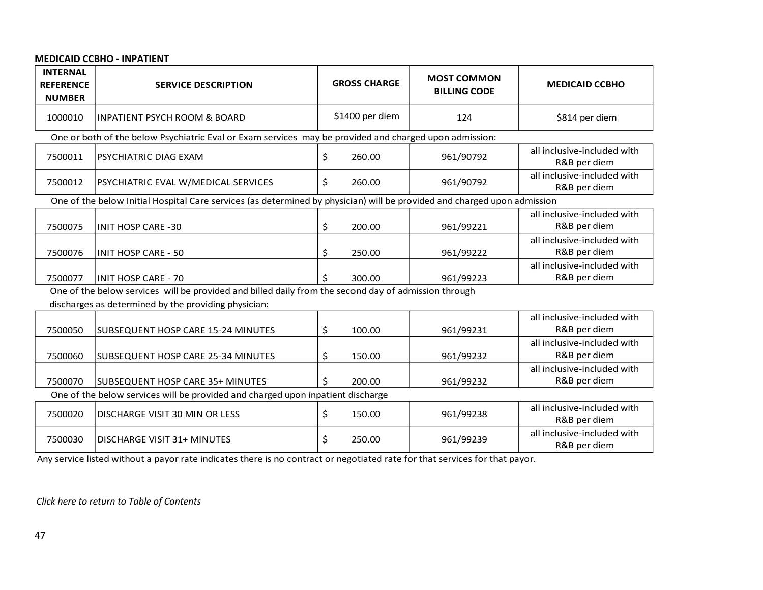# **MEDICAID CCBHO - INPATIENT**

| <b>SERVICE DESCRIPTION</b>                                                                             | <b>GROSS CHARGE</b>                                  |  |                                                                                                                                                                                                        |                                                                                                      | <b>MEDICAID CCBHO</b>                                                                                                                                                                                                                                                                                   |  |  |  |
|--------------------------------------------------------------------------------------------------------|------------------------------------------------------|--|--------------------------------------------------------------------------------------------------------------------------------------------------------------------------------------------------------|------------------------------------------------------------------------------------------------------|---------------------------------------------------------------------------------------------------------------------------------------------------------------------------------------------------------------------------------------------------------------------------------------------------------|--|--|--|
| <b>INPATIENT PSYCH ROOM &amp; BOARD</b>                                                                |                                                      |  | 124                                                                                                                                                                                                    |                                                                                                      | \$814 per diem                                                                                                                                                                                                                                                                                          |  |  |  |
| One or both of the below Psychiatric Eval or Exam services may be provided and charged upon admission: |                                                      |  |                                                                                                                                                                                                        |                                                                                                      |                                                                                                                                                                                                                                                                                                         |  |  |  |
| PSYCHIATRIC DIAG EXAM                                                                                  | \$                                                   |  |                                                                                                                                                                                                        |                                                                                                      | all inclusive-included with<br>R&B per diem                                                                                                                                                                                                                                                             |  |  |  |
| PSYCHIATRIC EVAL W/MEDICAL SERVICES                                                                    | \$                                                   |  |                                                                                                                                                                                                        |                                                                                                      | all inclusive-included with<br>R&B per diem                                                                                                                                                                                                                                                             |  |  |  |
|                                                                                                        |                                                      |  |                                                                                                                                                                                                        |                                                                                                      |                                                                                                                                                                                                                                                                                                         |  |  |  |
| <b>INIT HOSP CARE -30</b>                                                                              | \$                                                   |  |                                                                                                                                                                                                        |                                                                                                      | all inclusive-included with<br>R&B per diem                                                                                                                                                                                                                                                             |  |  |  |
| <b>INIT HOSP CARE - 50</b>                                                                             | \$                                                   |  |                                                                                                                                                                                                        |                                                                                                      | all inclusive-included with<br>R&B per diem                                                                                                                                                                                                                                                             |  |  |  |
| IINIT HOSP CARE - 70                                                                                   | Ś.                                                   |  |                                                                                                                                                                                                        |                                                                                                      | all inclusive-included with<br>R&B per diem                                                                                                                                                                                                                                                             |  |  |  |
|                                                                                                        |                                                      |  |                                                                                                                                                                                                        |                                                                                                      |                                                                                                                                                                                                                                                                                                         |  |  |  |
| SUBSEQUENT HOSP CARE 15-24 MINUTES                                                                     | \$                                                   |  |                                                                                                                                                                                                        |                                                                                                      | all inclusive-included with<br>R&B per diem                                                                                                                                                                                                                                                             |  |  |  |
| SUBSEQUENT HOSP CARE 25-34 MINUTES                                                                     | \$                                                   |  |                                                                                                                                                                                                        |                                                                                                      | all inclusive-included with<br>R&B per diem                                                                                                                                                                                                                                                             |  |  |  |
| SUBSEQUENT HOSP CARE 35+ MINUTES                                                                       | Ś.                                                   |  |                                                                                                                                                                                                        |                                                                                                      | all inclusive-included with<br>R&B per diem                                                                                                                                                                                                                                                             |  |  |  |
|                                                                                                        |                                                      |  |                                                                                                                                                                                                        |                                                                                                      |                                                                                                                                                                                                                                                                                                         |  |  |  |
| DISCHARGE VISIT 30 MIN OR LESS                                                                         | \$                                                   |  |                                                                                                                                                                                                        |                                                                                                      | all inclusive-included with<br>R&B per diem                                                                                                                                                                                                                                                             |  |  |  |
| <b>DISCHARGE VISIT 31+ MINUTES</b>                                                                     | \$                                                   |  |                                                                                                                                                                                                        |                                                                                                      | all inclusive-included with<br>R&B per diem                                                                                                                                                                                                                                                             |  |  |  |
|                                                                                                        | discharges as determined by the providing physician: |  | \$1400 per diem<br>260.00<br>260.00<br>200.00<br>250.00<br>300.00<br>100.00<br>150.00<br>200.00<br>One of the below services will be provided and charged upon inpatient discharge<br>150.00<br>250.00 | One of the below services will be provided and billed daily from the second day of admission through | <b>MOST COMMON</b><br><b>BILLING CODE</b><br>961/90792<br>961/90792<br>One of the below Initial Hospital Care services (as determined by physician) will be provided and charged upon admission<br>961/99221<br>961/99222<br>961/99223<br>961/99231<br>961/99232<br>961/99232<br>961/99238<br>961/99239 |  |  |  |

Any service listed without a payor rate indicates there is no contract or negotiated rate for that services for that payor.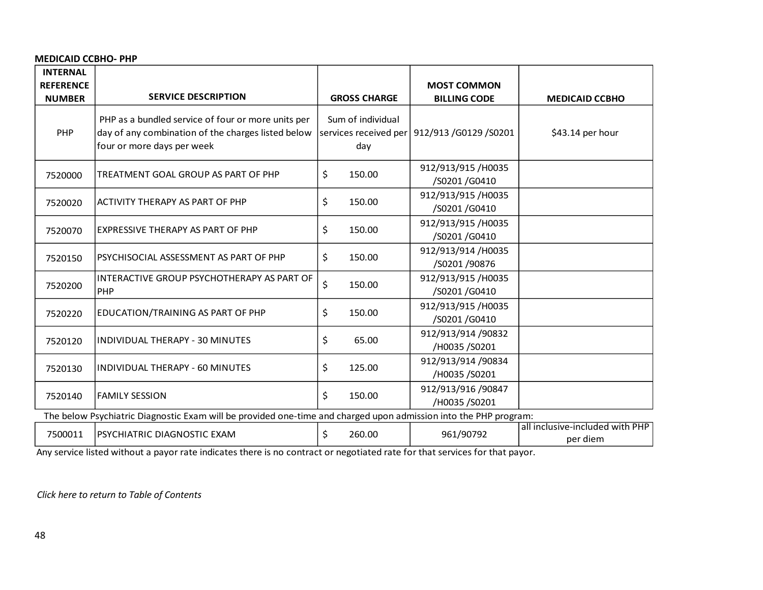# **MEDICAID CCBHO- PHP**

| <b>INTERNAL</b><br><b>REFERENCE</b> |                                                                                                                                        |                                                   | <b>MOST COMMON</b>                  |                                             |
|-------------------------------------|----------------------------------------------------------------------------------------------------------------------------------------|---------------------------------------------------|-------------------------------------|---------------------------------------------|
| <b>NUMBER</b>                       | <b>SERVICE DESCRIPTION</b>                                                                                                             | <b>GROSS CHARGE</b>                               | <b>BILLING CODE</b>                 | <b>MEDICAID CCBHO</b>                       |
| PHP                                 | PHP as a bundled service of four or more units per<br>day of any combination of the charges listed below<br>four or more days per week | Sum of individual<br>services received per<br>day | 912/913 / 60129 / 50201             | \$43.14 per hour                            |
| 7520000                             | TREATMENT GOAL GROUP AS PART OF PHP                                                                                                    | \$<br>150.00                                      | 912/913/915/H0035<br>/S0201 /G0410  |                                             |
| 7520020                             | ACTIVITY THERAPY AS PART OF PHP                                                                                                        | \$<br>150.00                                      | 912/913/915/H0035<br>/S0201 /G0410  |                                             |
| 7520070                             | EXPRESSIVE THERAPY AS PART OF PHP                                                                                                      | \$<br>150.00                                      | 912/913/915/H0035<br>/S0201 /G0410  |                                             |
| 7520150                             | PSYCHISOCIAL ASSESSMENT AS PART OF PHP                                                                                                 | \$<br>150.00                                      | 912/913/914 /H0035<br>/S0201 /90876 |                                             |
| 7520200                             | INTERACTIVE GROUP PSYCHOTHERAPY AS PART OF<br>PHP                                                                                      | \$<br>150.00                                      | 912/913/915/H0035<br>/S0201 /G0410  |                                             |
| 7520220                             | EDUCATION/TRAINING AS PART OF PHP                                                                                                      | \$<br>150.00                                      | 912/913/915/H0035<br>/S0201 /G0410  |                                             |
| 7520120                             | INDIVIDUAL THERAPY - 30 MINUTES                                                                                                        | \$<br>65.00                                       | 912/913/914 /90832<br>/H0035 /S0201 |                                             |
| 7520130                             | INDIVIDUAL THERAPY - 60 MINUTES                                                                                                        | \$<br>125.00                                      | 912/913/914 /90834<br>/H0035 /S0201 |                                             |
| 7520140                             | <b>FAMILY SESSION</b>                                                                                                                  | \$<br>150.00                                      | 912/913/916 /90847<br>/H0035 /S0201 |                                             |
|                                     | The below Psychiatric Diagnostic Exam will be provided one-time and charged upon admission into the PHP program:                       |                                                   |                                     |                                             |
| 7500011                             | PSYCHIATRIC DIAGNOSTIC EXAM                                                                                                            | \$<br>260.00                                      | 961/90792                           | all inclusive-included with PHP<br>per diem |

Any service listed without a payor rate indicates there is no contract or negotiated rate for that services for that payor.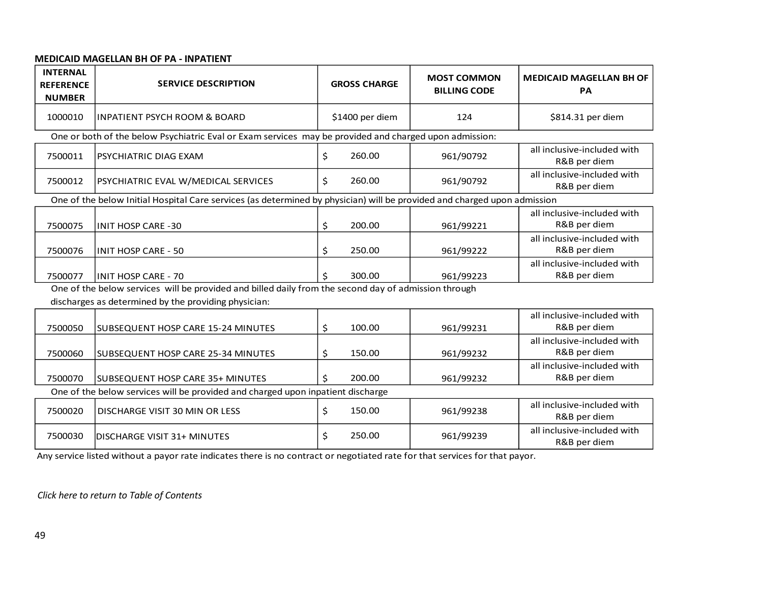## **MEDICAID MAGELLAN BH OF PA - INPATIENT**

| <b>INTERNAL</b>                                                                                                          |                                                                                                        |              |                     | <b>MOST COMMON</b>  | <b>MEDICAID MAGELLAN BH OF</b>              |  |  |  |
|--------------------------------------------------------------------------------------------------------------------------|--------------------------------------------------------------------------------------------------------|--------------|---------------------|---------------------|---------------------------------------------|--|--|--|
| <b>REFERENCE</b><br><b>NUMBER</b>                                                                                        | <b>SERVICE DESCRIPTION</b>                                                                             |              | <b>GROSS CHARGE</b> | <b>BILLING CODE</b> | PA                                          |  |  |  |
| 1000010                                                                                                                  | <b>INPATIENT PSYCH ROOM &amp; BOARD</b>                                                                |              | \$1400 per diem     | 124                 | \$814.31 per diem                           |  |  |  |
|                                                                                                                          | One or both of the below Psychiatric Eval or Exam services may be provided and charged upon admission: |              |                     |                     |                                             |  |  |  |
| 7500011                                                                                                                  | <b>PSYCHIATRIC DIAG EXAM</b>                                                                           | \$           | 260.00              | 961/90792           | all inclusive-included with<br>R&B per diem |  |  |  |
| 7500012                                                                                                                  | PSYCHIATRIC EVAL W/MEDICAL SERVICES                                                                    | $\mathsf{S}$ | 260.00              | 961/90792           | all inclusive-included with<br>R&B per diem |  |  |  |
| One of the below Initial Hospital Care services (as determined by physician) will be provided and charged upon admission |                                                                                                        |              |                     |                     |                                             |  |  |  |
| 7500075                                                                                                                  | <b>INIT HOSP CARE -30</b>                                                                              | \$           | 200.00              | 961/99221           | all inclusive-included with<br>R&B per diem |  |  |  |
| 7500076                                                                                                                  | IINIT HOSP CARE - 50                                                                                   | \$           | 250.00              | 961/99222           | all inclusive-included with<br>R&B per diem |  |  |  |
| 7500077                                                                                                                  | IINIT HOSP CARE - 70                                                                                   | \$           | 300.00              | 961/99223           | all inclusive-included with<br>R&B per diem |  |  |  |
|                                                                                                                          | One of the below services will be provided and billed daily from the second day of admission through   |              |                     |                     |                                             |  |  |  |
|                                                                                                                          | discharges as determined by the providing physician:                                                   |              |                     |                     |                                             |  |  |  |
| 7500050                                                                                                                  | <b>SUBSEQUENT HOSP CARE 15-24 MINUTES</b>                                                              | \$           | 100.00              | 961/99231           | all inclusive-included with<br>R&B per diem |  |  |  |
| 7500060                                                                                                                  | <b>SUBSEQUENT HOSP CARE 25-34 MINUTES</b>                                                              | \$           | 150.00              | 961/99232           | all inclusive-included with<br>R&B per diem |  |  |  |
| 7500070                                                                                                                  | ISUBSEQUENT HOSP CARE 35+ MINUTES                                                                      | \$           | 200.00              | 961/99232           | all inclusive-included with<br>R&B per diem |  |  |  |
|                                                                                                                          | One of the below services will be provided and charged upon inpatient discharge                        |              |                     |                     |                                             |  |  |  |
| 7500020                                                                                                                  | DISCHARGE VISIT 30 MIN OR LESS                                                                         | \$           | 150.00              | 961/99238           | all inclusive-included with<br>R&B per diem |  |  |  |
| 7500030                                                                                                                  | <b>DISCHARGE VISIT 31+ MINUTES</b>                                                                     | \$           | 250.00              | 961/99239           | all inclusive-included with<br>R&B per diem |  |  |  |

Any service listed without a payor rate indicates there is no contract or negotiated rate for that services for that payor.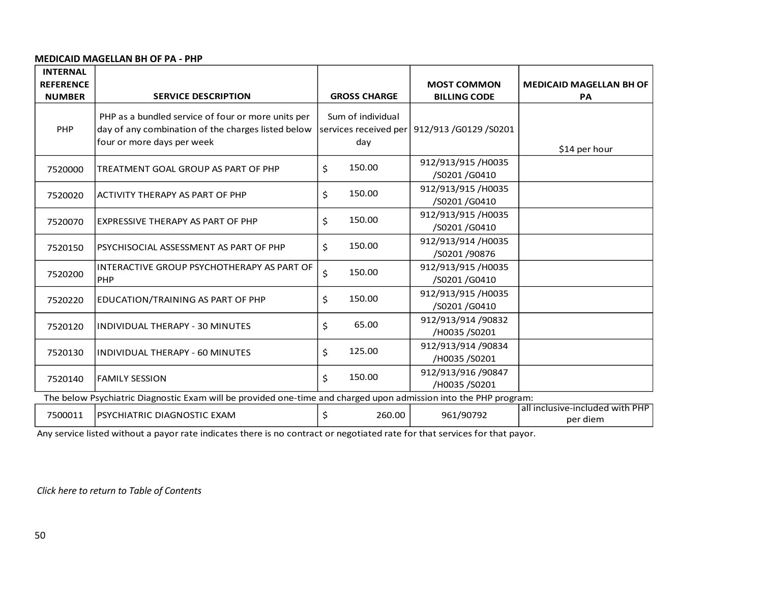#### **MEDICAID MAGELLAN BH OF PA - PHP**

| <b>INTERNAL</b><br><b>REFERENCE</b> |                                                                                                                  |                     | <b>MOST COMMON</b>                            | <b>MEDICAID MAGELLAN BH OF</b>              |
|-------------------------------------|------------------------------------------------------------------------------------------------------------------|---------------------|-----------------------------------------------|---------------------------------------------|
| <b>NUMBER</b>                       | <b>SERVICE DESCRIPTION</b>                                                                                       | <b>GROSS CHARGE</b> | <b>BILLING CODE</b>                           | PA                                          |
| PHP                                 | PHP as a bundled service of four or more units per<br>day of any combination of the charges listed below         | Sum of individual   | services received per 912/913 / G0129 / S0201 |                                             |
|                                     | four or more days per week                                                                                       | day                 |                                               | \$14 per hour                               |
| 7520000                             | TREATMENT GOAL GROUP AS PART OF PHP                                                                              | 150.00<br>\$        | 912/913/915/H0035<br>/S0201 /G0410            |                                             |
| 7520020                             | ACTIVITY THERAPY AS PART OF PHP                                                                                  | \$<br>150.00        | 912/913/915/H0035<br>/S0201 /G0410            |                                             |
| 7520070                             | EXPRESSIVE THERAPY AS PART OF PHP                                                                                | 150.00<br>\$        | 912/913/915/H0035<br>/S0201 /G0410            |                                             |
| 7520150                             | PSYCHISOCIAL ASSESSMENT AS PART OF PHP                                                                           | 150.00<br>\$        | 912/913/914 /H0035<br>/S0201 /90876           |                                             |
| 7520200                             | INTERACTIVE GROUP PSYCHOTHERAPY AS PART OF<br>PHP                                                                | \$<br>150.00        | 912/913/915/H0035<br>/S0201 /G0410            |                                             |
| 7520220                             | EDUCATION/TRAINING AS PART OF PHP                                                                                | 150.00<br>\$        | 912/913/915/H0035<br>/S0201 /G0410            |                                             |
| 7520120                             | INDIVIDUAL THERAPY - 30 MINUTES                                                                                  | 65.00<br>\$         | 912/913/914 /90832<br>/H0035 /S0201           |                                             |
| 7520130                             | INDIVIDUAL THERAPY - 60 MINUTES                                                                                  | 125.00<br>\$        | 912/913/914 /90834<br>/H0035 /S0201           |                                             |
| 7520140                             | <b>FAMILY SESSION</b>                                                                                            | 150.00<br>\$        | 912/913/916 /90847<br>/H0035 /S0201           |                                             |
|                                     | The below Psychiatric Diagnostic Exam will be provided one-time and charged upon admission into the PHP program: |                     |                                               |                                             |
| 7500011                             | PSYCHIATRIC DIAGNOSTIC EXAM                                                                                      | \$<br>260.00        | 961/90792                                     | all inclusive-included with PHP<br>per diem |

Any service listed without a payor rate indicates there is no contract or negotiated rate for that services for that payor.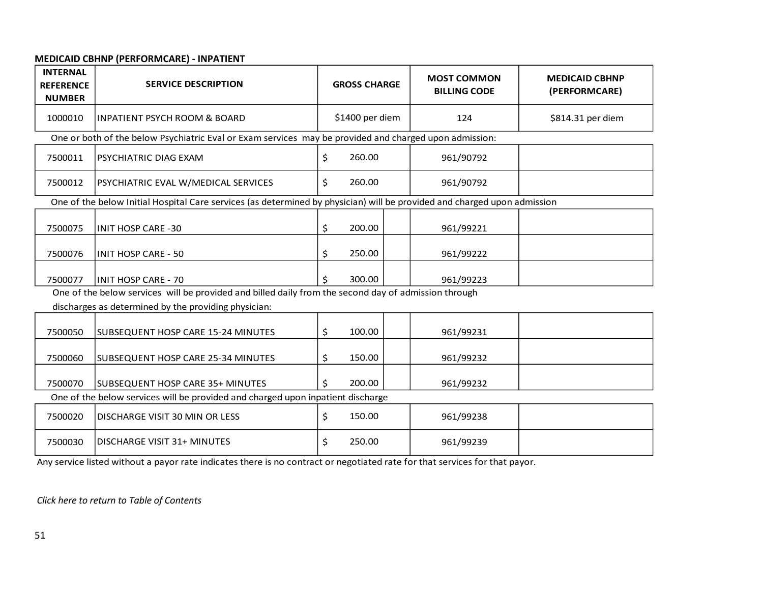# **MEDICAID CBHNP (PERFORMCARE) - INPATIENT**

| <b>INTERNAL</b><br><b>REFERENCE</b><br><b>NUMBER</b> | <b>SERVICE DESCRIPTION</b>                                                                                               |    | <b>GROSS CHARGE</b> | <b>MOST COMMON</b><br><b>BILLING CODE</b> | <b>MEDICAID CBHNP</b><br>(PERFORMCARE) |
|------------------------------------------------------|--------------------------------------------------------------------------------------------------------------------------|----|---------------------|-------------------------------------------|----------------------------------------|
| 1000010                                              | <b>INPATIENT PSYCH ROOM &amp; BOARD</b>                                                                                  |    | \$1400 per diem     | 124                                       | \$814.31 per diem                      |
|                                                      | One or both of the below Psychiatric Eval or Exam services may be provided and charged upon admission:                   |    |                     |                                           |                                        |
| 7500011                                              | PSYCHIATRIC DIAG EXAM                                                                                                    | \$ | 260.00              | 961/90792                                 |                                        |
| 7500012                                              | PSYCHIATRIC EVAL W/MEDICAL SERVICES                                                                                      | Ś. | 260.00              | 961/90792                                 |                                        |
|                                                      | One of the below Initial Hospital Care services (as determined by physician) will be provided and charged upon admission |    |                     |                                           |                                        |
| 7500075                                              | <b>INIT HOSP CARE -30</b>                                                                                                | \$ | 200.00              | 961/99221                                 |                                        |
| 7500076                                              | <b>INIT HOSP CARE - 50</b>                                                                                               | \$ | 250.00              | 961/99222                                 |                                        |
| 7500077                                              | <b>INIT HOSP CARE - 70</b>                                                                                               | Ś  | 300.00              | 961/99223                                 |                                        |
|                                                      | One of the below services will be provided and billed daily from the second day of admission through                     |    |                     |                                           |                                        |
|                                                      | discharges as determined by the providing physician:                                                                     |    |                     |                                           |                                        |
| 7500050                                              | SUBSEQUENT HOSP CARE 15-24 MINUTES                                                                                       | \$ | 100.00              | 961/99231                                 |                                        |
| 7500060                                              | SUBSEQUENT HOSP CARE 25-34 MINUTES                                                                                       | \$ | 150.00              | 961/99232                                 |                                        |
| 7500070                                              | <b>SUBSEQUENT HOSP CARE 35+ MINUTES</b>                                                                                  | Ś  | 200.00              | 961/99232                                 |                                        |
|                                                      | One of the below services will be provided and charged upon inpatient discharge                                          |    |                     |                                           |                                        |
| 7500020                                              | DISCHARGE VISIT 30 MIN OR LESS                                                                                           | \$ | 150.00              | 961/99238                                 |                                        |
| 7500030                                              | DISCHARGE VISIT 31+ MINUTES                                                                                              | \$ | 250.00              | 961/99239                                 |                                        |

Any service listed without a payor rate indicates there is no contract or negotiated rate for that services for that payor.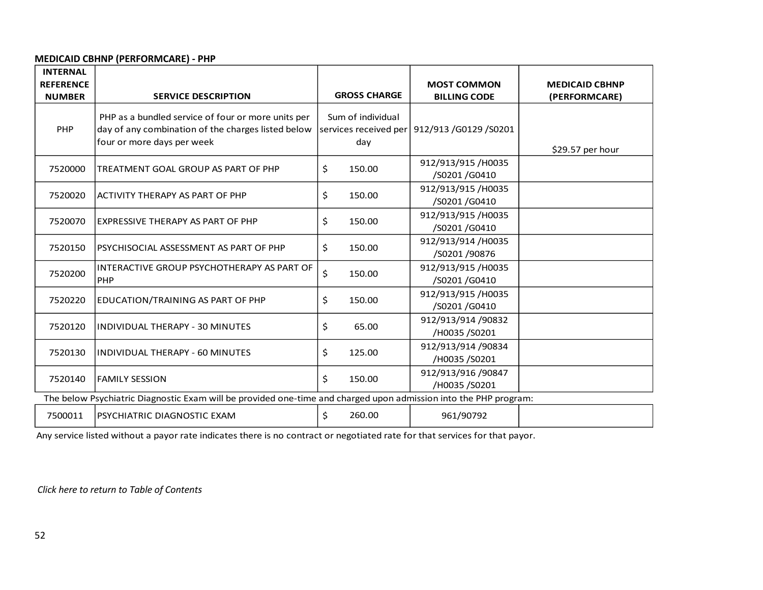# **MEDICAID CBHNP (PERFORMCARE) - PHP**

| <b>INTERNAL</b>                   |                                                                                                                                        |                                                   |                                           |                                        |
|-----------------------------------|----------------------------------------------------------------------------------------------------------------------------------------|---------------------------------------------------|-------------------------------------------|----------------------------------------|
| <b>REFERENCE</b><br><b>NUMBER</b> | <b>SERVICE DESCRIPTION</b>                                                                                                             | <b>GROSS CHARGE</b>                               | <b>MOST COMMON</b><br><b>BILLING CODE</b> | <b>MEDICAID CBHNP</b><br>(PERFORMCARE) |
| PHP                               | PHP as a bundled service of four or more units per<br>day of any combination of the charges listed below<br>four or more days per week | Sum of individual<br>services received per<br>day | 912/913 /G0129 /S0201                     | \$29.57 per hour                       |
| 7520000                           | TREATMENT GOAL GROUP AS PART OF PHP                                                                                                    | \$<br>150.00                                      | 912/913/915/H0035<br>/S0201 /G0410        |                                        |
| 7520020                           | <b>ACTIVITY THERAPY AS PART OF PHP</b>                                                                                                 | \$<br>150.00                                      | 912/913/915/H0035<br>/S0201 /G0410        |                                        |
| 7520070                           | <b>EXPRESSIVE THERAPY AS PART OF PHP</b>                                                                                               | \$<br>150.00                                      | 912/913/915/H0035<br>/S0201 /G0410        |                                        |
| 7520150                           | PSYCHISOCIAL ASSESSMENT AS PART OF PHP                                                                                                 | \$<br>150.00                                      | 912/913/914 /H0035<br>/S0201 /90876       |                                        |
| 7520200                           | INTERACTIVE GROUP PSYCHOTHERAPY AS PART OF<br>PHP                                                                                      | $\zeta$<br>150.00                                 | 912/913/915/H0035<br>/S0201 /G0410        |                                        |
| 7520220                           | <b>EDUCATION/TRAINING AS PART OF PHP</b>                                                                                               | \$<br>150.00                                      | 912/913/915/H0035<br>/S0201 /G0410        |                                        |
| 7520120                           | INDIVIDUAL THERAPY - 30 MINUTES                                                                                                        | \$<br>65.00                                       | 912/913/914 /90832<br>/H0035 /S0201       |                                        |
| 7520130                           | INDIVIDUAL THERAPY - 60 MINUTES                                                                                                        | \$<br>125.00                                      | 912/913/914 /90834<br>/H0035 /S0201       |                                        |
| 7520140                           | <b>FAMILY SESSION</b>                                                                                                                  | \$<br>150.00                                      | 912/913/916 /90847<br>/H0035 /S0201       |                                        |
|                                   | The below Psychiatric Diagnostic Exam will be provided one-time and charged upon admission into the PHP program:                       |                                                   |                                           |                                        |
| 7500011                           | PSYCHIATRIC DIAGNOSTIC EXAM                                                                                                            | \$<br>260.00                                      | 961/90792                                 |                                        |

Any service listed without a payor rate indicates there is no contract or negotiated rate for that services for that payor.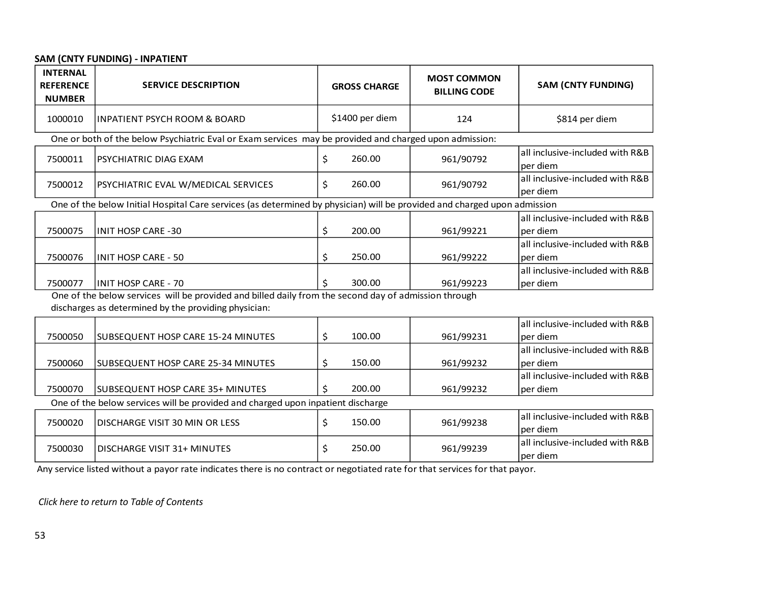# **SAM (CNTY FUNDING) - INPATIENT**

| <b>INTERNAL</b><br><b>REFERENCE</b><br><b>NUMBER</b> | <b>SERVICE DESCRIPTION</b>                                                                                                                                   |    | <b>GROSS CHARGE</b> | <b>MOST COMMON</b><br><b>BILLING CODE</b> | <b>SAM (CNTY FUNDING)</b>                   |
|------------------------------------------------------|--------------------------------------------------------------------------------------------------------------------------------------------------------------|----|---------------------|-------------------------------------------|---------------------------------------------|
| 1000010                                              | <b>INPATIENT PSYCH ROOM &amp; BOARD</b>                                                                                                                      |    | \$1400 per diem     | 124                                       | \$814 per diem                              |
|                                                      | One or both of the below Psychiatric Eval or Exam services may be provided and charged upon admission:                                                       |    |                     |                                           |                                             |
| 7500011                                              | PSYCHIATRIC DIAG EXAM                                                                                                                                        | \$ | 260.00              | 961/90792                                 | all inclusive-included with R&B<br>per diem |
| 7500012                                              | PSYCHIATRIC EVAL W/MEDICAL SERVICES                                                                                                                          | \$ | 260.00              | 961/90792                                 | all inclusive-included with R&B<br>per diem |
|                                                      | One of the below Initial Hospital Care services (as determined by physician) will be provided and charged upon admission                                     |    |                     |                                           |                                             |
| 7500075                                              | <b>INIT HOSP CARE -30</b>                                                                                                                                    | \$ | 200.00              | 961/99221                                 | all inclusive-included with R&B<br>per diem |
| 7500076                                              | <b>INIT HOSP CARE - 50</b>                                                                                                                                   | \$ | 250.00              | 961/99222                                 | all inclusive-included with R&B<br>per diem |
| 7500077                                              | <b>INIT HOSP CARE - 70</b>                                                                                                                                   | Ś. | 300.00              | 961/99223                                 | all inclusive-included with R&B<br>per diem |
|                                                      | One of the below services will be provided and billed daily from the second day of admission through<br>discharges as determined by the providing physician: |    |                     |                                           |                                             |
| 7500050                                              | SUBSEQUENT HOSP CARE 15-24 MINUTES                                                                                                                           | \$ | 100.00              | 961/99231                                 | all inclusive-included with R&B<br>per diem |
| 7500060                                              | SUBSEQUENT HOSP CARE 25-34 MINUTES                                                                                                                           | \$ | 150.00              | 961/99232                                 | all inclusive-included with R&B<br>per diem |
| 7500070                                              | ISUBSEQUENT HOSP CARE 35+ MINUTES                                                                                                                            | Ś. | 200.00              | 961/99232                                 | all inclusive-included with R&B<br>per diem |
|                                                      | One of the below services will be provided and charged upon inpatient discharge                                                                              |    |                     |                                           |                                             |
| 7500020                                              | DISCHARGE VISIT 30 MIN OR LESS                                                                                                                               | \$ | 150.00              | 961/99238                                 | all inclusive-included with R&B<br>per diem |
| 7500030                                              | DISCHARGE VISIT 31+ MINUTES                                                                                                                                  | \$ | 250.00              | 961/99239                                 | all inclusive-included with R&B<br>per diem |

Any service listed without a payor rate indicates there is no contract or negotiated rate for that services for that payor.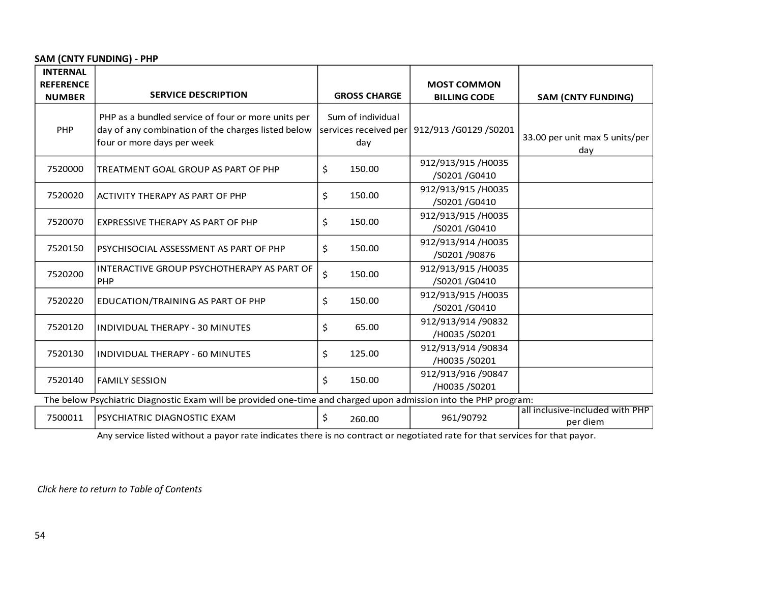# **SAM (CNTY FUNDING) - PHP**

| <b>INTERNAL</b><br><b>REFERENCE</b> |                                                                                                                                        |                                                   | <b>MOST COMMON</b>                  |                                             |
|-------------------------------------|----------------------------------------------------------------------------------------------------------------------------------------|---------------------------------------------------|-------------------------------------|---------------------------------------------|
| <b>NUMBER</b>                       | <b>SERVICE DESCRIPTION</b>                                                                                                             | <b>GROSS CHARGE</b>                               | <b>BILLING CODE</b>                 | <b>SAM (CNTY FUNDING)</b>                   |
| PHP                                 | PHP as a bundled service of four or more units per<br>day of any combination of the charges listed below<br>four or more days per week | Sum of individual<br>services received per<br>day | 912/913 /G0129 /S0201               | 33.00 per unit max 5 units/per<br>day       |
| 7520000                             | TREATMENT GOAL GROUP AS PART OF PHP                                                                                                    | \$<br>150.00                                      | 912/913/915/H0035<br>/S0201 /G0410  |                                             |
| 7520020                             | ACTIVITY THERAPY AS PART OF PHP                                                                                                        | \$<br>150.00                                      | 912/913/915/H0035<br>/S0201 /G0410  |                                             |
| 7520070                             | <b>EXPRESSIVE THERAPY AS PART OF PHP</b>                                                                                               | \$<br>150.00                                      | 912/913/915/H0035<br>/S0201 /G0410  |                                             |
| 7520150                             | <b>PSYCHISOCIAL ASSESSMENT AS PART OF PHP</b>                                                                                          | \$<br>150.00                                      | 912/913/914 /H0035<br>/S0201 /90876 |                                             |
| 7520200                             | INTERACTIVE GROUP PSYCHOTHERAPY AS PART OF<br>PHP                                                                                      | \$<br>150.00                                      | 912/913/915/H0035<br>/S0201 /G0410  |                                             |
| 7520220                             | <b>EDUCATION/TRAINING AS PART OF PHP</b>                                                                                               | \$<br>150.00                                      | 912/913/915/H0035<br>/S0201 /G0410  |                                             |
| 7520120                             | <b>INDIVIDUAL THERAPY - 30 MINUTES</b>                                                                                                 | \$<br>65.00                                       | 912/913/914 /90832<br>/H0035 /S0201 |                                             |
| 7520130                             | <b>INDIVIDUAL THERAPY - 60 MINUTES</b>                                                                                                 | \$<br>125.00                                      | 912/913/914 /90834<br>/H0035 /S0201 |                                             |
| 7520140                             | <b>FAMILY SESSION</b>                                                                                                                  | \$<br>150.00                                      | 912/913/916 /90847<br>/H0035 /S0201 |                                             |
|                                     | The below Psychiatric Diagnostic Exam will be provided one-time and charged upon admission into the PHP program:                       |                                                   |                                     |                                             |
| 7500011                             | PSYCHIATRIC DIAGNOSTIC EXAM                                                                                                            | \$<br>260.00                                      | 961/90792                           | all inclusive-included with PHP<br>per diem |

Any service listed without a payor rate indicates there is no contract or negotiated rate for that services for that payor.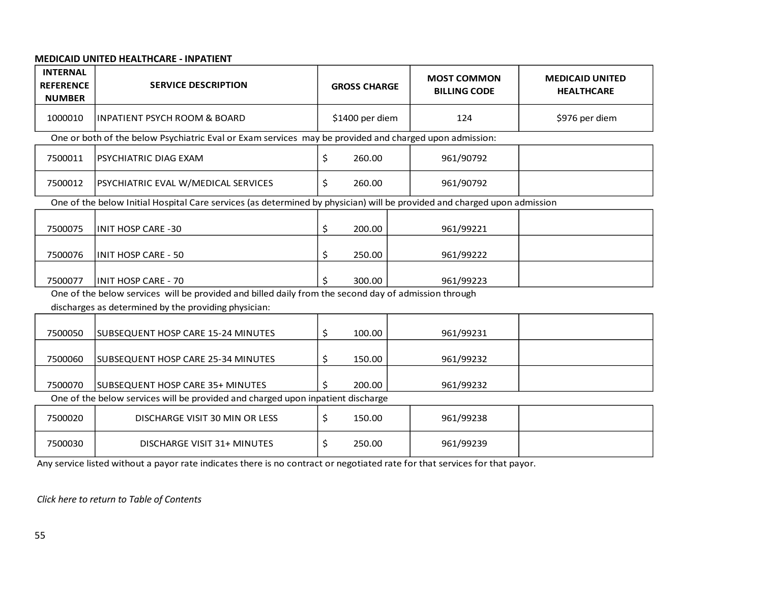# **MEDICAID UNITED HEALTHCARE - INPATIENT**

| <b>INTERNAL</b><br><b>REFERENCE</b><br><b>NUMBER</b> | <b>SERVICE DESCRIPTION</b>                                                                                                                                   |    | <b>GROSS CHARGE</b> |  | <b>MOST COMMON</b><br><b>BILLING CODE</b> | <b>MEDICAID UNITED</b><br><b>HEALTHCARE</b> |  |  |  |
|------------------------------------------------------|--------------------------------------------------------------------------------------------------------------------------------------------------------------|----|---------------------|--|-------------------------------------------|---------------------------------------------|--|--|--|
| 1000010                                              | <b>INPATIENT PSYCH ROOM &amp; BOARD</b>                                                                                                                      |    | \$1400 per diem     |  | 124                                       | \$976 per diem                              |  |  |  |
|                                                      | One or both of the below Psychiatric Eval or Exam services may be provided and charged upon admission:                                                       |    |                     |  |                                           |                                             |  |  |  |
| 7500011                                              | PSYCHIATRIC DIAG EXAM                                                                                                                                        | \$ | 260.00              |  | 961/90792                                 |                                             |  |  |  |
| 7500012                                              | PSYCHIATRIC EVAL W/MEDICAL SERVICES                                                                                                                          | \$ | 260.00              |  | 961/90792                                 |                                             |  |  |  |
|                                                      | One of the below Initial Hospital Care services (as determined by physician) will be provided and charged upon admission                                     |    |                     |  |                                           |                                             |  |  |  |
| 7500075                                              | <b>INIT HOSP CARE -30</b>                                                                                                                                    | \$ | 200.00              |  | 961/99221                                 |                                             |  |  |  |
| 7500076                                              | <b>INIT HOSP CARE - 50</b>                                                                                                                                   | \$ | 250.00              |  | 961/99222                                 |                                             |  |  |  |
| 7500077                                              | <b>INIT HOSP CARE - 70</b>                                                                                                                                   | Ś. | 300.00              |  | 961/99223                                 |                                             |  |  |  |
|                                                      | One of the below services will be provided and billed daily from the second day of admission through<br>discharges as determined by the providing physician: |    |                     |  |                                           |                                             |  |  |  |
| 7500050                                              | SUBSEQUENT HOSP CARE 15-24 MINUTES                                                                                                                           | \$ | 100.00              |  | 961/99231                                 |                                             |  |  |  |
| 7500060                                              | SUBSEQUENT HOSP CARE 25-34 MINUTES                                                                                                                           | \$ | 150.00              |  | 961/99232                                 |                                             |  |  |  |
| 7500070                                              | <b>SUBSEQUENT HOSP CARE 35+ MINUTES</b>                                                                                                                      | Ś. | 200.00              |  | 961/99232                                 |                                             |  |  |  |
|                                                      | One of the below services will be provided and charged upon inpatient discharge                                                                              |    |                     |  |                                           |                                             |  |  |  |
| 7500020                                              | DISCHARGE VISIT 30 MIN OR LESS                                                                                                                               | \$ | 150.00              |  | 961/99238                                 |                                             |  |  |  |
| 7500030                                              | DISCHARGE VISIT 31+ MINUTES                                                                                                                                  | \$ | 250.00              |  | 961/99239                                 |                                             |  |  |  |

Any service listed without a payor rate indicates there is no contract or negotiated rate for that services for that payor.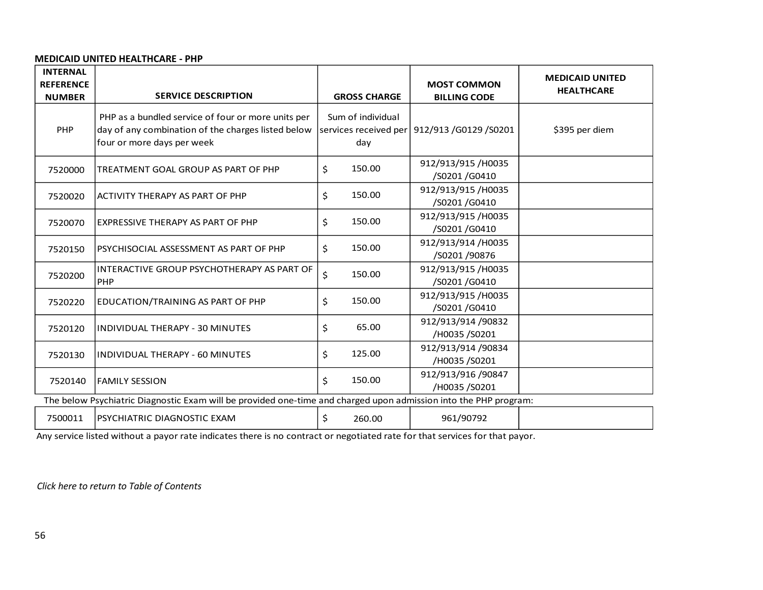#### **MEDICAID UNITED HEALTHCARE - PHP**

| <b>INTERNAL</b><br><b>REFERENCE</b><br><b>NUMBER</b> | <b>SERVICE DESCRIPTION</b>                                                                                                             | <b>GROSS CHARGE</b>      | <b>MOST COMMON</b><br><b>BILLING CODE</b>       | <b>MEDICAID UNITED</b><br><b>HEALTHCARE</b> |
|------------------------------------------------------|----------------------------------------------------------------------------------------------------------------------------------------|--------------------------|-------------------------------------------------|---------------------------------------------|
| PHP                                                  | PHP as a bundled service of four or more units per<br>day of any combination of the charges listed below<br>four or more days per week | Sum of individual<br>day | services received per   912/913 / G0129 / S0201 | \$395 per diem                              |
| 7520000                                              | TREATMENT GOAL GROUP AS PART OF PHP                                                                                                    | Ś.<br>150.00             | 912/913/915/H0035<br>/S0201 /G0410              |                                             |
| 7520020                                              | LACTIVITY THERAPY AS PART OF PHP                                                                                                       | \$<br>150.00             | 912/913/915/H0035<br>/S0201 /G0410              |                                             |
| 7520070                                              | <b>EXPRESSIVE THERAPY AS PART OF PHP</b>                                                                                               | 150.00<br>\$             | 912/913/915/H0035<br>/S0201 /G0410              |                                             |
| 7520150                                              | PSYCHISOCIAL ASSESSMENT AS PART OF PHP                                                                                                 | \$<br>150.00             | 912/913/914 /H0035<br>/S0201 /90876             |                                             |
| 7520200                                              | INTERACTIVE GROUP PSYCHOTHERAPY AS PART OF<br>PHP                                                                                      | \$<br>150.00             | 912/913/915/H0035<br>/S0201 /G0410              |                                             |
| 7520220                                              | EDUCATION/TRAINING AS PART OF PHP                                                                                                      | 150.00<br>\$             | 912/913/915/H0035<br>/S0201 /G0410              |                                             |
| 7520120                                              | INDIVIDUAL THERAPY - 30 MINUTES                                                                                                        | \$<br>65.00              | 912/913/914 /90832<br>/H0035 /S0201             |                                             |
| 7520130                                              | <b>INDIVIDUAL THERAPY - 60 MINUTES</b>                                                                                                 | \$<br>125.00             | 912/913/914 /90834<br>/H0035 /S0201             |                                             |
| 7520140                                              | <b>FAMILY SESSION</b>                                                                                                                  | 150.00<br>\$             | 912/913/916 /90847<br>/H0035 /S0201             |                                             |
|                                                      | The below Psychiatric Diagnostic Exam will be provided one-time and charged upon admission into the PHP program:                       |                          |                                                 |                                             |
| 7500011                                              | PSYCHIATRIC DIAGNOSTIC EXAM                                                                                                            | \$<br>260.00             | 961/90792                                       |                                             |

Any service listed without a payor rate indicates there is no contract or negotiated rate for that services for that payor.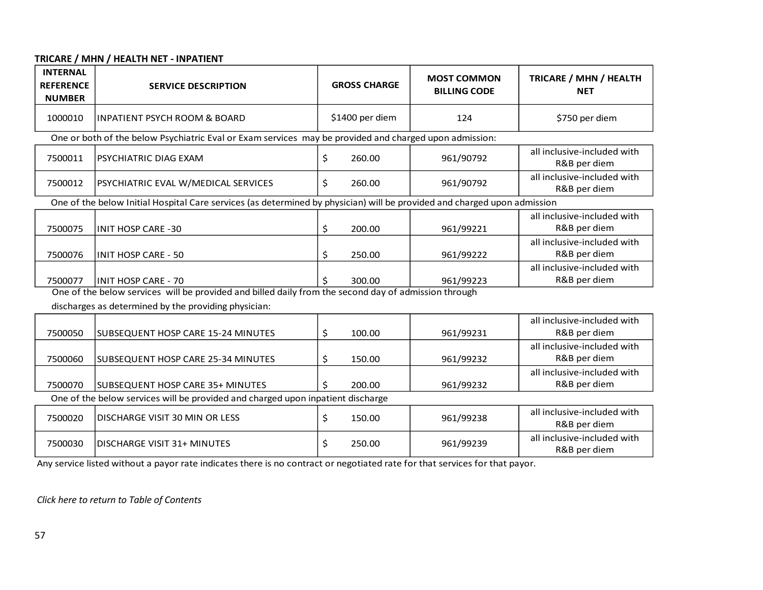# **TRICARE / MHN / HEALTH NET - INPATIENT**

| <b>INTERNAL</b><br><b>REFERENCE</b><br><b>NUMBER</b>                                                   | <b>SERVICE DESCRIPTION</b>                                                                                                                                   |    | <b>GROSS CHARGE</b> | <b>MOST COMMON</b><br><b>BILLING CODE</b> | <b>TRICARE / MHN / HEALTH</b><br><b>NET</b> |  |  |  |
|--------------------------------------------------------------------------------------------------------|--------------------------------------------------------------------------------------------------------------------------------------------------------------|----|---------------------|-------------------------------------------|---------------------------------------------|--|--|--|
| 1000010                                                                                                | <b>INPATIENT PSYCH ROOM &amp; BOARD</b>                                                                                                                      |    | \$1400 per diem     | 124                                       | \$750 per diem                              |  |  |  |
| One or both of the below Psychiatric Eval or Exam services may be provided and charged upon admission: |                                                                                                                                                              |    |                     |                                           |                                             |  |  |  |
| 7500011                                                                                                | PSYCHIATRIC DIAG EXAM                                                                                                                                        | \$ | 260.00              | 961/90792                                 | all inclusive-included with<br>R&B per diem |  |  |  |
| 7500012                                                                                                | PSYCHIATRIC EVAL W/MEDICAL SERVICES                                                                                                                          | \$ | 260.00              | 961/90792                                 | all inclusive-included with<br>R&B per diem |  |  |  |
|                                                                                                        | One of the below Initial Hospital Care services (as determined by physician) will be provided and charged upon admission                                     |    |                     |                                           |                                             |  |  |  |
| 7500075                                                                                                | <b>INIT HOSP CARE -30</b>                                                                                                                                    | \$ | 200.00              | 961/99221                                 | all inclusive-included with<br>R&B per diem |  |  |  |
| 7500076                                                                                                | <b>INIT HOSP CARE - 50</b>                                                                                                                                   | \$ | 250.00              | 961/99222                                 | all inclusive-included with<br>R&B per diem |  |  |  |
| 7500077                                                                                                | <b>INIT HOSP CARE - 70</b>                                                                                                                                   | Ś  | 300.00              | 961/99223                                 | all inclusive-included with<br>R&B per diem |  |  |  |
|                                                                                                        | One of the below services will be provided and billed daily from the second day of admission through<br>discharges as determined by the providing physician: |    |                     |                                           |                                             |  |  |  |
| 7500050                                                                                                | SUBSEQUENT HOSP CARE 15-24 MINUTES                                                                                                                           | \$ | 100.00              | 961/99231                                 | all inclusive-included with<br>R&B per diem |  |  |  |
| 7500060                                                                                                | SUBSEQUENT HOSP CARE 25-34 MINUTES                                                                                                                           | \$ | 150.00              | 961/99232                                 | all inclusive-included with<br>R&B per diem |  |  |  |
| 7500070                                                                                                | SUBSEQUENT HOSP CARE 35+ MINUTES                                                                                                                             | Ś. | 200.00              | 961/99232                                 | all inclusive-included with<br>R&B per diem |  |  |  |
|                                                                                                        | One of the below services will be provided and charged upon inpatient discharge                                                                              |    |                     |                                           |                                             |  |  |  |
| 7500020                                                                                                | DISCHARGE VISIT 30 MIN OR LESS                                                                                                                               | \$ | 150.00              | 961/99238                                 | all inclusive-included with<br>R&B per diem |  |  |  |
| 7500030                                                                                                | <b>DISCHARGE VISIT 31+ MINUTES</b>                                                                                                                           | \$ | 250.00              | 961/99239                                 | all inclusive-included with<br>R&B per diem |  |  |  |

Any service listed without a payor rate indicates there is no contract or negotiated rate for that services for that payor.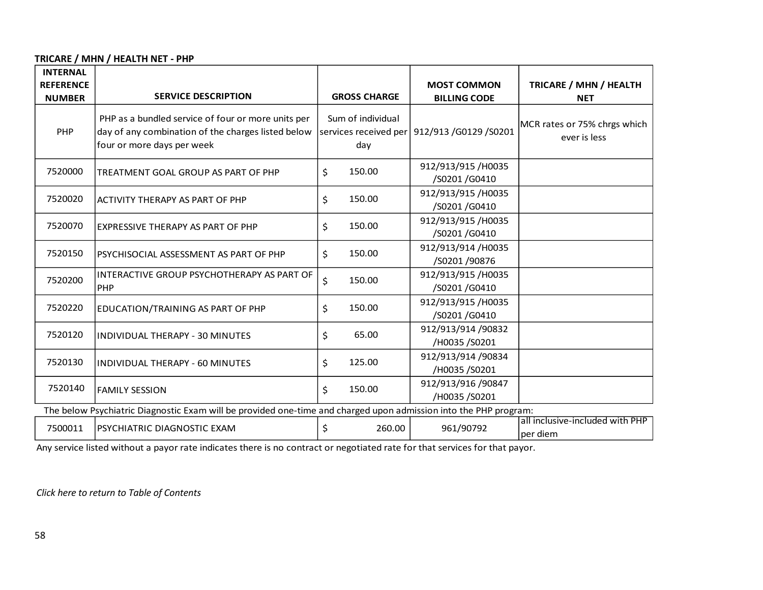# **TRICARE / MHN / HEALTH NET - PHP**

| <b>INTERNAL</b>                   |                                                                                                                                        |                                                   |                                           |                                              |
|-----------------------------------|----------------------------------------------------------------------------------------------------------------------------------------|---------------------------------------------------|-------------------------------------------|----------------------------------------------|
| <b>REFERENCE</b><br><b>NUMBER</b> | <b>SERVICE DESCRIPTION</b>                                                                                                             | <b>GROSS CHARGE</b>                               | <b>MOST COMMON</b><br><b>BILLING CODE</b> | TRICARE / MHN / HEALTH<br><b>NET</b>         |
| PHP                               | PHP as a bundled service of four or more units per<br>day of any combination of the charges listed below<br>four or more days per week | Sum of individual<br>services received per<br>day | 912/913 / G0129 / S0201                   | MCR rates or 75% chrgs which<br>ever is less |
| 7520000                           | TREATMENT GOAL GROUP AS PART OF PHP                                                                                                    | 150.00<br>\$                                      | 912/913/915/H0035<br>/S0201 /G0410        |                                              |
| 7520020                           | <b>ACTIVITY THERAPY AS PART OF PHP</b>                                                                                                 | \$<br>150.00                                      | 912/913/915/H0035<br>/S0201 /G0410        |                                              |
| 7520070                           | <b>EXPRESSIVE THERAPY AS PART OF PHP</b>                                                                                               | 150.00<br>\$                                      | 912/913/915/H0035<br>/S0201 /G0410        |                                              |
| 7520150                           | PSYCHISOCIAL ASSESSMENT AS PART OF PHP                                                                                                 | 150.00<br>\$                                      | 912/913/914 /H0035<br>/S0201 /90876       |                                              |
| 7520200                           | INTERACTIVE GROUP PSYCHOTHERAPY AS PART OF<br>PHP                                                                                      | \$<br>150.00                                      | 912/913/915/H0035<br>/S0201 /G0410        |                                              |
| 7520220                           | EDUCATION/TRAINING AS PART OF PHP                                                                                                      | \$<br>150.00                                      | 912/913/915 /H0035<br>/S0201 /G0410       |                                              |
| 7520120                           | INDIVIDUAL THERAPY - 30 MINUTES                                                                                                        | 65.00<br>\$                                       | 912/913/914 /90832<br>/H0035 /S0201       |                                              |
| 7520130                           | <b>INDIVIDUAL THERAPY - 60 MINUTES</b>                                                                                                 | \$<br>125.00                                      | 912/913/914 /90834<br>/H0035 /S0201       |                                              |
| 7520140                           | <b>FAMILY SESSION</b>                                                                                                                  | \$<br>150.00                                      | 912/913/916 /90847<br>/H0035 /S0201       |                                              |
|                                   | The below Psychiatric Diagnostic Exam will be provided one-time and charged upon admission into the PHP program:                       |                                                   |                                           |                                              |
| 7500011                           | PSYCHIATRIC DIAGNOSTIC EXAM                                                                                                            | \$<br>260.00                                      | 961/90792                                 | all inclusive-included with PHP<br>per diem  |

Any service listed without a payor rate indicates there is no contract or negotiated rate for that services for that payor.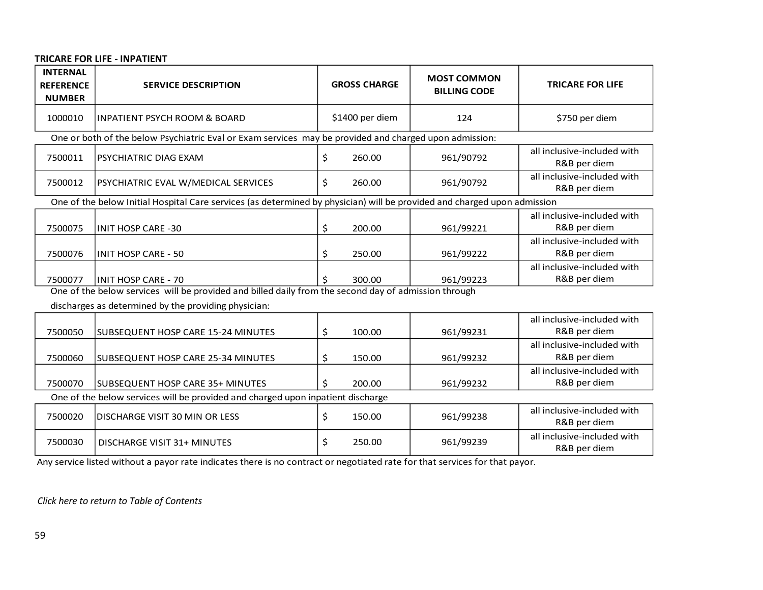# **TRICARE FOR LIFE - INPATIENT**

| <b>INTERNAL</b><br><b>REFERENCE</b><br><b>NUMBER</b> | <b>SERVICE DESCRIPTION</b>                                                                                               |    | <b>GROSS CHARGE</b> | <b>MOST COMMON</b><br><b>BILLING CODE</b> | <b>TRICARE FOR LIFE</b>                     |
|------------------------------------------------------|--------------------------------------------------------------------------------------------------------------------------|----|---------------------|-------------------------------------------|---------------------------------------------|
| 1000010                                              | <b>INPATIENT PSYCH ROOM &amp; BOARD</b>                                                                                  |    | \$1400 per diem     | 124                                       | \$750 per diem                              |
|                                                      | One or both of the below Psychiatric Eval or Exam services may be provided and charged upon admission:                   |    |                     |                                           |                                             |
| 7500011                                              | PSYCHIATRIC DIAG EXAM                                                                                                    | \$ | 260.00              | 961/90792                                 | all inclusive-included with<br>R&B per diem |
| 7500012                                              | PSYCHIATRIC EVAL W/MEDICAL SERVICES                                                                                      | \$ | 260.00              | 961/90792                                 | all inclusive-included with<br>R&B per diem |
|                                                      | One of the below Initial Hospital Care services (as determined by physician) will be provided and charged upon admission |    |                     |                                           |                                             |
| 7500075                                              | IINIT HOSP CARE -30                                                                                                      | \$ | 200.00              | 961/99221                                 | all inclusive-included with<br>R&B per diem |
| 7500076                                              | <b>INIT HOSP CARE - 50</b>                                                                                               | \$ | 250.00              | 961/99222                                 | all inclusive-included with<br>R&B per diem |
| 7500077                                              | IINIT HOSP CARE - 70                                                                                                     | Ś  | 300.00              | 961/99223                                 | all inclusive-included with<br>R&B per diem |
|                                                      | One of the below services will be provided and billed daily from the second day of admission through                     |    |                     |                                           |                                             |
|                                                      | discharges as determined by the providing physician:                                                                     |    |                     |                                           |                                             |
| 7500050                                              | SUBSEQUENT HOSP CARE 15-24 MINUTES                                                                                       | \$ | 100.00              | 961/99231                                 | all inclusive-included with<br>R&B per diem |
| 7500060                                              | SUBSEQUENT HOSP CARE 25-34 MINUTES                                                                                       | \$ | 150.00              | 961/99232                                 | all inclusive-included with<br>R&B per diem |
| 7500070                                              | <b>SUBSEQUENT HOSP CARE 35+ MINUTES</b>                                                                                  | Ś. | 200.00              | 961/99232                                 | all inclusive-included with<br>R&B per diem |
|                                                      | One of the below services will be provided and charged upon inpatient discharge                                          |    |                     |                                           |                                             |
| 7500020                                              | <b>DISCHARGE VISIT 30 MIN OR LESS</b>                                                                                    | \$ | 150.00              | 961/99238                                 | all inclusive-included with<br>R&B per diem |
| 7500030                                              | <b>DISCHARGE VISIT 31+ MINUTES</b>                                                                                       | \$ | 250.00              | 961/99239                                 | all inclusive-included with<br>R&B per diem |

Any service listed without a payor rate indicates there is no contract or negotiated rate for that services for that payor.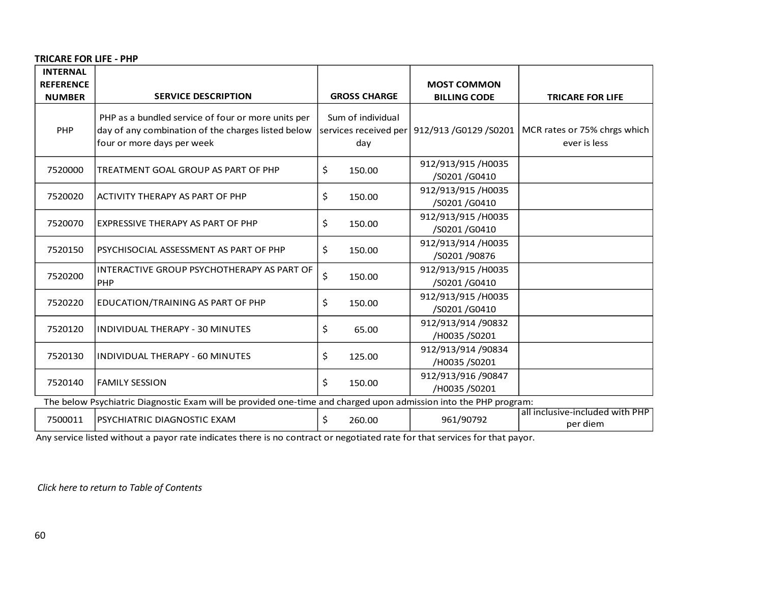## **TRICARE FOR LIFE - PHP**

| <b>INTERNAL</b><br><b>REFERENCE</b> |                                                                                                                                        |                                                   | <b>MOST COMMON</b>                  |                                              |
|-------------------------------------|----------------------------------------------------------------------------------------------------------------------------------------|---------------------------------------------------|-------------------------------------|----------------------------------------------|
| <b>NUMBER</b>                       | <b>SERVICE DESCRIPTION</b>                                                                                                             | <b>GROSS CHARGE</b>                               | <b>BILLING CODE</b>                 | <b>TRICARE FOR LIFE</b>                      |
| PHP                                 | PHP as a bundled service of four or more units per<br>day of any combination of the charges listed below<br>four or more days per week | Sum of individual<br>services received per<br>day | 912/913 / 60129 / 50201             | MCR rates or 75% chrgs which<br>ever is less |
| 7520000                             | TREATMENT GOAL GROUP AS PART OF PHP                                                                                                    | \$<br>150.00                                      | 912/913/915/H0035<br>/S0201 /G0410  |                                              |
| 7520020                             | LACTIVITY THERAPY AS PART OF PHP                                                                                                       | \$<br>150.00                                      | 912/913/915/H0035<br>/S0201 /G0410  |                                              |
| 7520070                             | <b>EXPRESSIVE THERAPY AS PART OF PHP</b>                                                                                               | \$<br>150.00                                      | 912/913/915/H0035<br>/S0201 /G0410  |                                              |
| 7520150                             | PSYCHISOCIAL ASSESSMENT AS PART OF PHP                                                                                                 | \$<br>150.00                                      | 912/913/914/H0035<br>/S0201 /90876  |                                              |
| 7520200                             | INTERACTIVE GROUP PSYCHOTHERAPY AS PART OF<br>PHP                                                                                      | \$<br>150.00                                      | 912/913/915/H0035<br>/S0201 /G0410  |                                              |
| 7520220                             | EDUCATION/TRAINING AS PART OF PHP                                                                                                      | \$<br>150.00                                      | 912/913/915/H0035<br>/S0201 /G0410  |                                              |
| 7520120                             | INDIVIDUAL THERAPY - 30 MINUTES                                                                                                        | \$<br>65.00                                       | 912/913/914 /90832<br>/H0035 /S0201 |                                              |
| 7520130                             | INDIVIDUAL THERAPY - 60 MINUTES                                                                                                        | \$<br>125.00                                      | 912/913/914 /90834<br>/H0035 /S0201 |                                              |
| 7520140                             | <b>FAMILY SESSION</b>                                                                                                                  | \$<br>150.00                                      | 912/913/916 /90847<br>/H0035 /S0201 |                                              |
|                                     | The below Psychiatric Diagnostic Exam will be provided one-time and charged upon admission into the PHP program:                       |                                                   |                                     |                                              |
| 7500011                             | PSYCHIATRIC DIAGNOSTIC EXAM                                                                                                            | \$<br>260.00                                      | 961/90792                           | all inclusive-included with PHP<br>per diem  |

Any service listed without a payor rate indicates there is no contract or negotiated rate for that services for that payor.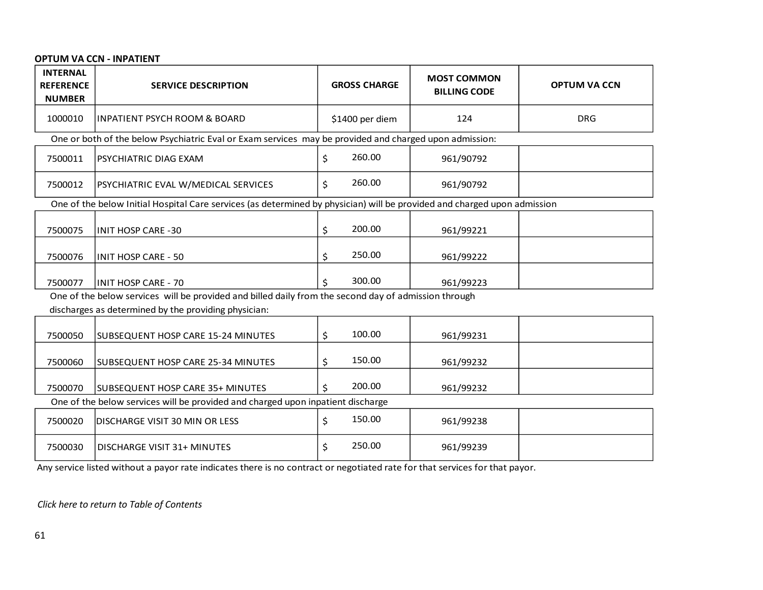# **OPTUM VA CCN - INPATIENT**

| <b>INTERNAL</b><br><b>REFERENCE</b><br><b>NUMBER</b> | <b>SERVICE DESCRIPTION</b>                                                                                               | <b>GROSS CHARGE</b> | <b>MOST COMMON</b><br><b>BILLING CODE</b> | <b>OPTUM VA CCN</b> |
|------------------------------------------------------|--------------------------------------------------------------------------------------------------------------------------|---------------------|-------------------------------------------|---------------------|
| 1000010                                              | <b>INPATIENT PSYCH ROOM &amp; BOARD</b>                                                                                  | \$1400 per diem     | 124                                       | <b>DRG</b>          |
|                                                      | One or both of the below Psychiatric Eval or Exam services may be provided and charged upon admission:                   |                     |                                           |                     |
| 7500011                                              | PSYCHIATRIC DIAG EXAM                                                                                                    | 260.00<br>\$        | 961/90792                                 |                     |
| 7500012                                              | PSYCHIATRIC EVAL W/MEDICAL SERVICES                                                                                      | 260.00<br>\$        | 961/90792                                 |                     |
|                                                      | One of the below Initial Hospital Care services (as determined by physician) will be provided and charged upon admission |                     |                                           |                     |
| 7500075                                              | <b>INIT HOSP CARE -30</b>                                                                                                | 200.00<br>\$        | 961/99221                                 |                     |
| 7500076                                              | <b>INIT HOSP CARE - 50</b>                                                                                               | 250.00<br>\$        | 961/99222                                 |                     |
| 7500077                                              | <b>INIT HOSP CARE - 70</b>                                                                                               | 300.00<br>Ś.        | 961/99223                                 |                     |
|                                                      | One of the below services will be provided and billed daily from the second day of admission through                     |                     |                                           |                     |
|                                                      | discharges as determined by the providing physician:                                                                     |                     |                                           |                     |
| 7500050                                              | SUBSEQUENT HOSP CARE 15-24 MINUTES                                                                                       | 100.00<br>\$        | 961/99231                                 |                     |
| 7500060                                              | SUBSEQUENT HOSP CARE 25-34 MINUTES                                                                                       | 150.00<br>\$        | 961/99232                                 |                     |
| 7500070                                              | SUBSEQUENT HOSP CARE 35+ MINUTES                                                                                         | 200.00<br>Ś.        | 961/99232                                 |                     |
|                                                      | One of the below services will be provided and charged upon inpatient discharge                                          |                     |                                           |                     |
| 7500020                                              | DISCHARGE VISIT 30 MIN OR LESS                                                                                           | 150.00<br>Ś.        | 961/99238                                 |                     |
| 7500030                                              | DISCHARGE VISIT 31+ MINUTES                                                                                              | 250.00<br>\$        | 961/99239                                 |                     |

Any service listed without a payor rate indicates there is no contract or negotiated rate for that services for that payor.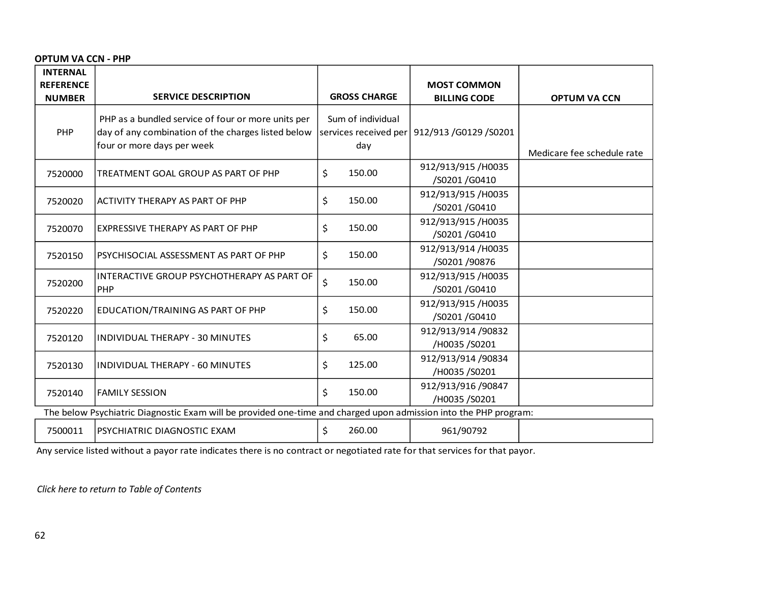# **OPTUM VA CCN - PHP**

| <b>INTERNAL</b><br><b>REFERENCE</b> |                                                                                                                                        |                                                   | <b>MOST COMMON</b>                  |                            |
|-------------------------------------|----------------------------------------------------------------------------------------------------------------------------------------|---------------------------------------------------|-------------------------------------|----------------------------|
| <b>NUMBER</b>                       | <b>SERVICE DESCRIPTION</b>                                                                                                             | <b>GROSS CHARGE</b>                               | <b>BILLING CODE</b>                 | <b>OPTUM VA CCN</b>        |
| PHP                                 | PHP as a bundled service of four or more units per<br>day of any combination of the charges listed below<br>four or more days per week | Sum of individual<br>services received per<br>day | 912/913 /G0129 /S0201               | Medicare fee schedule rate |
| 7520000                             | TREATMENT GOAL GROUP AS PART OF PHP                                                                                                    | \$<br>150.00                                      | 912/913/915/H0035<br>/S0201 /G0410  |                            |
| 7520020                             | ACTIVITY THERAPY AS PART OF PHP                                                                                                        | \$<br>150.00                                      | 912/913/915/H0035<br>/S0201 /G0410  |                            |
| 7520070                             | <b>EXPRESSIVE THERAPY AS PART OF PHP</b>                                                                                               | \$<br>150.00                                      | 912/913/915/H0035<br>/S0201 /G0410  |                            |
| 7520150                             | PSYCHISOCIAL ASSESSMENT AS PART OF PHP                                                                                                 | \$<br>150.00                                      | 912/913/914 /H0035<br>/S0201 /90876 |                            |
| 7520200                             | INTERACTIVE GROUP PSYCHOTHERAPY AS PART OF<br>PHP                                                                                      | \$<br>150.00                                      | 912/913/915/H0035<br>/S0201 /G0410  |                            |
| 7520220                             | EDUCATION/TRAINING AS PART OF PHP                                                                                                      | \$<br>150.00                                      | 912/913/915/H0035<br>/S0201 /G0410  |                            |
| 7520120                             | <b>INDIVIDUAL THERAPY - 30 MINUTES</b>                                                                                                 | \$<br>65.00                                       | 912/913/914 /90832<br>/H0035 /S0201 |                            |
| 7520130                             | INDIVIDUAL THERAPY - 60 MINUTES                                                                                                        | \$<br>125.00                                      | 912/913/914 /90834<br>/H0035 /S0201 |                            |
| 7520140                             | <b>FAMILY SESSION</b>                                                                                                                  | \$<br>150.00                                      | 912/913/916 /90847<br>/H0035 /S0201 |                            |
|                                     | The below Psychiatric Diagnostic Exam will be provided one-time and charged upon admission into the PHP program:                       |                                                   |                                     |                            |
| 7500011                             | PSYCHIATRIC DIAGNOSTIC EXAM                                                                                                            | 260.00<br>\$                                      | 961/90792                           |                            |

Any service listed without a payor rate indicates there is no contract or negotiated rate for that services for that payor.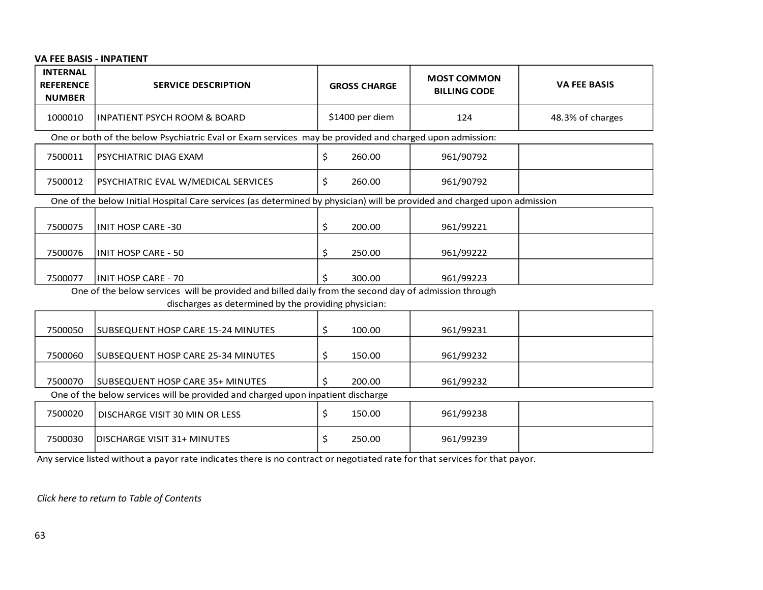# **VA FEE BASIS - INPATIENT**

| <b>INTERNAL</b><br><b>REFERENCE</b><br><b>NUMBER</b> | <b>SERVICE DESCRIPTION</b>                                                                                               | <b>GROSS CHARGE</b> |  | <b>MOST COMMON</b><br><b>BILLING CODE</b> | <b>VA FEE BASIS</b> |
|------------------------------------------------------|--------------------------------------------------------------------------------------------------------------------------|---------------------|--|-------------------------------------------|---------------------|
| 1000010                                              | <b>INPATIENT PSYCH ROOM &amp; BOARD</b>                                                                                  | \$1400 per diem     |  | 124                                       | 48.3% of charges    |
|                                                      | One or both of the below Psychiatric Eval or Exam services may be provided and charged upon admission:                   |                     |  |                                           |                     |
| 7500011                                              | <b>PSYCHIATRIC DIAG EXAM</b>                                                                                             | \$<br>260.00        |  | 961/90792                                 |                     |
| 7500012                                              | PSYCHIATRIC EVAL W/MEDICAL SERVICES                                                                                      | \$<br>260.00        |  | 961/90792                                 |                     |
|                                                      | One of the below Initial Hospital Care services (as determined by physician) will be provided and charged upon admission |                     |  |                                           |                     |
| 7500075                                              | IINIT HOSP CARE -30                                                                                                      | 200.00<br>\$        |  | 961/99221                                 |                     |
| 7500076                                              | <b>INIT HOSP CARE - 50</b>                                                                                               | 250.00<br>\$.       |  | 961/99222                                 |                     |
| 7500077                                              | <b>INIT HOSP CARE - 70</b>                                                                                               | 300.00              |  | 961/99223                                 |                     |
|                                                      | One of the below services will be provided and billed daily from the second day of admission through                     |                     |  |                                           |                     |
|                                                      | discharges as determined by the providing physician:                                                                     |                     |  |                                           |                     |
| 7500050                                              | SUBSEQUENT HOSP CARE 15-24 MINUTES                                                                                       | 100.00<br>S         |  | 961/99231                                 |                     |
| 7500060                                              | SUBSEQUENT HOSP CARE 25-34 MINUTES                                                                                       | \$<br>150.00        |  | 961/99232                                 |                     |
| 7500070                                              | SUBSEQUENT HOSP CARE 35+ MINUTES                                                                                         | 200.00              |  | 961/99232                                 |                     |

One of the below services will be provided and charged upon inpatient discharge

| 7500020 | <b>I DISCHARGE VISIT 30 MIN OR LESS</b> | 150.00 | 961/99238 |  |
|---------|-----------------------------------------|--------|-----------|--|
| 7500030 | IDISCHARGE VISIT 31+ MINUTES            | 250.00 | 961/99239 |  |

Any service listed without a payor rate indicates there is no contract or negotiated rate for that services for that payor.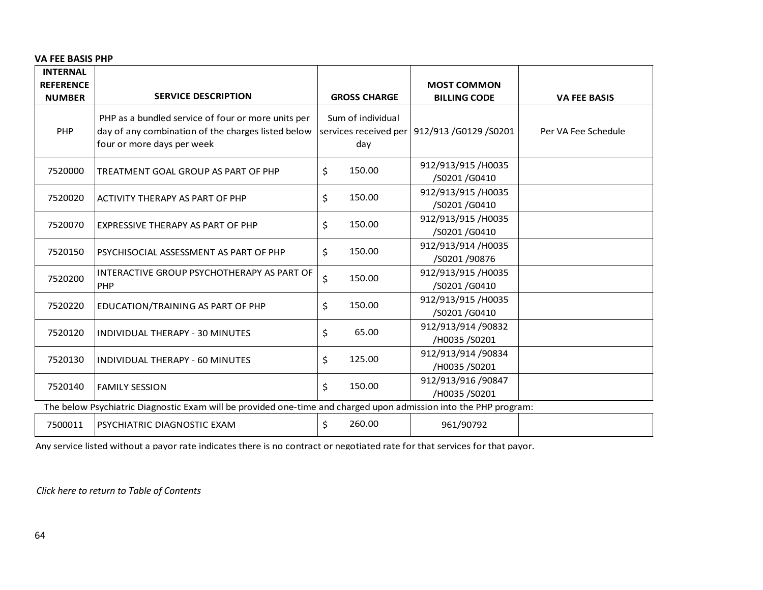### **VA FEE BASIS PHP**

| <b>INTERNAL</b>                   |                                                                                                                                        |                          |                                               |                     |
|-----------------------------------|----------------------------------------------------------------------------------------------------------------------------------------|--------------------------|-----------------------------------------------|---------------------|
| <b>REFERENCE</b><br><b>NUMBER</b> | <b>SERVICE DESCRIPTION</b>                                                                                                             | <b>GROSS CHARGE</b>      | <b>MOST COMMON</b><br><b>BILLING CODE</b>     | <b>VA FEE BASIS</b> |
| PHP                               | PHP as a bundled service of four or more units per<br>day of any combination of the charges listed below<br>four or more days per week | Sum of individual<br>day | services received per 912/913 / G0129 / S0201 | Per VA Fee Schedule |
| 7520000                           | TREATMENT GOAL GROUP AS PART OF PHP                                                                                                    | 150.00<br>\$             | 912/913/915/H0035<br>/S0201 /G0410            |                     |
| 7520020                           | ACTIVITY THERAPY AS PART OF PHP                                                                                                        | 150.00<br>\$             | 912/913/915/H0035<br>/S0201 /G0410            |                     |
| 7520070                           | EXPRESSIVE THERAPY AS PART OF PHP                                                                                                      | \$<br>150.00             | 912/913/915/H0035<br>/S0201 /G0410            |                     |
| 7520150                           | PSYCHISOCIAL ASSESSMENT AS PART OF PHP                                                                                                 | \$<br>150.00             | 912/913/914 /H0035<br>/S0201 /90876           |                     |
| 7520200                           | INTERACTIVE GROUP PSYCHOTHERAPY AS PART OF<br>PHP                                                                                      | \$<br>150.00             | 912/913/915/H0035<br>/S0201 /G0410            |                     |
| 7520220                           | EDUCATION/TRAINING AS PART OF PHP                                                                                                      | 150.00<br>\$             | 912/913/915/H0035<br>/S0201 /G0410            |                     |
| 7520120                           | INDIVIDUAL THERAPY - 30 MINUTES                                                                                                        | 65.00<br>\$              | 912/913/914 /90832<br>/H0035 /S0201           |                     |
| 7520130                           | INDIVIDUAL THERAPY - 60 MINUTES                                                                                                        | \$<br>125.00             | 912/913/914 /90834<br>/H0035 /S0201           |                     |
| 7520140                           | <b>FAMILY SESSION</b>                                                                                                                  | Ś.<br>150.00             | 912/913/916 /90847<br>/H0035 /S0201           |                     |
|                                   | The below Psychiatric Diagnostic Exam will be provided one-time and charged upon admission into the PHP program:                       |                          |                                               |                     |
| 7500011                           | PSYCHIATRIC DIAGNOSTIC EXAM                                                                                                            | 260.00<br>Ś.             | 961/90792                                     |                     |

Any service listed without a payor rate indicates there is no contract or negotiated rate for that services for that payor.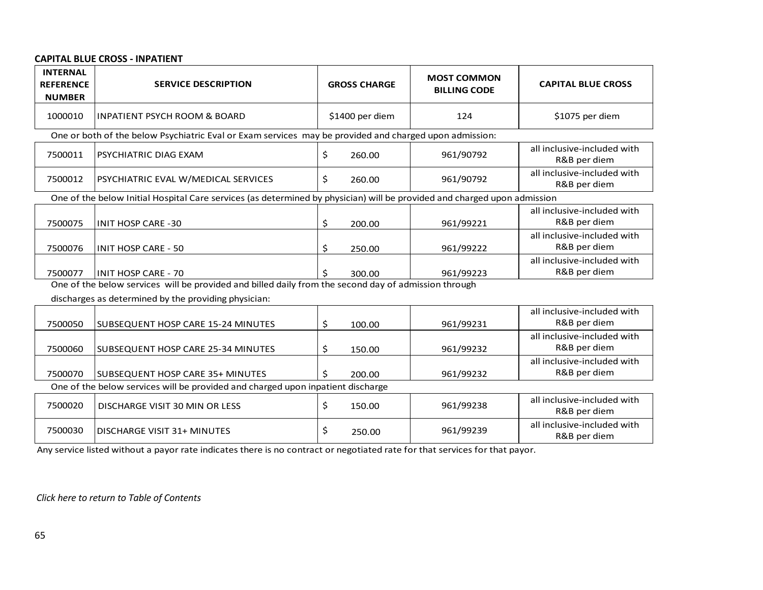# **CAPITAL BLUE CROSS - INPATIENT**

| <b>INTERNAL</b><br><b>REFERENCE</b><br><b>NUMBER</b> | <b>SERVICE DESCRIPTION</b>                                                                                               |     | <b>GROSS CHARGE</b> | <b>MOST COMMON</b><br><b>BILLING CODE</b> | <b>CAPITAL BLUE CROSS</b>                   |
|------------------------------------------------------|--------------------------------------------------------------------------------------------------------------------------|-----|---------------------|-------------------------------------------|---------------------------------------------|
| 1000010                                              | <b>INPATIENT PSYCH ROOM &amp; BOARD</b>                                                                                  |     | \$1400 per diem     | 124                                       | \$1075 per diem                             |
|                                                      | One or both of the below Psychiatric Eval or Exam services may be provided and charged upon admission:                   |     |                     |                                           |                                             |
| 7500011                                              | PSYCHIATRIC DIAG EXAM                                                                                                    | \$  | 260.00              | 961/90792                                 | all inclusive-included with<br>R&B per diem |
| 7500012                                              | PSYCHIATRIC EVAL W/MEDICAL SERVICES                                                                                      | \$  | 260.00              | 961/90792                                 | all inclusive-included with<br>R&B per diem |
|                                                      | One of the below Initial Hospital Care services (as determined by physician) will be provided and charged upon admission |     |                     |                                           |                                             |
| 7500075                                              | INIT HOSP CARE -30                                                                                                       | \$  | 200.00              | 961/99221                                 | all inclusive-included with<br>R&B per diem |
| 7500076                                              | <b>INIT HOSP CARE - 50</b>                                                                                               | \$  | 250.00              | 961/99222                                 | all inclusive-included with<br>R&B per diem |
| 7500077                                              | INIT HOSP CARE - 70                                                                                                      |     | 300.00              | 961/99223                                 | all inclusive-included with<br>R&B per diem |
|                                                      | One of the below services will be provided and billed daily from the second day of admission through                     |     |                     |                                           |                                             |
|                                                      | discharges as determined by the providing physician:                                                                     |     |                     |                                           |                                             |
| 7500050                                              | SUBSEQUENT HOSP CARE 15-24 MINUTES                                                                                       | \$  | 100.00              | 961/99231                                 | all inclusive-included with<br>R&B per diem |
| 7500060                                              | <b>SUBSEQUENT HOSP CARE 25-34 MINUTES</b>                                                                                | \$  | 150.00              | 961/99232                                 | all inclusive-included with<br>R&B per diem |
| 7500070                                              | ISUBSEQUENT HOSP CARE 35+ MINUTES                                                                                        | \$. | 200.00              | 961/99232                                 | all inclusive-included with<br>R&B per diem |
|                                                      | One of the below services will be provided and charged upon inpatient discharge                                          |     |                     |                                           |                                             |
| 7500020                                              | <b>DISCHARGE VISIT 30 MIN OR LESS</b>                                                                                    | \$  | 150.00              | 961/99238                                 | all inclusive-included with<br>R&B per diem |
| 7500030                                              | <b>DISCHARGE VISIT 31+ MINUTES</b>                                                                                       | \$  | 250.00              | 961/99239                                 | all inclusive-included with<br>R&B per diem |

Any service listed without a payor rate indicates there is no contract or negotiated rate for that services for that payor.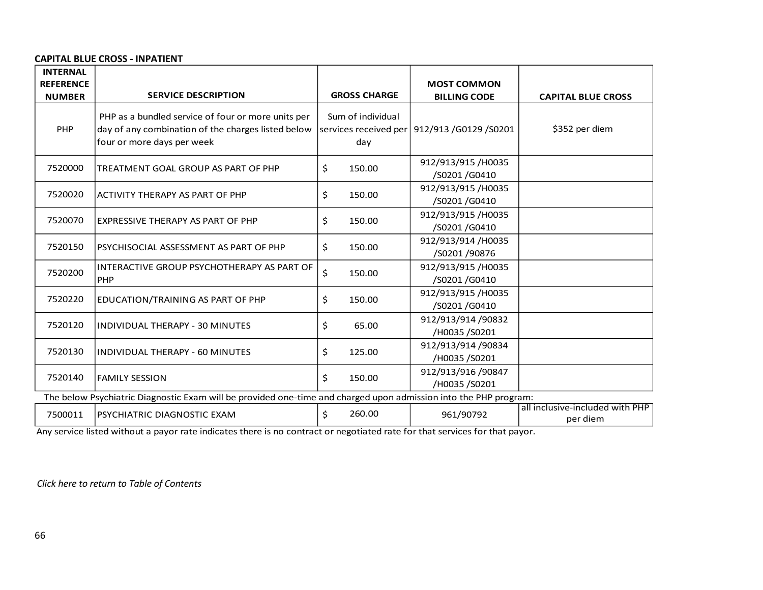### **CAPITAL BLUE CROSS - INPATIENT**

| <b>INTERNAL</b>                   |                                                                                                                                        |                          |                                                 |                                             |
|-----------------------------------|----------------------------------------------------------------------------------------------------------------------------------------|--------------------------|-------------------------------------------------|---------------------------------------------|
| <b>REFERENCE</b><br><b>NUMBER</b> | <b>SERVICE DESCRIPTION</b>                                                                                                             | <b>GROSS CHARGE</b>      | <b>MOST COMMON</b><br><b>BILLING CODE</b>       | <b>CAPITAL BLUE CROSS</b>                   |
| PHP                               | PHP as a bundled service of four or more units per<br>day of any combination of the charges listed below<br>four or more days per week | Sum of individual<br>day | services received per   912/913 / G0129 / S0201 | \$352 per diem                              |
| 7520000                           | TREATMENT GOAL GROUP AS PART OF PHP                                                                                                    | \$<br>150.00             | 912/913/915/H0035<br>/S0201/G0410               |                                             |
| 7520020                           | <b>ACTIVITY THERAPY AS PART OF PHP</b>                                                                                                 | \$<br>150.00             | 912/913/915/H0035<br>/S0201/G0410               |                                             |
| 7520070                           | <b>EXPRESSIVE THERAPY AS PART OF PHP</b>                                                                                               | \$<br>150.00             | 912/913/915/H0035<br>/S0201/G0410               |                                             |
| 7520150                           | PSYCHISOCIAL ASSESSMENT AS PART OF PHP                                                                                                 | \$<br>150.00             | 912/913/914 /H0035<br>/S0201 /90876             |                                             |
| 7520200                           | INTERACTIVE GROUP PSYCHOTHERAPY AS PART OF<br><b>PHP</b>                                                                               | \$<br>150.00             | 912/913/915/H0035<br>/S0201/G0410               |                                             |
| 7520220                           | EDUCATION/TRAINING AS PART OF PHP                                                                                                      | \$<br>150.00             | 912/913/915/H0035<br>/S0201/G0410               |                                             |
| 7520120                           | INDIVIDUAL THERAPY - 30 MINUTES                                                                                                        | \$<br>65.00              | 912/913/914 /90832<br>/H0035 /S0201             |                                             |
| 7520130                           | INDIVIDUAL THERAPY - 60 MINUTES                                                                                                        | \$<br>125.00             | 912/913/914 /90834<br>/H0035 /S0201             |                                             |
| 7520140                           | <b>FAMILY SESSION</b>                                                                                                                  | \$<br>150.00             | 912/913/916 /90847<br>/H0035 /S0201             |                                             |
|                                   | The below Psychiatric Diagnostic Exam will be provided one-time and charged upon admission into the PHP program:                       |                          |                                                 |                                             |
| 7500011                           | PSYCHIATRIC DIAGNOSTIC EXAM                                                                                                            | 260.00<br>\$             | 961/90792                                       | all inclusive-included with PHP<br>per diem |

Any service listed without a payor rate indicates there is no contract or negotiated rate for that services for that payor.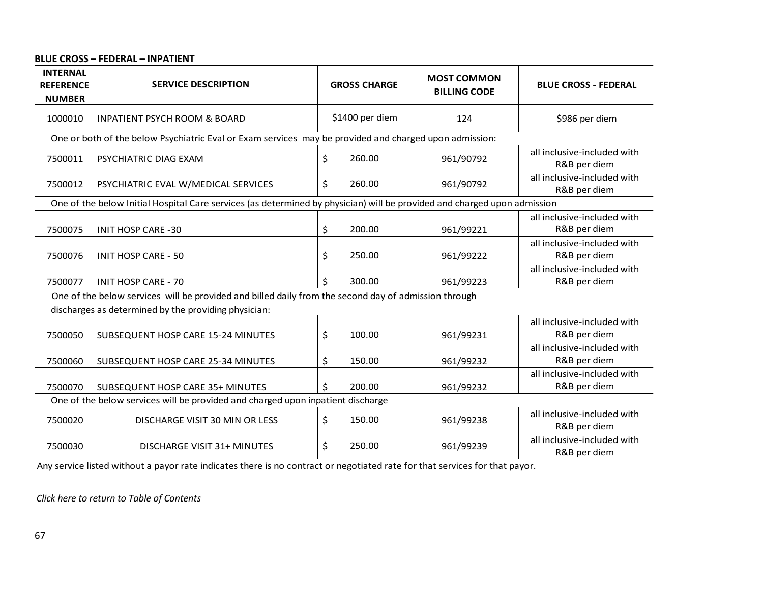## **BLUE CROSS – FEDERAL – INPATIENT**

| <b>INTERNAL</b><br><b>REFERENCE</b><br><b>NUMBER</b> | <b>SERVICE DESCRIPTION</b>                                                                                                                                   |    | <b>GROSS CHARGE</b> | <b>MOST COMMON</b><br><b>BILLING CODE</b> | <b>BLUE CROSS - FEDERAL</b>                 |
|------------------------------------------------------|--------------------------------------------------------------------------------------------------------------------------------------------------------------|----|---------------------|-------------------------------------------|---------------------------------------------|
| 1000010                                              | <b>INPATIENT PSYCH ROOM &amp; BOARD</b>                                                                                                                      |    | \$1400 per diem     | 124                                       | \$986 per diem                              |
|                                                      | One or both of the below Psychiatric Eval or Exam services may be provided and charged upon admission:                                                       |    |                     |                                           |                                             |
| 7500011                                              | PSYCHIATRIC DIAG EXAM                                                                                                                                        | \$ | 260.00              | 961/90792                                 | all inclusive-included with<br>R&B per diem |
| 7500012                                              | PSYCHIATRIC EVAL W/MEDICAL SERVICES                                                                                                                          | \$ | 260.00              | 961/90792                                 | all inclusive-included with<br>R&B per diem |
|                                                      | One of the below Initial Hospital Care services (as determined by physician) will be provided and charged upon admission                                     |    |                     |                                           |                                             |
| 7500075                                              | <b>INIT HOSP CARE -30</b>                                                                                                                                    | \$ | 200.00              | 961/99221                                 | all inclusive-included with<br>R&B per diem |
| 7500076                                              | <b>INIT HOSP CARE - 50</b>                                                                                                                                   | \$ | 250.00              | 961/99222                                 | all inclusive-included with<br>R&B per diem |
| 7500077                                              | <b>INIT HOSP CARE - 70</b>                                                                                                                                   | Ś  | 300.00              | 961/99223                                 | all inclusive-included with<br>R&B per diem |
|                                                      | One of the below services will be provided and billed daily from the second day of admission through<br>discharges as determined by the providing physician: |    |                     |                                           |                                             |
| 7500050                                              | SUBSEQUENT HOSP CARE 15-24 MINUTES                                                                                                                           | \$ | 100.00              | 961/99231                                 | all inclusive-included with<br>R&B per diem |
| 7500060                                              | SUBSEQUENT HOSP CARE 25-34 MINUTES                                                                                                                           | \$ | 150.00              | 961/99232                                 | all inclusive-included with<br>R&B per diem |
| 7500070                                              | SUBSEQUENT HOSP CARE 35+ MINUTES                                                                                                                             | Ś. | 200.00              | 961/99232                                 | all inclusive-included with<br>R&B per diem |
|                                                      | One of the below services will be provided and charged upon inpatient discharge                                                                              |    |                     |                                           |                                             |
| 7500020                                              | DISCHARGE VISIT 30 MIN OR LESS                                                                                                                               | \$ | 150.00              | 961/99238                                 | all inclusive-included with<br>R&B per diem |
| 7500030                                              | <b>DISCHARGE VISIT 31+ MINUTES</b>                                                                                                                           | \$ | 250.00              | 961/99239                                 | all inclusive-included with<br>R&B per diem |
| $\cdots$                                             | $\cdots$                                                                                                                                                     |    | $\sim$ $\sim$       | $\sim$ $\sim$ $\sim$                      |                                             |

Any service listed without a payor rate indicates there is no contract or negotiated rate for that services for that payor.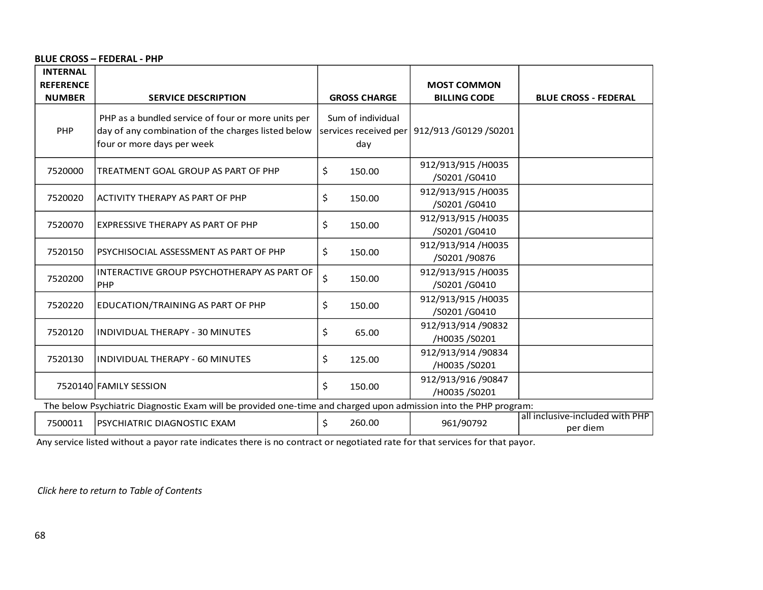## **BLUE CROSS – FEDERAL - PHP**

| <b>INTERNAL</b><br><b>REFERENCE</b> |                                                                                                                                        |                                                   | <b>MOST COMMON</b>                  |                                             |
|-------------------------------------|----------------------------------------------------------------------------------------------------------------------------------------|---------------------------------------------------|-------------------------------------|---------------------------------------------|
| <b>NUMBER</b>                       | <b>SERVICE DESCRIPTION</b>                                                                                                             | <b>GROSS CHARGE</b>                               | <b>BILLING CODE</b>                 | <b>BLUE CROSS - FEDERAL</b>                 |
| PHP                                 | PHP as a bundled service of four or more units per<br>day of any combination of the charges listed below<br>four or more days per week | Sum of individual<br>services received per<br>day | 912/913 /G0129 /S0201               |                                             |
| 7520000                             | TREATMENT GOAL GROUP AS PART OF PHP                                                                                                    | \$<br>150.00                                      | 912/913/915/H0035<br>/S0201 /G0410  |                                             |
| 7520020                             | <b>ACTIVITY THERAPY AS PART OF PHP</b>                                                                                                 | \$<br>150.00                                      | 912/913/915/H0035<br>/S0201/G0410   |                                             |
| 7520070                             | <b>EXPRESSIVE THERAPY AS PART OF PHP</b>                                                                                               | \$<br>150.00                                      | 912/913/915/H0035<br>/S0201/G0410   |                                             |
| 7520150                             | PSYCHISOCIAL ASSESSMENT AS PART OF PHP                                                                                                 | \$<br>150.00                                      | 912/913/914 /H0035<br>/S0201 /90876 |                                             |
| 7520200                             | INTERACTIVE GROUP PSYCHOTHERAPY AS PART OF<br>PHP                                                                                      | \$<br>150.00                                      | 912/913/915/H0035<br>/S0201/G0410   |                                             |
| 7520220                             | <b>EDUCATION/TRAINING AS PART OF PHP</b>                                                                                               | \$<br>150.00                                      | 912/913/915/H0035<br>/S0201/G0410   |                                             |
| 7520120                             | INDIVIDUAL THERAPY - 30 MINUTES                                                                                                        | \$<br>65.00                                       | 912/913/914 /90832<br>/H0035 /S0201 |                                             |
| 7520130                             | <b>INDIVIDUAL THERAPY - 60 MINUTES</b>                                                                                                 | \$<br>125.00                                      | 912/913/914 /90834<br>/H0035 /S0201 |                                             |
|                                     | 7520140 FAMILY SESSION                                                                                                                 | \$<br>150.00                                      | 912/913/916 /90847<br>/H0035 /S0201 |                                             |
|                                     | The below Psychiatric Diagnostic Exam will be provided one-time and charged upon admission into the PHP program:                       |                                                   |                                     |                                             |
| 7500011                             | <b>PSYCHIATRIC DIAGNOSTIC EXAM</b>                                                                                                     | 260.00<br>\$                                      | 961/90792                           | all inclusive-included with PHP<br>per diem |

Any service listed without a payor rate indicates there is no contract or negotiated rate for that services for that payor.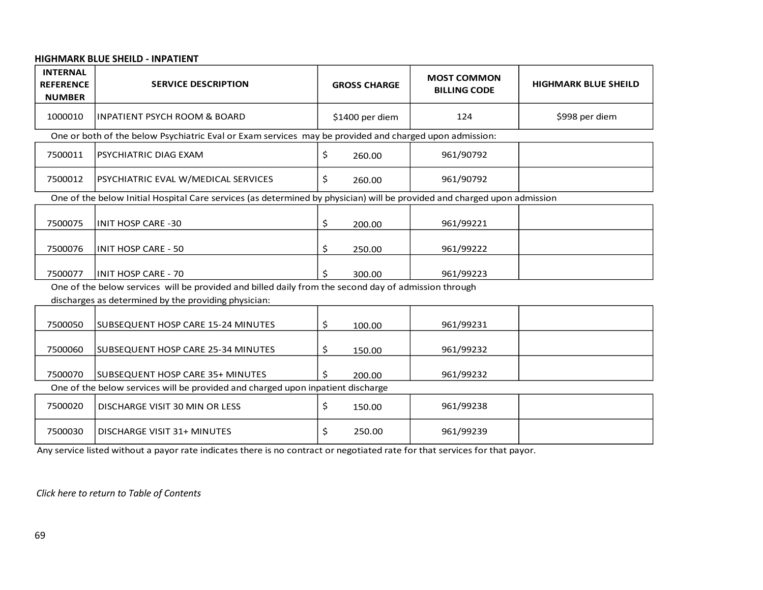## **HIGHMARK BLUE SHEILD - INPATIENT**

| <b>INTERNAL</b><br><b>REFERENCE</b><br><b>NUMBER</b> | <b>SERVICE DESCRIPTION</b>                                                                                               |    | <b>GROSS CHARGE</b> | <b>MOST COMMON</b><br><b>BILLING CODE</b> | <b>HIGHMARK BLUE SHEILD</b> |
|------------------------------------------------------|--------------------------------------------------------------------------------------------------------------------------|----|---------------------|-------------------------------------------|-----------------------------|
| 1000010                                              | <b>INPATIENT PSYCH ROOM &amp; BOARD</b>                                                                                  |    | \$1400 per diem     | 124                                       | \$998 per diem              |
|                                                      | One or both of the below Psychiatric Eval or Exam services may be provided and charged upon admission:                   |    |                     |                                           |                             |
| 7500011                                              | PSYCHIATRIC DIAG EXAM                                                                                                    | \$ | 260.00              | 961/90792                                 |                             |
| 7500012                                              | PSYCHIATRIC EVAL W/MEDICAL SERVICES                                                                                      | \$ | 260.00              | 961/90792                                 |                             |
|                                                      | One of the below Initial Hospital Care services (as determined by physician) will be provided and charged upon admission |    |                     |                                           |                             |
| 7500075                                              | <b>INIT HOSP CARE -30</b>                                                                                                | \$ | 200.00              | 961/99221                                 |                             |
| 7500076                                              | <b>INIT HOSP CARE - 50</b>                                                                                               | \$ | 250.00              | 961/99222                                 |                             |
| 7500077                                              | <b>INIT HOSP CARE - 70</b>                                                                                               | S  | 300.00              | 961/99223                                 |                             |
|                                                      | One of the below services will be provided and billed daily from the second day of admission through                     |    |                     |                                           |                             |
|                                                      | discharges as determined by the providing physician:                                                                     |    |                     |                                           |                             |
| 7500050                                              | SUBSEQUENT HOSP CARE 15-24 MINUTES                                                                                       | \$ | 100.00              | 961/99231                                 |                             |
| 7500060                                              | SUBSEQUENT HOSP CARE 25-34 MINUTES                                                                                       | \$ | 150.00              | 961/99232                                 |                             |
| 7500070                                              | SUBSEQUENT HOSP CARE 35+ MINUTES                                                                                         | Ś. | 200.00              | 961/99232                                 |                             |
|                                                      | One of the below services will be provided and charged upon inpatient discharge                                          |    |                     |                                           |                             |
| 7500020                                              | <b>DISCHARGE VISIT 30 MIN OR LESS</b>                                                                                    | \$ | 150.00              | 961/99238                                 |                             |
| 7500030                                              | <b>DISCHARGE VISIT 31+ MINUTES</b>                                                                                       | \$ | 250.00              | 961/99239                                 |                             |

Any service listed without a payor rate indicates there is no contract or negotiated rate for that services for that payor.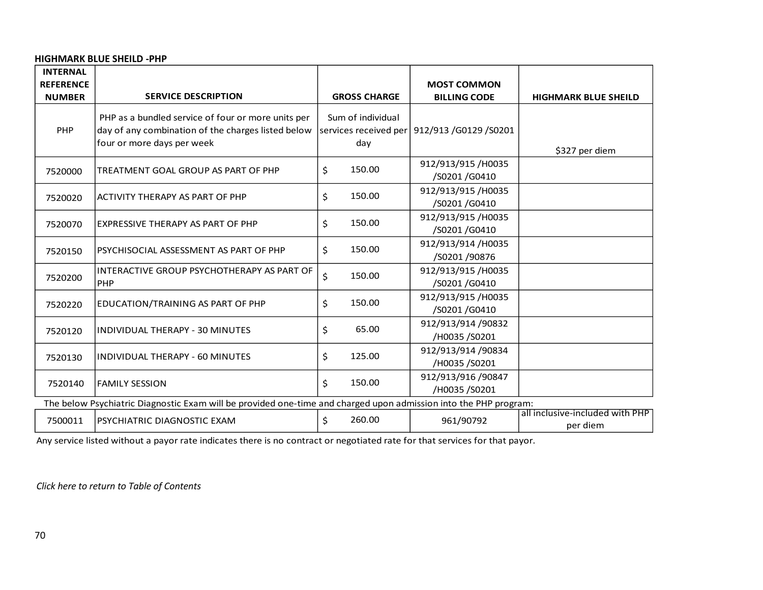## **HIGHMARK BLUE SHEILD -PHP**

| <b>INTERNAL</b><br><b>REFERENCE</b> |                                                                                                                                        |                          |                                                 |                                             |
|-------------------------------------|----------------------------------------------------------------------------------------------------------------------------------------|--------------------------|-------------------------------------------------|---------------------------------------------|
| <b>NUMBER</b>                       | <b>SERVICE DESCRIPTION</b>                                                                                                             | <b>GROSS CHARGE</b>      | <b>MOST COMMON</b><br><b>BILLING CODE</b>       | <b>HIGHMARK BLUE SHEILD</b>                 |
| PHP                                 | PHP as a bundled service of four or more units per<br>day of any combination of the charges listed below<br>four or more days per week | Sum of individual<br>day | services received per   912/913 / G0129 / S0201 | \$327 per diem                              |
| 7520000                             | TREATMENT GOAL GROUP AS PART OF PHP                                                                                                    | 150.00<br>Ś.             | 912/913/915/H0035<br>/S0201 /G0410              |                                             |
| 7520020                             | <b>ACTIVITY THERAPY AS PART OF PHP</b>                                                                                                 | \$<br>150.00             | 912/913/915/H0035<br>/S0201 /G0410              |                                             |
| 7520070                             | EXPRESSIVE THERAPY AS PART OF PHP                                                                                                      | 150.00<br>\$             | 912/913/915/H0035<br>/S0201 /G0410              |                                             |
| 7520150                             | PSYCHISOCIAL ASSESSMENT AS PART OF PHP                                                                                                 | 150.00<br>\$             | 912/913/914/H0035<br>/S0201 /90876              |                                             |
| 7520200                             | INTERACTIVE GROUP PSYCHOTHERAPY AS PART OF<br>PHP                                                                                      | \$<br>150.00             | 912/913/915/H0035<br>/S0201 /G0410              |                                             |
| 7520220                             | EDUCATION/TRAINING AS PART OF PHP                                                                                                      | \$<br>150.00             | 912/913/915/H0035<br>/S0201 /G0410              |                                             |
| 7520120                             | <b>INDIVIDUAL THERAPY - 30 MINUTES</b>                                                                                                 | 65.00<br>\$              | 912/913/914 /90832<br>/H0035 /S0201             |                                             |
| 7520130                             | INDIVIDUAL THERAPY - 60 MINUTES                                                                                                        | 125.00<br>\$             | 912/913/914 /90834<br>/H0035 /S0201             |                                             |
| 7520140                             | <b>FAMILY SESSION</b>                                                                                                                  | \$<br>150.00             | 912/913/916 /90847<br>/H0035 /S0201             |                                             |
|                                     | The below Psychiatric Diagnostic Exam will be provided one-time and charged upon admission into the PHP program:                       |                          |                                                 |                                             |
| 7500011                             | PSYCHIATRIC DIAGNOSTIC EXAM                                                                                                            | 260.00<br>\$             | 961/90792                                       | all inclusive-included with PHP<br>per diem |

Any service listed without a payor rate indicates there is no contract or negotiated rate for that services for that payor.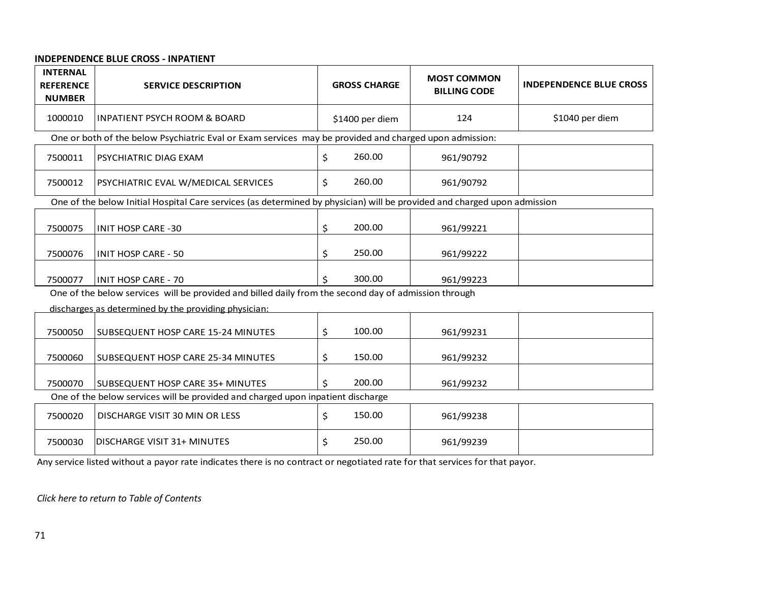## **INDEPENDENCE BLUE CROSS - INPATIENT**

| <b>INTERNAL</b><br><b>REFERENCE</b><br><b>NUMBER</b> | <b>SERVICE DESCRIPTION</b>                                                                                               | <b>GROSS CHARGE</b> | <b>MOST COMMON</b><br><b>BILLING CODE</b> | <b>INDEPENDENCE BLUE CROSS</b> |
|------------------------------------------------------|--------------------------------------------------------------------------------------------------------------------------|---------------------|-------------------------------------------|--------------------------------|
| 1000010                                              | <b>INPATIENT PSYCH ROOM &amp; BOARD</b>                                                                                  | \$1400 per diem     | 124                                       | \$1040 per diem                |
|                                                      | One or both of the below Psychiatric Eval or Exam services may be provided and charged upon admission:                   |                     |                                           |                                |
| 7500011                                              | PSYCHIATRIC DIAG EXAM                                                                                                    | \$<br>260.00        | 961/90792                                 |                                |
| 7500012                                              | PSYCHIATRIC EVAL W/MEDICAL SERVICES                                                                                      | \$<br>260.00        | 961/90792                                 |                                |
|                                                      | One of the below Initial Hospital Care services (as determined by physician) will be provided and charged upon admission |                     |                                           |                                |
| 7500075                                              | INIT HOSP CARE -30                                                                                                       | \$<br>200.00        | 961/99221                                 |                                |
| 7500076                                              | IINIT HOSP CARE - 50                                                                                                     | \$<br>250.00        | 961/99222                                 |                                |
| 7500077                                              | IINIT HOSP CARE - 70                                                                                                     | 300.00              | 961/99223                                 |                                |
|                                                      | One of the below services will be provided and billed daily from the second day of admission through                     |                     |                                           |                                |
|                                                      | discharges as determined by the providing physician:                                                                     |                     |                                           |                                |
| 7500050                                              | <b>SUBSEQUENT HOSP CARE 15-24 MINUTES</b>                                                                                | \$<br>100.00        | 961/99231                                 |                                |
| 7500060                                              | SUBSEQUENT HOSP CARE 25-34 MINUTES                                                                                       | \$<br>150.00        | 961/99232                                 |                                |
| 7500070                                              | <b>SUBSEQUENT HOSP CARE 35+ MINUTES</b>                                                                                  | 200.00              | 961/99232                                 |                                |
|                                                      | One of the below services will be provided and charged upon inpatient discharge                                          |                     |                                           |                                |
| 7500020                                              | DISCHARGE VISIT 30 MIN OR LESS                                                                                           | \$<br>150.00        | 961/99238                                 |                                |
| 7500030                                              | DISCHARGE VISIT 31+ MINUTES                                                                                              | \$<br>250.00        | 961/99239                                 |                                |

Any service listed without a payor rate indicates there is no contract or negotiated rate for that services for that payor.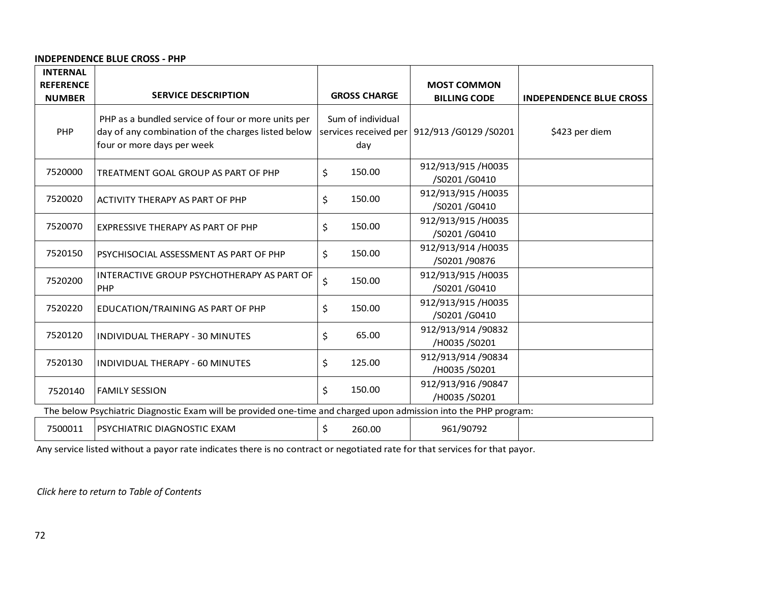### **INDEPENDENCE BLUE CROSS - PHP**

| <b>INTERNAL</b>                                                                                                  |                                                                                                                                        |                          |                                               |                                |
|------------------------------------------------------------------------------------------------------------------|----------------------------------------------------------------------------------------------------------------------------------------|--------------------------|-----------------------------------------------|--------------------------------|
| <b>REFERENCE</b>                                                                                                 | <b>SERVICE DESCRIPTION</b>                                                                                                             | <b>GROSS CHARGE</b>      | <b>MOST COMMON</b>                            |                                |
| <b>NUMBER</b>                                                                                                    |                                                                                                                                        |                          | <b>BILLING CODE</b>                           | <b>INDEPENDENCE BLUE CROSS</b> |
| PHP                                                                                                              | PHP as a bundled service of four or more units per<br>day of any combination of the charges listed below<br>four or more days per week | Sum of individual<br>day | services received per 912/913 / G0129 / S0201 | \$423 per diem                 |
| 7520000                                                                                                          | TREATMENT GOAL GROUP AS PART OF PHP                                                                                                    | 150.00<br>\$             | 912/913/915/H0035<br>/S0201 /G0410            |                                |
| 7520020                                                                                                          | <b>ACTIVITY THERAPY AS PART OF PHP</b>                                                                                                 | 150.00<br>\$             | 912/913/915 /H0035<br>/S0201 /G0410           |                                |
| 7520070                                                                                                          | <b>EXPRESSIVE THERAPY AS PART OF PHP</b>                                                                                               | \$<br>150.00             | 912/913/915/H0035<br>/S0201 /G0410            |                                |
| 7520150                                                                                                          | PSYCHISOCIAL ASSESSMENT AS PART OF PHP                                                                                                 | \$<br>150.00             | 912/913/914 /H0035<br>/S0201 /90876           |                                |
| 7520200                                                                                                          | INTERACTIVE GROUP PSYCHOTHERAPY AS PART OF<br>PHP                                                                                      | \$<br>150.00             | 912/913/915 /H0035<br>/S0201 /G0410           |                                |
| 7520220                                                                                                          | EDUCATION/TRAINING AS PART OF PHP                                                                                                      | \$<br>150.00             | 912/913/915/H0035<br>/S0201 /G0410            |                                |
| 7520120                                                                                                          | <b>INDIVIDUAL THERAPY - 30 MINUTES</b>                                                                                                 | 65.00<br>\$              | 912/913/914 /90832<br>/H0035 /S0201           |                                |
| 7520130                                                                                                          | <b>INDIVIDUAL THERAPY - 60 MINUTES</b>                                                                                                 | 125.00<br>\$             | 912/913/914 /90834<br>/H0035 /S0201           |                                |
| 7520140                                                                                                          | <b>FAMILY SESSION</b>                                                                                                                  | 150.00<br>\$             | 912/913/916 /90847<br>/H0035 /S0201           |                                |
| The below Psychiatric Diagnostic Exam will be provided one-time and charged upon admission into the PHP program: |                                                                                                                                        |                          |                                               |                                |
| 7500011                                                                                                          | PSYCHIATRIC DIAGNOSTIC EXAM                                                                                                            | \$<br>260.00             | 961/90792                                     |                                |

Any service listed without a payor rate indicates there is no contract or negotiated rate for that services for that payor.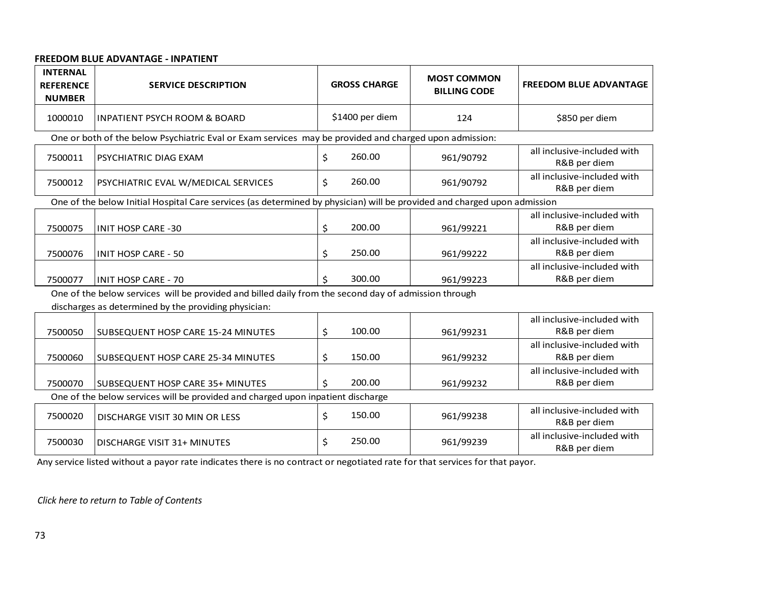## **FREEDOM BLUE ADVANTAGE - INPATIENT**

| <b>INTERNAL</b><br><b>REFERENCE</b><br><b>NUMBER</b> | <b>SERVICE DESCRIPTION</b>                                                                                                                                   | <b>GROSS CHARGE</b> | <b>MOST COMMON</b><br><b>BILLING CODE</b> | <b>FREEDOM BLUE ADVANTAGE</b>               |
|------------------------------------------------------|--------------------------------------------------------------------------------------------------------------------------------------------------------------|---------------------|-------------------------------------------|---------------------------------------------|
| 1000010                                              | <b>INPATIENT PSYCH ROOM &amp; BOARD</b>                                                                                                                      | \$1400 per diem     | 124                                       | \$850 per diem                              |
|                                                      | One or both of the below Psychiatric Eval or Exam services may be provided and charged upon admission:                                                       |                     |                                           |                                             |
| 7500011                                              | PSYCHIATRIC DIAG EXAM                                                                                                                                        | 260.00<br>\$        | 961/90792                                 | all inclusive-included with<br>R&B per diem |
| 7500012                                              | PSYCHIATRIC EVAL W/MEDICAL SERVICES                                                                                                                          | 260.00<br>\$        | 961/90792                                 | all inclusive-included with<br>R&B per diem |
|                                                      | One of the below Initial Hospital Care services (as determined by physician) will be provided and charged upon admission                                     |                     |                                           |                                             |
| 7500075                                              | <b>INIT HOSP CARE -30</b>                                                                                                                                    | 200.00<br>\$        | 961/99221                                 | all inclusive-included with<br>R&B per diem |
| 7500076                                              | <b>INIT HOSP CARE - 50</b>                                                                                                                                   | 250.00<br>\$        | 961/99222                                 | all inclusive-included with<br>R&B per diem |
| 7500077                                              | <b>INIT HOSP CARE - 70</b>                                                                                                                                   | 300.00<br>\$        | 961/99223                                 | all inclusive-included with<br>R&B per diem |
|                                                      | One of the below services will be provided and billed daily from the second day of admission through<br>discharges as determined by the providing physician: |                     |                                           |                                             |
| 7500050                                              | <b>SUBSEQUENT HOSP CARE 15-24 MINUTES</b>                                                                                                                    | \$<br>100.00        | 961/99231                                 | all inclusive-included with<br>R&B per diem |
| 7500060                                              | SUBSEQUENT HOSP CARE 25-34 MINUTES                                                                                                                           | 150.00<br>\$        | 961/99232                                 | all inclusive-included with<br>R&B per diem |
| 7500070                                              | <b>SUBSEQUENT HOSP CARE 35+ MINUTES</b>                                                                                                                      | 200.00<br>ς.        | 961/99232                                 | all inclusive-included with<br>R&B per diem |
|                                                      | One of the below services will be provided and charged upon inpatient discharge                                                                              |                     |                                           |                                             |
| 7500020                                              | DISCHARGE VISIT 30 MIN OR LESS                                                                                                                               | \$<br>150.00        | 961/99238                                 | all inclusive-included with<br>R&B per diem |
| 7500030                                              | DISCHARGE VISIT 31+ MINUTES                                                                                                                                  | 250.00<br>\$        | 961/99239                                 | all inclusive-included with<br>R&B per diem |

Any service listed without a payor rate indicates there is no contract or negotiated rate for that services for that payor.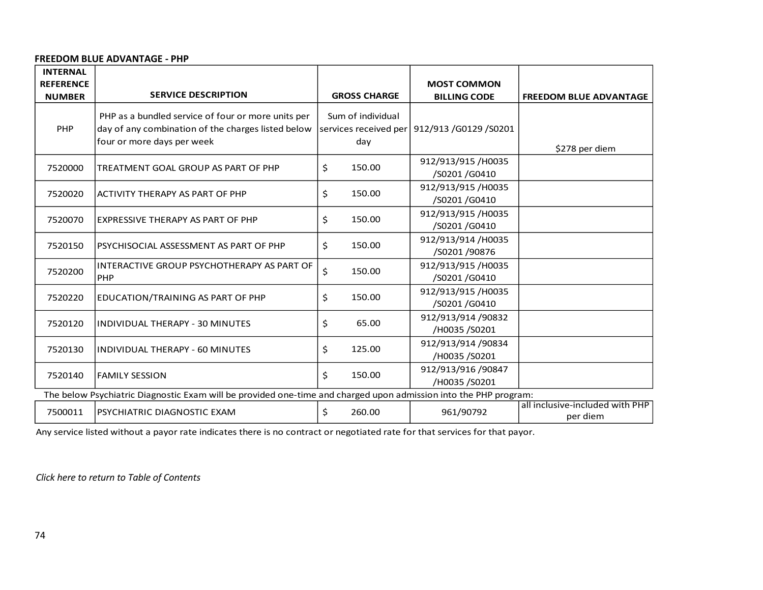#### **FREEDOM BLUE ADVANTAGE - PHP**

| <b>INTERNAL</b><br><b>REFERENCE</b> |                                                                                                                                        |                                                   | <b>MOST COMMON</b>                  |                                             |
|-------------------------------------|----------------------------------------------------------------------------------------------------------------------------------------|---------------------------------------------------|-------------------------------------|---------------------------------------------|
| <b>NUMBER</b>                       | <b>SERVICE DESCRIPTION</b>                                                                                                             | <b>GROSS CHARGE</b>                               | <b>BILLING CODE</b>                 | <b>FREEDOM BLUE ADVANTAGE</b>               |
| PHP                                 | PHP as a bundled service of four or more units per<br>day of any combination of the charges listed below<br>four or more days per week | Sum of individual<br>services received per<br>day | 912/913 / G0129 / S0201             | \$278 per diem                              |
| 7520000                             | TREATMENT GOAL GROUP AS PART OF PHP                                                                                                    | \$<br>150.00                                      | 912/913/915/H0035<br>/S0201 /G0410  |                                             |
| 7520020                             | ACTIVITY THERAPY AS PART OF PHP                                                                                                        | \$<br>150.00                                      | 912/913/915/H0035<br>/S0201 /G0410  |                                             |
| 7520070                             | EXPRESSIVE THERAPY AS PART OF PHP                                                                                                      | \$<br>150.00                                      | 912/913/915/H0035<br>/S0201 /G0410  |                                             |
| 7520150                             | PSYCHISOCIAL ASSESSMENT AS PART OF PHP                                                                                                 | \$<br>150.00                                      | 912/913/914 /H0035<br>/S0201 /90876 |                                             |
| 7520200                             | INTERACTIVE GROUP PSYCHOTHERAPY AS PART OF<br><b>PHP</b>                                                                               | \$<br>150.00                                      | 912/913/915/H0035<br>/S0201 /G0410  |                                             |
| 7520220                             | EDUCATION/TRAINING AS PART OF PHP                                                                                                      | \$<br>150.00                                      | 912/913/915/H0035<br>/S0201 /G0410  |                                             |
| 7520120                             | INDIVIDUAL THERAPY - 30 MINUTES                                                                                                        | \$<br>65.00                                       | 912/913/914 /90832<br>/H0035 /S0201 |                                             |
| 7520130                             | INDIVIDUAL THERAPY - 60 MINUTES                                                                                                        | \$<br>125.00                                      | 912/913/914 /90834<br>/H0035 /S0201 |                                             |
| 7520140                             | <b>FAMILY SESSION</b>                                                                                                                  | Ś.<br>150.00                                      | 912/913/916 /90847<br>/H0035 /S0201 |                                             |
|                                     | The below Psychiatric Diagnostic Exam will be provided one-time and charged upon admission into the PHP program:                       |                                                   |                                     |                                             |
| 7500011                             | PSYCHIATRIC DIAGNOSTIC EXAM                                                                                                            | \$.<br>260.00                                     | 961/90792                           | all inclusive-included with PHP<br>per diem |

Any service listed without a payor rate indicates there is no contract or negotiated rate for that services for that payor.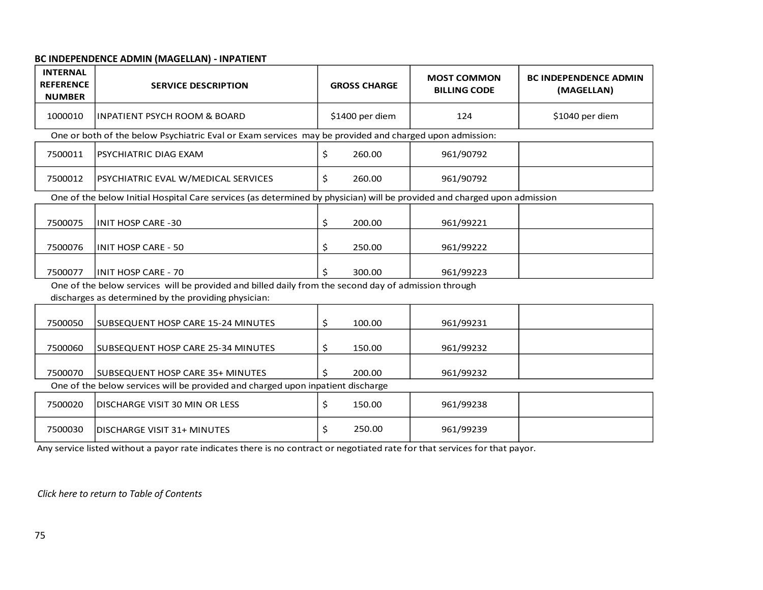# **BC INDEPENDENCE ADMIN (MAGELLAN) - INPATIENT**

| <b>INTERNAL</b><br><b>REFERENCE</b><br><b>NUMBER</b>                                                                     | <b>SERVICE DESCRIPTION</b>                                                                                                                                   |    | <b>GROSS CHARGE</b> | <b>MOST COMMON</b><br><b>BILLING CODE</b> | <b>BC INDEPENDENCE ADMIN</b><br>(MAGELLAN) |
|--------------------------------------------------------------------------------------------------------------------------|--------------------------------------------------------------------------------------------------------------------------------------------------------------|----|---------------------|-------------------------------------------|--------------------------------------------|
| 1000010                                                                                                                  | <b>INPATIENT PSYCH ROOM &amp; BOARD</b>                                                                                                                      |    | \$1400 per diem     | 124                                       | \$1040 per diem                            |
|                                                                                                                          | One or both of the below Psychiatric Eval or Exam services may be provided and charged upon admission:                                                       |    |                     |                                           |                                            |
| 7500011                                                                                                                  | PSYCHIATRIC DIAG EXAM                                                                                                                                        | \$ | 260.00              | 961/90792                                 |                                            |
| 7500012                                                                                                                  | PSYCHIATRIC EVAL W/MEDICAL SERVICES                                                                                                                          | Ś. | 260.00              | 961/90792                                 |                                            |
| One of the below Initial Hospital Care services (as determined by physician) will be provided and charged upon admission |                                                                                                                                                              |    |                     |                                           |                                            |
| 7500075                                                                                                                  | <b>INIT HOSP CARE -30</b>                                                                                                                                    | \$ | 200.00              | 961/99221                                 |                                            |
| 7500076                                                                                                                  | <b>INIT HOSP CARE - 50</b>                                                                                                                                   | \$ | 250.00              | 961/99222                                 |                                            |
| 7500077                                                                                                                  | <b>INIT HOSP CARE - 70</b>                                                                                                                                   | Ś  | 300.00              | 961/99223                                 |                                            |
|                                                                                                                          | One of the below services will be provided and billed daily from the second day of admission through<br>discharges as determined by the providing physician: |    |                     |                                           |                                            |
| 7500050                                                                                                                  | SUBSEQUENT HOSP CARE 15-24 MINUTES                                                                                                                           | \$ | 100.00              | 961/99231                                 |                                            |
| 7500060                                                                                                                  | SUBSEQUENT HOSP CARE 25-34 MINUTES                                                                                                                           | \$ | 150.00              | 961/99232                                 |                                            |
| 7500070                                                                                                                  | SUBSEQUENT HOSP CARE 35+ MINUTES                                                                                                                             | Ś. | 200.00              | 961/99232                                 |                                            |
|                                                                                                                          | One of the below services will be provided and charged upon inpatient discharge                                                                              |    |                     |                                           |                                            |
| 7500020                                                                                                                  | DISCHARGE VISIT 30 MIN OR LESS                                                                                                                               | \$ | 150.00              | 961/99238                                 |                                            |
| 7500030                                                                                                                  | <b>DISCHARGE VISIT 31+ MINUTES</b>                                                                                                                           | \$ | 250.00              | 961/99239                                 |                                            |

Any service listed without a payor rate indicates there is no contract or negotiated rate for that services for that payor.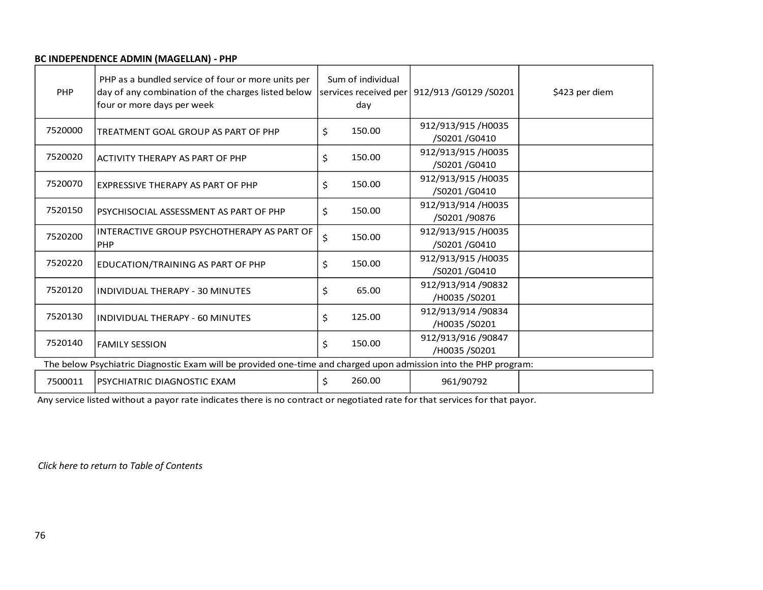# **BC INDEPENDENCE ADMIN (MAGELLAN) - PHP**

| PHP                                                                                                              | PHP as a bundled service of four or more units per<br>day of any combination of the charges listed below<br>four or more days per week |    | Sum of individual<br>services received per<br>day | 912/913 /G0129 /S0201               | \$423 per diem |
|------------------------------------------------------------------------------------------------------------------|----------------------------------------------------------------------------------------------------------------------------------------|----|---------------------------------------------------|-------------------------------------|----------------|
| 7520000                                                                                                          | TREATMENT GOAL GROUP AS PART OF PHP                                                                                                    | \$ | 150.00                                            | 912/913/915/H0035<br>/S0201 /G0410  |                |
| 7520020                                                                                                          | ACTIVITY THERAPY AS PART OF PHP                                                                                                        | \$ | 150.00                                            | 912/913/915/H0035<br>/S0201 /G0410  |                |
| 7520070                                                                                                          | EXPRESSIVE THERAPY AS PART OF PHP                                                                                                      | Ś. | 150.00                                            | 912/913/915/H0035<br>/S0201 /G0410  |                |
| 7520150                                                                                                          | PSYCHISOCIAL ASSESSMENT AS PART OF PHP                                                                                                 | Ś. | 150.00                                            | 912/913/914 /H0035<br>/S0201 /90876 |                |
| 7520200                                                                                                          | INTERACTIVE GROUP PSYCHOTHERAPY AS PART OF<br>PHP                                                                                      | \$ | 150.00                                            | 912/913/915/H0035<br>/S0201 /G0410  |                |
| 7520220                                                                                                          | EDUCATION/TRAINING AS PART OF PHP                                                                                                      | \$ | 150.00                                            | 912/913/915/H0035<br>/S0201 /G0410  |                |
| 7520120                                                                                                          | INDIVIDUAL THERAPY - 30 MINUTES                                                                                                        | \$ | 65.00                                             | 912/913/914 /90832<br>/H0035 /S0201 |                |
| 7520130                                                                                                          | INDIVIDUAL THERAPY - 60 MINUTES                                                                                                        | \$ | 125.00                                            | 912/913/914 /90834<br>/H0035 /S0201 |                |
| 7520140                                                                                                          | <b>FAMILY SESSION</b>                                                                                                                  | \$ | 150.00                                            | 912/913/916 /90847<br>/H0035 /S0201 |                |
| The below Psychiatric Diagnostic Exam will be provided one-time and charged upon admission into the PHP program: |                                                                                                                                        |    |                                                   |                                     |                |
| 7500011                                                                                                          | PSYCHIATRIC DIAGNOSTIC EXAM                                                                                                            | Ś  | 260.00                                            | 961/90792                           |                |

Any service listed without a payor rate indicates there is no contract or negotiated rate for that services for that payor.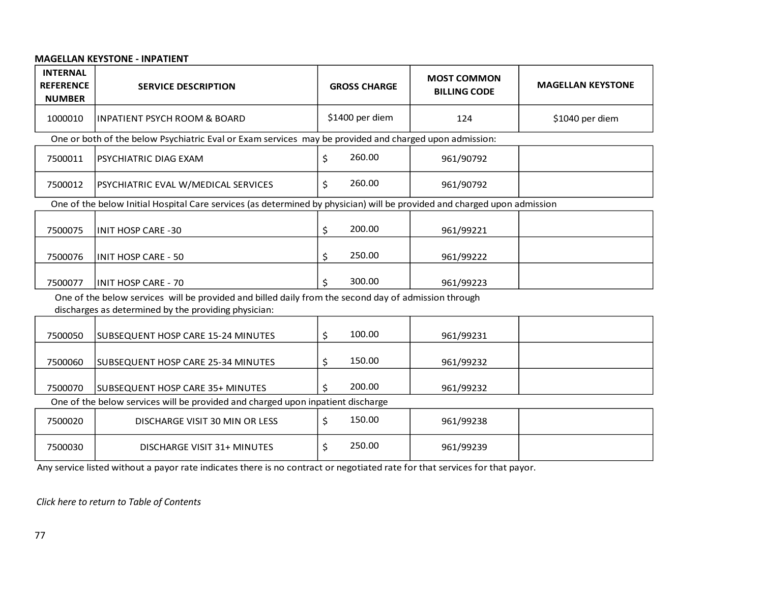# **MAGELLAN KEYSTONE - INPATIENT**

| <b>SERVICE DESCRIPTION</b>                           |                                                                                         |        | <b>MOST COMMON</b><br><b>BILLING CODE</b>                                                                                                  | <b>MAGELLAN KEYSTONE</b>                                                                                                                                                                                                                                                                                                                   |
|------------------------------------------------------|-----------------------------------------------------------------------------------------|--------|--------------------------------------------------------------------------------------------------------------------------------------------|--------------------------------------------------------------------------------------------------------------------------------------------------------------------------------------------------------------------------------------------------------------------------------------------------------------------------------------------|
| <b>INPATIENT PSYCH ROOM &amp; BOARD</b>              |                                                                                         |        | 124                                                                                                                                        | \$1040 per diem                                                                                                                                                                                                                                                                                                                            |
|                                                      |                                                                                         |        |                                                                                                                                            |                                                                                                                                                                                                                                                                                                                                            |
| PSYCHIATRIC DIAG EXAM                                | \$                                                                                      | 260.00 | 961/90792                                                                                                                                  |                                                                                                                                                                                                                                                                                                                                            |
| PSYCHIATRIC EVAL W/MEDICAL SERVICES                  | Ŝ.                                                                                      | 260.00 | 961/90792                                                                                                                                  |                                                                                                                                                                                                                                                                                                                                            |
|                                                      |                                                                                         |        |                                                                                                                                            |                                                                                                                                                                                                                                                                                                                                            |
| <b>INIT HOSP CARE -30</b>                            | \$                                                                                      | 200.00 | 961/99221                                                                                                                                  |                                                                                                                                                                                                                                                                                                                                            |
| <b>INIT HOSP CARE - 50</b>                           | \$                                                                                      | 250.00 | 961/99222                                                                                                                                  |                                                                                                                                                                                                                                                                                                                                            |
| <b>INIT HOSP CARE - 70</b>                           | Ś.                                                                                      | 300.00 | 961/99223                                                                                                                                  |                                                                                                                                                                                                                                                                                                                                            |
| discharges as determined by the providing physician: |                                                                                         |        |                                                                                                                                            |                                                                                                                                                                                                                                                                                                                                            |
| SUBSEQUENT HOSP CARE 15-24 MINUTES                   | \$                                                                                      | 100.00 | 961/99231                                                                                                                                  |                                                                                                                                                                                                                                                                                                                                            |
| SUBSEQUENT HOSP CARE 25-34 MINUTES                   | \$                                                                                      | 150.00 | 961/99232                                                                                                                                  |                                                                                                                                                                                                                                                                                                                                            |
| SUBSEQUENT HOSP CARE 35+ MINUTES                     | Ś.                                                                                      | 200.00 | 961/99232                                                                                                                                  |                                                                                                                                                                                                                                                                                                                                            |
|                                                      |                                                                                         |        |                                                                                                                                            |                                                                                                                                                                                                                                                                                                                                            |
| DISCHARGE VISIT 30 MIN OR LESS                       | \$                                                                                      | 150.00 | 961/99238                                                                                                                                  |                                                                                                                                                                                                                                                                                                                                            |
| <b>DISCHARGE VISIT 31+ MINUTES</b>                   | \$                                                                                      | 250.00 | 961/99239                                                                                                                                  |                                                                                                                                                                                                                                                                                                                                            |
|                                                      | $\mathbf{r}$ , $\mathbf{r}$ , $\mathbf{r}$ , $\mathbf{r}$ , $\mathbf{r}$ , $\mathbf{r}$ |        | <b>GROSS CHARGE</b><br>\$1400 per diem<br>One of the below services will be provided and charged upon inpatient discharge<br>$\sim$ $\sim$ | One or both of the below Psychiatric Eval or Exam services may be provided and charged upon admission:<br>One of the below Initial Hospital Care services (as determined by physician) will be provided and charged upon admission<br>One of the below services will be provided and billed daily from the second day of admission through |

Any service listed without a payor rate indicates there is no contract or negotiated rate for that services for that payor.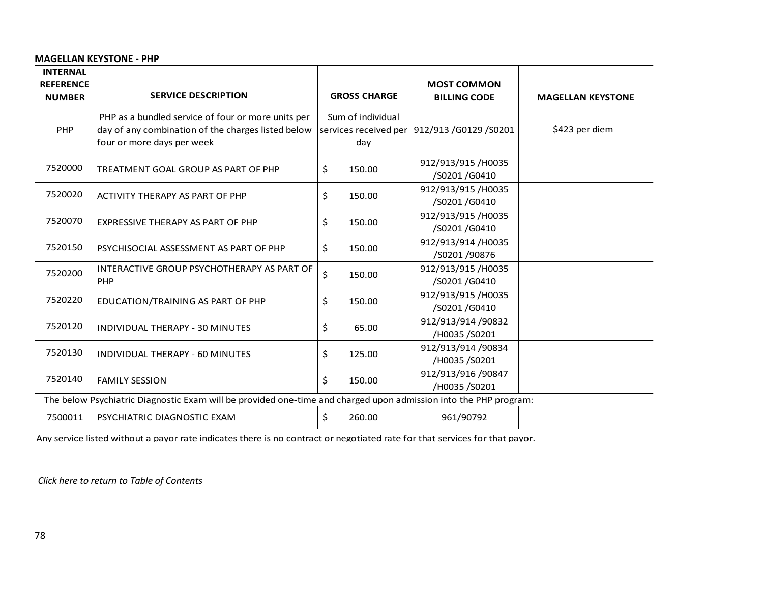#### **MAGELLAN KEYSTONE - PHP**

| <b>INTERNAL</b>                   |                                                                                                                                        |                          |                                                 |                          |
|-----------------------------------|----------------------------------------------------------------------------------------------------------------------------------------|--------------------------|-------------------------------------------------|--------------------------|
| <b>REFERENCE</b><br><b>NUMBER</b> | <b>SERVICE DESCRIPTION</b>                                                                                                             | <b>GROSS CHARGE</b>      | <b>MOST COMMON</b><br><b>BILLING CODE</b>       | <b>MAGELLAN KEYSTONE</b> |
| PHP                               | PHP as a bundled service of four or more units per<br>day of any combination of the charges listed below<br>four or more days per week | Sum of individual<br>day | services received per   912/913 / G0129 / S0201 | \$423 per diem           |
| 7520000                           | TREATMENT GOAL GROUP AS PART OF PHP                                                                                                    | \$<br>150.00             | 912/913/915/H0035<br>/S0201 /G0410              |                          |
| 7520020                           | ACTIVITY THERAPY AS PART OF PHP                                                                                                        | \$<br>150.00             | 912/913/915/H0035<br>/S0201 /G0410              |                          |
| 7520070                           | EXPRESSIVE THERAPY AS PART OF PHP                                                                                                      | \$<br>150.00             | 912/913/915/H0035<br>/S0201 /G0410              |                          |
| 7520150                           | PSYCHISOCIAL ASSESSMENT AS PART OF PHP                                                                                                 | \$<br>150.00             | 912/913/914 /H0035<br>/S0201 /90876             |                          |
| 7520200                           | INTERACTIVE GROUP PSYCHOTHERAPY AS PART OF<br>PHP                                                                                      | \$<br>150.00             | 912/913/915/H0035<br>/S0201 /G0410              |                          |
| 7520220                           | EDUCATION/TRAINING AS PART OF PHP                                                                                                      | \$<br>150.00             | 912/913/915/H0035<br>/S0201 /G0410              |                          |
| 7520120                           | INDIVIDUAL THERAPY - 30 MINUTES                                                                                                        | \$<br>65.00              | 912/913/914 /90832<br>/H0035 /S0201             |                          |
| 7520130                           | <b>INDIVIDUAL THERAPY - 60 MINUTES</b>                                                                                                 | \$<br>125.00             | 912/913/914 /90834<br>/H0035 /S0201             |                          |
| 7520140                           | <b>FAMILY SESSION</b>                                                                                                                  | \$<br>150.00             | 912/913/916 /90847<br>/H0035 /S0201             |                          |
|                                   | The below Psychiatric Diagnostic Exam will be provided one-time and charged upon admission into the PHP program:                       |                          |                                                 |                          |
| 7500011                           | PSYCHIATRIC DIAGNOSTIC EXAM                                                                                                            | \$<br>260.00             | 961/90792                                       |                          |

Any service listed without a payor rate indicates there is no contract or negotiated rate for that services for that payor.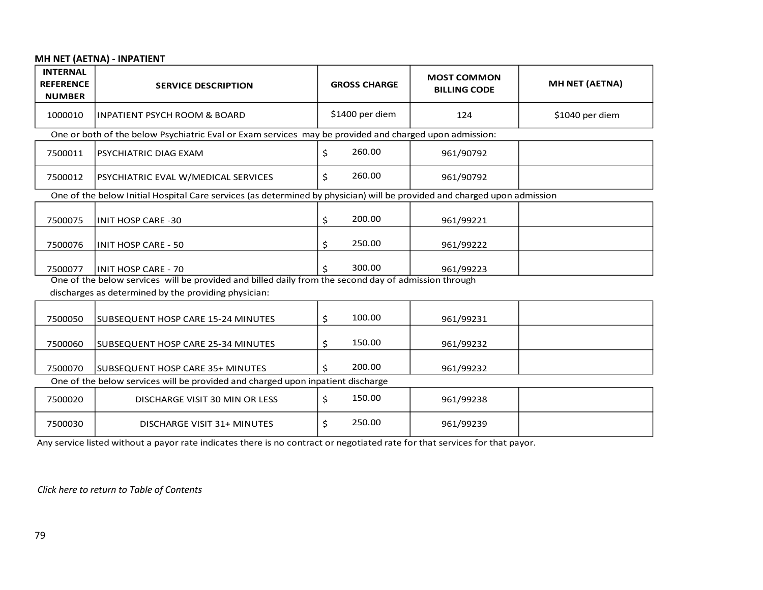# **MH NET (AETNA) - INPATIENT**

| <b>INTERNAL</b><br><b>REFERENCE</b><br><b>NUMBER</b> | <b>SERVICE DESCRIPTION</b>                                                                                               |    | <b>GROSS CHARGE</b> | <b>MOST COMMON</b><br><b>BILLING CODE</b> | <b>MH NET (AETNA)</b> |
|------------------------------------------------------|--------------------------------------------------------------------------------------------------------------------------|----|---------------------|-------------------------------------------|-----------------------|
| 1000010                                              | <b>INPATIENT PSYCH ROOM &amp; BOARD</b>                                                                                  |    | \$1400 per diem     | 124                                       | \$1040 per diem       |
|                                                      | One or both of the below Psychiatric Eval or Exam services may be provided and charged upon admission:                   |    |                     |                                           |                       |
| 7500011                                              | PSYCHIATRIC DIAG EXAM                                                                                                    | \$ | 260.00              | 961/90792                                 |                       |
| 7500012                                              | PSYCHIATRIC EVAL W/MEDICAL SERVICES                                                                                      | Ś. | 260.00              | 961/90792                                 |                       |
|                                                      | One of the below Initial Hospital Care services (as determined by physician) will be provided and charged upon admission |    |                     |                                           |                       |
| 7500075                                              | <b>INIT HOSP CARE -30</b>                                                                                                | \$ | 200.00              | 961/99221                                 |                       |
| 7500076                                              | <b>INIT HOSP CARE - 50</b>                                                                                               | \$ | 250.00              | 961/99222                                 |                       |
| 7500077                                              | <b>INIT HOSP CARE - 70</b>                                                                                               |    | 300.00              | 961/99223                                 |                       |
|                                                      | One of the below services will be provided and billed daily from the second day of admission through                     |    |                     |                                           |                       |
|                                                      | discharges as determined by the providing physician:                                                                     |    |                     |                                           |                       |
| 7500050                                              | SUBSEQUENT HOSP CARE 15-24 MINUTES                                                                                       | \$ | 100.00              | 961/99231                                 |                       |
| 7500060                                              | SUBSEQUENT HOSP CARE 25-34 MINUTES                                                                                       | \$ | 150.00              | 961/99232                                 |                       |
| 7500070                                              | SUBSEQUENT HOSP CARE 35+ MINUTES                                                                                         | Ś. | 200.00              | 961/99232                                 |                       |
|                                                      | One of the below services will be provided and charged upon inpatient discharge                                          |    |                     |                                           |                       |
| 7500020                                              | DISCHARGE VISIT 30 MIN OR LESS                                                                                           | \$ | 150.00              | 961/99238                                 |                       |
| 7500030                                              | <b>DISCHARGE VISIT 31+ MINUTES</b>                                                                                       | \$ | 250.00              | 961/99239                                 |                       |

Any service listed without a payor rate indicates there is no contract or negotiated rate for that services for that payor.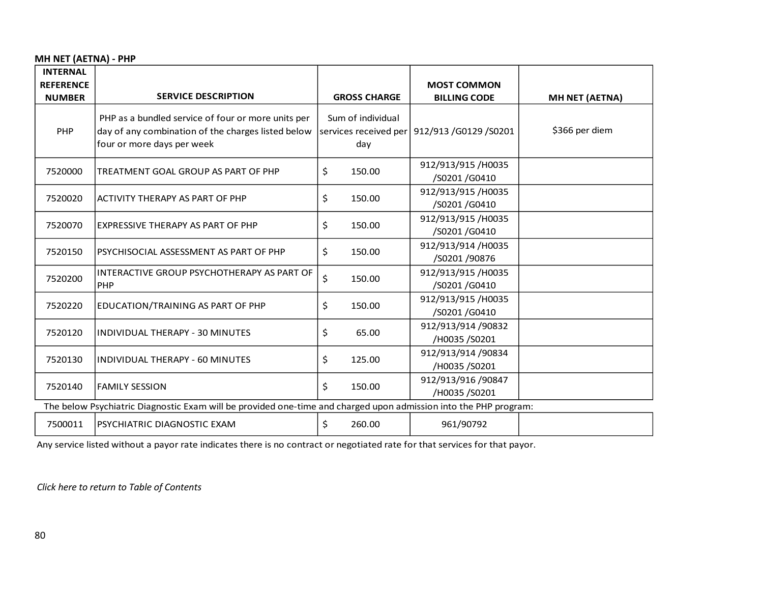# **MH NET (AETNA) - PHP**

| <b>INTERNAL</b><br><b>REFERENCE</b> |                                                                                                                                        |                          | <b>MOST COMMON</b>                              |                       |
|-------------------------------------|----------------------------------------------------------------------------------------------------------------------------------------|--------------------------|-------------------------------------------------|-----------------------|
| <b>NUMBER</b>                       | <b>SERVICE DESCRIPTION</b>                                                                                                             | <b>GROSS CHARGE</b>      | <b>BILLING CODE</b>                             | <b>MH NET (AETNA)</b> |
| PHP                                 | PHP as a bundled service of four or more units per<br>day of any combination of the charges listed below<br>four or more days per week | Sum of individual<br>day | services received per   912/913 / G0129 / S0201 | \$366 per diem        |
| 7520000                             | TREATMENT GOAL GROUP AS PART OF PHP                                                                                                    | \$<br>150.00             | 912/913/915/H0035<br>/S0201 /G0410              |                       |
| 7520020                             | <b>ACTIVITY THERAPY AS PART OF PHP</b>                                                                                                 | \$<br>150.00             | 912/913/915/H0035<br>/S0201 /G0410              |                       |
| 7520070                             | EXPRESSIVE THERAPY AS PART OF PHP                                                                                                      | \$<br>150.00             | 912/913/915/H0035<br>/S0201 /G0410              |                       |
| 7520150                             | PSYCHISOCIAL ASSESSMENT AS PART OF PHP                                                                                                 | \$<br>150.00             | 912/913/914 /H0035<br>/S0201 /90876             |                       |
| 7520200                             | INTERACTIVE GROUP PSYCHOTHERAPY AS PART OF<br>PHP                                                                                      | \$<br>150.00             | 912/913/915/H0035<br>/S0201 /G0410              |                       |
| 7520220                             | EDUCATION/TRAINING AS PART OF PHP                                                                                                      | \$<br>150.00             | 912/913/915/H0035<br>/S0201 /G0410              |                       |
| 7520120                             | INDIVIDUAL THERAPY - 30 MINUTES                                                                                                        | \$<br>65.00              | 912/913/914 /90832<br>/H0035 /S0201             |                       |
| 7520130                             | INDIVIDUAL THERAPY - 60 MINUTES                                                                                                        | \$<br>125.00             | 912/913/914 /90834<br>/H0035 /S0201             |                       |
| 7520140                             | <b>FAMILY SESSION</b>                                                                                                                  | \$<br>150.00             | 912/913/916 /90847<br>/H0035 /S0201             |                       |
|                                     | The below Psychiatric Diagnostic Exam will be provided one-time and charged upon admission into the PHP program:                       |                          |                                                 |                       |
| 7500011                             | PSYCHIATRIC DIAGNOSTIC EXAM                                                                                                            | \$<br>260.00             | 961/90792                                       |                       |

Any service listed without a payor rate indicates there is no contract or negotiated rate for that services for that payor.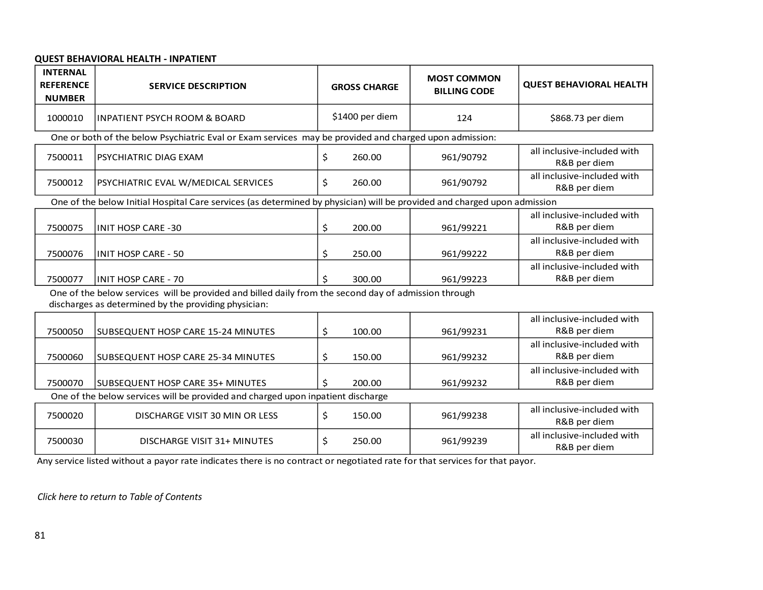## **QUEST BEHAVIORAL HEALTH - INPATIENT**

| <b>INTERNAL</b><br><b>REFERENCE</b><br><b>NUMBER</b> | <b>SERVICE DESCRIPTION</b>                                                                                                                                   |    | <b>GROSS CHARGE</b> | <b>MOST COMMON</b><br><b>BILLING CODE</b> | <b>QUEST BEHAVIORAL HEALTH</b>              |
|------------------------------------------------------|--------------------------------------------------------------------------------------------------------------------------------------------------------------|----|---------------------|-------------------------------------------|---------------------------------------------|
| 1000010                                              | <b>INPATIENT PSYCH ROOM &amp; BOARD</b>                                                                                                                      |    | \$1400 per diem     | 124                                       | \$868.73 per diem                           |
|                                                      | One or both of the below Psychiatric Eval or Exam services may be provided and charged upon admission:                                                       |    |                     |                                           |                                             |
| 7500011                                              | PSYCHIATRIC DIAG EXAM                                                                                                                                        | \$ | 260.00              | 961/90792                                 | all inclusive-included with<br>R&B per diem |
| 7500012                                              | PSYCHIATRIC EVAL W/MEDICAL SERVICES                                                                                                                          | \$ | 260.00              | 961/90792                                 | all inclusive-included with<br>R&B per diem |
|                                                      | One of the below Initial Hospital Care services (as determined by physician) will be provided and charged upon admission                                     |    |                     |                                           |                                             |
| 7500075                                              | <b>INIT HOSP CARE -30</b>                                                                                                                                    | \$ | 200.00              | 961/99221                                 | all inclusive-included with<br>R&B per diem |
| 7500076                                              | <b>INIT HOSP CARE - 50</b>                                                                                                                                   | \$ | 250.00              | 961/99222                                 | all inclusive-included with<br>R&B per diem |
| 7500077                                              | IINIT HOSP CARE - 70                                                                                                                                         | Ś. | 300.00              | 961/99223                                 | all inclusive-included with<br>R&B per diem |
|                                                      | One of the below services will be provided and billed daily from the second day of admission through<br>discharges as determined by the providing physician: |    |                     |                                           |                                             |
| 7500050                                              | SUBSEQUENT HOSP CARE 15-24 MINUTES                                                                                                                           | \$ | 100.00              | 961/99231                                 | all inclusive-included with<br>R&B per diem |
| 7500060                                              | SUBSEQUENT HOSP CARE 25-34 MINUTES                                                                                                                           | \$ | 150.00              | 961/99232                                 | all inclusive-included with<br>R&B per diem |
| 7500070                                              | <b>SUBSEQUENT HOSP CARE 35+ MINUTES</b>                                                                                                                      | Ś. | 200.00              | 961/99232                                 | all inclusive-included with<br>R&B per diem |
|                                                      | One of the below services will be provided and charged upon inpatient discharge                                                                              |    |                     |                                           |                                             |
| 7500020                                              | DISCHARGE VISIT 30 MIN OR LESS                                                                                                                               | \$ | 150.00              | 961/99238                                 | all inclusive-included with<br>R&B per diem |
| 7500030                                              | DISCHARGE VISIT 31+ MINUTES                                                                                                                                  | \$ | 250.00              | 961/99239                                 | all inclusive-included with<br>R&B per diem |

Any service listed without a payor rate indicates there is no contract or negotiated rate for that services for that payor.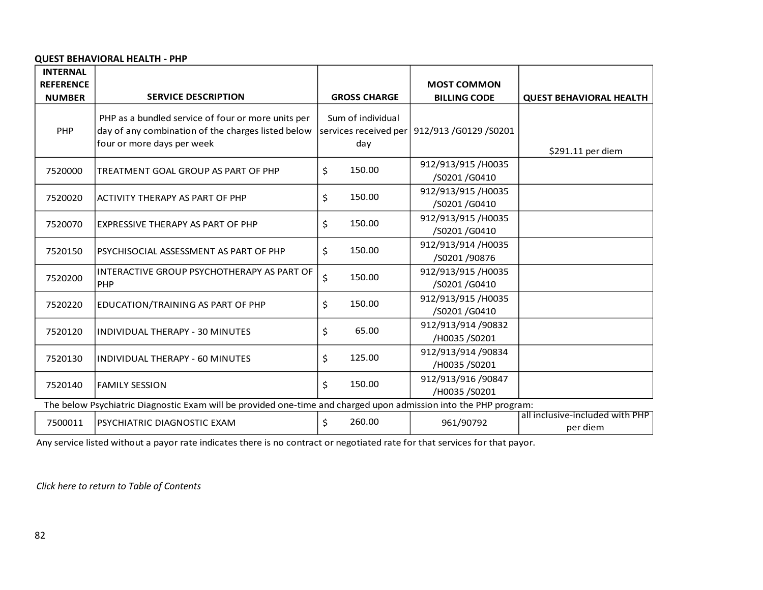# **QUEST BEHAVIORAL HEALTH - PHP**

| <b>INTERNAL</b><br><b>REFERENCE</b> |                                                                                                                                        |                                                   | <b>MOST COMMON</b>                  |                                             |
|-------------------------------------|----------------------------------------------------------------------------------------------------------------------------------------|---------------------------------------------------|-------------------------------------|---------------------------------------------|
| <b>NUMBER</b>                       | <b>SERVICE DESCRIPTION</b>                                                                                                             | <b>GROSS CHARGE</b>                               | <b>BILLING CODE</b>                 | <b>QUEST BEHAVIORAL HEALTH</b>              |
| PHP                                 | PHP as a bundled service of four or more units per<br>day of any combination of the charges listed below<br>four or more days per week | Sum of individual<br>services received per<br>day | 912/913 /G0129 /S0201               | \$291.11 per diem                           |
| 7520000                             | TREATMENT GOAL GROUP AS PART OF PHP                                                                                                    | \$<br>150.00                                      | 912/913/915/H0035<br>/S0201/G0410   |                                             |
| 7520020                             | ACTIVITY THERAPY AS PART OF PHP                                                                                                        | \$<br>150.00                                      | 912/913/915/H0035<br>/S0201/G0410   |                                             |
| 7520070                             | <b>EXPRESSIVE THERAPY AS PART OF PHP</b>                                                                                               | 150.00<br>\$                                      | 912/913/915/H0035<br>/S0201/G0410   |                                             |
| 7520150                             | PSYCHISOCIAL ASSESSMENT AS PART OF PHP                                                                                                 | \$<br>150.00                                      | 912/913/914 /H0035<br>/S0201 /90876 |                                             |
| 7520200                             | INTERACTIVE GROUP PSYCHOTHERAPY AS PART OF<br><b>PHP</b>                                                                               | \$<br>150.00                                      | 912/913/915/H0035<br>/S0201/G0410   |                                             |
| 7520220                             | EDUCATION/TRAINING AS PART OF PHP                                                                                                      | 150.00<br>\$                                      | 912/913/915 /H0035<br>/S0201/G0410  |                                             |
| 7520120                             | INDIVIDUAL THERAPY - 30 MINUTES                                                                                                        | 65.00<br>\$                                       | 912/913/914 /90832<br>/H0035 /S0201 |                                             |
| 7520130                             | INDIVIDUAL THERAPY - 60 MINUTES                                                                                                        | \$<br>125.00                                      | 912/913/914 /90834<br>/H0035 /S0201 |                                             |
| 7520140                             | <b>FAMILY SESSION</b>                                                                                                                  | \$<br>150.00                                      | 912/913/916 /90847<br>/H0035 /S0201 |                                             |
|                                     | The below Psychiatric Diagnostic Exam will be provided one-time and charged upon admission into the PHP program:                       |                                                   |                                     |                                             |
| 7500011                             | PSYCHIATRIC DIAGNOSTIC EXAM                                                                                                            | \$<br>260.00                                      | 961/90792                           | all inclusive-included with PHP<br>per diem |

Any service listed without a payor rate indicates there is no contract or negotiated rate for that services for that payor.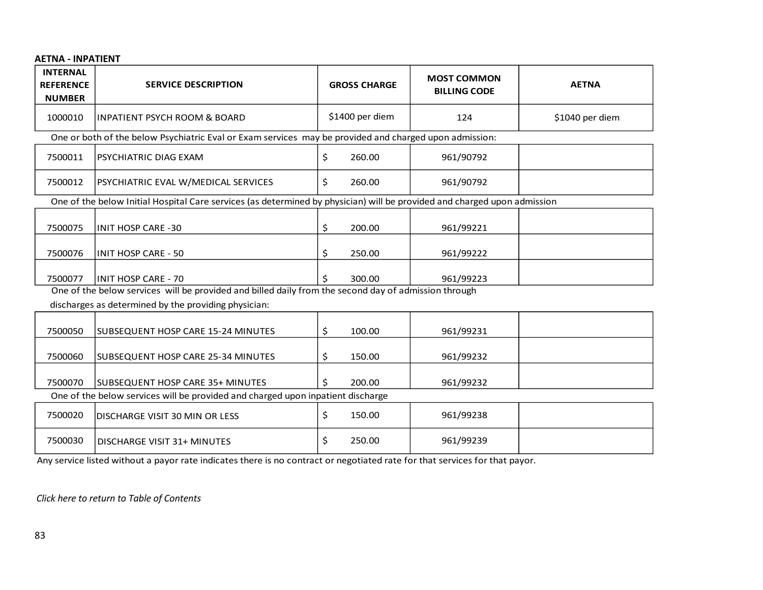# **AETNA - INPATIENT**

| <b>INTERNAL</b><br><b>REFERENCE</b><br><b>NUMBER</b> | <b>SERVICE DESCRIPTION</b>                                                                                               | <b>GROSS CHARGE</b> | <b>MOST COMMON</b><br><b>BILLING CODE</b> | <b>AETNA</b>    |
|------------------------------------------------------|--------------------------------------------------------------------------------------------------------------------------|---------------------|-------------------------------------------|-----------------|
| 1000010                                              | <b>INPATIENT PSYCH ROOM &amp; BOARD</b>                                                                                  | \$1400 per diem     | 124                                       | \$1040 per diem |
|                                                      | One or both of the below Psychiatric Eval or Exam services may be provided and charged upon admission:                   |                     |                                           |                 |
| 7500011                                              | PSYCHIATRIC DIAG EXAM                                                                                                    | \$<br>260.00        | 961/90792                                 |                 |
| 7500012                                              | PSYCHIATRIC EVAL W/MEDICAL SERVICES                                                                                      | \$<br>260.00        | 961/90792                                 |                 |
|                                                      | One of the below Initial Hospital Care services (as determined by physician) will be provided and charged upon admission |                     |                                           |                 |
| 7500075                                              | <b>INIT HOSP CARE -30</b>                                                                                                | \$<br>200.00        | 961/99221                                 |                 |
| 7500076                                              | <b>INIT HOSP CARE - 50</b>                                                                                               | \$<br>250.00        | 961/99222                                 |                 |
| 7500077                                              | <b>INIT HOSP CARE - 70</b>                                                                                               | 300.00<br>S         | 961/99223                                 |                 |
|                                                      | One of the below services will be provided and billed daily from the second day of admission through                     |                     |                                           |                 |
|                                                      | discharges as determined by the providing physician:                                                                     |                     |                                           |                 |
| 7500050                                              | SUBSEQUENT HOSP CARE 15-24 MINUTES                                                                                       | \$<br>100.00        | 961/99231                                 |                 |
| 7500060                                              | SUBSEQUENT HOSP CARE 25-34 MINUTES                                                                                       | \$<br>150.00        | 961/99232                                 |                 |
| 7500070                                              | <b>SUBSEQUENT HOSP CARE 35+ MINUTES</b>                                                                                  | 200.00              | 961/99232                                 |                 |
|                                                      | One of the below services will be provided and charged upon inpatient discharge                                          |                     |                                           |                 |
| 7500020                                              | <b>DISCHARGE VISIT 30 MIN OR LESS</b>                                                                                    | \$<br>150.00        | 961/99238                                 |                 |
| 7500030                                              | <b>DISCHARGE VISIT 31+ MINUTES</b>                                                                                       | 250.00<br>\$        | 961/99239                                 |                 |

Any service listed without a payor rate indicates there is no contract or negotiated rate for that services for that payor.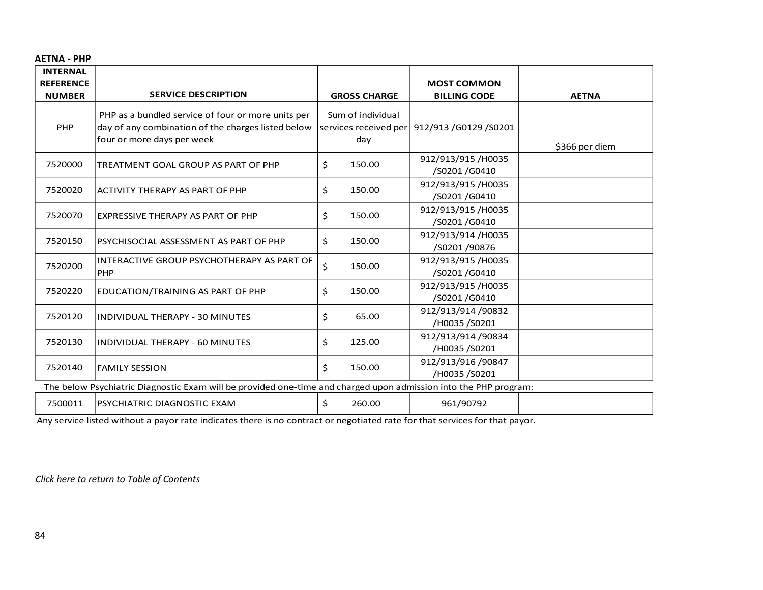| <b>AETNA - PHP</b> |  |
|--------------------|--|
|--------------------|--|

| <b>INTERNAL</b><br><b>REFERENCE</b> |                                                                                                                                        |                                                   | <b>MOST COMMON</b>                  |                |
|-------------------------------------|----------------------------------------------------------------------------------------------------------------------------------------|---------------------------------------------------|-------------------------------------|----------------|
| <b>NUMBER</b>                       | <b>SERVICE DESCRIPTION</b>                                                                                                             | <b>GROSS CHARGE</b>                               | <b>BILLING CODE</b>                 | <b>AETNA</b>   |
| PHP                                 | PHP as a bundled service of four or more units per<br>day of any combination of the charges listed below<br>four or more days per week | Sum of individual<br>services received per<br>day | 912/913 / 60129 / 50201             | \$366 per diem |
| 7520000                             | TREATMENT GOAL GROUP AS PART OF PHP                                                                                                    | \$<br>150.00                                      | 912/913/915/H0035<br>/S0201 /G0410  |                |
| 7520020                             | <b>ACTIVITY THERAPY AS PART OF PHP</b>                                                                                                 | \$<br>150.00                                      | 912/913/915/H0035<br>/S0201 /G0410  |                |
| 7520070                             | <b>EXPRESSIVE THERAPY AS PART OF PHP</b>                                                                                               | \$<br>150.00                                      | 912/913/915/H0035<br>/S0201 /G0410  |                |
| 7520150                             | PSYCHISOCIAL ASSESSMENT AS PART OF PHP                                                                                                 | \$<br>150.00                                      | 912/913/914 /H0035<br>/S0201 /90876 |                |
| 7520200                             | INTERACTIVE GROUP PSYCHOTHERAPY AS PART OF<br>PHP                                                                                      | \$<br>150.00                                      | 912/913/915 /H0035<br>/S0201 /G0410 |                |
| 7520220                             | EDUCATION/TRAINING AS PART OF PHP                                                                                                      | Ś.<br>150.00                                      | 912/913/915/H0035<br>/S0201 /G0410  |                |
| 7520120                             | INDIVIDUAL THERAPY - 30 MINUTES                                                                                                        | \$<br>65.00                                       | 912/913/914 /90832<br>/H0035 /S0201 |                |
| 7520130                             | INDIVIDUAL THERAPY - 60 MINUTES                                                                                                        | \$<br>125.00                                      | 912/913/914 /90834<br>/H0035 /S0201 |                |
| 7520140                             | <b>FAMILY SESSION</b>                                                                                                                  | \$<br>150.00                                      | 912/913/916 /90847<br>/H0035 /S0201 |                |
|                                     | The below Psychiatric Diagnostic Exam will be provided one-time and charged upon admission into the PHP program:                       |                                                   |                                     |                |
| 7500011                             | PSYCHIATRIC DIAGNOSTIC EXAM                                                                                                            | \$<br>260.00                                      | 961/90792                           |                |

Any service listed without a payor rate indicates there is no contract or negotiated rate for that services for that payor.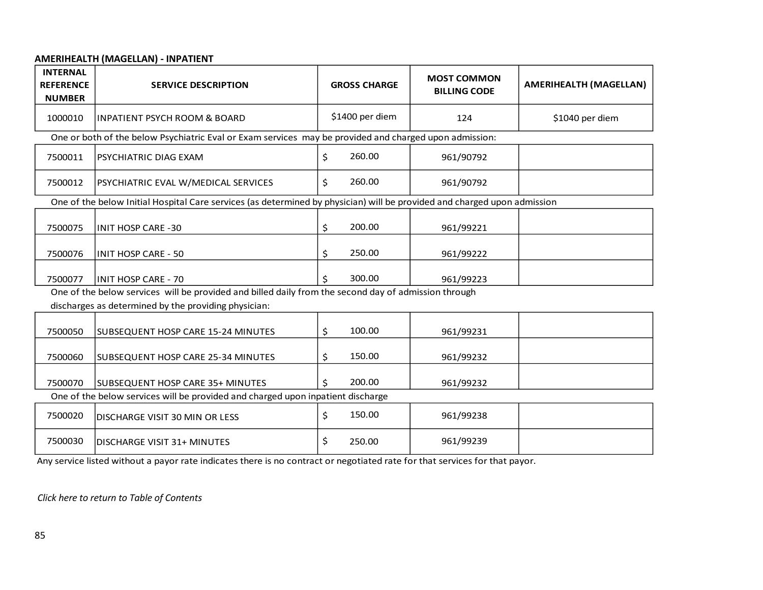# **AMERIHEALTH (MAGELLAN) - INPATIENT**

| <b>INTERNAL</b><br><b>REFERENCE</b><br><b>NUMBER</b>                                                                     | <b>SERVICE DESCRIPTION</b>                                                                                                                                   |    | <b>GROSS CHARGE</b> | <b>MOST COMMON</b><br><b>BILLING CODE</b> | <b>AMERIHEALTH (MAGELLAN)</b> |  |
|--------------------------------------------------------------------------------------------------------------------------|--------------------------------------------------------------------------------------------------------------------------------------------------------------|----|---------------------|-------------------------------------------|-------------------------------|--|
| 1000010                                                                                                                  | <b>INPATIENT PSYCH ROOM &amp; BOARD</b>                                                                                                                      |    | \$1400 per diem     | 124                                       | \$1040 per diem               |  |
|                                                                                                                          | One or both of the below Psychiatric Eval or Exam services may be provided and charged upon admission:                                                       |    |                     |                                           |                               |  |
| 7500011                                                                                                                  | PSYCHIATRIC DIAG EXAM                                                                                                                                        | \$ | 260.00              | 961/90792                                 |                               |  |
| 7500012                                                                                                                  | PSYCHIATRIC EVAL W/MEDICAL SERVICES                                                                                                                          | \$ | 260.00              | 961/90792                                 |                               |  |
| One of the below Initial Hospital Care services (as determined by physician) will be provided and charged upon admission |                                                                                                                                                              |    |                     |                                           |                               |  |
| 7500075                                                                                                                  | <b>INIT HOSP CARE -30</b>                                                                                                                                    | \$ | 200.00              | 961/99221                                 |                               |  |
| 7500076                                                                                                                  | <b>INIT HOSP CARE - 50</b>                                                                                                                                   | \$ | 250.00              | 961/99222                                 |                               |  |
| 7500077                                                                                                                  | <b>INIT HOSP CARE - 70</b>                                                                                                                                   | Ś  | 300.00              | 961/99223                                 |                               |  |
|                                                                                                                          | One of the below services will be provided and billed daily from the second day of admission through<br>discharges as determined by the providing physician: |    |                     |                                           |                               |  |
| 7500050                                                                                                                  | SUBSEQUENT HOSP CARE 15-24 MINUTES                                                                                                                           | \$ | 100.00              | 961/99231                                 |                               |  |
| 7500060                                                                                                                  | SUBSEQUENT HOSP CARE 25-34 MINUTES                                                                                                                           | \$ | 150.00              | 961/99232                                 |                               |  |
| 7500070                                                                                                                  | <b>SUBSEQUENT HOSP CARE 35+ MINUTES</b>                                                                                                                      | Ś. | 200.00              | 961/99232                                 |                               |  |
|                                                                                                                          | One of the below services will be provided and charged upon inpatient discharge                                                                              |    |                     |                                           |                               |  |
| 7500020                                                                                                                  | <b>DISCHARGE VISIT 30 MIN OR LESS</b>                                                                                                                        | \$ | 150.00              | 961/99238                                 |                               |  |
| 7500030                                                                                                                  | <b>DISCHARGE VISIT 31+ MINUTES</b>                                                                                                                           | \$ | 250.00              | 961/99239                                 |                               |  |

Any service listed without a payor rate indicates there is no contract or negotiated rate for that services for that payor.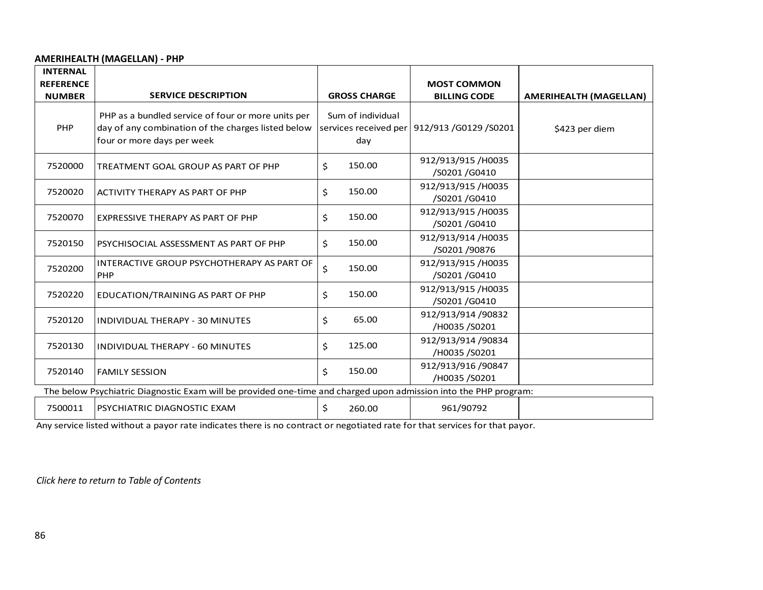# **AMERIHEALTH (MAGELLAN) - PHP**

| <b>INTERNAL</b><br><b>REFERENCE</b> |                                                                                                                                        |                                                   | <b>MOST COMMON</b>                  |                               |
|-------------------------------------|----------------------------------------------------------------------------------------------------------------------------------------|---------------------------------------------------|-------------------------------------|-------------------------------|
| <b>NUMBER</b>                       | <b>SERVICE DESCRIPTION</b>                                                                                                             | <b>GROSS CHARGE</b>                               | <b>BILLING CODE</b>                 | <b>AMERIHEALTH (MAGELLAN)</b> |
| PHP                                 | PHP as a bundled service of four or more units per<br>day of any combination of the charges listed below<br>four or more days per week | Sum of individual<br>services received per<br>day | 912/913 /G0129 /S0201               | \$423 per diem                |
| 7520000                             | TREATMENT GOAL GROUP AS PART OF PHP                                                                                                    | 150.00<br>Ś.                                      | 912/913/915/H0035<br>/S0201 /G0410  |                               |
| 7520020                             | <b>ACTIVITY THERAPY AS PART OF PHP</b>                                                                                                 | \$<br>150.00                                      | 912/913/915/H0035<br>/S0201 /G0410  |                               |
| 7520070                             | EXPRESSIVE THERAPY AS PART OF PHP                                                                                                      | 150.00<br>\$                                      | 912/913/915/H0035<br>/S0201 /G0410  |                               |
| 7520150                             | PSYCHISOCIAL ASSESSMENT AS PART OF PHP                                                                                                 | 150.00<br>Ś.                                      | 912/913/914/H0035<br>/S0201 /90876  |                               |
| 7520200                             | INTERACTIVE GROUP PSYCHOTHERAPY AS PART OF<br><b>PHP</b>                                                                               | \$<br>150.00                                      | 912/913/915/H0035<br>/S0201 /G0410  |                               |
| 7520220                             | EDUCATION/TRAINING AS PART OF PHP                                                                                                      | Ś.<br>150.00                                      | 912/913/915/H0035<br>/S0201 /G0410  |                               |
| 7520120                             | INDIVIDUAL THERAPY - 30 MINUTES                                                                                                        | 65.00<br>\$                                       | 912/913/914 /90832<br>/H0035 /S0201 |                               |
| 7520130                             | INDIVIDUAL THERAPY - 60 MINUTES                                                                                                        | \$<br>125.00                                      | 912/913/914 /90834<br>/H0035 /S0201 |                               |
| 7520140                             | <b>FAMILY SESSION</b>                                                                                                                  | \$<br>150.00                                      | 912/913/916 /90847<br>/H0035 /S0201 |                               |
|                                     | The below Psychiatric Diagnostic Exam will be provided one-time and charged upon admission into the PHP program:                       |                                                   |                                     |                               |
| 7500011                             | PSYCHIATRIC DIAGNOSTIC EXAM                                                                                                            | \$<br>260.00                                      | 961/90792                           |                               |

Any service listed without a payor rate indicates there is no contract or negotiated rate for that services for that payor.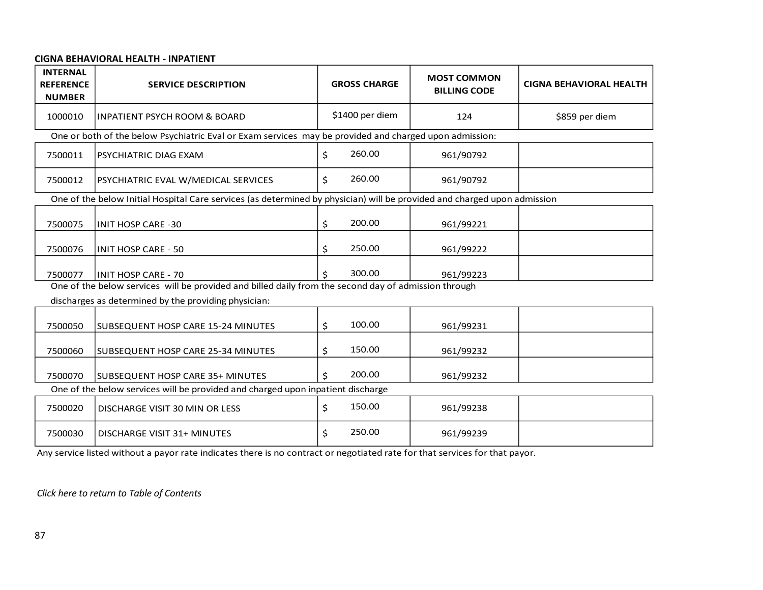## **CIGNA BEHAVIORAL HEALTH - INPATIENT**

| <b>INTERNAL</b><br><b>REFERENCE</b><br><b>NUMBER</b>                                                                     | <b>SERVICE DESCRIPTION</b>                                                                           |              | <b>GROSS CHARGE</b> | <b>MOST COMMON</b><br><b>BILLING CODE</b> | <b>CIGNA BEHAVIORAL HEALTH</b> |  |  |
|--------------------------------------------------------------------------------------------------------------------------|------------------------------------------------------------------------------------------------------|--------------|---------------------|-------------------------------------------|--------------------------------|--|--|
| 1000010                                                                                                                  | <b>INPATIENT PSYCH ROOM &amp; BOARD</b>                                                              |              | \$1400 per diem     | 124                                       | \$859 per diem                 |  |  |
| One or both of the below Psychiatric Eval or Exam services may be provided and charged upon admission:                   |                                                                                                      |              |                     |                                           |                                |  |  |
| 7500011                                                                                                                  | <b>PSYCHIATRIC DIAG EXAM</b>                                                                         | \$           | 260.00              | 961/90792                                 |                                |  |  |
| 7500012                                                                                                                  | PSYCHIATRIC EVAL W/MEDICAL SERVICES                                                                  | Ś.           | 260.00              | 961/90792                                 |                                |  |  |
| One of the below Initial Hospital Care services (as determined by physician) will be provided and charged upon admission |                                                                                                      |              |                     |                                           |                                |  |  |
| 7500075                                                                                                                  | <b>INIT HOSP CARE -30</b>                                                                            | \$           | 200.00              | 961/99221                                 |                                |  |  |
| 7500076                                                                                                                  | <b>INIT HOSP CARE - 50</b>                                                                           | \$           | 250.00              | 961/99222                                 |                                |  |  |
| 7500077                                                                                                                  | <b>INIT HOSP CARE - 70</b>                                                                           |              | 300.00              | 961/99223                                 |                                |  |  |
|                                                                                                                          | One of the below services will be provided and billed daily from the second day of admission through |              |                     |                                           |                                |  |  |
|                                                                                                                          | discharges as determined by the providing physician:                                                 |              |                     |                                           |                                |  |  |
| 7500050                                                                                                                  | SUBSEQUENT HOSP CARE 15-24 MINUTES                                                                   | \$           | 100.00              | 961/99231                                 |                                |  |  |
| 7500060                                                                                                                  | SUBSEQUENT HOSP CARE 25-34 MINUTES                                                                   | \$           | 150.00              | 961/99232                                 |                                |  |  |
| 7500070                                                                                                                  | <b>SUBSEQUENT HOSP CARE 35+ MINUTES</b>                                                              | $\mathsf{S}$ | 200.00              | 961/99232                                 |                                |  |  |
|                                                                                                                          | One of the below services will be provided and charged upon inpatient discharge                      |              |                     |                                           |                                |  |  |
| 7500020                                                                                                                  | DISCHARGE VISIT 30 MIN OR LESS                                                                       | \$           | 150.00              | 961/99238                                 |                                |  |  |
| 7500030                                                                                                                  | DISCHARGE VISIT 31+ MINUTES                                                                          | Ś.           | 250.00              | 961/99239                                 |                                |  |  |

Any service listed without a payor rate indicates there is no contract or negotiated rate for that services for that payor.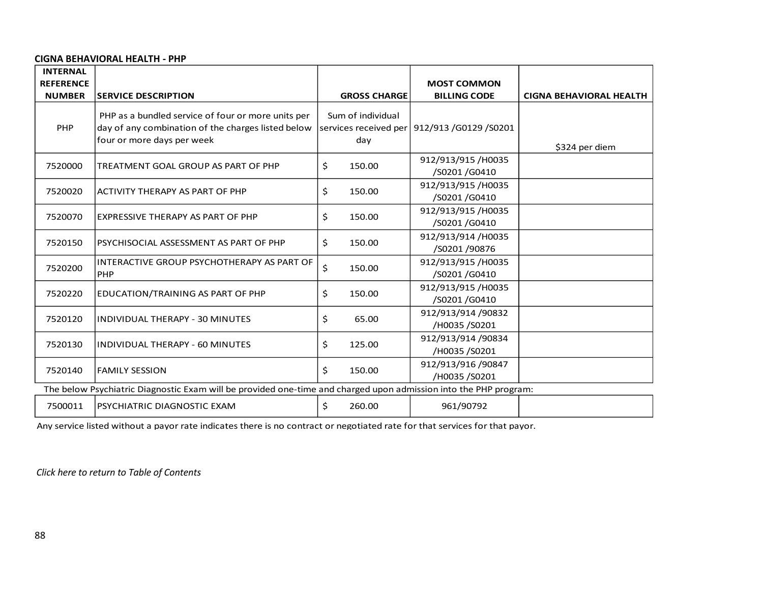#### **CIGNA BEHAVIORAL HEALTH - PHP**

| <b>INTERNAL</b><br><b>REFERENCE</b> |                                                                                                                                        |                                                   | <b>MOST COMMON</b>                  |                                |
|-------------------------------------|----------------------------------------------------------------------------------------------------------------------------------------|---------------------------------------------------|-------------------------------------|--------------------------------|
| <b>NUMBER</b>                       | <b>SERVICE DESCRIPTION</b>                                                                                                             | <b>GROSS CHARGE</b>                               | <b>BILLING CODE</b>                 | <b>CIGNA BEHAVIORAL HEALTH</b> |
| PHP                                 | PHP as a bundled service of four or more units per<br>day of any combination of the charges listed below<br>four or more days per week | Sum of individual<br>services received per<br>day | 912/913 /G0129 /S0201               | \$324 per diem                 |
| 7520000                             | TREATMENT GOAL GROUP AS PART OF PHP                                                                                                    | Ś.<br>150.00                                      | 912/913/915/H0035<br>/S0201 /G0410  |                                |
| 7520020                             | <b>ACTIVITY THERAPY AS PART OF PHP</b>                                                                                                 | \$<br>150.00                                      | 912/913/915/H0035<br>/S0201 /G0410  |                                |
| 7520070                             | <b>EXPRESSIVE THERAPY AS PART OF PHP</b>                                                                                               | \$<br>150.00                                      | 912/913/915/H0035<br>/S0201/G0410   |                                |
| 7520150                             | PSYCHISOCIAL ASSESSMENT AS PART OF PHP                                                                                                 | \$<br>150.00                                      | 912/913/914 /H0035<br>/S0201 /90876 |                                |
| 7520200                             | INTERACTIVE GROUP PSYCHOTHERAPY AS PART OF<br>PHP                                                                                      | \$<br>150.00                                      | 912/913/915 /H0035<br>/S0201 /G0410 |                                |
| 7520220                             | EDUCATION/TRAINING AS PART OF PHP                                                                                                      | \$<br>150.00                                      | 912/913/915/H0035<br>/S0201 /G0410  |                                |
| 7520120                             | INDIVIDUAL THERAPY - 30 MINUTES                                                                                                        | \$<br>65.00                                       | 912/913/914 /90832<br>/H0035 /S0201 |                                |
| 7520130                             | INDIVIDUAL THERAPY - 60 MINUTES                                                                                                        | \$<br>125.00                                      | 912/913/914 /90834<br>/H0035 /S0201 |                                |
| 7520140                             | <b>FAMILY SESSION</b>                                                                                                                  | \$<br>150.00                                      | 912/913/916 /90847<br>/H0035 /S0201 |                                |
|                                     | The below Psychiatric Diagnostic Exam will be provided one-time and charged upon admission into the PHP program:                       |                                                   |                                     |                                |
| 7500011                             | PSYCHIATRIC DIAGNOSTIC EXAM                                                                                                            | \$<br>260.00                                      | 961/90792                           |                                |

Any service listed without a payor rate indicates there is no contract or negotiated rate for that services for that payor.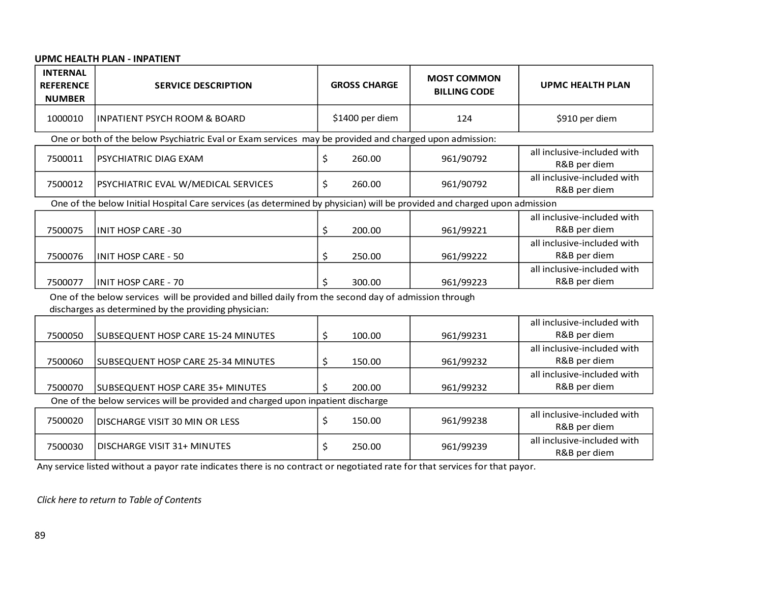## **UPMC HEALTH PLAN - INPATIENT**

| <b>INTERNAL</b><br><b>REFERENCE</b><br><b>NUMBER</b>                                                                        | <b>SERVICE DESCRIPTION</b>                                                                                                                                   |    | <b>GROSS CHARGE</b> | <b>MOST COMMON</b><br><b>BILLING CODE</b> | <b>UPMC HEALTH PLAN</b>                     |  |  |
|-----------------------------------------------------------------------------------------------------------------------------|--------------------------------------------------------------------------------------------------------------------------------------------------------------|----|---------------------|-------------------------------------------|---------------------------------------------|--|--|
| 1000010                                                                                                                     | <b>INPATIENT PSYCH ROOM &amp; BOARD</b>                                                                                                                      |    | \$1400 per diem     | 124                                       | \$910 per diem                              |  |  |
| One or both of the below Psychiatric Eval or Exam services may be provided and charged upon admission:                      |                                                                                                                                                              |    |                     |                                           |                                             |  |  |
| 7500011                                                                                                                     | PSYCHIATRIC DIAG EXAM                                                                                                                                        | \$ | 260.00              | 961/90792                                 | all inclusive-included with<br>R&B per diem |  |  |
| 7500012                                                                                                                     | PSYCHIATRIC EVAL W/MEDICAL SERVICES                                                                                                                          | \$ | 260.00              | 961/90792                                 | all inclusive-included with<br>R&B per diem |  |  |
| One of the below Initial Hospital Care services (as determined by physician) will be provided and charged upon admission    |                                                                                                                                                              |    |                     |                                           |                                             |  |  |
| 7500075                                                                                                                     | <b>INIT HOSP CARE -30</b>                                                                                                                                    | \$ | 200.00              | 961/99221                                 | all inclusive-included with<br>R&B per diem |  |  |
| 7500076                                                                                                                     | <b>INIT HOSP CARE - 50</b>                                                                                                                                   | \$ | 250.00              | 961/99222                                 | all inclusive-included with<br>R&B per diem |  |  |
| 7500077                                                                                                                     | <b>INIT HOSP CARE - 70</b>                                                                                                                                   | Ś  | 300.00              | 961/99223                                 | all inclusive-included with<br>R&B per diem |  |  |
|                                                                                                                             | One of the below services will be provided and billed daily from the second day of admission through<br>discharges as determined by the providing physician: |    |                     |                                           |                                             |  |  |
| 7500050                                                                                                                     | SUBSEQUENT HOSP CARE 15-24 MINUTES                                                                                                                           | \$ | 100.00              | 961/99231                                 | all inclusive-included with<br>R&B per diem |  |  |
| 7500060                                                                                                                     | SUBSEQUENT HOSP CARE 25-34 MINUTES                                                                                                                           | \$ | 150.00              | 961/99232                                 | all inclusive-included with<br>R&B per diem |  |  |
| 7500070                                                                                                                     | <b>SUBSEQUENT HOSP CARE 35+ MINUTES</b>                                                                                                                      | Ś. | 200.00              | 961/99232                                 | all inclusive-included with<br>R&B per diem |  |  |
|                                                                                                                             | One of the below services will be provided and charged upon inpatient discharge                                                                              |    |                     |                                           |                                             |  |  |
| 7500020                                                                                                                     | DISCHARGE VISIT 30 MIN OR LESS                                                                                                                               | \$ | 150.00              | 961/99238                                 | all inclusive-included with<br>R&B per diem |  |  |
| 7500030                                                                                                                     | DISCHARGE VISIT 31+ MINUTES                                                                                                                                  | \$ | 250.00              | 961/99239                                 | all inclusive-included with<br>R&B per diem |  |  |
| Any service listed without a payor rate indicates there is no contract or negotiated rate for that services for that payor. |                                                                                                                                                              |    |                     |                                           |                                             |  |  |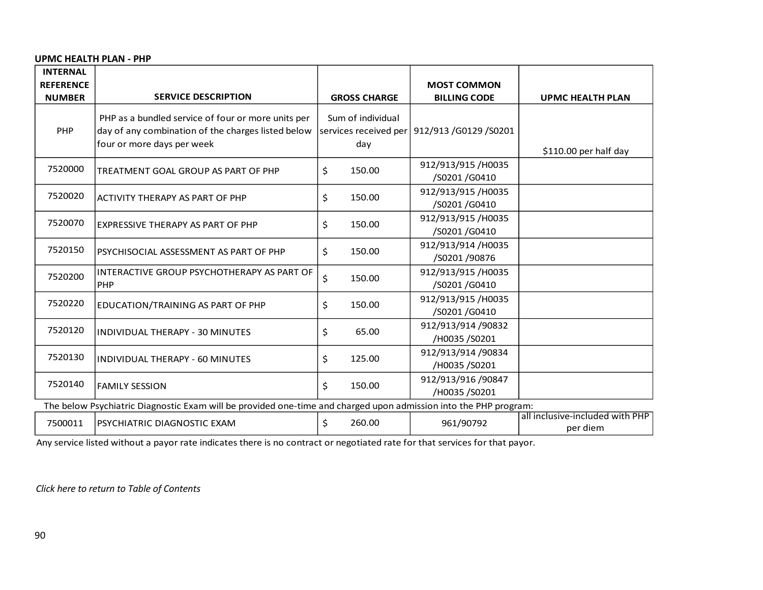#### **UPMC HEALTH PLAN - PHP**

| <b>INTERNAL</b><br><b>REFERENCE</b><br><b>NUMBER</b> | <b>SERVICE DESCRIPTION</b>                                                                                                             | <b>GROSS CHARGE</b>                               | <b>MOST COMMON</b><br><b>BILLING CODE</b> | <b>UPMC HEALTH PLAN</b>                     |
|------------------------------------------------------|----------------------------------------------------------------------------------------------------------------------------------------|---------------------------------------------------|-------------------------------------------|---------------------------------------------|
| PHP                                                  | PHP as a bundled service of four or more units per<br>day of any combination of the charges listed below<br>four or more days per week | Sum of individual<br>services received per<br>day | 912/913 /G0129 /S0201                     | \$110.00 per half day                       |
| 7520000                                              | TREATMENT GOAL GROUP AS PART OF PHP                                                                                                    | \$<br>150.00                                      | 912/913/915/H0035<br>/S0201 /G0410        |                                             |
| 7520020                                              | <b>ACTIVITY THERAPY AS PART OF PHP</b>                                                                                                 | \$<br>150.00                                      | 912/913/915/H0035<br>/S0201/G0410         |                                             |
| 7520070                                              | EXPRESSIVE THERAPY AS PART OF PHP                                                                                                      | \$<br>150.00                                      | 912/913/915/H0035<br>/S0201/G0410         |                                             |
| 7520150                                              | PSYCHISOCIAL ASSESSMENT AS PART OF PHP                                                                                                 | \$<br>150.00                                      | 912/913/914 /H0035<br>/S0201 /90876       |                                             |
| 7520200                                              | INTERACTIVE GROUP PSYCHOTHERAPY AS PART OF<br><b>PHP</b>                                                                               | \$<br>150.00                                      | 912/913/915/H0035<br>/S0201 /G0410        |                                             |
| 7520220                                              | EDUCATION/TRAINING AS PART OF PHP                                                                                                      | \$<br>150.00                                      | 912/913/915/H0035<br>/S0201/G0410         |                                             |
| 7520120                                              | INDIVIDUAL THERAPY - 30 MINUTES                                                                                                        | \$<br>65.00                                       | 912/913/914 /90832<br>/H0035 /S0201       |                                             |
| 7520130                                              | INDIVIDUAL THERAPY - 60 MINUTES                                                                                                        | \$<br>125.00                                      | 912/913/914 /90834<br>/H0035 /S0201       |                                             |
| 7520140                                              | <b>FAMILY SESSION</b>                                                                                                                  | \$<br>150.00                                      | 912/913/916 /90847<br>/H0035 /S0201       |                                             |
|                                                      | The below Psychiatric Diagnostic Exam will be provided one-time and charged upon admission into the PHP program:                       |                                                   |                                           |                                             |
| 7500011                                              | PSYCHIATRIC DIAGNOSTIC EXAM                                                                                                            | 260.00<br>\$                                      | 961/90792                                 | all inclusive-included with PHP<br>per diem |

Any service listed without a payor rate indicates there is no contract or negotiated rate for that services for that payor.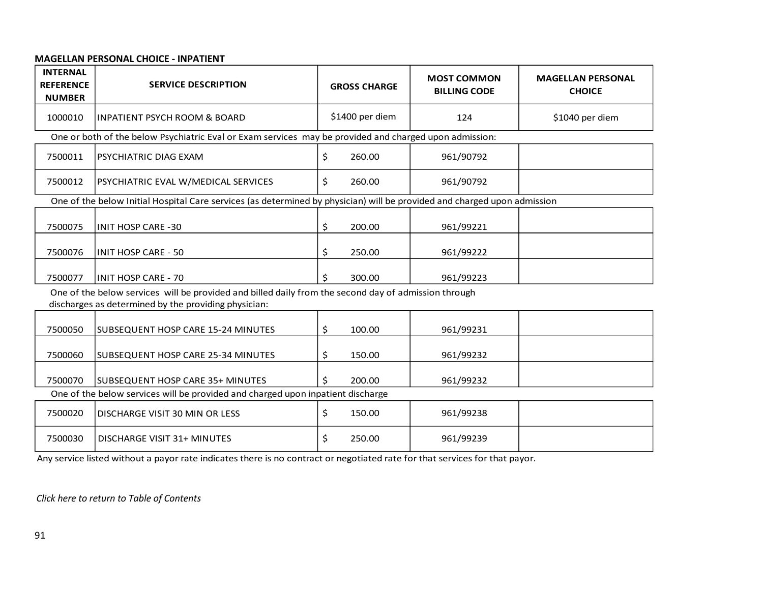## **MAGELLAN PERSONAL CHOICE - INPATIENT**

| <b>INTERNAL</b><br><b>REFERENCE</b><br><b>NUMBER</b>                                                                     | <b>SERVICE DESCRIPTION</b>                                                                                                                                   |    | <b>GROSS CHARGE</b> | <b>MOST COMMON</b><br><b>BILLING CODE</b> | <b>MAGELLAN PERSONAL</b><br><b>CHOICE</b> |  |
|--------------------------------------------------------------------------------------------------------------------------|--------------------------------------------------------------------------------------------------------------------------------------------------------------|----|---------------------|-------------------------------------------|-------------------------------------------|--|
| 1000010                                                                                                                  | <b>INPATIENT PSYCH ROOM &amp; BOARD</b>                                                                                                                      |    | \$1400 per diem     | 124                                       | \$1040 per diem                           |  |
| One or both of the below Psychiatric Eval or Exam services may be provided and charged upon admission:                   |                                                                                                                                                              |    |                     |                                           |                                           |  |
| 7500011                                                                                                                  | PSYCHIATRIC DIAG EXAM                                                                                                                                        | \$ | 260.00              | 961/90792                                 |                                           |  |
| 7500012                                                                                                                  | PSYCHIATRIC EVAL W/MEDICAL SERVICES                                                                                                                          | \$ | 260.00              | 961/90792                                 |                                           |  |
| One of the below Initial Hospital Care services (as determined by physician) will be provided and charged upon admission |                                                                                                                                                              |    |                     |                                           |                                           |  |
| 7500075                                                                                                                  | <b>INIT HOSP CARE -30</b>                                                                                                                                    | \$ | 200.00              | 961/99221                                 |                                           |  |
| 7500076                                                                                                                  | <b>INIT HOSP CARE - 50</b>                                                                                                                                   | \$ | 250.00              | 961/99222                                 |                                           |  |
| 7500077                                                                                                                  | <b>INIT HOSP CARE - 70</b>                                                                                                                                   | Ŝ. | 300.00              | 961/99223                                 |                                           |  |
|                                                                                                                          | One of the below services will be provided and billed daily from the second day of admission through<br>discharges as determined by the providing physician: |    |                     |                                           |                                           |  |
| 7500050                                                                                                                  | SUBSEQUENT HOSP CARE 15-24 MINUTES                                                                                                                           | \$ | 100.00              | 961/99231                                 |                                           |  |
| 7500060                                                                                                                  | SUBSEQUENT HOSP CARE 25-34 MINUTES                                                                                                                           | \$ | 150.00              | 961/99232                                 |                                           |  |
| 7500070                                                                                                                  | SUBSEQUENT HOSP CARE 35+ MINUTES                                                                                                                             | Ŝ. | 200.00              | 961/99232                                 |                                           |  |
|                                                                                                                          | One of the below services will be provided and charged upon inpatient discharge                                                                              |    |                     |                                           |                                           |  |
| 7500020                                                                                                                  | DISCHARGE VISIT 30 MIN OR LESS                                                                                                                               | \$ | 150.00              | 961/99238                                 |                                           |  |
| 7500030                                                                                                                  | DISCHARGE VISIT 31+ MINUTES                                                                                                                                  | \$ | 250.00              | 961/99239                                 |                                           |  |

Any service listed without a payor rate indicates there is no contract or negotiated rate for that services for that payor.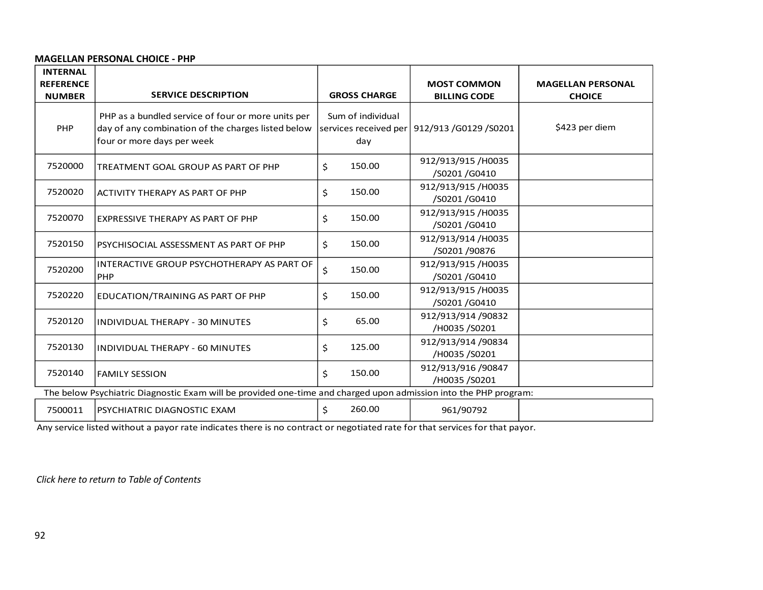#### **MAGELLAN PERSONAL CHOICE - PHP**

| <b>INTERNAL</b>                   |                                                                                                                  |                     |                                                 |                                           |
|-----------------------------------|------------------------------------------------------------------------------------------------------------------|---------------------|-------------------------------------------------|-------------------------------------------|
| <b>REFERENCE</b><br><b>NUMBER</b> | <b>SERVICE DESCRIPTION</b>                                                                                       | <b>GROSS CHARGE</b> | <b>MOST COMMON</b><br><b>BILLING CODE</b>       | <b>MAGELLAN PERSONAL</b><br><b>CHOICE</b> |
|                                   |                                                                                                                  |                     |                                                 |                                           |
| PHP                               | PHP as a bundled service of four or more units per<br>day of any combination of the charges listed below         | Sum of individual   | services received per   912/913 / 60129 / 50201 | \$423 per diem                            |
|                                   | four or more days per week                                                                                       | day                 |                                                 |                                           |
|                                   |                                                                                                                  |                     | 912/913/915/H0035                               |                                           |
| 7520000                           | TREATMENT GOAL GROUP AS PART OF PHP                                                                              | 150.00<br>\$        | /S0201 /G0410                                   |                                           |
| 7520020                           | ACTIVITY THERAPY AS PART OF PHP                                                                                  | 150.00<br>\$        | 912/913/915/H0035                               |                                           |
|                                   |                                                                                                                  |                     | /S0201/G0410                                    |                                           |
| 7520070                           | <b>EXPRESSIVE THERAPY AS PART OF PHP</b>                                                                         | 150.00<br>\$        | 912/913/915/H0035                               |                                           |
|                                   |                                                                                                                  |                     | /S0201 /G0410                                   |                                           |
| 7520150                           | PSYCHISOCIAL ASSESSMENT AS PART OF PHP                                                                           | 150.00<br>\$        | 912/913/914 /H0035                              |                                           |
|                                   |                                                                                                                  |                     | /S0201 /90876                                   |                                           |
| 7520200                           | INTERACTIVE GROUP PSYCHOTHERAPY AS PART OF                                                                       | \$<br>150.00        | 912/913/915/H0035                               |                                           |
|                                   | PHP                                                                                                              |                     | /S0201 /G0410                                   |                                           |
| 7520220                           | EDUCATION/TRAINING AS PART OF PHP                                                                                | \$<br>150.00        | 912/913/915/H0035                               |                                           |
|                                   |                                                                                                                  |                     | /S0201/G0410                                    |                                           |
| 7520120                           | INDIVIDUAL THERAPY - 30 MINUTES                                                                                  | 65.00<br>\$         | 912/913/914 /90832                              |                                           |
|                                   |                                                                                                                  |                     | /H0035 /S0201                                   |                                           |
| 7520130                           | INDIVIDUAL THERAPY - 60 MINUTES                                                                                  | \$<br>125.00        | 912/913/914 /90834                              |                                           |
|                                   |                                                                                                                  |                     | /H0035 /S0201                                   |                                           |
| 7520140                           | <b>FAMILY SESSION</b>                                                                                            | \$<br>150.00        | 912/913/916 /90847                              |                                           |
|                                   |                                                                                                                  |                     | /H0035 /S0201                                   |                                           |
|                                   | The below Psychiatric Diagnostic Exam will be provided one-time and charged upon admission into the PHP program: |                     |                                                 |                                           |
| 7500011                           | PSYCHIATRIC DIAGNOSTIC EXAM                                                                                      | 260.00<br>\$        | 961/90792                                       |                                           |

Any service listed without a payor rate indicates there is no contract or negotiated rate for that services for that payor.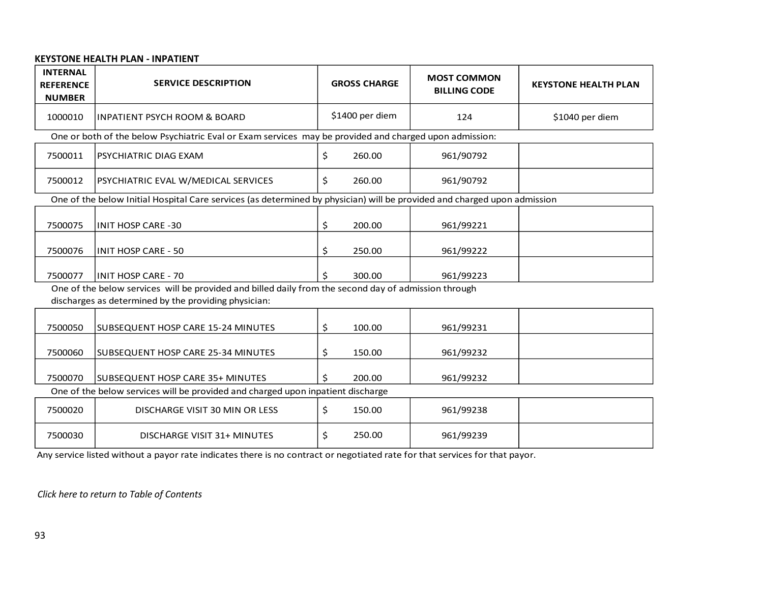## **KEYSTONE HEALTH PLAN - INPATIENT**

| <b>INTERNAL</b><br><b>REFERENCE</b><br><b>NUMBER</b>                                                                     | <b>SERVICE DESCRIPTION</b>                                                                           |    | <b>GROSS CHARGE</b> | <b>MOST COMMON</b><br><b>BILLING CODE</b> | <b>KEYSTONE HEALTH PLAN</b> |  |
|--------------------------------------------------------------------------------------------------------------------------|------------------------------------------------------------------------------------------------------|----|---------------------|-------------------------------------------|-----------------------------|--|
| 1000010                                                                                                                  | <b>INPATIENT PSYCH ROOM &amp; BOARD</b>                                                              |    | \$1400 per diem     | 124                                       | \$1040 per diem             |  |
| One or both of the below Psychiatric Eval or Exam services may be provided and charged upon admission:                   |                                                                                                      |    |                     |                                           |                             |  |
| 7500011                                                                                                                  | PSYCHIATRIC DIAG EXAM                                                                                | \$ | 260.00              | 961/90792                                 |                             |  |
| 7500012                                                                                                                  | PSYCHIATRIC EVAL W/MEDICAL SERVICES                                                                  | \$ | 260.00              | 961/90792                                 |                             |  |
| One of the below Initial Hospital Care services (as determined by physician) will be provided and charged upon admission |                                                                                                      |    |                     |                                           |                             |  |
| 7500075                                                                                                                  | <b>INIT HOSP CARE -30</b>                                                                            | \$ | 200.00              | 961/99221                                 |                             |  |
| 7500076                                                                                                                  | <b>INIT HOSP CARE - 50</b>                                                                           | \$ | 250.00              | 961/99222                                 |                             |  |
| 7500077                                                                                                                  | IINIT HOSP CARE - 70                                                                                 |    | 300.00              | 961/99223                                 |                             |  |
|                                                                                                                          | One of the below services will be provided and billed daily from the second day of admission through |    |                     |                                           |                             |  |
|                                                                                                                          | discharges as determined by the providing physician:                                                 |    |                     |                                           |                             |  |
| 7500050                                                                                                                  | <b>SUBSEQUENT HOSP CARE 15-24 MINUTES</b>                                                            | \$ | 100.00              | 961/99231                                 |                             |  |
| 7500060                                                                                                                  | SUBSEQUENT HOSP CARE 25-34 MINUTES                                                                   | \$ | 150.00              | 961/99232                                 |                             |  |
| 7500070                                                                                                                  | SUBSEQUENT HOSP CARE 35+ MINUTES                                                                     | Ś  | 200.00              | 961/99232                                 |                             |  |
|                                                                                                                          | One of the below services will be provided and charged upon inpatient discharge                      |    |                     |                                           |                             |  |
| 7500020                                                                                                                  | DISCHARGE VISIT 30 MIN OR LESS                                                                       | \$ | 150.00              | 961/99238                                 |                             |  |
| 7500030                                                                                                                  | DISCHARGE VISIT 31+ MINUTES                                                                          | \$ | 250.00              | 961/99239                                 |                             |  |

Any service listed without a payor rate indicates there is no contract or negotiated rate for that services for that payor.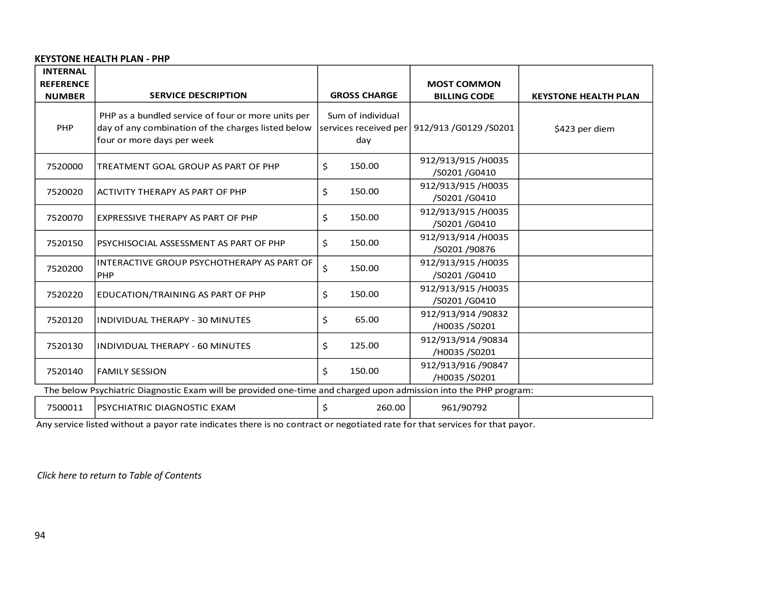#### **KEYSTONE HEALTH PLAN - PHP**

| <b>INTERNAL</b><br><b>REFERENCE</b> |                                                                                                                                        |                          |                                                 |                             |
|-------------------------------------|----------------------------------------------------------------------------------------------------------------------------------------|--------------------------|-------------------------------------------------|-----------------------------|
| <b>NUMBER</b>                       | <b>SERVICE DESCRIPTION</b>                                                                                                             | <b>GROSS CHARGE</b>      | <b>MOST COMMON</b><br><b>BILLING CODE</b>       | <b>KEYSTONE HEALTH PLAN</b> |
| PHP                                 | PHP as a bundled service of four or more units per<br>day of any combination of the charges listed below<br>four or more days per week | Sum of individual<br>day | services received per   912/913 / G0129 / S0201 | \$423 per diem              |
| 7520000                             | TREATMENT GOAL GROUP AS PART OF PHP                                                                                                    | Ś.<br>150.00             | 912/913/915/H0035<br>/S0201 /G0410              |                             |
| 7520020                             | ACTIVITY THERAPY AS PART OF PHP                                                                                                        | \$<br>150.00             | 912/913/915 /H0035<br>/S0201 /G0410             |                             |
| 7520070                             | <b>EXPRESSIVE THERAPY AS PART OF PHP</b>                                                                                               | \$<br>150.00             | 912/913/915/H0035<br>/S0201 /G0410              |                             |
| 7520150                             | PSYCHISOCIAL ASSESSMENT AS PART OF PHP                                                                                                 | \$<br>150.00             | 912/913/914 /H0035<br>/S0201 /90876             |                             |
| 7520200                             | INTERACTIVE GROUP PSYCHOTHERAPY AS PART OF<br><b>PHP</b>                                                                               | \$<br>150.00             | 912/913/915 /H0035<br>/S0201 /G0410             |                             |
| 7520220                             | EDUCATION/TRAINING AS PART OF PHP                                                                                                      | \$<br>150.00             | 912/913/915 /H0035<br>/S0201 /G0410             |                             |
| 7520120                             | INDIVIDUAL THERAPY - 30 MINUTES                                                                                                        | \$<br>65.00              | 912/913/914 /90832<br>/H0035 /S0201             |                             |
| 7520130                             | INDIVIDUAL THERAPY - 60 MINUTES                                                                                                        | \$<br>125.00             | 912/913/914 /90834<br>/H0035 /S0201             |                             |
| 7520140                             | <b>FAMILY SESSION</b>                                                                                                                  | \$<br>150.00             | 912/913/916 /90847<br>/H0035 /S0201             |                             |
|                                     | The below Psychiatric Diagnostic Exam will be provided one-time and charged upon admission into the PHP program:                       |                          |                                                 |                             |
| 7500011                             | PSYCHIATRIC DIAGNOSTIC EXAM                                                                                                            | \$<br>260.00             | 961/90792                                       |                             |

Any service listed without a payor rate indicates there is no contract or negotiated rate for that services for that payor.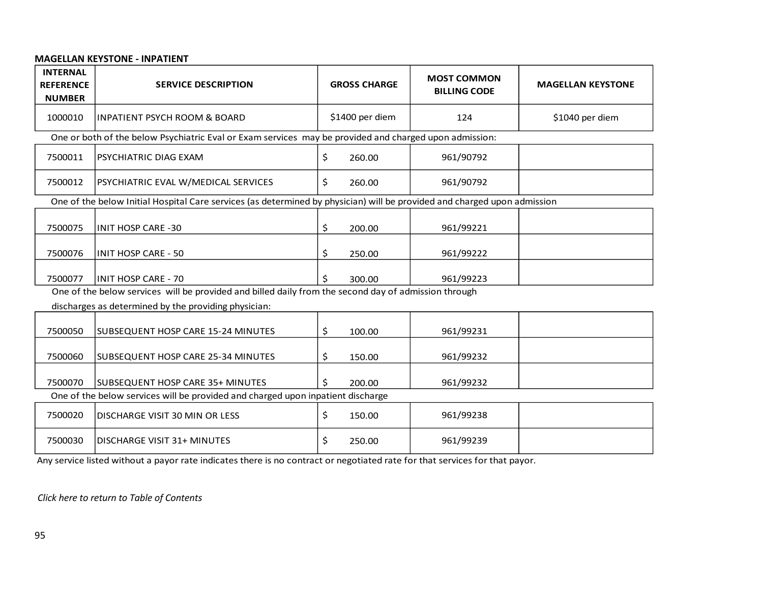## **MAGELLAN KEYSTONE - INPATIENT**

| <b>INTERNAL</b><br><b>REFERENCE</b><br><b>NUMBER</b>                                                   | <b>SERVICE DESCRIPTION</b>                                                                                                                                   | <b>GROSS CHARGE</b> | <b>MOST COMMON</b><br><b>BILLING CODE</b> | <b>MAGELLAN KEYSTONE</b> |  |  |  |
|--------------------------------------------------------------------------------------------------------|--------------------------------------------------------------------------------------------------------------------------------------------------------------|---------------------|-------------------------------------------|--------------------------|--|--|--|
| 1000010                                                                                                | <b>INPATIENT PSYCH ROOM &amp; BOARD</b>                                                                                                                      | \$1400 per diem     | 124                                       | \$1040 per diem          |  |  |  |
| One or both of the below Psychiatric Eval or Exam services may be provided and charged upon admission: |                                                                                                                                                              |                     |                                           |                          |  |  |  |
| 7500011                                                                                                | PSYCHIATRIC DIAG EXAM                                                                                                                                        | \$<br>260.00        | 961/90792                                 |                          |  |  |  |
| 7500012                                                                                                | PSYCHIATRIC EVAL W/MEDICAL SERVICES                                                                                                                          | \$<br>260.00        | 961/90792                                 |                          |  |  |  |
|                                                                                                        | One of the below Initial Hospital Care services (as determined by physician) will be provided and charged upon admission                                     |                     |                                           |                          |  |  |  |
| 7500075                                                                                                | <b>INIT HOSP CARE -30</b>                                                                                                                                    | \$<br>200.00        | 961/99221                                 |                          |  |  |  |
| 7500076                                                                                                | <b>INIT HOSP CARE - 50</b>                                                                                                                                   | \$<br>250.00        | 961/99222                                 |                          |  |  |  |
| 7500077                                                                                                | <b>INIT HOSP CARE - 70</b>                                                                                                                                   | 300.00<br>S         | 961/99223                                 |                          |  |  |  |
|                                                                                                        | One of the below services will be provided and billed daily from the second day of admission through<br>discharges as determined by the providing physician: |                     |                                           |                          |  |  |  |
| 7500050                                                                                                | SUBSEQUENT HOSP CARE 15-24 MINUTES                                                                                                                           | \$<br>100.00        | 961/99231                                 |                          |  |  |  |
| 7500060                                                                                                | SUBSEQUENT HOSP CARE 25-34 MINUTES                                                                                                                           | \$<br>150.00        | 961/99232                                 |                          |  |  |  |
| 7500070                                                                                                | SUBSEQUENT HOSP CARE 35+ MINUTES                                                                                                                             | S<br>200.00         | 961/99232                                 |                          |  |  |  |
|                                                                                                        | One of the below services will be provided and charged upon inpatient discharge                                                                              |                     |                                           |                          |  |  |  |
| 7500020                                                                                                | DISCHARGE VISIT 30 MIN OR LESS                                                                                                                               | \$<br>150.00        | 961/99238                                 |                          |  |  |  |
| 7500030                                                                                                | DISCHARGE VISIT 31+ MINUTES                                                                                                                                  | \$.<br>250.00       | 961/99239                                 |                          |  |  |  |

Any service listed without a payor rate indicates there is no contract or negotiated rate for that services for that payor.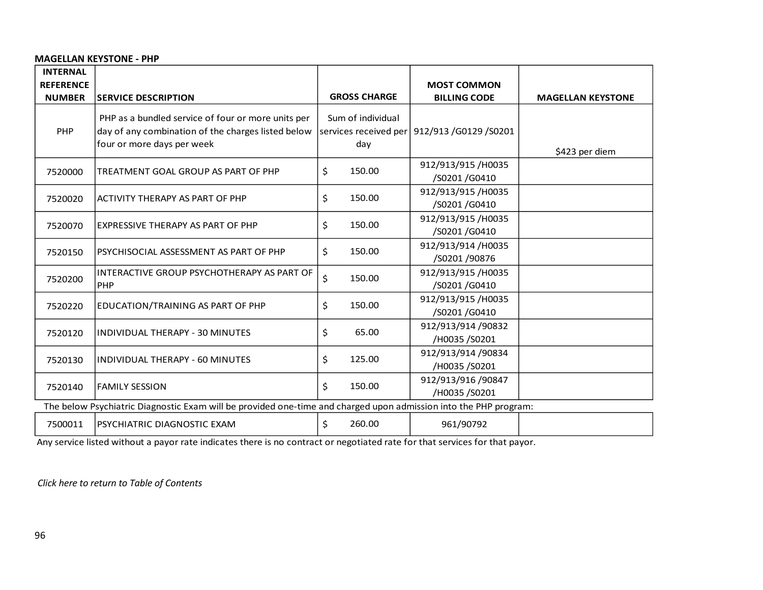# **MAGELLAN KEYSTONE - PHP**

| <b>INTERNAL</b>  |                                                                                                                                        |                                                   |                                     |                          |
|------------------|----------------------------------------------------------------------------------------------------------------------------------------|---------------------------------------------------|-------------------------------------|--------------------------|
| <b>REFERENCE</b> |                                                                                                                                        |                                                   | <b>MOST COMMON</b>                  |                          |
| <b>NUMBER</b>    | <b>SERVICE DESCRIPTION</b>                                                                                                             | <b>GROSS CHARGE</b>                               | <b>BILLING CODE</b>                 | <b>MAGELLAN KEYSTONE</b> |
| PHP              | PHP as a bundled service of four or more units per<br>day of any combination of the charges listed below<br>four or more days per week | Sum of individual<br>services received per<br>day | 912/913 / G0129 / S0201             | \$423 per diem           |
| 7520000          | TREATMENT GOAL GROUP AS PART OF PHP                                                                                                    | \$<br>150.00                                      | 912/913/915/H0035<br>/S0201 /G0410  |                          |
| 7520020          | ACTIVITY THERAPY AS PART OF PHP                                                                                                        | \$<br>150.00                                      | 912/913/915/H0035<br>/S0201 /G0410  |                          |
| 7520070          | IEXPRESSIVE THERAPY AS PART OF PHP                                                                                                     | \$<br>150.00                                      | 912/913/915/H0035<br>/S0201 /G0410  |                          |
| 7520150          | <b>PSYCHISOCIAL ASSESSMENT AS PART OF PHP</b>                                                                                          | \$<br>150.00                                      | 912/913/914 /H0035<br>/S0201 /90876 |                          |
| 7520200          | INTERACTIVE GROUP PSYCHOTHERAPY AS PART OF<br>PHP                                                                                      | $\zeta$<br>150.00                                 | 912/913/915/H0035<br>/S0201 /G0410  |                          |
| 7520220          | EDUCATION/TRAINING AS PART OF PHP                                                                                                      | \$<br>150.00                                      | 912/913/915/H0035<br>/S0201 /G0410  |                          |
| 7520120          | IINDIVIDUAL THERAPY - 30 MINUTES                                                                                                       | \$<br>65.00                                       | 912/913/914 /90832<br>/H0035 /S0201 |                          |
| 7520130          | IINDIVIDUAL THERAPY - 60 MINUTES                                                                                                       | \$<br>125.00                                      | 912/913/914 /90834<br>/H0035 /S0201 |                          |
| 7520140          | FAMILY SESSION                                                                                                                         | \$<br>150.00                                      | 912/913/916 /90847<br>/H0035 /S0201 |                          |
|                  | The below Psychiatric Diagnostic Exam will be provided one-time and charged upon admission into the PHP program:                       |                                                   |                                     |                          |
| 7500011          | IPSYCHIATRIC DIAGNOSTIC EXAM                                                                                                           | \$<br>260.00                                      | 961/90792                           |                          |

Any service listed without a payor rate indicates there is no contract or negotiated rate for that services for that payor.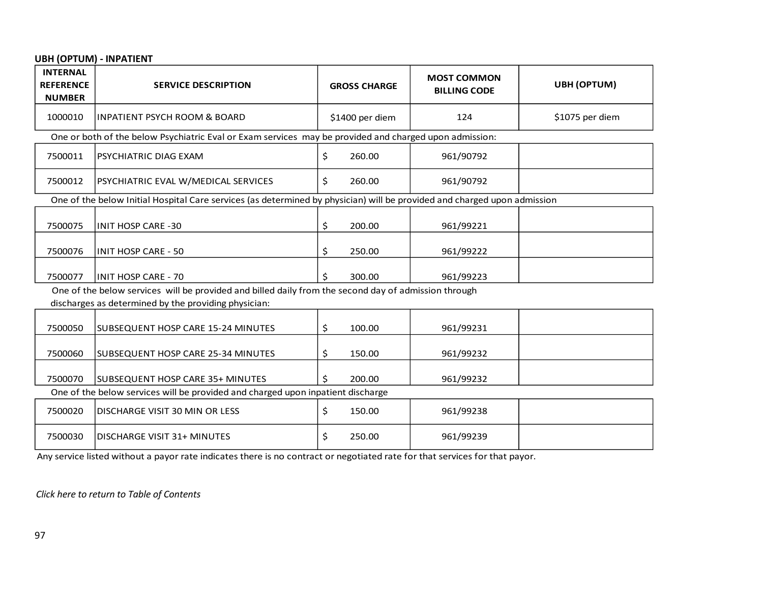# **UBH (OPTUM) - INPATIENT**

| <b>INTERNAL</b><br><b>REFERENCE</b><br><b>NUMBER</b> | <b>SERVICE DESCRIPTION</b>                                                                                                                                   | <b>GROSS CHARGE</b> | <b>MOST COMMON</b><br><b>BILLING CODE</b> | <b>UBH (OPTUM)</b> |
|------------------------------------------------------|--------------------------------------------------------------------------------------------------------------------------------------------------------------|---------------------|-------------------------------------------|--------------------|
| 1000010                                              | <b>INPATIENT PSYCH ROOM &amp; BOARD</b>                                                                                                                      | \$1400 per diem     | 124                                       | \$1075 per diem    |
|                                                      | One or both of the below Psychiatric Eval or Exam services may be provided and charged upon admission:                                                       |                     |                                           |                    |
| 7500011                                              | PSYCHIATRIC DIAG EXAM                                                                                                                                        | \$<br>260.00        | 961/90792                                 |                    |
| 7500012                                              | PSYCHIATRIC EVAL W/MEDICAL SERVICES                                                                                                                          | \$<br>260.00        | 961/90792                                 |                    |
|                                                      | One of the below Initial Hospital Care services (as determined by physician) will be provided and charged upon admission                                     |                     |                                           |                    |
| 7500075                                              | <b>INIT HOSP CARE -30</b>                                                                                                                                    | \$<br>200.00        | 961/99221                                 |                    |
| 7500076                                              | INIT HOSP CARE - 50                                                                                                                                          | \$<br>250.00        | 961/99222                                 |                    |
| 7500077                                              | <b>INIT HOSP CARE - 70</b>                                                                                                                                   | 300.00<br>S         | 961/99223                                 |                    |
|                                                      | One of the below services will be provided and billed daily from the second day of admission through<br>discharges as determined by the providing physician: |                     |                                           |                    |
| 7500050                                              | SUBSEQUENT HOSP CARE 15-24 MINUTES                                                                                                                           | \$<br>100.00        | 961/99231                                 |                    |
| 7500060                                              | SUBSEQUENT HOSP CARE 25-34 MINUTES                                                                                                                           | \$<br>150.00        | 961/99232                                 |                    |
| 7500070                                              | SUBSEQUENT HOSP CARE 35+ MINUTES                                                                                                                             | 200.00              | 961/99232                                 |                    |
|                                                      | One of the below services will be provided and charged upon inpatient discharge                                                                              |                     |                                           |                    |
| 7500020                                              | DISCHARGE VISIT 30 MIN OR LESS                                                                                                                               | \$<br>150.00        | 961/99238                                 |                    |
| 7500030                                              | <b>DISCHARGE VISIT 31+ MINUTES</b>                                                                                                                           | \$<br>250.00        | 961/99239                                 |                    |

Any service listed without a payor rate indicates there is no contract or negotiated rate for that services for that payor.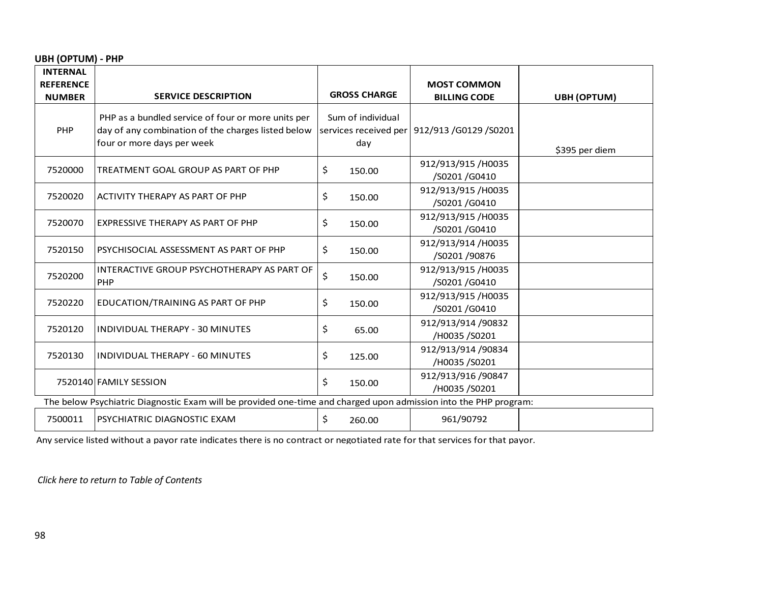| <b>UBH (OPTUM) - PHP</b> |  |
|--------------------------|--|
|--------------------------|--|

| <b>INTERNAL</b><br><b>REFERENCE</b> |                                                                                                                                        |                                                   | <b>MOST COMMON</b>                  |                    |
|-------------------------------------|----------------------------------------------------------------------------------------------------------------------------------------|---------------------------------------------------|-------------------------------------|--------------------|
| <b>NUMBER</b>                       | <b>SERVICE DESCRIPTION</b>                                                                                                             | <b>GROSS CHARGE</b>                               | <b>BILLING CODE</b>                 | <b>UBH (OPTUM)</b> |
| PHP                                 | PHP as a bundled service of four or more units per<br>day of any combination of the charges listed below<br>four or more days per week | Sum of individual<br>services received per<br>day | 912/913 /G0129 /S0201               | \$395 per diem     |
| 7520000                             | TREATMENT GOAL GROUP AS PART OF PHP                                                                                                    | \$<br>150.00                                      | 912/913/915/H0035<br>/S0201/G0410   |                    |
| 7520020                             | ACTIVITY THERAPY AS PART OF PHP                                                                                                        | \$<br>150.00                                      | 912/913/915/H0035<br>/S0201 /G0410  |                    |
| 7520070                             | EXPRESSIVE THERAPY AS PART OF PHP                                                                                                      | \$<br>150.00                                      | 912/913/915/H0035<br>/S0201/G0410   |                    |
| 7520150                             | PSYCHISOCIAL ASSESSMENT AS PART OF PHP                                                                                                 | \$<br>150.00                                      | 912/913/914 /H0035<br>/S0201 /90876 |                    |
| 7520200                             | INTERACTIVE GROUP PSYCHOTHERAPY AS PART OF<br>PHP                                                                                      | \$<br>150.00                                      | 912/913/915/H0035<br>/S0201/G0410   |                    |
| 7520220                             | EDUCATION/TRAINING AS PART OF PHP                                                                                                      | \$<br>150.00                                      | 912/913/915/H0035<br>/S0201 /G0410  |                    |
| 7520120                             | <b>INDIVIDUAL THERAPY - 30 MINUTES</b>                                                                                                 | \$<br>65.00                                       | 912/913/914 /90832<br>/H0035 /S0201 |                    |
| 7520130                             | INDIVIDUAL THERAPY - 60 MINUTES                                                                                                        | \$<br>125.00                                      | 912/913/914 /90834<br>/H0035 /S0201 |                    |
|                                     | 7520140 FAMILY SESSION                                                                                                                 | \$<br>150.00                                      | 912/913/916 /90847<br>/H0035 /S0201 |                    |
|                                     | The below Psychiatric Diagnostic Exam will be provided one-time and charged upon admission into the PHP program:                       |                                                   |                                     |                    |
| 7500011                             | PSYCHIATRIC DIAGNOSTIC EXAM                                                                                                            | \$<br>260.00                                      | 961/90792                           |                    |

Any service listed without a payor rate indicates there is no contract or negotiated rate for that services for that payor.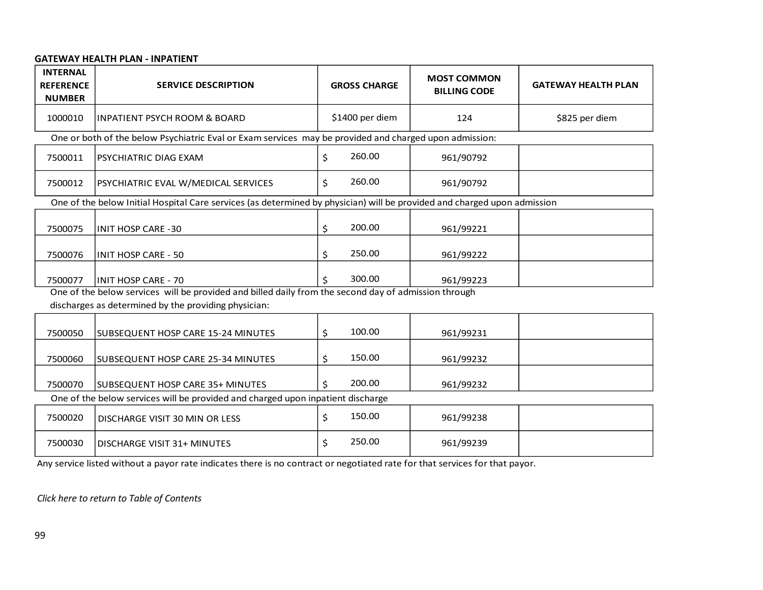## **GATEWAY HEALTH PLAN - INPATIENT**

| <b>INTERNAL</b><br><b>REFERENCE</b><br><b>NUMBER</b> | <b>SERVICE DESCRIPTION</b>                                                                                               |    | <b>GROSS CHARGE</b> | <b>MOST COMMON</b><br><b>BILLING CODE</b> | <b>GATEWAY HEALTH PLAN</b> |
|------------------------------------------------------|--------------------------------------------------------------------------------------------------------------------------|----|---------------------|-------------------------------------------|----------------------------|
| 1000010                                              | <b>INPATIENT PSYCH ROOM &amp; BOARD</b>                                                                                  |    | \$1400 per diem     | 124                                       | \$825 per diem             |
|                                                      | One or both of the below Psychiatric Eval or Exam services may be provided and charged upon admission:                   |    |                     |                                           |                            |
| 7500011                                              | PSYCHIATRIC DIAG EXAM                                                                                                    | \$ | 260.00              | 961/90792                                 |                            |
| 7500012                                              | PSYCHIATRIC EVAL W/MEDICAL SERVICES                                                                                      | Ś. | 260.00              | 961/90792                                 |                            |
|                                                      | One of the below Initial Hospital Care services (as determined by physician) will be provided and charged upon admission |    |                     |                                           |                            |
| 7500075                                              | <b>INIT HOSP CARE -30</b>                                                                                                | \$ | 200.00              | 961/99221                                 |                            |
| 7500076                                              | <b>INIT HOSP CARE - 50</b>                                                                                               | \$ | 250.00              | 961/99222                                 |                            |
| 7500077                                              | <b>INIT HOSP CARE - 70</b>                                                                                               |    | 300.00              | 961/99223                                 |                            |
|                                                      | One of the below services will be provided and billed daily from the second day of admission through                     |    |                     |                                           |                            |
|                                                      | discharges as determined by the providing physician:                                                                     |    |                     |                                           |                            |
| 7500050                                              | SUBSEQUENT HOSP CARE 15-24 MINUTES                                                                                       | \$ | 100.00              | 961/99231                                 |                            |
| 7500060                                              | SUBSEQUENT HOSP CARE 25-34 MINUTES                                                                                       | \$ | 150.00              | 961/99232                                 |                            |
| 7500070                                              | <b>SUBSEQUENT HOSP CARE 35+ MINUTES</b>                                                                                  | Ś  | 200.00              | 961/99232                                 |                            |
|                                                      | One of the below services will be provided and charged upon inpatient discharge                                          |    |                     |                                           |                            |
| 7500020                                              | DISCHARGE VISIT 30 MIN OR LESS                                                                                           | \$ | 150.00              | 961/99238                                 |                            |
| 7500030                                              | <b>DISCHARGE VISIT 31+ MINUTES</b>                                                                                       | \$ | 250.00              | 961/99239                                 |                            |

Any service listed without a payor rate indicates there is no contract or negotiated rate for that services for that payor.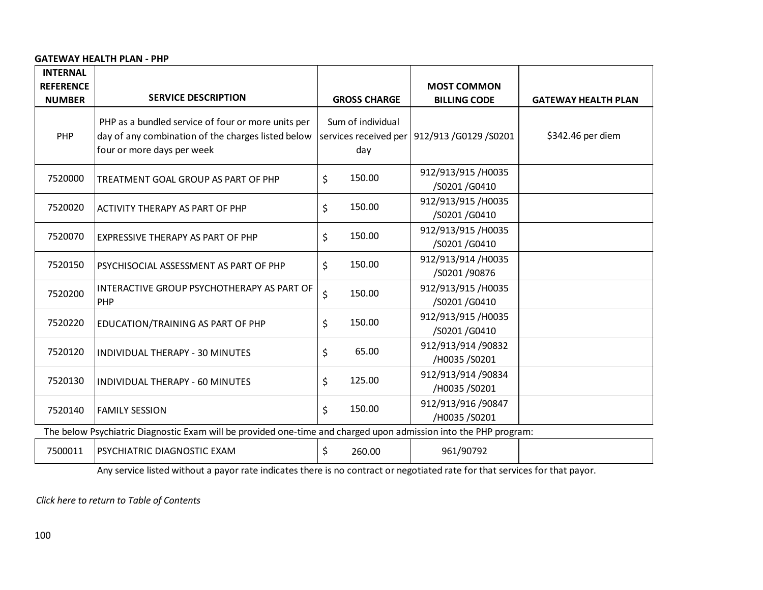## **GATEWAY HEALTH PLAN - PHP**

| <b>INTERNAL</b>  |                                                                                                                                        |                                                   |                                     |                            |
|------------------|----------------------------------------------------------------------------------------------------------------------------------------|---------------------------------------------------|-------------------------------------|----------------------------|
| <b>REFERENCE</b> |                                                                                                                                        |                                                   | <b>MOST COMMON</b>                  |                            |
| <b>NUMBER</b>    | <b>SERVICE DESCRIPTION</b>                                                                                                             | <b>GROSS CHARGE</b>                               | <b>BILLING CODE</b>                 | <b>GATEWAY HEALTH PLAN</b> |
| PHP              | PHP as a bundled service of four or more units per<br>day of any combination of the charges listed below<br>four or more days per week | Sum of individual<br>services received per<br>day | 912/913 /G0129 /S0201               | \$342.46 per diem          |
| 7520000          | TREATMENT GOAL GROUP AS PART OF PHP                                                                                                    | 150.00<br>\$                                      | 912/913/915 /H0035<br>/S0201 /G0410 |                            |
| 7520020          | ACTIVITY THERAPY AS PART OF PHP                                                                                                        | 150.00<br>\$                                      | 912/913/915 /H0035<br>/S0201 /G0410 |                            |
| 7520070          | EXPRESSIVE THERAPY AS PART OF PHP                                                                                                      | 150.00<br>\$                                      | 912/913/915 /H0035<br>/S0201/G0410  |                            |
| 7520150          | PSYCHISOCIAL ASSESSMENT AS PART OF PHP                                                                                                 | 150.00<br>\$                                      | 912/913/914 /H0035<br>/S0201 /90876 |                            |
| 7520200          | INTERACTIVE GROUP PSYCHOTHERAPY AS PART OF<br>PHP                                                                                      | \$<br>150.00                                      | 912/913/915 /H0035<br>/S0201 /G0410 |                            |
| 7520220          | EDUCATION/TRAINING AS PART OF PHP                                                                                                      | 150.00<br>\$                                      | 912/913/915 /H0035<br>/S0201/G0410  |                            |
| 7520120          | INDIVIDUAL THERAPY - 30 MINUTES                                                                                                        | 65.00<br>\$                                       | 912/913/914 /90832<br>/H0035 /S0201 |                            |
| 7520130          | INDIVIDUAL THERAPY - 60 MINUTES                                                                                                        | 125.00<br>\$                                      | 912/913/914 /90834<br>/H0035 /S0201 |                            |
| 7520140          | <b>FAMILY SESSION</b>                                                                                                                  | 150.00<br>\$                                      | 912/913/916 /90847<br>/H0035 /S0201 |                            |
|                  | The below Psychiatric Diagnostic Exam will be provided one-time and charged upon admission into the PHP program:                       |                                                   |                                     |                            |
| 7500011          | PSYCHIATRIC DIAGNOSTIC EXAM                                                                                                            | \$<br>260.00                                      | 961/90792                           |                            |

Any service listed without a payor rate indicates there is no contract or negotiated rate for that services for that payor.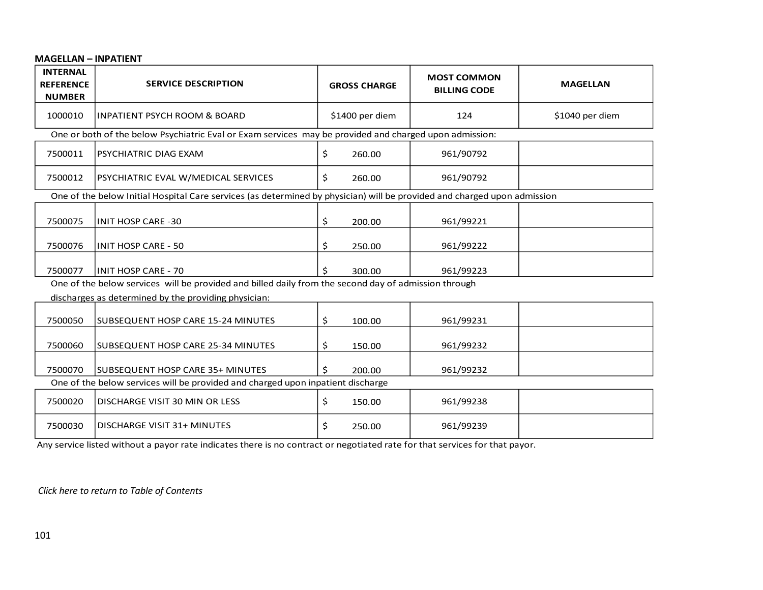#### **MAGELLAN – INPATIENT**

| <b>INTERNAL</b><br><b>REFERENCE</b><br><b>NUMBER</b> | <b>SERVICE DESCRIPTION</b>                                                                                               |    | <b>GROSS CHARGE</b> | <b>MOST COMMON</b><br><b>BILLING CODE</b> | <b>MAGELLAN</b> |
|------------------------------------------------------|--------------------------------------------------------------------------------------------------------------------------|----|---------------------|-------------------------------------------|-----------------|
| 1000010                                              | <b>INPATIENT PSYCH ROOM &amp; BOARD</b>                                                                                  |    | \$1400 per diem     | 124                                       | \$1040 per diem |
|                                                      | One or both of the below Psychiatric Eval or Exam services may be provided and charged upon admission:                   |    |                     |                                           |                 |
| 7500011                                              | PSYCHIATRIC DIAG EXAM                                                                                                    | \$ | 260.00              | 961/90792                                 |                 |
| 7500012                                              | PSYCHIATRIC EVAL W/MEDICAL SERVICES                                                                                      | \$ | 260.00              | 961/90792                                 |                 |
|                                                      | One of the below Initial Hospital Care services (as determined by physician) will be provided and charged upon admission |    |                     |                                           |                 |
| 7500075                                              | <b>INIT HOSP CARE -30</b>                                                                                                | \$ | 200.00              | 961/99221                                 |                 |
| 7500076                                              | <b>INIT HOSP CARE - 50</b>                                                                                               | \$ | 250.00              | 961/99222                                 |                 |
| 7500077                                              | <b>INIT HOSP CARE - 70</b>                                                                                               | S  | 300.00              | 961/99223                                 |                 |
|                                                      | One of the below services will be provided and billed daily from the second day of admission through                     |    |                     |                                           |                 |
|                                                      | discharges as determined by the providing physician:                                                                     |    |                     |                                           |                 |
| 7500050                                              | SUBSEQUENT HOSP CARE 15-24 MINUTES                                                                                       | \$ | 100.00              | 961/99231                                 |                 |
| 7500060                                              | SUBSEQUENT HOSP CARE 25-34 MINUTES                                                                                       | \$ | 150.00              | 961/99232                                 |                 |
| 7500070                                              | SUBSEQUENT HOSP CARE 35+ MINUTES                                                                                         |    | 200.00              | 961/99232                                 |                 |
|                                                      | One of the below services will be provided and charged upon inpatient discharge                                          |    |                     |                                           |                 |
| 7500020                                              | DISCHARGE VISIT 30 MIN OR LESS                                                                                           | \$ | 150.00              | 961/99238                                 |                 |
| 7500030                                              | <b>DISCHARGE VISIT 31+ MINUTES</b>                                                                                       | \$ | 250.00              | 961/99239                                 |                 |

Any service listed without a payor rate indicates there is no contract or negotiated rate for that services for that payor.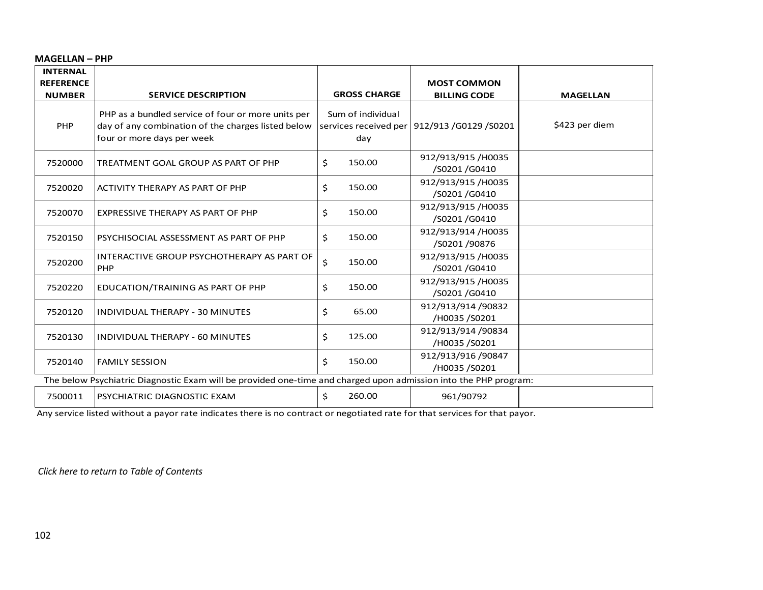|  | <b>MAGELLAN - PHP</b> |
|--|-----------------------|
|--|-----------------------|

| <b>INTERNAL</b><br><b>REFERENCE</b> |                                                                                                                                        |                                                   | <b>MOST COMMON</b>                  |                 |
|-------------------------------------|----------------------------------------------------------------------------------------------------------------------------------------|---------------------------------------------------|-------------------------------------|-----------------|
| <b>NUMBER</b>                       | <b>SERVICE DESCRIPTION</b>                                                                                                             | <b>GROSS CHARGE</b>                               | <b>BILLING CODE</b>                 | <b>MAGELLAN</b> |
| PHP                                 | PHP as a bundled service of four or more units per<br>day of any combination of the charges listed below<br>four or more days per week | Sum of individual<br>services received per<br>day | 912/913 /G0129 /S0201               | \$423 per diem  |
| 7520000                             | TREATMENT GOAL GROUP AS PART OF PHP                                                                                                    | Ś.<br>150.00                                      | 912/913/915/H0035<br>/S0201 /G0410  |                 |
| 7520020                             | <b>ACTIVITY THERAPY AS PART OF PHP</b>                                                                                                 | \$<br>150.00                                      | 912/913/915/H0035<br>/S0201 /G0410  |                 |
| 7520070                             | EXPRESSIVE THERAPY AS PART OF PHP                                                                                                      | \$.<br>150.00                                     | 912/913/915/H0035<br>/S0201 /G0410  |                 |
| 7520150                             | PSYCHISOCIAL ASSESSMENT AS PART OF PHP                                                                                                 | \$<br>150.00                                      | 912/913/914/H0035<br>/S0201 /90876  |                 |
| 7520200                             | INTERACTIVE GROUP PSYCHOTHERAPY AS PART OF<br><b>PHP</b>                                                                               | \$<br>150.00                                      | 912/913/915/H0035<br>/S0201 /G0410  |                 |
| 7520220                             | EDUCATION/TRAINING AS PART OF PHP                                                                                                      | \$.<br>150.00                                     | 912/913/915/H0035<br>/S0201 /G0410  |                 |
| 7520120                             | INDIVIDUAL THERAPY - 30 MINUTES                                                                                                        | 65.00<br>\$                                       | 912/913/914 /90832<br>/H0035 /S0201 |                 |
| 7520130                             | INDIVIDUAL THERAPY - 60 MINUTES                                                                                                        | \$.<br>125.00                                     | 912/913/914 /90834<br>/H0035 /S0201 |                 |
| 7520140                             | <b>FAMILY SESSION</b>                                                                                                                  | Ś.<br>150.00                                      | 912/913/916 /90847<br>/H0035 /S0201 |                 |
|                                     | The below Psychiatric Diagnostic Exam will be provided one-time and charged upon admission into the PHP program:                       |                                                   |                                     |                 |
| 7500011                             | PSYCHIATRIC DIAGNOSTIC EXAM                                                                                                            | 260.00<br>Ś.                                      | 961/90792                           |                 |

Any service listed without a payor rate indicates there is no contract or negotiated rate for that services for that payor.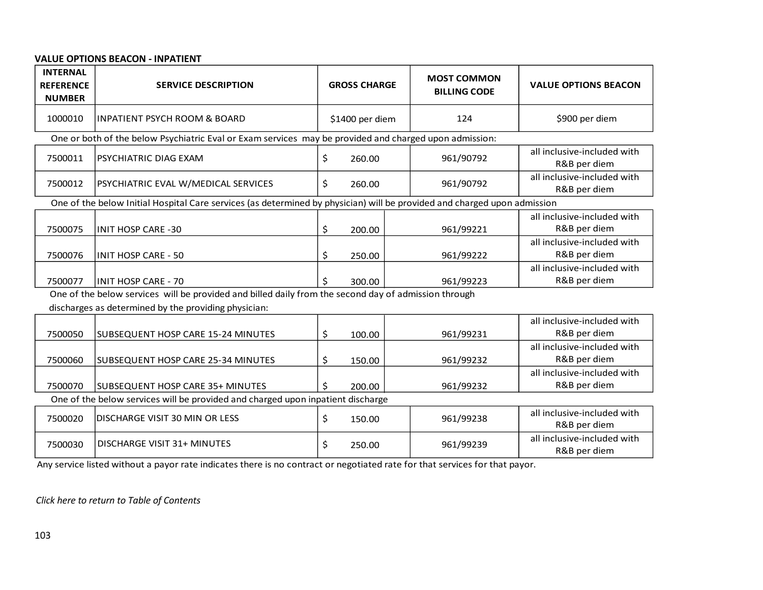## **VALUE OPTIONS BEACON - INPATIENT**

| <b>INTERNAL</b><br><b>REFERENCE</b><br><b>NUMBER</b>                                                                     | <b>SERVICE DESCRIPTION</b>                                                                             |    | <b>GROSS CHARGE</b> |  | <b>MOST COMMON</b><br><b>BILLING CODE</b> | <b>VALUE OPTIONS BEACON</b>                 |
|--------------------------------------------------------------------------------------------------------------------------|--------------------------------------------------------------------------------------------------------|----|---------------------|--|-------------------------------------------|---------------------------------------------|
| 1000010                                                                                                                  | <b>INPATIENT PSYCH ROOM &amp; BOARD</b>                                                                |    | \$1400 per diem     |  | 124                                       | \$900 per diem                              |
|                                                                                                                          | One or both of the below Psychiatric Eval or Exam services may be provided and charged upon admission: |    |                     |  |                                           |                                             |
| 7500011                                                                                                                  | PSYCHIATRIC DIAG EXAM                                                                                  | \$ | 260.00              |  | 961/90792                                 | all inclusive-included with<br>R&B per diem |
| 7500012                                                                                                                  | PSYCHIATRIC EVAL W/MEDICAL SERVICES                                                                    | \$ | 260.00              |  | 961/90792                                 | all inclusive-included with<br>R&B per diem |
| One of the below Initial Hospital Care services (as determined by physician) will be provided and charged upon admission |                                                                                                        |    |                     |  |                                           |                                             |
| 7500075                                                                                                                  | <b>INIT HOSP CARE -30</b>                                                                              | \$ | 200.00              |  | 961/99221                                 | all inclusive-included with<br>R&B per diem |
| 7500076                                                                                                                  | <b>INIT HOSP CARE - 50</b>                                                                             | \$ | 250.00              |  | 961/99222                                 | all inclusive-included with<br>R&B per diem |
| 7500077                                                                                                                  | <b>INIT HOSP CARE - 70</b>                                                                             | \$ | 300.00              |  | 961/99223                                 | all inclusive-included with<br>R&B per diem |
|                                                                                                                          | One of the below services will be provided and billed daily from the second day of admission through   |    |                     |  |                                           |                                             |
|                                                                                                                          | discharges as determined by the providing physician:                                                   |    |                     |  |                                           |                                             |
| 7500050                                                                                                                  | SUBSEQUENT HOSP CARE 15-24 MINUTES                                                                     | \$ | 100.00              |  | 961/99231                                 | all inclusive-included with<br>R&B per diem |
| 7500060                                                                                                                  | SUBSEQUENT HOSP CARE 25-34 MINUTES                                                                     | \$ | 150.00              |  | 961/99232                                 | all inclusive-included with<br>R&B per diem |
| 7500070                                                                                                                  | SUBSEQUENT HOSP CARE 35+ MINUTES                                                                       | Ś  | 200.00              |  | 961/99232                                 | all inclusive-included with<br>R&B per diem |
|                                                                                                                          | One of the below services will be provided and charged upon inpatient discharge                        |    |                     |  |                                           |                                             |
| 7500020                                                                                                                  | <b>DISCHARGE VISIT 30 MIN OR LESS</b>                                                                  | \$ | 150.00              |  | 961/99238                                 | all inclusive-included with<br>R&B per diem |
| 7500030                                                                                                                  | DISCHARGE VISIT 31+ MINUTES                                                                            | \$ | 250.00              |  | 961/99239                                 | all inclusive-included with<br>R&B per diem |

Any service listed without a payor rate indicates there is no contract or negotiated rate for that services for that payor.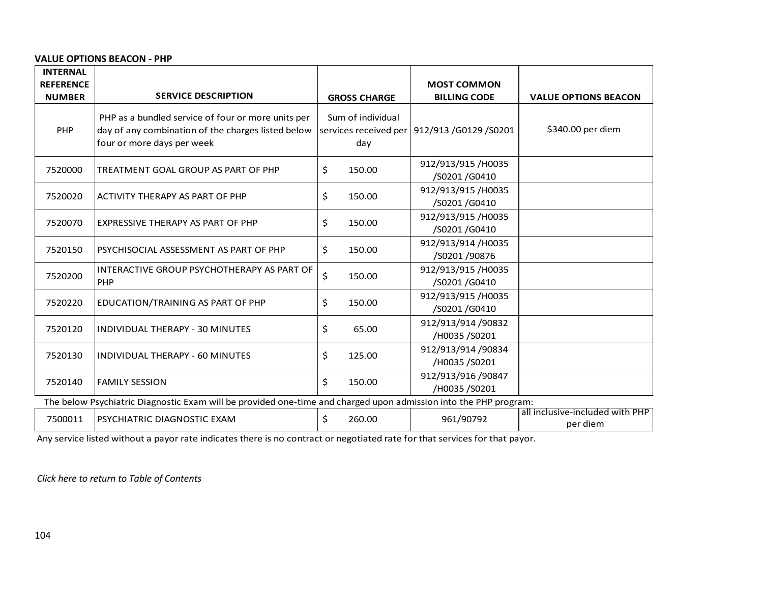### **VALUE OPTIONS BEACON - PHP**

| <b>INTERNAL</b><br><b>REFERENCE</b> | <b>SERVICE DESCRIPTION</b>                                                                                                             |                                                   | <b>MOST COMMON</b>                  |                                             |
|-------------------------------------|----------------------------------------------------------------------------------------------------------------------------------------|---------------------------------------------------|-------------------------------------|---------------------------------------------|
| <b>NUMBER</b>                       |                                                                                                                                        | <b>GROSS CHARGE</b>                               | <b>BILLING CODE</b>                 | <b>VALUE OPTIONS BEACON</b>                 |
| PHP                                 | PHP as a bundled service of four or more units per<br>day of any combination of the charges listed below<br>four or more days per week | Sum of individual<br>services received per<br>day | 912/913 /G0129 /S0201               | \$340.00 per diem                           |
| 7520000                             | TREATMENT GOAL GROUP AS PART OF PHP                                                                                                    | Ś.<br>150.00                                      | 912/913/915/H0035<br>/S0201/G0410   |                                             |
| 7520020                             | ACTIVITY THERAPY AS PART OF PHP                                                                                                        | \$<br>150.00                                      | 912/913/915/H0035<br>/S0201/G0410   |                                             |
| 7520070                             | EXPRESSIVE THERAPY AS PART OF PHP                                                                                                      | \$<br>150.00                                      | 912/913/915/H0035<br>/S0201/G0410   |                                             |
| 7520150                             | PSYCHISOCIAL ASSESSMENT AS PART OF PHP                                                                                                 | \$<br>150.00                                      | 912/913/914/H0035<br>/S0201 /90876  |                                             |
| 7520200                             | INTERACTIVE GROUP PSYCHOTHERAPY AS PART OF<br>PHP                                                                                      | \$<br>150.00                                      | 912/913/915/H0035<br>/S0201/G0410   |                                             |
| 7520220                             | EDUCATION/TRAINING AS PART OF PHP                                                                                                      | \$<br>150.00                                      | 912/913/915/H0035<br>/S0201/G0410   |                                             |
| 7520120                             | INDIVIDUAL THERAPY - 30 MINUTES                                                                                                        | \$<br>65.00                                       | 912/913/914 /90832<br>/H0035 /S0201 |                                             |
| 7520130                             | INDIVIDUAL THERAPY - 60 MINUTES                                                                                                        | \$<br>125.00                                      | 912/913/914 /90834<br>/H0035 /S0201 |                                             |
| 7520140                             | <b>FAMILY SESSION</b>                                                                                                                  | \$<br>150.00                                      | 912/913/916 /90847<br>/H0035 /S0201 |                                             |
|                                     | The below Psychiatric Diagnostic Exam will be provided one-time and charged upon admission into the PHP program:                       |                                                   |                                     |                                             |
| 7500011                             | PSYCHIATRIC DIAGNOSTIC EXAM                                                                                                            | \$<br>260.00                                      | 961/90792                           | all inclusive-included with PHP<br>per diem |

Any service listed without a payor rate indicates there is no contract or negotiated rate for that services for that payor.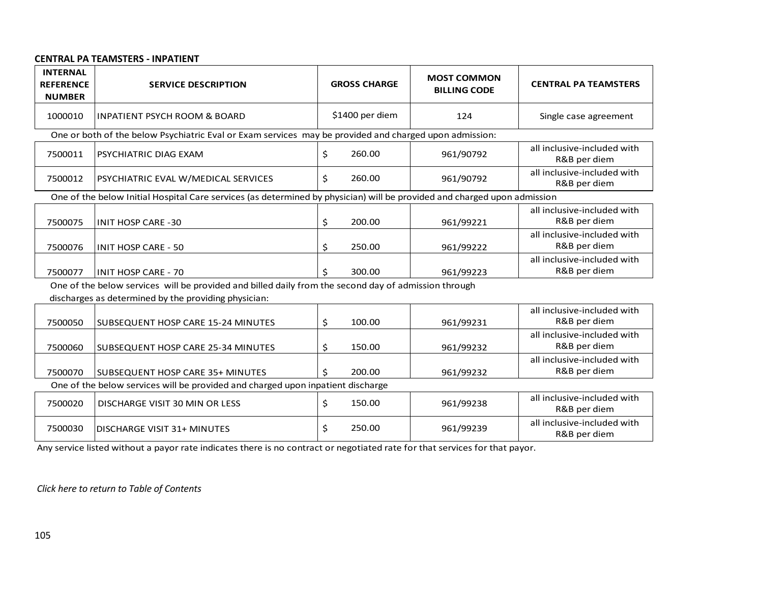# **CENTRAL PA TEAMSTERS - INPATIENT**

| <b>INTERNAL</b><br><b>REFERENCE</b><br><b>NUMBER</b> | <b>SERVICE DESCRIPTION</b>                                                                                                                                   |    | <b>GROSS CHARGE</b> | <b>MOST COMMON</b><br><b>BILLING CODE</b> | <b>CENTRAL PA TEAMSTERS</b>                 |
|------------------------------------------------------|--------------------------------------------------------------------------------------------------------------------------------------------------------------|----|---------------------|-------------------------------------------|---------------------------------------------|
| 1000010                                              | <b>INPATIENT PSYCH ROOM &amp; BOARD</b>                                                                                                                      |    | \$1400 per diem     | 124                                       | Single case agreement                       |
|                                                      | One or both of the below Psychiatric Eval or Exam services may be provided and charged upon admission:                                                       |    |                     |                                           |                                             |
| 7500011                                              | PSYCHIATRIC DIAG EXAM                                                                                                                                        | \$ | 260.00              | 961/90792                                 | all inclusive-included with<br>R&B per diem |
| 7500012                                              | PSYCHIATRIC EVAL W/MEDICAL SERVICES                                                                                                                          | Ś. | 260.00              | 961/90792                                 | all inclusive-included with<br>R&B per diem |
|                                                      | One of the below Initial Hospital Care services (as determined by physician) will be provided and charged upon admission                                     |    |                     |                                           |                                             |
| 7500075                                              | <b>INIT HOSP CARE -30</b>                                                                                                                                    | \$ | 200.00              | 961/99221                                 | all inclusive-included with<br>R&B per diem |
| 7500076                                              | <b>INIT HOSP CARE - 50</b>                                                                                                                                   | \$ | 250.00              | 961/99222                                 | all inclusive-included with<br>R&B per diem |
| 7500077                                              | <b>INIT HOSP CARE - 70</b>                                                                                                                                   | Ś. | 300.00              | 961/99223                                 | all inclusive-included with<br>R&B per diem |
|                                                      | One of the below services will be provided and billed daily from the second day of admission through<br>discharges as determined by the providing physician: |    |                     |                                           |                                             |
| 7500050                                              | SUBSEQUENT HOSP CARE 15-24 MINUTES                                                                                                                           | \$ | 100.00              | 961/99231                                 | all inclusive-included with<br>R&B per diem |
| 7500060                                              | SUBSEQUENT HOSP CARE 25-34 MINUTES                                                                                                                           | \$ | 150.00              | 961/99232                                 | all inclusive-included with<br>R&B per diem |
| 7500070                                              | SUBSEQUENT HOSP CARE 35+ MINUTES                                                                                                                             | Ś. | 200.00              | 961/99232                                 | all inclusive-included with<br>R&B per diem |
|                                                      | One of the below services will be provided and charged upon inpatient discharge                                                                              |    |                     |                                           |                                             |
| 7500020                                              | DISCHARGE VISIT 30 MIN OR LESS                                                                                                                               | \$ | 150.00              | 961/99238                                 | all inclusive-included with<br>R&B per diem |
| 7500030                                              | DISCHARGE VISIT 31+ MINUTES                                                                                                                                  | \$ | 250.00              | 961/99239                                 | all inclusive-included with<br>R&B per diem |

Any service listed without a payor rate indicates there is no contract or negotiated rate for that services for that payor.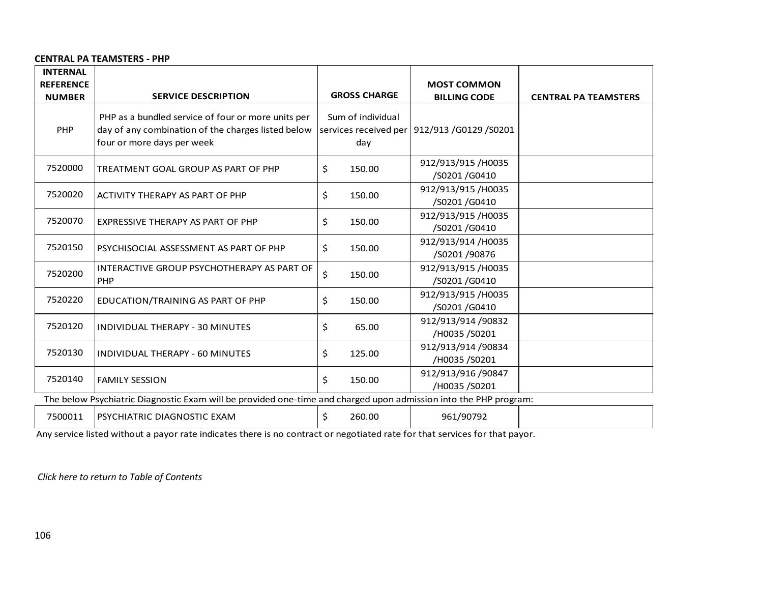# **CENTRAL PA TEAMSTERS - PHP**

| <b>INTERNAL</b>                                                                                                  |                                                                                                                                        |                          |                                                 |                             |  |  |  |  |
|------------------------------------------------------------------------------------------------------------------|----------------------------------------------------------------------------------------------------------------------------------------|--------------------------|-------------------------------------------------|-----------------------------|--|--|--|--|
| <b>REFERENCE</b><br><b>NUMBER</b>                                                                                | <b>SERVICE DESCRIPTION</b>                                                                                                             | <b>GROSS CHARGE</b>      | <b>MOST COMMON</b><br><b>BILLING CODE</b>       | <b>CENTRAL PA TEAMSTERS</b> |  |  |  |  |
| PHP                                                                                                              | PHP as a bundled service of four or more units per<br>day of any combination of the charges listed below<br>four or more days per week | Sum of individual<br>day | services received per   912/913 / G0129 / S0201 |                             |  |  |  |  |
| 7520000                                                                                                          | TREATMENT GOAL GROUP AS PART OF PHP                                                                                                    | Ś.<br>150.00             | 912/913/915/H0035<br>/S0201 /G0410              |                             |  |  |  |  |
| 7520020                                                                                                          | ACTIVITY THERAPY AS PART OF PHP                                                                                                        | \$<br>150.00             | 912/913/915/H0035<br>/S0201 /G0410              |                             |  |  |  |  |
| 7520070                                                                                                          | <b>EXPRESSIVE THERAPY AS PART OF PHP</b>                                                                                               | \$<br>150.00             | 912/913/915/H0035<br>/S0201 /G0410              |                             |  |  |  |  |
| 7520150                                                                                                          | PSYCHISOCIAL ASSESSMENT AS PART OF PHP                                                                                                 | \$<br>150.00             | 912/913/914 /H0035<br>/S0201 /90876             |                             |  |  |  |  |
| 7520200                                                                                                          | INTERACTIVE GROUP PSYCHOTHERAPY AS PART OF<br>PHP                                                                                      | \$<br>150.00             | 912/913/915/H0035<br>/S0201 /G0410              |                             |  |  |  |  |
| 7520220                                                                                                          | EDUCATION/TRAINING AS PART OF PHP                                                                                                      | \$<br>150.00             | 912/913/915/H0035<br>/S0201 /G0410              |                             |  |  |  |  |
| 7520120                                                                                                          | INDIVIDUAL THERAPY - 30 MINUTES                                                                                                        | \$<br>65.00              | 912/913/914 /90832<br>/H0035 /S0201             |                             |  |  |  |  |
| 7520130                                                                                                          | INDIVIDUAL THERAPY - 60 MINUTES                                                                                                        | \$<br>125.00             | 912/913/914 /90834<br>/H0035 /S0201             |                             |  |  |  |  |
| 7520140                                                                                                          | <b>FAMILY SESSION</b>                                                                                                                  | \$<br>150.00             | 912/913/916 /90847<br>/H0035 /S0201             |                             |  |  |  |  |
| The below Psychiatric Diagnostic Exam will be provided one-time and charged upon admission into the PHP program: |                                                                                                                                        |                          |                                                 |                             |  |  |  |  |
| 7500011                                                                                                          | PSYCHIATRIC DIAGNOSTIC EXAM                                                                                                            | \$<br>260.00             | 961/90792                                       |                             |  |  |  |  |

Any service listed without a payor rate indicates there is no contract or negotiated rate for that services for that payor.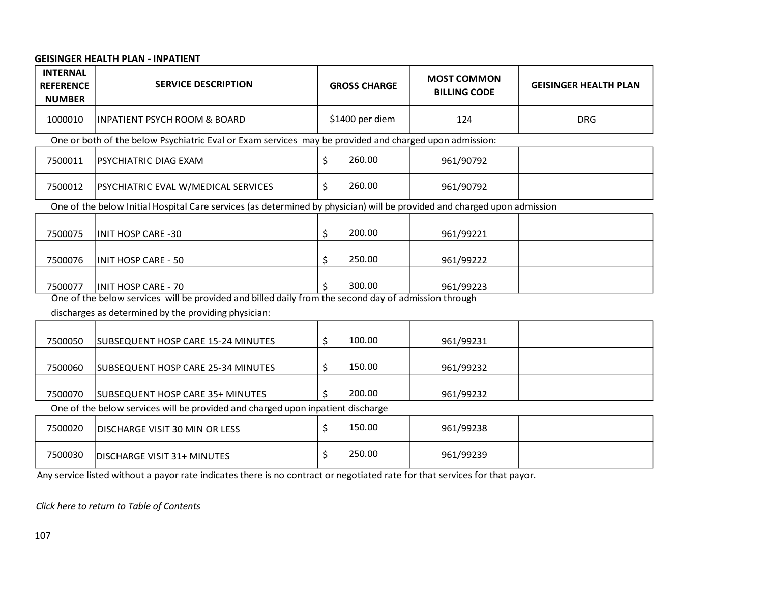## **GEISINGER HEALTH PLAN - INPATIENT**

| <b>INTERNAL</b><br><b>REFERENCE</b><br><b>NUMBER</b>                                                                     | <b>SERVICE DESCRIPTION</b>              | <b>GROSS CHARGE</b> |        | <b>MOST COMMON</b><br><b>BILLING CODE</b> | <b>GEISINGER HEALTH PLAN</b> |  |  |  |  |
|--------------------------------------------------------------------------------------------------------------------------|-----------------------------------------|---------------------|--------|-------------------------------------------|------------------------------|--|--|--|--|
| 1000010                                                                                                                  | <b>INPATIENT PSYCH ROOM &amp; BOARD</b> | \$1400 per diem     |        | 124                                       | <b>DRG</b>                   |  |  |  |  |
| One or both of the below Psychiatric Eval or Exam services may be provided and charged upon admission:                   |                                         |                     |        |                                           |                              |  |  |  |  |
| 7500011                                                                                                                  | PSYCHIATRIC DIAG EXAM                   | \$                  | 260.00 | 961/90792                                 |                              |  |  |  |  |
| 7500012                                                                                                                  | PSYCHIATRIC EVAL W/MEDICAL SERVICES     | \$                  | 260.00 | 961/90792                                 |                              |  |  |  |  |
| One of the below Initial Hospital Care services (as determined by physician) will be provided and charged upon admission |                                         |                     |        |                                           |                              |  |  |  |  |
| 7500075                                                                                                                  | <b>INIT HOSP CARE -30</b>               | \$                  | 200.00 | 961/99221                                 |                              |  |  |  |  |
| 7500076                                                                                                                  | <b>INIT HOSP CARE - 50</b>              | \$                  | 250.00 | 961/99222                                 |                              |  |  |  |  |
| 7500077                                                                                                                  | <b>INIT HOSP CARE - 70</b>              | Ś.                  | 300.00 | 961/99223                                 |                              |  |  |  |  |
| One of the below services will be provided and billed daily from the second day of admission through                     |                                         |                     |        |                                           |                              |  |  |  |  |
| discharges as determined by the providing physician:                                                                     |                                         |                     |        |                                           |                              |  |  |  |  |
| 7500050                                                                                                                  | SUBSEQUENT HOSP CARE 15-24 MINUTES      | \$                  | 100.00 | 961/99231                                 |                              |  |  |  |  |
| 7500060                                                                                                                  | SUBSEQUENT HOSP CARE 25-34 MINUTES      | \$                  | 150.00 | 961/99232                                 |                              |  |  |  |  |
| 7500070                                                                                                                  | <b>SUBSEQUENT HOSP CARE 35+ MINUTES</b> | Ś.                  | 200.00 | 961/99232                                 |                              |  |  |  |  |
| One of the below services will be provided and charged upon inpatient discharge                                          |                                         |                     |        |                                           |                              |  |  |  |  |
| 7500020                                                                                                                  | DISCHARGE VISIT 30 MIN OR LESS          | \$                  | 150.00 | 961/99238                                 |                              |  |  |  |  |
| 7500030                                                                                                                  | <b>DISCHARGE VISIT 31+ MINUTES</b>      | \$                  | 250.00 | 961/99239                                 |                              |  |  |  |  |

Any service listed without a payor rate indicates there is no contract or negotiated rate for that services for that payor.